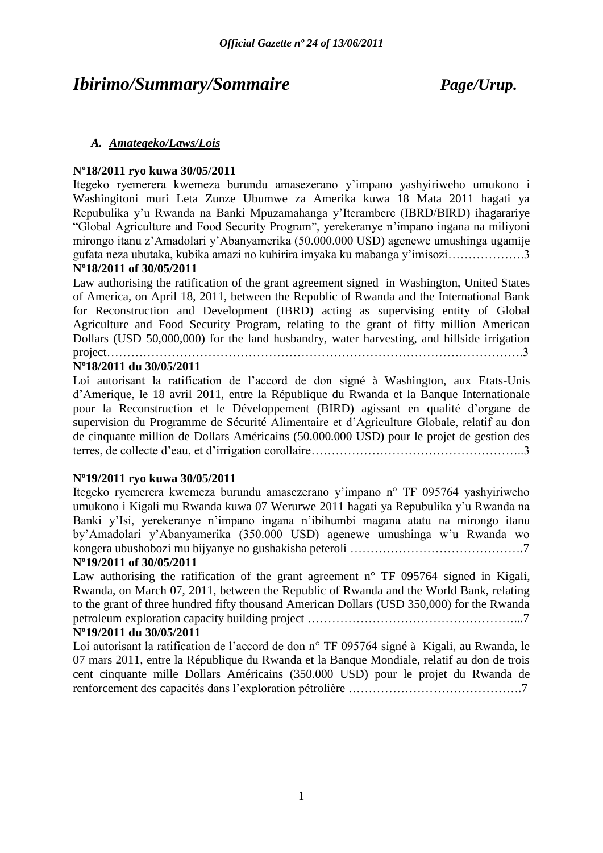## *Ibirimo/Summary/Sommaire Page/Urup.*

### *A. Amategeko/Laws/Lois*

### **Nº18/2011 ryo kuwa 30/05/2011**

Itegeko ryemerera kwemeza burundu amasezerano y"impano yashyiriweho umukono i Washingitoni muri Leta Zunze Ubumwe za Amerika kuwa 18 Mata 2011 hagati ya Repubulika y"u Rwanda na Banki Mpuzamahanga y"Iterambere (IBRD/BIRD) ihagarariye "Global Agriculture and Food Security Program", yerekeranye n"impano ingana na miliyoni mirongo itanu z"Amadolari y"Abanyamerika (50.000.000 USD) agenewe umushinga ugamije gufata neza ubutaka, kubika amazi no kuhirira imyaka ku mabanga y"imisozi……………….3 **Nº18/2011 of 30/05/2011** 

Law authorising the ratification of the grant agreement signed in Washington, United States of America, on April 18, 2011, between the Republic of Rwanda and the International Bank for Reconstruction and Development (IBRD) acting as supervising entity of Global Agriculture and Food Security Program, relating to the grant of fifty million American Dollars (USD 50,000,000) for the land husbandry, water harvesting, and hillside irrigation project and the contract of the contract of the contract of the contract of the contract of the contract of the contract of the contract of the contract of the contract of the contract of the contract of the contract of th

### **Nº18/2011 du 30/05/2011**

Loi autorisant la ratification de l"accord de don signé à Washington, aux Etats-Unis d"Amerique, le 18 avril 2011, entre la République du Rwanda et la Banque Internationale pour la Reconstruction et le Développement (BIRD) agissant en qualité d"organe de supervision du Programme de Sécurité Alimentaire et d"Agriculture Globale, relatif au don de cinquante million de Dollars Américains (50.000.000 USD) pour le projet de gestion des terres, de collecte d"eau, et d"irrigation corollaire……………………………………………..3

### **Nº19/2011 ryo kuwa 30/05/2011**

Itegeko ryemerera kwemeza burundu amasezerano y"impano n° TF 095764 yashyiriweho umukono i Kigali mu Rwanda kuwa 07 Werurwe 2011 hagati ya Repubulika y"u Rwanda na Banki y"Isi, yerekeranye n"impano ingana n"ibihumbi magana atatu na mirongo itanu by"Amadolari y"Abanyamerika (350.000 USD) agenewe umushinga w"u Rwanda wo kongera ubushobozi mu bijyanye no gushakisha peteroli …………………………………….7

### **Nº19/2011 of 30/05/2011**

Law authorising the ratification of the grant agreement  $n^{\circ}$  TF 095764 signed in Kigali, Rwanda, on March 07, 2011, between the Republic of Rwanda and the World Bank, relating to the grant of three hundred fifty thousand American Dollars (USD 350,000) for the Rwanda petroleum exploration capacity building project ……………………………………………...7

### **Nº19/2011 du 30/05/2011**

Loi autorisant la ratification de l'accord de don n° TF 095764 signé à Kigali, au Rwanda, le 07 mars 2011, entre la République du Rwanda et la Banque Mondiale, relatif au don de trois cent cinquante mille Dollars Américains (350.000 USD) pour le projet du Rwanda de renforcement des capacités dans l"exploration pétrolière …………………………………….7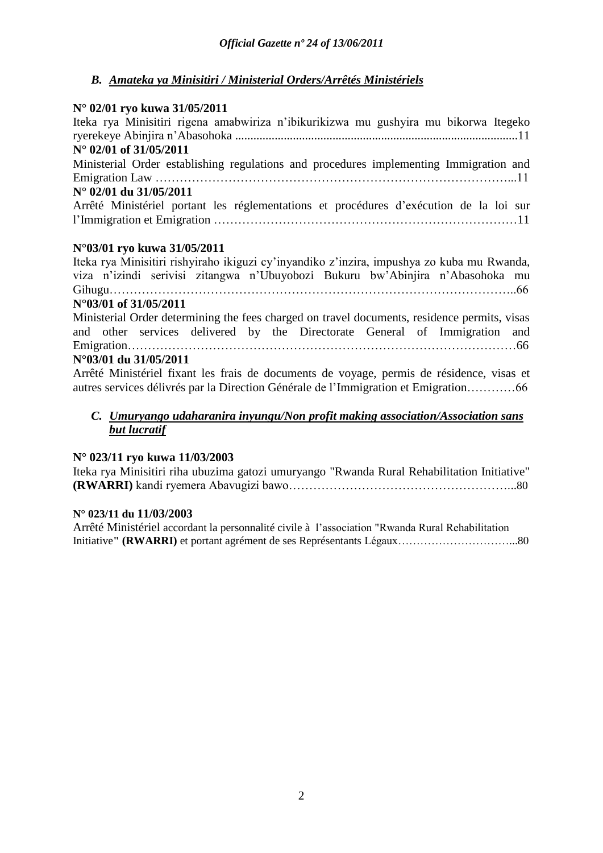## *B. Amateka ya Minisitiri / Ministerial Orders/Arrêtés Ministériels*

## **N° 02/01 ryo kuwa 31/05/2011**

| $\frac{1}{2}$ $\frac{1}{2}$ $\frac{1}{2}$ $\frac{1}{2}$ $\frac{1}{2}$ $\frac{1}{2}$ $\frac{1}{2}$ $\frac{1}{2}$ $\frac{1}{2}$ $\frac{1}{2}$ $\frac{1}{2}$ $\frac{1}{2}$ $\frac{1}{2}$ $\frac{1}{2}$ $\frac{1}{2}$ $\frac{1}{2}$ $\frac{1}{2}$ $\frac{1}{2}$ $\frac{1}{2}$ $\frac{1}{2}$ $\frac{1}{2}$ $\frac{1}{2}$ |
|---------------------------------------------------------------------------------------------------------------------------------------------------------------------------------------------------------------------------------------------------------------------------------------------------------------------|
| Iteka rya Minisitiri rigena amabwiriza n'ibikurikizwa mu gushyira mu bikorwa Itegeko                                                                                                                                                                                                                                |
|                                                                                                                                                                                                                                                                                                                     |
| $N^{\circ}$ 02/01 of 31/05/2011                                                                                                                                                                                                                                                                                     |
| Ministerial Order establishing regulations and procedures implementing Immigration and                                                                                                                                                                                                                              |
|                                                                                                                                                                                                                                                                                                                     |
| N° 02/01 du 31/05/2011                                                                                                                                                                                                                                                                                              |
| Arrêté Ministériel portant les réglementations et procédures d'exécution de la loi sur                                                                                                                                                                                                                              |
|                                                                                                                                                                                                                                                                                                                     |
| N°03/01 ryo kuwa 31/05/2011                                                                                                                                                                                                                                                                                         |
| Iteka rya Minisitiri rishyiraho ikiguzi cy'inyandiko z'inzira, impushya zo kuba mu Rwanda,                                                                                                                                                                                                                          |
| viza n'izindi serivisi zitangwa n'Ubuyobozi Bukuru bw'Abinjira n'Abasohoka mu                                                                                                                                                                                                                                       |
|                                                                                                                                                                                                                                                                                                                     |
|                                                                                                                                                                                                                                                                                                                     |
| N°03/01 of 31/05/2011                                                                                                                                                                                                                                                                                               |
| Ministerial Order determining the fees charged on travel documents, residence permits, visas                                                                                                                                                                                                                        |
| and other services delivered by the Directorate General of Immigration and                                                                                                                                                                                                                                          |
|                                                                                                                                                                                                                                                                                                                     |
| N°03/01 du 31/05/2011                                                                                                                                                                                                                                                                                               |
| Arrêté Ministériel fixant les frais de documents de voyage, permis de résidence, visas et                                                                                                                                                                                                                           |
| autres services délivrés par la Direction Générale de l'Immigration et Emigration66                                                                                                                                                                                                                                 |
|                                                                                                                                                                                                                                                                                                                     |

### *C. Umuryango udaharanira inyungu/Non profit making association/Association sans but lucratif*

### **N° 023/11 ryo kuwa 11/03/2003**

Iteka rya Minisitiri riha ubuzima gatozi umuryango "Rwanda Rural Rehabilitation Initiative" **(RWARRI)** kandi ryemera Abavugizi bawo………………………………………………...80

### **N° 023/11 du 11/03/2003**

Arrêté Ministériel accordant la personnalité civile à l"association "Rwanda Rural Rehabilitation Initiative**" (RWARRI)** et portant agrément de ses Représentants Légaux…………………………...80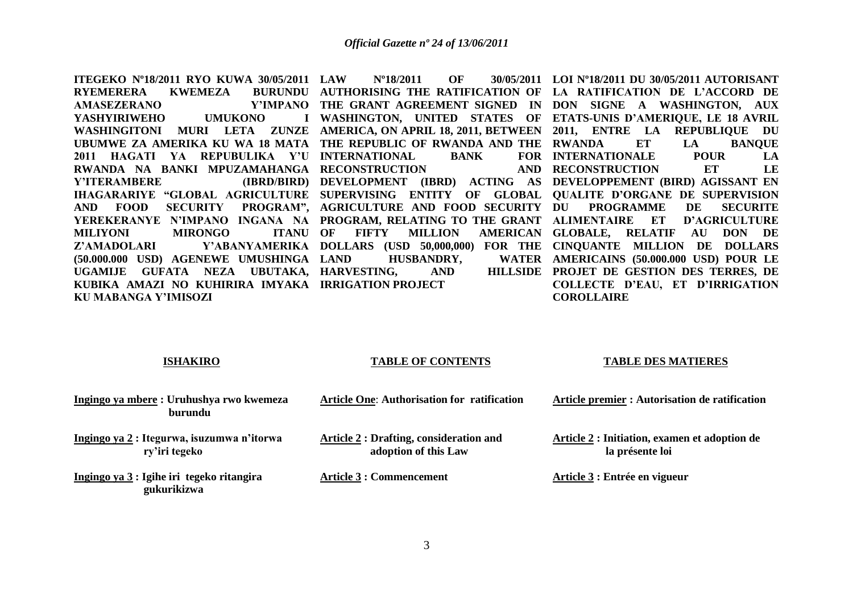**ITEGEKO Nº18/2011 RYO KUWA 30/05/2011 RYEMERERA KWEMEZA AMASEZERANO** YASHYIRIWEHO UMUKONO **WASHINGITONI MURI LETA ZUNZE AMERICA, ON APRIL 18, 2011, BETWEEN 2011, ENTRE LA REPUBLIQUE DU**  UBUMWE ZA AMERIKA KU WA 18 MATA THE REPUBLIC OF RWANDA AND THE RWANDA ET LA BANQUE **2011 HAGATI YA REPUBULIKA Y'U INTERNATIONAL BANK FOR RWANDA NA BANKI MPUZAMAHANGA RECONSTRUCTION AND Y'ITERAMBERE** IHAGARARIYE "GLOBAL AGRICULTURE SUPERVISING ENTITY OF GLOBAL QUALITE D'ORGANE DE SUPERVISION AND FOOD SECURITY PROGRAM", AGRICULTURE AND FOOD-SECURITY DU PROGRAMME DE SECURITE **YEREKERANYE N'IMPANO INGANA NA PROGRAM, RELATING TO THE GRANT ALIMENTAIRE ET D'AGRICULTURE MILIYONI** MIRONGO **Z'AMADOLARI Y'ABANYAMERIKA DOLLARS (USD 50,000,000) FOR THE CINQUANTE MILLION DE DOLLARS (50.000.000 USD) AGENEWE UMUSHINGA**  UGAMIJE GUFATA NEZA UBUTAKA, HARVESTING, AND HILLSIDE **KUBIKA AMAZI NO KUHIRIRA IMYAKA IRRIGATION PROJECT KU MABANGA Y'IMISOZI LAW Nº18/2011 OF 30/05/2011 LOI Nº18/2011 DU 30/05/2011 AUTORISANT AUTHORISING THE RATIFICATION OF LA RATIFICATION DE L'ACCORD DE THE GRANT AGREEMENT SIGNED IN DON SIGNE A WASHINGTON, AUX WASHINGTON, UNITED STATES OF ETATS-UNIS D'AMERIQUE, LE 18 AVRIL DEVELOPMENT (IBRD) ACTING AS DEVELOPPEMENT (BIRD) AGISSANT EN ITANU OF FIFTY MILLION HUSBANDRY, INTERNATIONALE POUR LA RECONSTRUCTION ET LE GLOBALE, RELATIF AU DON DE AMERICAINS (50.000.000 USD) POUR LE PROJET DE GESTION DES TERRES, DE COLLECTE D'EAU, ET D'IRRIGATION COROLLAIRE**

#### **ISHAKIRO**

#### **TABLE OF CONTENTS**

#### **TABLE DES MATIERES**

| Ingingo ya mbere: Uruhushya rwo kwemeza<br>burundu         | <b>Article One: Authorisation for ratification</b>                    | Article premier : Autorisation de ratification                   |
|------------------------------------------------------------|-----------------------------------------------------------------------|------------------------------------------------------------------|
| Ingingo ya 2: Itegurwa, isuzumwa n'itorwa<br>ry'iri tegeko | <b>Article 2: Drafting, consideration and</b><br>adoption of this Law | Article 2 : Initiation, examen et adoption de<br>la présente loi |
| Ingingo ya 3 : Igihe iri tegeko ritangira<br>gukurikizwa   | <b>Article 3 : Commencement</b>                                       | Article 3 : Entrée en vigueur                                    |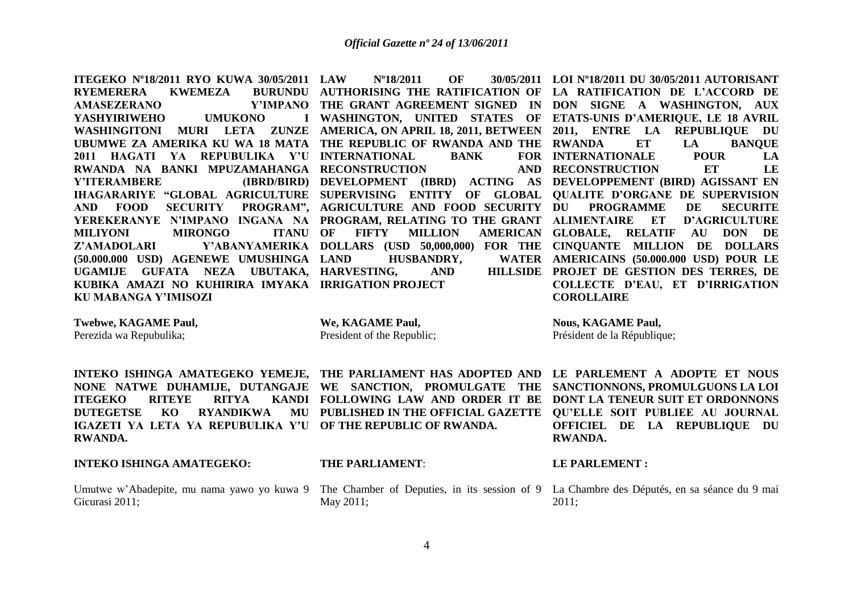**ITEGEKO Nº18/2011 RYO KUWA 30/05/2011 RYEMERERA KWEMEZA AMASEZERANO** YASHYIRIWEHO UMUKONO **WASHINGITONI MURI LETA ZUNZE AMERICA, ON APRIL 18, 2011, BETWEEN 2011, ENTRE LA REPUBLIQUE DU**  UBUMWE ZA AMERIKA KU WA 18 MATA THE REPUBLIC OF RWANDA AND THE RWANDA ET LA BANQUE **2011 HAGATI YA REPUBULIKA Y'U INTERNATIONAL BANK FOR RWANDA NA BANKI MPUZAMAHANGA RECONSTRUCTION AND Y'ITERAMBERE** IHAGARARIYE "GLOBAL AGRICULTURE SUPERVISING ENTITY OF GLOBAL QUALITE D'ORGANE DE SUPERVISION **AND FOOD SECURITY PROGRAM", AGRICULTURE AND FOOD SECURITY YEREKERANYE N'IMPANO INGANA NA PROGRAM, RELATING TO THE GRANT ALIMENTAIRE ET D'AGRICULTURE MILIYONI** MIRONGO **Z'AMADOLARI Y'ABANYAMERIKA DOLLARS (USD 50,000,000) FOR THE CINQUANTE MILLION DE DOLLARS (50.000.000 USD) AGENEWE UMUSHINGA**  UGAMIJE GUFATA NEZA UBUTAKA, HARVESTING, AND HILLSIDE **KUBIKA AMAZI NO KUHIRIRA IMYAKA IRRIGATION PROJECT KU MABANGA Y'IMISOZI**

**AUTHORISING THE RATIFICATION OF LA RATIFICATION DE L'ACCORD DE ITANU OF FIFTY MILLION HUSBANDRY,** 

**THE GRANT AGREEMENT SIGNED IN DON SIGNE A WASHINGTON, AUX WASHINGTON, UNITED STATES OF ETATS-UNIS D'AMERIQUE, LE 18 AVRIL DEVELOPMENT (IBRD) ACTING AS DEVELOPPEMENT (BIRD) AGISSANT EN INTERNATIONALE POUR LA RECONSTRUCTION ET LE**  PROGRAMME DE SECURITE **GLOBALE, RELATIF AU DON DE AMERICAINS (50.000.000 USD) POUR LE PROJET DE GESTION DES TERRES, DE COLLECTE D'EAU, ET D'IRRIGATION COROLLAIRE**

**Twebwe, KAGAME Paul,**

Perezida wa Repubulika;

**RWANDA.**

**We, KAGAME Paul,** President of the Republic;

**Nous, KAGAME Paul,** Président de la République;

**LAW Nº18/2011 OF 30/05/2011 LOI Nº18/2011 DU 30/05/2011 AUTORISANT** 

**INTEKO ISHINGA AMATEGEKO YEMEJE, THE PARLIAMENT HAS ADOPTED AND LE PARLEMENT A ADOPTE ET NOUS NONE NATWE DUHAMIJE, DUTANGAJE WE SANCTION, PROMULGATE THE SANCTIONNONS, PROMULGUONS LA LOI FOLLOWING LAW AND ORDER IT BE DONT LA TENEUR SUIT ET ORDONNONS PUBLISHED IN THE OFFICIAL GAZETTE QU'ELLE SOIT PUBLIEE AU JOURNAL OFFICIEL DE LA REPUBLIQUE DU RWANDA.**

### **INTEKO ISHINGA AMATEGEKO:**

**ITEGEKO RITEYE RITYA DUTEGETSE KO RYANDIKWA** 

Gicurasi 2011;

**THE PARLIAMENT**:

**IGAZETI YA LETA YA REPUBULIKA Y'U OF THE REPUBLIC OF RWANDA.**

May 2011;

**LE PARLEMENT :**

Umutwe w'Abadepite, mu nama yawo yo kuwa 9 The Chamber of Deputies, in its session of 9 La Chambre des Députés, en sa séance du 9 mai 2011;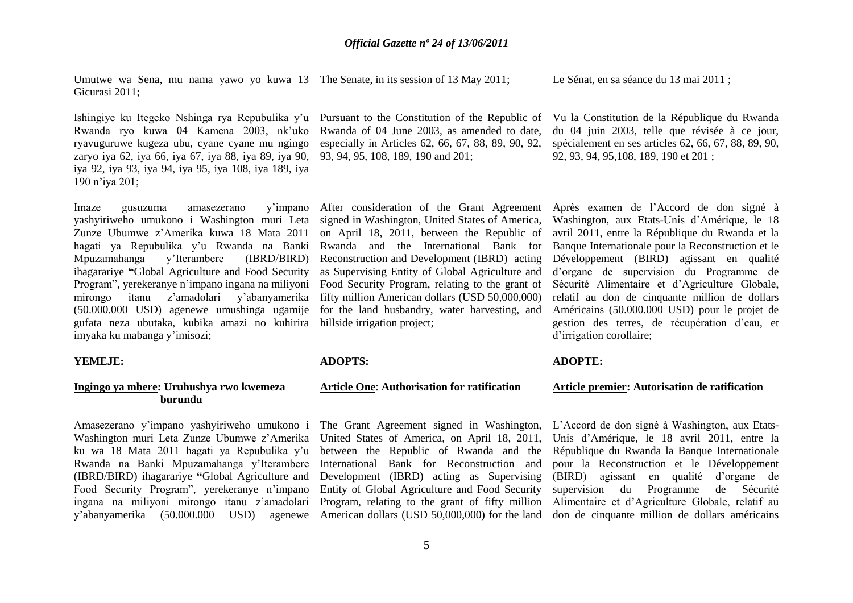Umutwe wa Sena, mu nama yawo yo kuwa 13 The Senate, in its session of 13 May 2011; Gicurasi 2011;

Le Sénat, en sa séance du 13 mai 2011 ;

Ishingiye ku Itegeko Nshinga rya Repubulika y'u Pursuant to the Constitution of the Republic of Rwanda ryo kuwa 04 Kamena 2003, nk"uko ryavuguruwe kugeza ubu, cyane cyane mu ngingo zaryo iya 62, iya 66, iya 67, iya 88, iya 89, iya 90, iya 92, iya 93, iya 94, iya 95, iya 108, iya 189, iya 190 n"iya 201;

Imaze gusuzuma amasezerano y"impano yashyiriweho umukono i Washington muri Leta Zunze Ubumwe z"Amerika kuwa 18 Mata 2011 hagati ya Repubulika y"u Rwanda na Banki Mpuzamahanga y"Iterambere (IBRD/BIRD) ihagarariye **"**Global Agriculture and Food Security Program", yerekeranye n"impano ingana na miliyoni mirongo itanu z"amadolari y"abanyamerika (50.000.000 USD) agenewe umushinga ugamije gufata neza ubutaka, kubika amazi no kuhirira imyaka ku mabanga y"imisozi;

#### **YEMEJE:**

### **Ingingo ya mbere: Uruhushya rwo kwemeza burundu**

Amasezerano y"impano yashyiriweho umukono i Washington muri Leta Zunze Ubumwe z"Amerika ku wa 18 Mata 2011 hagati ya Repubulika y"u Rwanda na Banki Mpuzamahanga y"Iterambere (IBRD/BIRD) ihagarariye **"**Global Agriculture and Food Security Program", yerekeranye n"impano ingana na miliyoni mirongo itanu z"amadolari y"abanyamerika (50.000.000 USD) agenewe

Rwanda of 04 June 2003, as amended to date, especially in Articles 62, 66, 67, 88, 89, 90, 92, 93, 94, 95, 108, 189, 190 and 201;

signed in Washington, United States of America, on April 18, 2011, between the Republic of Rwanda and the International Bank for Reconstruction and Development (IBRD) acting as Supervising Entity of Global Agriculture and Food Security Program, relating to the grant of fifty million American dollars (USD 50,000,000) for the land husbandry, water harvesting, and hillside irrigation project:

#### **ADOPTS:**

### **Article One**: **Authorisation for ratification**

The Grant Agreement signed in Washington, United States of America, on April 18, 2011, between the Republic of Rwanda and the International Bank for Reconstruction and Development (IBRD) acting as Supervising Entity of Global Agriculture and Food Security Program, relating to the grant of fifty million

Vu la Constitution de la République du Rwanda du 04 juin 2003, telle que révisée à ce jour, spécialement en ses articles 62, 66, 67, 88, 89, 90, 92, 93, 94, 95,108, 189, 190 et 201 ;

After consideration of the Grant Agreement Après examen de l"Accord de don signé à Washington, aux Etats-Unis d"Amérique, le 18 avril 2011, entre la République du Rwanda et la Banque Internationale pour la Reconstruction et le Développement (BIRD) agissant en qualité d"organe de supervision du Programme de Sécurité Alimentaire et d"Agriculture Globale, relatif au don de cinquante million de dollars Américains (50.000.000 USD) pour le projet de gestion des terres, de récupération d"eau, et d'irrigation corollaire;

#### **ADOPTE:**

#### **Article premier: Autorisation de ratification**

American dollars (USD 50,000,000) for the land don de cinquante million de dollars américains L"Accord de don signé à Washington, aux Etats-Unis d"Amérique, le 18 avril 2011, entre la République du Rwanda la Banque Internationale pour la Reconstruction et le Développement (BIRD) agissant en qualité d"organe de supervision du Programme de Sécurité Alimentaire et d"Agriculture Globale, relatif au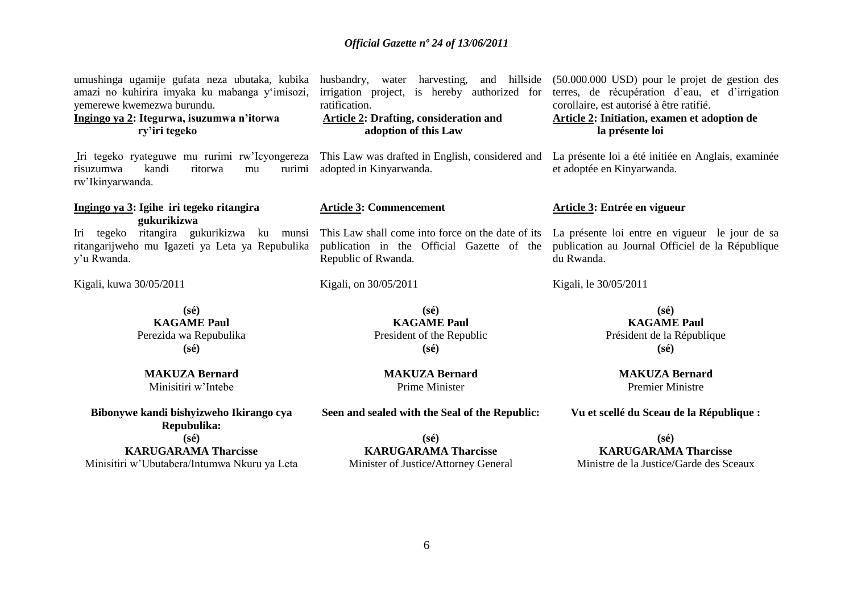| umushinga ugamije gufata neza ubutaka, kubika husbandry, water harvesting, and hillside (50.000.000 USD) pour le projet de gestion des<br>amazi no kuhirira imyaka ku mabanga y'imisozi,<br>yemerewe kwemezwa burundu.<br>Ingingo ya 2: Itegurwa, isuzumwa n'itorwa<br>ry'iri tegeko | irrigation project, is hereby authorized for<br>ratification.<br><b>Article 2: Drafting, consideration and</b><br>adoption of this Law | terres, de récupération d'eau, et d'irrigation<br>corollaire, est autorisé à être ratifié.<br>Article 2: Initiation, examen et adoption de<br>la présente loi |
|--------------------------------------------------------------------------------------------------------------------------------------------------------------------------------------------------------------------------------------------------------------------------------------|----------------------------------------------------------------------------------------------------------------------------------------|---------------------------------------------------------------------------------------------------------------------------------------------------------------|
| Iri tegeko ryateguwe mu rurimi rw'Icyongereza This Law was drafted in English, considered and<br>kandi<br>ritorwa<br>rurimi<br>risuzumwa<br>mu<br>rw'Ikinyarwanda.                                                                                                                   | adopted in Kinyarwanda.                                                                                                                | La présente loi a été initiée en Anglais, examinée<br>et adoptée en Kinyarwanda.                                                                              |
| Ingingo ya 3: Igihe iri tegeko ritangira<br>gukurikizwa                                                                                                                                                                                                                              | <b>Article 3: Commencement</b>                                                                                                         | Article 3: Entrée en vigueur                                                                                                                                  |
| Iri tegeko ritangira gukurikizwa ku munsi This Law shall come into force on the date of its La présente loi entre en vigueur le jour de sa<br>ritangarijweho mu Igazeti ya Leta ya Repubulika<br>y'u Rwanda.                                                                         | publication in the Official Gazette of the<br>Republic of Rwanda.                                                                      | publication au Journal Officiel de la République<br>du Rwanda.                                                                                                |
| Kigali, kuwa 30/05/2011                                                                                                                                                                                                                                                              | Kigali, on 30/05/2011                                                                                                                  | Kigali, le 30/05/2011                                                                                                                                         |
| $(s\acute{e})$<br><b>KAGAME Paul</b><br>Perezida wa Repubulika<br>$(s\acute{e})$                                                                                                                                                                                                     | $(s\acute{e})$<br><b>KAGAME Paul</b><br>President of the Republic<br>$(s\acute{e})$                                                    | $(s\acute{e})$<br><b>KAGAME Paul</b><br>Président de la République<br>$(s\acute{e})$                                                                          |
| <b>MAKUZA Bernard</b><br>Minisitiri w'Intebe                                                                                                                                                                                                                                         | <b>MAKUZA Bernard</b><br>Prime Minister                                                                                                | <b>MAKUZA Bernard</b><br><b>Premier Ministre</b>                                                                                                              |

**Bibonywe kandi bishyizweho Ikirango cya Repubulika:**

**(sé)**

**KARUGARAMA Tharcisse** Minisitiri w"Ubutabera/Intumwa Nkuru ya Leta

**(sé) KARUGARAMA Tharcisse**

**Seen and sealed with the Seal of the Republic:**

Minister of Justice**/**Attorney General

**Vu et scellé du Sceau de la République :**

**(sé) KARUGARAMA Tharcisse** Ministre de la Justice/Garde des Sceaux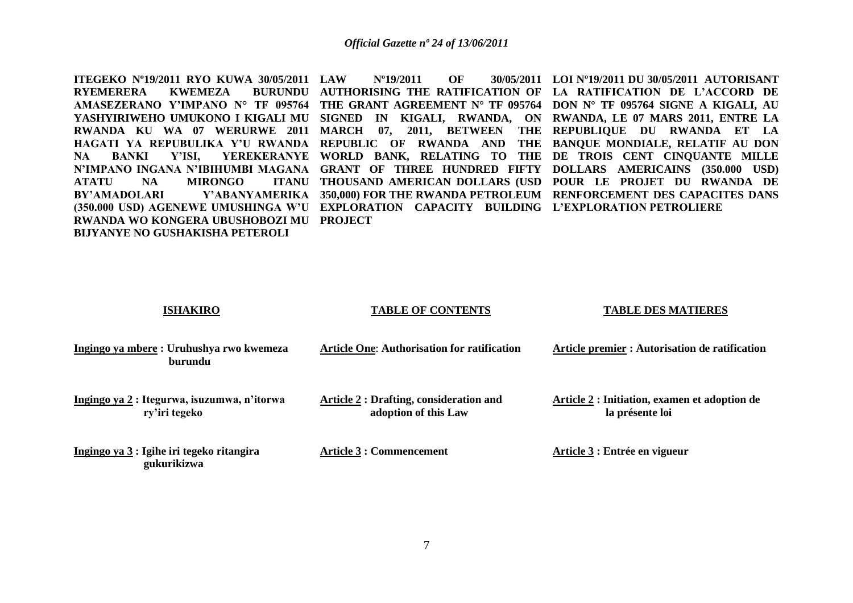**ITEGEKO Nº19/2011 RYO KUWA 30/05/2011 RYEMERERA KWEMEZA ATATU NA MIRONGO RWANDA WO KONGERA UBUSHOBOZI MU PROJECT BIJYANYE NO GUSHAKISHA PETEROLI** 

**AMASEZERANO Y'IMPANO N° TF 095764 THE GRANT AGREEMENT N° TF 095764 DON N° TF 095764 SIGNE A KIGALI, AU YASHYIRIWEHO UMUKONO I KIGALI MU SIGNED IN KIGALI, RWANDA, ON RWANDA, LE 07 MARS 2011, ENTRE LA RWANDA KU WA 07 WERURWE 2011 MARCH 07, 2011, BETWEEN THE REPUBLIQUE DU RWANDA ET LA HAGATI YA REPUBULIKA Y'U RWANDA REPUBLIC OF RWANDA AND THE BANQUE MONDIALE, RELATIF AU DON NA BANKI Y'ISI, YEREKERANYE WORLD BANK, RELATING TO THE DE TROIS CENT CINQUANTE MILLE N'IMPANO INGANA N'IBIHUMBI MAGANA GRANT OF THREE HUNDRED FIFTY DOLLARS AMERICAINS (350.000 USD) BY'AMADOLARI Y'ABANYAMERIKA 350,000) FOR THE RWANDA PETROLEUM RENFORCEMENT DES CAPACITES DANS (350.000 USD) AGENEWE UMUSHINGA W'U EXPLORATION CAPACITY BUILDING L'EXPLORATION PETROLIERE LAW Nº19/2011 OF 30/05/2011 LOI Nº19/2011 DU 30/05/2011 AUTORISANT AUTHORISING THE RATIFICATION OF LA RATIFICATION DE L'ACCORD DE THOUSAND AMERICAN DOLLARS (USD POUR LE PROJET DU RWANDA DE** 

**ISHAKIRO**

#### **TABLE OF CONTENTS**

#### **TABLE DES MATIERES**

| Ingingo ya mbere: Uruhushya rwo kwemeza<br>burundu           | <b>Article One: Authorisation for ratification</b>                     | Article premier : Autorisation de ratification                   |
|--------------------------------------------------------------|------------------------------------------------------------------------|------------------------------------------------------------------|
| Ingingo ya 2 : Itegurwa, isuzumwa, n'itorwa<br>ry'iri tegeko | <b>Article 2 : Drafting, consideration and</b><br>adoption of this Law | Article 2 : Initiation, examen et adoption de<br>la présente loi |
| Ingingo ya 3 : Igihe iri tegeko ritangira<br>gukurikizwa     | Article 3 : Commencement                                               | Article 3 : Entrée en vigueur                                    |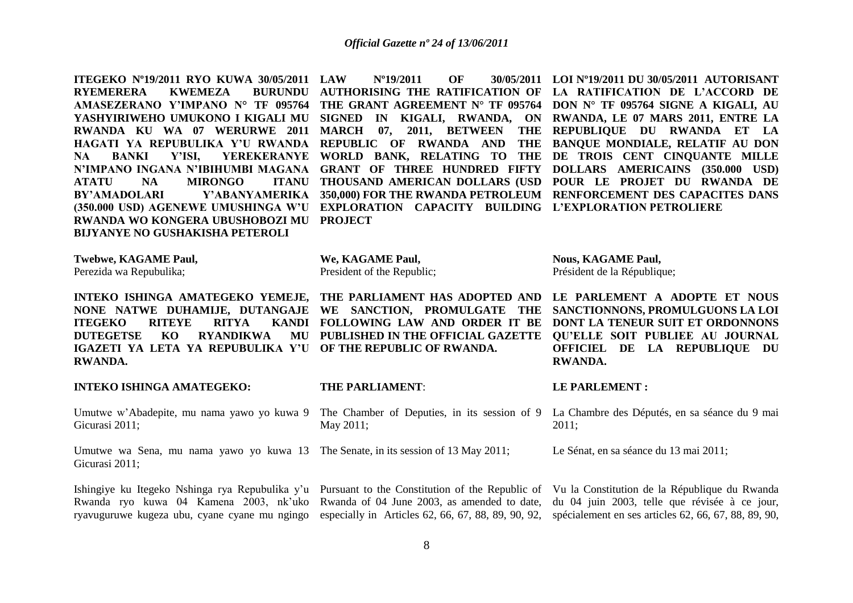**ITEGEKO Nº19/2011 RYO KUWA 30/05/2011**  RYEMERERA KWEMEZA **AMASEZERANO Y'IMPANO N° TF 095764 THE GRANT AGREEMENT N° TF 095764 DON N° TF 095764 SIGNE A KIGALI, AU YASHYIRIWEHO UMUKONO I KIGALI MU SIGNED IN KIGALI, RWANDA, ON RWANDA, LE 07 MARS 2011, ENTRE LA RWANDA KU WA 07 WERURWE 2011 MARCH 07, 2011, BETWEEN THE REPUBLIQUE DU RWANDA ET LA HAGATI YA REPUBULIKA Y'U RWANDA REPUBLIC OF RWANDA AND THE BANQUE MONDIALE, RELATIF AU DON NA BANKI Y'ISI, YEREKERANYE WORLD BANK, RELATING TO THE DE TROIS CENT CINQUANTE MILLE N'IMPANO INGANA N'IBIHUMBI MAGANA GRANT OF THREE HUNDRED FIFTY DOLLARS AMERICAINS (350.000 USD) ATATU NA MIRONGO BY'AMADOLARI Y'ABANYAMERIKA 350,000) FOR THE RWANDA PETROLEUM RENFORCEMENT DES CAPACITES DANS (350.000 USD) AGENEWE UMUSHINGA W'U EXPLORATION CAPACITY BUILDING L'EXPLORATION PETROLIERE RWANDA WO KONGERA UBUSHOBOZI MU PROJECT BIJYANYE NO GUSHAKISHA PETEROLI** 

**LAW Nº19/2011 OF 30/05/2011 LOI Nº19/2011 DU 30/05/2011 AUTORISANT AUTHORISING THE RATIFICATION OF LA RATIFICATION DE L'ACCORD DE THOUSAND AMERICAN DOLLARS (USD POUR LE PROJET DU RWANDA DE** 

> **Nous, KAGAME Paul,** Président de la République;

**RWANDA.**

**LE PARLEMENT :**

**Twebwe, KAGAME Paul,** Perezida wa Repubulika;

**INTEKO ISHINGA AMATEGEKO YEMEJE, THE PARLIAMENT HAS ADOPTED AND LE PARLEMENT A ADOPTE ET NOUS NONE NATWE DUHAMIJE, DUTANGAJE WE SANCTION, PROMULGATE THE SANCTIONNONS, PROMULGUONS LA LOI ITEGEKO RITEYE RITYA DUTEGETSE KO RYANDIKWA IGAZETI YA LETA YA REPUBULIKA Y'U OF THE REPUBLIC OF RWANDA. RWANDA.**

**INTEKO ISHINGA AMATEGEKO:** 

Gicurasi 2011;

Umutwe wa Sena, mu nama yawo yo kuwa 13 The Senate, in its session of 13 May 2011; Gicurasi 2011;

**FOLLOWING LAW AND ORDER IT BE DONT LA TENEUR SUIT ET ORDONNONS** 

**PUBLISHED IN THE OFFICIAL GAZETTE QU'ELLE SOIT PUBLIEE AU JOURNAL** 

#### **THE PARLIAMENT**:

**We, KAGAME Paul,** President of the Republic;

Umutwe w'Abadepite, mu nama yawo yo kuwa 9 The Chamber of Deputies, in its session of 9 La Chambre des Députés, en sa séance du 9 mai May 2011;

2011;

Le Sénat, en sa séance du 13 mai 2011;

Ishingiye ku Itegeko Nshinga rya Repubulika y'u Pursuant to the Constitution of the Republic of Vu la Constitution de la République du Rwanda Rwanda ryo kuwa 04 Kamena 2003, nk'uko Rwanda of 04 June 2003, as amended to date, du 04 juin 2003, telle que révisée à ce jour, ryavuguruwe kugeza ubu, cyane cyane mu ngingo especially in Articles 62, 66, 67, 88, 89, 90, 92, spécialement en ses articles 62, 66, 67, 88, 89, 90,

**OFFICIEL DE LA REPUBLIQUE DU** 

8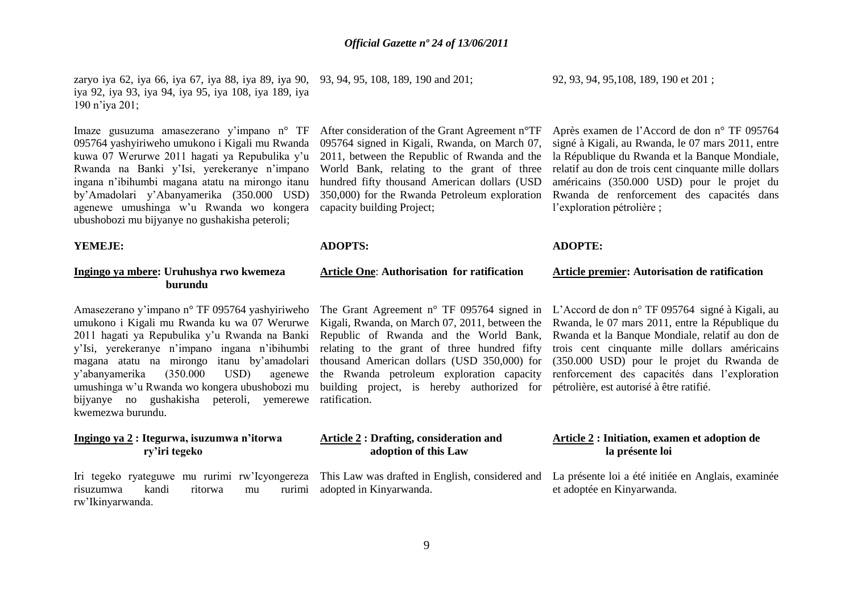zaryo iya 62, iya 66, iya 67, iya 88, iya 89, iya 90, 93, 94, 95, 108, 189, 190 and 201; iya 92, iya 93, iya 94, iya 95, iya 108, iya 189, iya 190 n"iya 201;

Imaze gusuzuma amasezerano y"impano n° TF 095764 yashyiriweho umukono i Kigali mu Rwanda kuwa 07 Werurwe 2011 hagati ya Repubulika y"u Rwanda na Banki y"Isi, yerekeranye n"impano ingana n"ibihumbi magana atatu na mirongo itanu by"Amadolari y"Abanyamerika (350.000 USD) agenewe umushinga w"u Rwanda wo kongera ubushobozi mu bijyanye no gushakisha peteroli;

#### **YEMEJE:**

### **Ingingo ya mbere: Uruhushya rwo kwemeza burundu**

Amasezerano y"impano n° TF 095764 yashyiriweho umukono i Kigali mu Rwanda ku wa 07 Werurwe 2011 hagati ya Repubulika y"u Rwanda na Banki y"Isi, yerekeranye n"impano ingana n"ibihumbi magana atatu na mirongo itanu by"amadolari y"abanyamerika (350.000 USD) agenewe umushinga w"u Rwanda wo kongera ubushobozi mu bijyanye no gushakisha peteroli, yemerewe ratification. kwemezwa burundu.

### **Ingingo ya 2 : Itegurwa, isuzumwa n'itorwa ry'iri tegeko**

Iri tegeko ryateguwe mu rurimi rw"Icyongereza risuzumwa kandi ritorwa mu rurimi rw"Ikinyarwanda.

After consideration of the Grant Agreement n°TF 095764 signed in Kigali, Rwanda, on March 07, 2011, between the Republic of Rwanda and the World Bank, relating to the grant of three hundred fifty thousand American dollars (USD 350,000) for the Rwanda Petroleum exploration capacity building Project;

### **ADOPTS:**

### **Article One**: **Authorisation for ratification**

Republic of Rwanda and the World Bank, relating to the grant of three hundred fifty the Rwanda petroleum exploration capacity building project, is hereby authorized for pétrolière, est autorisé à être ratifié.

### **Article 2 : Drafting, consideration and adoption of this Law**

adopted in Kinyarwanda.

92, 93, 94, 95,108, 189, 190 et 201 ;

Après examen de l"Accord de don n° TF 095764 signé à Kigali, au Rwanda, le 07 mars 2011, entre la République du Rwanda et la Banque Mondiale, relatif au don de trois cent cinquante mille dollars américains (350.000 USD) pour le projet du Rwanda de renforcement des capacités dans l'exploration pétrolière ;

#### **ADOPTE:**

#### **Article premier: Autorisation de ratification**

The Grant Agreement n° TF 095764 signed in L"Accord de don n° TF 095764 signé à Kigali, au Kigali, Rwanda, on March 07, 2011, between the Rwanda, le 07 mars 2011, entre la République du thousand American dollars (USD 350,000) for (350.000 USD) pour le projet du Rwanda de Rwanda et la Banque Mondiale, relatif au don de trois cent cinquante mille dollars américains renforcement des capacités dans l"exploration

### **Article 2 : Initiation, examen et adoption de la présente loi**

This Law was drafted in English, considered and La présente loi a été initiée en Anglais, examinée et adoptée en Kinyarwanda.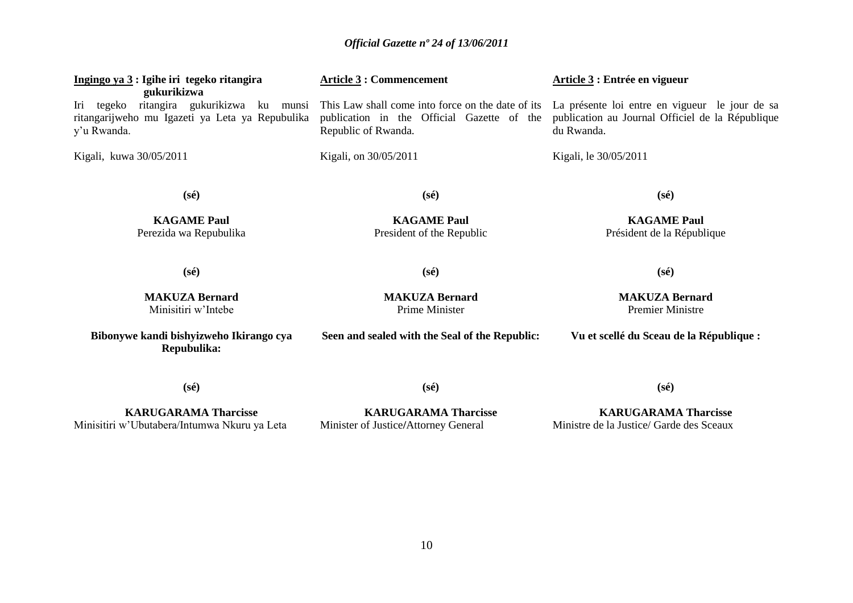| Ingingo ya 3 : Igihe iri tegeko ritangira                                                                                  | <b>Article 3: Commencement</b>                                                                                         | Article 3 : Entrée en vigueur                                                                                    |
|----------------------------------------------------------------------------------------------------------------------------|------------------------------------------------------------------------------------------------------------------------|------------------------------------------------------------------------------------------------------------------|
| gukurikizwa<br>Iri tegeko ritangira gukurikizwa ku munsi<br>ritangarijweho mu Igazeti ya Leta ya Repubulika<br>y'u Rwanda. | This Law shall come into force on the date of its<br>publication in the Official Gazette of the<br>Republic of Rwanda. | La présente loi entre en vigueur le jour de sa<br>publication au Journal Officiel de la République<br>du Rwanda. |
| Kigali, kuwa 30/05/2011                                                                                                    | Kigali, on 30/05/2011                                                                                                  | Kigali, le 30/05/2011                                                                                            |
| $(s\acute{e})$                                                                                                             | $(s\acute{e})$                                                                                                         | $(s\acute{e})$                                                                                                   |
| <b>KAGAME Paul</b><br>Perezida wa Repubulika                                                                               | <b>KAGAME Paul</b><br>President of the Republic                                                                        | <b>KAGAME Paul</b><br>Président de la République                                                                 |
| $(s\acute{e})$                                                                                                             | $(s\acute{e})$                                                                                                         | $(s\acute{e})$                                                                                                   |
| <b>MAKUZA Bernard</b><br>Minisitiri w'Intebe                                                                               | <b>MAKUZA Bernard</b><br>Prime Minister                                                                                | <b>MAKUZA Bernard</b><br><b>Premier Ministre</b>                                                                 |
| Bibonywe kandi bishyizweho Ikirango cya<br>Repubulika:                                                                     | Seen and sealed with the Seal of the Republic:                                                                         | Vu et scellé du Sceau de la République :                                                                         |
| $(s\acute{e})$                                                                                                             | $(s\acute{e})$                                                                                                         | $(s\acute{e})$                                                                                                   |
|                                                                                                                            |                                                                                                                        |                                                                                                                  |

**KARUGARAMA Tharcisse** Minisitiri w"Ubutabera/Intumwa Nkuru ya Leta

**KARUGARAMA Tharcisse** Minister of Justice**/**Attorney General

**KARUGARAMA Tharcisse** Ministre de la Justice/ Garde des Sceaux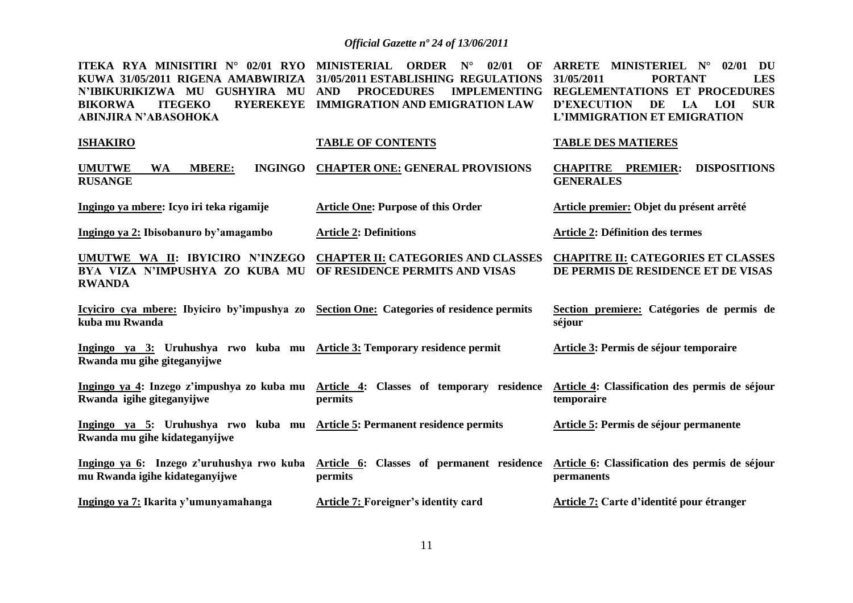**ITEKA RYA MINISITIRI N° 02/01 RYO MINISTERIAL ORDER N° 02/01 OF ARRETE MINISTERIEL N° 02/01 DU KUWA 31/05/2011 RIGENA AMABWIRIZA 31/05/2011 ESTABLISHING REGULATIONS 31/05/2011 PORTANT LES N'IBIKURIKIZWA MU GUSHYIRA MU AND PROCEDURES IMPLEMENTING REGLEMENTATIONS ET PROCEDURES BIKORWA ITEGEKO RYEREKEYE IMMIGRATION AND EMIGRATION LAW ABINJIRA N'ABASOHOKA D'EXECUTION DE LA LOI SUR L'IMMIGRATION ET EMIGRATION** 

| <b>ISHAKIRO</b>                                                                                            | <b>TABLE OF CONTENTS</b>                                                                        | <b>TABLE DES MATIERES</b>                                                       |
|------------------------------------------------------------------------------------------------------------|-------------------------------------------------------------------------------------------------|---------------------------------------------------------------------------------|
| <b>MBERE:</b><br><b>INGINGO</b><br><b>UMUTWE</b><br><b>WA</b><br><b>RUSANGE</b>                            | <b>CHAPTER ONE: GENERAL PROVISIONS</b>                                                          | <b>DISPOSITIONS</b><br><b>CHAPITRE</b><br><b>PREMIER:</b><br><b>GENERALES</b>   |
| Ingingo ya mbere: Icyo iri teka rigamije                                                                   | <b>Article One: Purpose of this Order</b>                                                       | Article premier: Objet du présent arrêté                                        |
| Ingingo ya 2: Ibisobanuro by'amagambo                                                                      | <b>Article 2: Definitions</b>                                                                   | <b>Article 2: Définition des termes</b>                                         |
| UMUTWE WA II: IBYICIRO N'INZEGO<br>BYA VIZA N'IMPUSHYA ZO KUBA MU<br><b>RWANDA</b>                         | <b>CHAPTER II: CATEGORIES AND CLASSES</b><br>OF RESIDENCE PERMITS AND VISAS                     | <b>CHAPITRE II: CATEGORIES ET CLASSES</b><br>DE PERMIS DE RESIDENCE ET DE VISAS |
| Icyiciro cya mbere: Ibyiciro by'impushya zo Section One: Categories of residence permits<br>kuba mu Rwanda |                                                                                                 | Section premiere: Catégories de permis de<br>séjour                             |
| Ingingo ya 3: Uruhushya rwo kuba mu Article 3: Temporary residence permit<br>Rwanda mu gihe giteganyijwe   |                                                                                                 | Article 3: Permis de séjour temporaire                                          |
| Rwanda igihe giteganyijwe                                                                                  | Ingingo ya 4: Inzego z'impushya zo kuba mu Article 4: Classes of temporary residence<br>permits | Article 4: Classification des permis de séjour<br>temporaire                    |
| Ingingo ya 5: Uruhushya rwo kuba mu<br>Rwanda mu gihe kidateganyijwe                                       | <b>Article 5: Permanent residence permits</b>                                                   | Article 5: Permis de séjour permanente                                          |
| Ingingo ya 6: Inzego z'uruhushya rwo kuba<br>mu Rwanda igihe kidateganyijwe                                | Article 6: Classes of permanent residence<br>permits                                            | Article 6: Classification des permis de séjour<br>permanents                    |
| Ingingo ya 7: Ikarita y'umunyamahanga                                                                      | <b>Article 7: Foreigner's identity card</b>                                                     | <b>Article 7: Carte d'identité pour étranger</b>                                |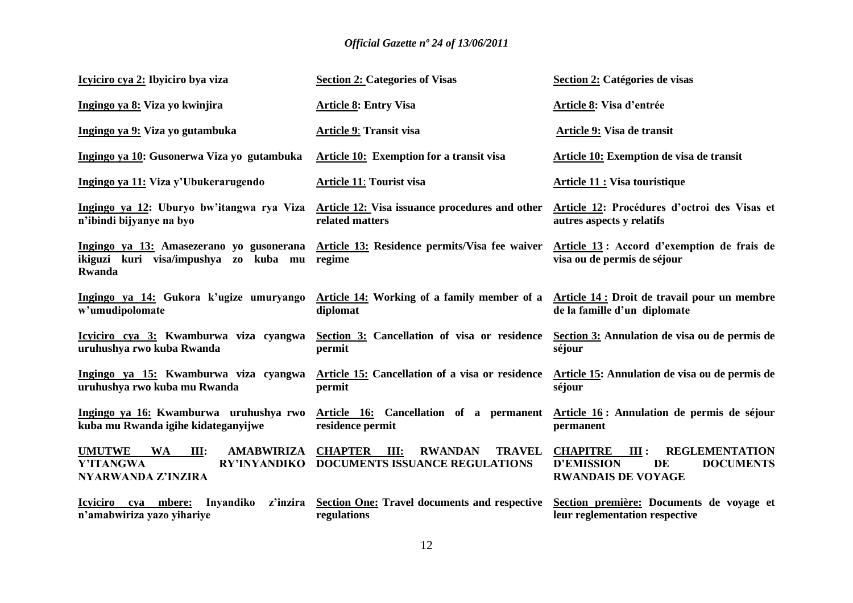| Icyiciro cya 2: Ibyiciro bya viza                                                                                 | <b>Section 2: Categories of Visas</b>                                                           | Section 2: Catégories de visas                                                                                                      |
|-------------------------------------------------------------------------------------------------------------------|-------------------------------------------------------------------------------------------------|-------------------------------------------------------------------------------------------------------------------------------------|
| Ingingo ya 8: Viza yo kwinjira                                                                                    | <b>Article 8: Entry Visa</b>                                                                    | Article 8: Visa d'entrée                                                                                                            |
| Ingingo ya 9: Viza yo gutambuka                                                                                   | <b>Article 9: Transit visa</b>                                                                  | Article 9: Visa de transit                                                                                                          |
| Ingingo ya 10: Gusonerwa Viza yo gutambuka                                                                        | <b>Article 10:</b> Exemption for a transit visa                                                 | <b>Article 10: Exemption de visa de transit</b>                                                                                     |
| Ingingo ya 11: Viza y'Ubukerarugendo                                                                              | <b>Article 11: Tourist visa</b>                                                                 | <b>Article 11 : Visa touristique</b>                                                                                                |
| Ingingo ya 12: Uburyo bw'itangwa rya Viza<br>n'ibindi bijyanye na byo                                             | Article 12: Visa issuance procedures and other<br>related matters                               | Article 12: Procédures d'octroi des Visas et<br>autres aspects y relatifs                                                           |
| Ingingo ya 13: Amasezerano yo gusonerana<br>ikiguzi kuri visa/impushya zo kuba mu<br><b>Rwanda</b>                | Article 13: Residence permits/Visa fee waiver<br>regime                                         | Article 13: Accord d'exemption de frais de<br>visa ou de permis de séjour                                                           |
| Ingingo ya 14: Gukora k'ugize umuryango<br>w'umudipolomate                                                        | Article 14: Working of a family member of a<br>diplomat                                         | Article 14 : Droit de travail pour un membre<br>de la famille d'un diplomate                                                        |
| Icyiciro cya 3: Kwamburwa viza cyangwa<br>uruhushya rwo kuba Rwanda                                               | Section 3: Cancellation of visa or residence<br>permit                                          | Section 3: Annulation de visa ou de permis de<br>séjour                                                                             |
| Ingingo ya 15: Kwamburwa viza cyangwa<br>uruhushya rwo kuba mu Rwanda                                             | Article 15: Cancellation of a visa or residence<br>permit                                       | Article 15: Annulation de visa ou de permis de<br>séjour                                                                            |
| Ingingo ya 16: Kwamburwa uruhushya rwo<br>kuba mu Rwanda igihe kidateganyijwe                                     | Article 16: Cancellation of a permanent<br>residence permit                                     | Article 16: Annulation de permis de séjour<br>permanent                                                                             |
| <b>UMUTWE</b><br><b>WA</b><br><b>AMABWIRIZA</b><br>III:<br>Y'ITANGWA<br><b>RY'INYANDIKO</b><br>NYARWANDA Z'INZIRA | <b>RWANDAN</b><br><b>CHAPTER III:</b><br><b>TRAVEL</b><br><b>DOCUMENTS ISSUANCE REGULATIONS</b> | <b>CHAPITRE</b><br>III:<br><b>REGLEMENTATION</b><br><b>D'EMISSION</b><br><b>DE</b><br><b>DOCUMENTS</b><br><b>RWANDAIS DE VOYAGE</b> |
| Icyiciro cya mbere:<br>Inyandiko<br>z'inzira<br>n'amabwiriza yazo yihariye                                        | <b>Section One: Travel documents and respective</b><br>regulations                              | Section première: Documents de voyage et<br>leur reglementation respective                                                          |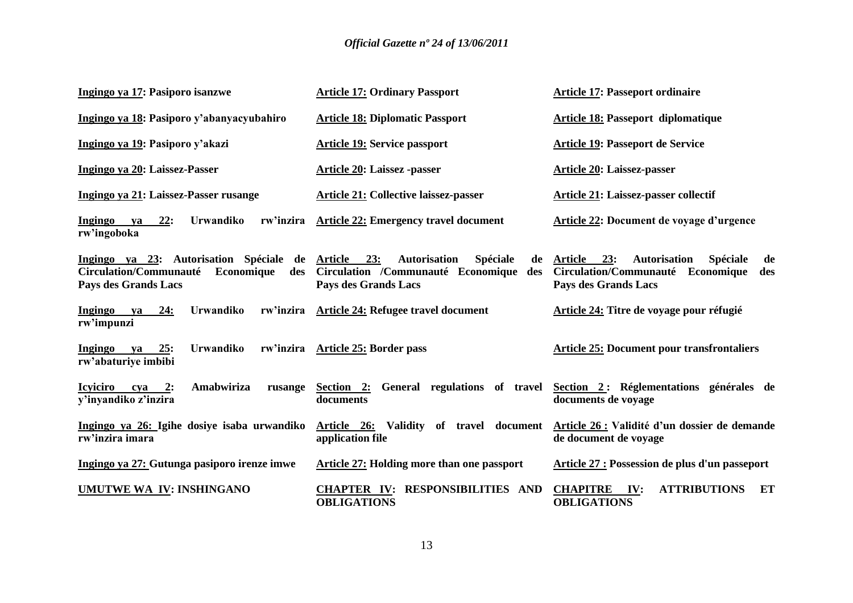| Ingingo ya 17: Pasiporo isanzwe                                                                                       | <b>Article 17: Ordinary Passport</b>                                                                                      | <b>Article 17: Passeport ordinaire</b>                                                                                   |
|-----------------------------------------------------------------------------------------------------------------------|---------------------------------------------------------------------------------------------------------------------------|--------------------------------------------------------------------------------------------------------------------------|
| Ingingo ya 18: Pasiporo y'abanyacyubahiro                                                                             | <b>Article 18: Diplomatic Passport</b>                                                                                    | <b>Article 18: Passeport diplomatique</b>                                                                                |
| Ingingo ya 19: Pasiporo y'akazi                                                                                       | <b>Article 19: Service passport</b>                                                                                       | Article 19: Passeport de Service                                                                                         |
| Ingingo ya 20: Laissez-Passer                                                                                         | <b>Article 20: Laissez -passer</b>                                                                                        | <b>Article 20: Laissez-passer</b>                                                                                        |
| Ingingo ya 21: Laissez-Passer rusange                                                                                 | <b>Article 21: Collective laissez-passer</b>                                                                              | Article 21: Laissez-passer collectif                                                                                     |
| 22:<br>Urwandiko<br>rw'inzira<br><b>Ingingo</b><br>ya<br>rw'ingoboka                                                  | <b>Article 22: Emergency travel document</b>                                                                              | Article 22: Document de voyage d'urgence                                                                                 |
| Ingingo ya 23: Autorisation Spéciale de<br>Circulation/Communauté<br>Economique<br>des<br><b>Pays des Grands Lacs</b> | Article 23:<br><b>Autorisation</b><br>Spéciale<br>de<br>Circulation /Communauté Economique<br>des<br>Pays des Grands Lacs | Article 23:<br><b>Autorisation</b><br>Spéciale<br>de<br>Circulation/Communauté Economique<br>des<br>Pays des Grands Lacs |
| <b>Ingingo</b><br>24:<br><b>Urwandiko</b><br>ya<br>rw'impunzi                                                         | rw'inzira Article 24: Refugee travel document                                                                             | Article 24: Titre de voyage pour réfugié                                                                                 |
| 25:<br>Urwandiko<br><b>Ingingo</b><br>rw'inzira<br>ya<br>rw'abaturiye imbibi                                          | <b>Article 25: Border pass</b>                                                                                            | <b>Article 25: Document pour transfrontaliers</b>                                                                        |
| <b>Icyiciro</b><br>Amabwiriza<br>2:<br>cya<br>rusange<br>y'inyandiko z'inzira                                         | Section 2: General regulations of travel<br>documents                                                                     | Section 2: Réglementations générales de<br>documents de voyage                                                           |
| Ingingo ya 26: Igihe dosiye isaba urwandiko<br>rw'inzira imara                                                        | Validity of travel document<br>Article 26:<br>application file                                                            | Article 26 : Validité d'un dossier de demande<br>de document de voyage                                                   |
| Ingingo ya 27: Gutunga pasiporo irenze imwe                                                                           | Article 27: Holding more than one passport                                                                                | Article 27 : Possession de plus d'un passeport                                                                           |
| UMUTWE WA IV: INSHINGANO                                                                                              | CHAPTER IV: RESPONSIBILITIES AND<br><b>OBLIGATIONS</b>                                                                    | <b>CHAPITRE</b><br><b>ATTRIBUTIONS</b><br>IV:<br>ET<br><b>OBLIGATIONS</b>                                                |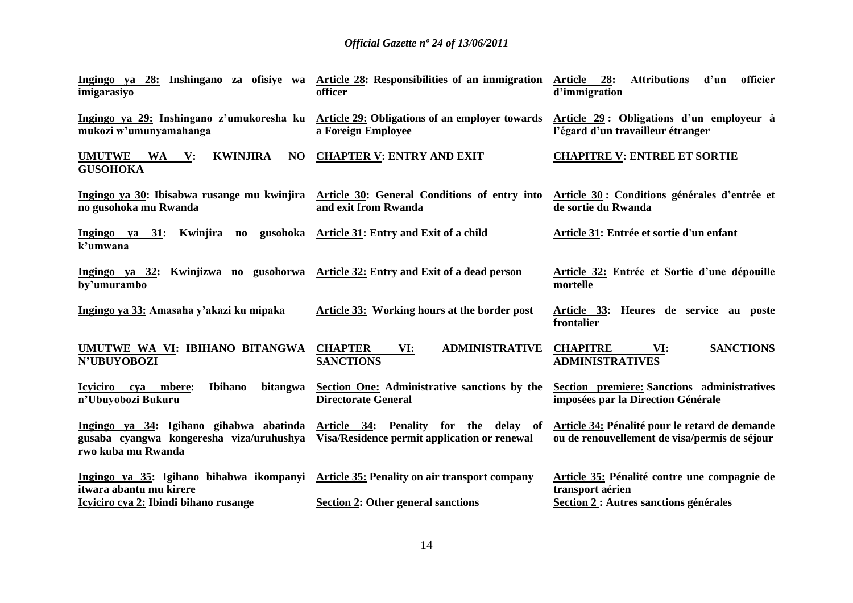| imigarasiyo                                                                                                       | Ingingo ya 28: Inshingano za ofisiye wa Article 28: Responsibilities of an immigration<br>officer                | Article 28:<br><b>Attributions</b><br>d'un<br>officier<br>d'immigration                         |
|-------------------------------------------------------------------------------------------------------------------|------------------------------------------------------------------------------------------------------------------|-------------------------------------------------------------------------------------------------|
| Ingingo ya 29: Inshingano z'umukoresha ku<br>mukozi w'umunyamahanga                                               | Article 29: Obligations of an employer towards<br>a Foreign Employee                                             | Article 29: Obligations d'un employeur à<br>l'égard d'un travailleur étranger                   |
| <b>UMUTWE</b><br><b>KWINJIRA</b><br>NO<br>WA V:<br><b>GUSOHOKA</b>                                                | <b>CHAPTER V: ENTRY AND EXIT</b>                                                                                 | <b>CHAPITRE V: ENTREE ET SORTIE</b>                                                             |
| no gusohoka mu Rwanda                                                                                             | Ingingo ya 30: Ibisabwa rusange mu kwinjira Article 30: General Conditions of entry into<br>and exit from Rwanda | Article 30 : Conditions générales d'entrée et<br>de sortie du Rwanda                            |
| Ingingo ya 31: Kwinjira no gusohoka Article 31: Entry and Exit of a child<br>k'umwana                             |                                                                                                                  | Article 31: Entrée et sortie d'un enfant                                                        |
| Ingingo ya 32: Kwinjizwa no gusohorwa Article 32: Entry and Exit of a dead person<br>by'umurambo                  |                                                                                                                  | Article 32: Entrée et Sortie d'une dépouille<br>mortelle                                        |
| Ingingo ya 33: Amasaha y'akazi ku mipaka                                                                          | Article 33: Working hours at the border post                                                                     | Article 33: Heures de service au poste<br>frontalier                                            |
| UMUTWE WA VI: IBIHANO BITANGWA<br>N'UBUYOBOZI                                                                     | <b>CHAPTER</b><br><b>ADMINISTRATIVE</b><br>VI:<br><b>SANCTIONS</b>                                               | <b>CHAPITRE</b><br><b>SANCTIONS</b><br>VI:<br><b>ADMINISTRATIVES</b>                            |
| Icyiciro cya mbere:<br><b>Ibihano</b><br>bitangwa<br>n'Ubuyobozi Bukuru                                           | Section One: Administrative sanctions by the<br><b>Directorate General</b>                                       | <b>Section premiere: Sanctions administratives</b><br>imposées par la Direction Générale        |
| gusaba cyangwa kongeresha viza/uruhushya Visa/Residence permit application or renewal<br>rwo kuba mu Rwanda       | Ingingo ya 34: Igihano gihabwa abatinda Article 34: Penality for the delay of                                    | Article 34: Pénalité pour le retard de demande<br>ou de renouvellement de visa/permis de séjour |
| Ingingo ya 35: Igihano bihabwa ikompanyi Article 35: Penality on air transport company<br>itwara abantu mu kirere |                                                                                                                  | Article 35: Pénalité contre une compagnie de<br>transport aérien                                |
| Icyiciro cya 2: Ibindi bihano rusange                                                                             | <b>Section 2: Other general sanctions</b>                                                                        | Section 2 : Autres sanctions générales                                                          |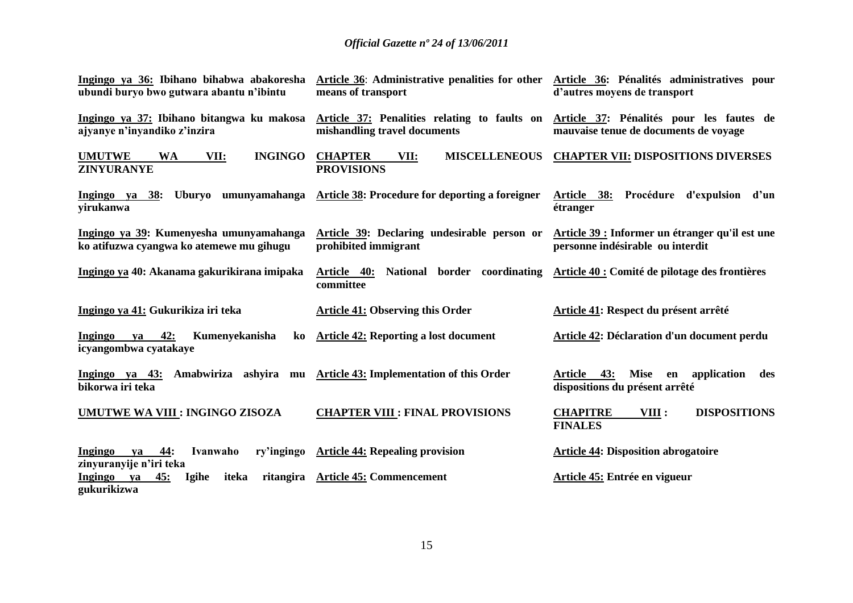| Ingingo ya 36: Ibihano bihabwa abakoresha<br>ubundi buryo bwo gutwara abantu n'ibintu | Article 36: Administrative penalities for other<br>means of transport        | Article 36: Pénalités administratives pour<br>d'autres moyens de transport                      |
|---------------------------------------------------------------------------------------|------------------------------------------------------------------------------|-------------------------------------------------------------------------------------------------|
| Ingingo ya 37: Ibihano bitangwa ku makosa<br>ajyanye n'inyandiko z'inzira             | Article 37: Penalities relating to faults on<br>mishandling travel documents | Article 37: Pénalités pour les fautes de<br>mauvaise tenue de documents de voyage               |
| <b>INGINGO</b><br><b>UMUTWE</b><br><b>WA</b><br>VII:<br><b>ZINYURANYE</b>             | <b>CHAPTER</b><br><b>MISCELLENEOUS</b><br>VII:<br><b>PROVISIONS</b>          | <b>CHAPTER VII: DISPOSITIONS DIVERSES</b>                                                       |
| Uburyo umunyamahanga<br>Ingingo ya 38:<br>yirukanwa                                   | Article 38: Procedure for deporting a foreigner                              | Procédure d'expulsion<br>Article 38:<br>d'un<br>étranger                                        |
| Ingingo ya 39: Kumenyesha umunyamahanga<br>ko atifuzwa cyangwa ko atemewe mu gihugu   | Article 39: Declaring undesirable person or<br>prohibited immigrant          | Article 39 : Informer un étranger qu'il est une<br>personne indésirable ou interdit             |
| Ingingo ya 40: Akanama gakurikirana imipaka                                           | Article 40: National border coordinating<br>committee                        | Article 40 : Comité de pilotage des frontières                                                  |
| Ingingo ya 41: Gukurikiza iri teka                                                    | <b>Article 41: Observing this Order</b>                                      | Article 41: Respect du présent arrêté                                                           |
| 42:<br>Kumenyekanisha<br>Ingingo<br>ya<br>ko<br>icyangombwa cyatakaye                 | <b>Article 42: Reporting a lost document</b>                                 | Article 42: Déclaration d'un document perdu                                                     |
| Ingingo ya 43: Amabwiriza ashyira mu<br>bikorwa iri teka                              | <b>Article 43: Implementation of this Order</b>                              | 43:<br><b>Mise</b><br>en application<br><b>Article</b><br>des<br>dispositions du présent arrêté |
| UMUTWE WA VIII : INGINGO ZISOZA                                                       | <b>CHAPTER VIII : FINAL PROVISIONS</b>                                       | <b>CHAPITRE</b><br><b>DISPOSITIONS</b><br>VIII :<br><b>FINALES</b>                              |
| $-44:$<br>ry'ingingo<br>Ingingo<br>Ivanwaho<br>ya<br>zinyuranyije n'iri teka          | <b>Article 44: Repealing provision</b>                                       | <b>Article 44: Disposition abrogatoire</b>                                                      |
| 45:<br>ritangira<br>Ingingo ya<br><b>Igihe</b><br>iteka<br>gukurikizwa                | <b>Article 45: Commencement</b>                                              | Article 45: Entrée en vigueur                                                                   |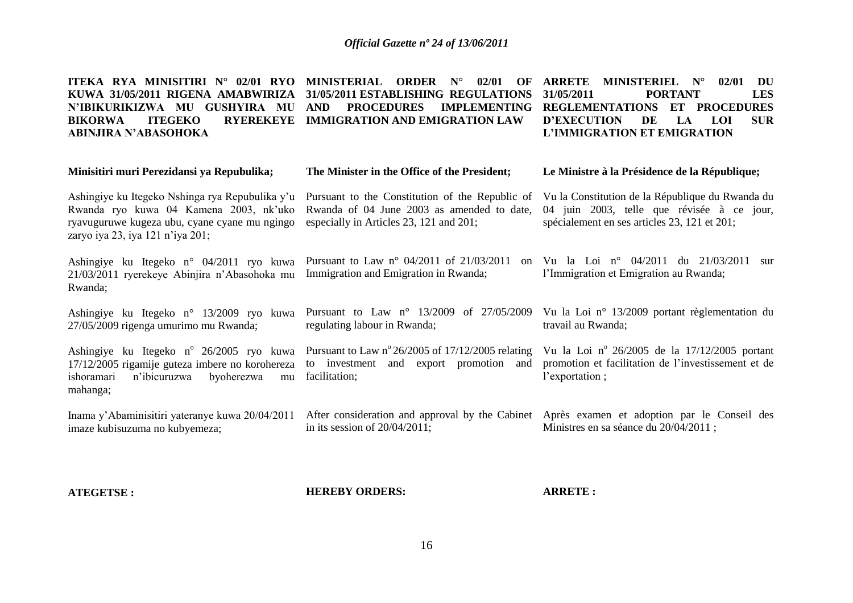**ITEKA RYA MINISITIRI N° 02/01 RYO MINISTERIAL ORDER N° 02/01 OF ARRETE MINISTERIEL N° 02/01 DU KUWA 31/05/2011 RIGENA AMABWIRIZA 31/05/2011 ESTABLISHING REGULATIONS N'IBIKURIKIZWA MU GUSHYIRA MU AND PROCEDURES IMPLEMENTING REGLEMENTATIONS ET PROCEDURES BIKORWA ITEGEKO RYEREKEYE IMMIGRATION AND EMIGRATION LAW ABINJIRA N'ABASOHOKA 31/05/2011 PORTANT LES D'EXECUTION DE LA LOI SUR L'IMMIGRATION ET EMIGRATION** 

**The Minister in the Office of the President;**

| Minisitiri muri Perezidansi ya Repubulika;                                                                                                                                     | The Minister in the Office of the President;                                                                                                          | Le Ministre à la Présidence de la République;                                                                                                  |
|--------------------------------------------------------------------------------------------------------------------------------------------------------------------------------|-------------------------------------------------------------------------------------------------------------------------------------------------------|------------------------------------------------------------------------------------------------------------------------------------------------|
| Ashingiye ku Itegeko Nshinga rya Repubulika y'u<br>Rwanda ryo kuwa 04 Kamena 2003, nk'uko<br>ryavuguruwe kugeza ubu, cyane cyane mu ngingo<br>zaryo iya 23, iya 121 n'iya 201; | Pursuant to the Constitution of the Republic of<br>Rwanda of 04 June 2003 as amended to date,<br>especially in Articles 23, 121 and 201;              | Vu la Constitution de la République du Rwanda du<br>04 juin 2003, telle que révisée à ce jour,<br>spécialement en ses articles 23, 121 et 201; |
| Ashingiye ku Itegeko n° 04/2011 ryo kuwa<br>21/03/2011 ryerekeye Abinjira n'Abasohoka mu<br>Rwanda;                                                                            | Pursuant to Law $n^{\circ}$ 04/2011 of 21/03/2011<br>on<br>Immigration and Emigration in Rwanda;                                                      | Vu la Loi nº 04/2011 du 21/03/2011<br>sur<br>l'Immigration et Emigration au Rwanda;                                                            |
| Ashingiye ku Itegeko n° 13/2009 ryo kuwa<br>27/05/2009 rigenga umurimo mu Rwanda;                                                                                              | Pursuant to Law $n^{\circ}$ 13/2009<br>of 27/05/2009<br>regulating labour in Rwanda;                                                                  | Vu la Loi $n^{\circ}$ 13/2009 portant règlementation du<br>travail au Rwanda;                                                                  |
| 17/12/2005 rigamije guteza imbere no korohereza<br>ishoramari<br>n'ibicuruzwa<br>byoherezwa<br>mu<br>mahanga;                                                                  | Ashingiye ku Itegeko n° 26/2005 ryo kuwa Pursuant to Law n° 26/2005 of 17/12/2005 relating<br>to investment and export promotion and<br>facilitation; | Vu la Loi nº 26/2005 de la $17/12/2005$ portant<br>promotion et facilitation de l'investissement et de<br>l'exportation;                       |
| Inama y'Abaminisitiri yateranye kuwa 20/04/2011<br>imaze kubisuzuma no kubyemeza;                                                                                              | After consideration and approval by the Cabinet<br>in its session of $20/04/2011$ ;                                                                   | Après examen et adoption par le Conseil des<br>Ministres en sa séance du 20/04/2011;                                                           |
|                                                                                                                                                                                |                                                                                                                                                       |                                                                                                                                                |

**ATEGETSE :**

**HEREBY ORDERS:**

**ARRETE :**

**Le Ministre à la Présidence de la République;**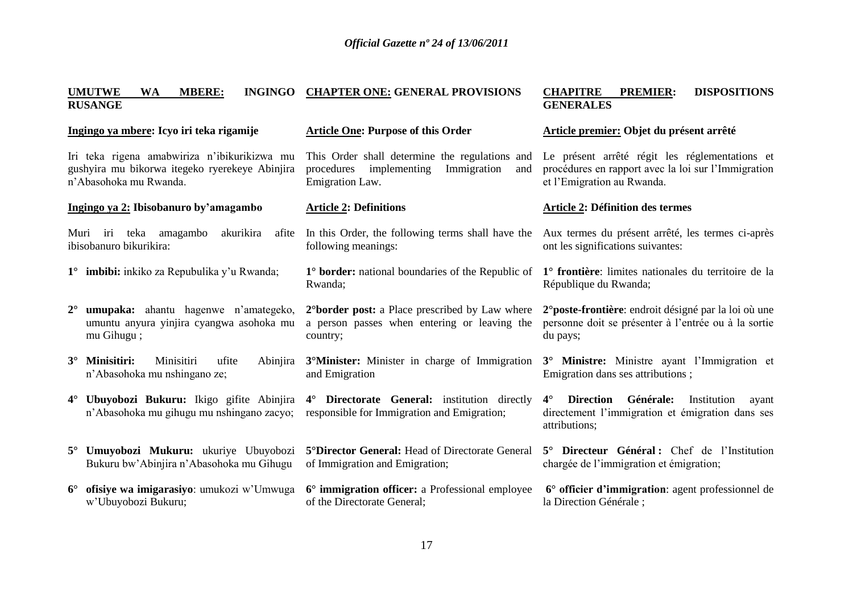| INGINGO CHAPTER ONE: GENERAL PROVISIONS                                                                               | <b>CHAPITRE</b><br><b>DISPOSITIONS</b><br><b>PREMIER:</b><br><b>GENERALES</b>                                                             |
|-----------------------------------------------------------------------------------------------------------------------|-------------------------------------------------------------------------------------------------------------------------------------------|
| <b>Article One: Purpose of this Order</b>                                                                             | Article premier: Objet du présent arrêté                                                                                                  |
| This Order shall determine the regulations and<br>implementing<br>Immigration<br>procedures<br>and<br>Emigration Law. | Le présent arrêté régit les réglementations et<br>procédures en rapport avec la loi sur l'Immigration<br>et l'Emigration au Rwanda.       |
| <b>Article 2: Definitions</b>                                                                                         | <b>Article 2: Définition des termes</b>                                                                                                   |
| In this Order, the following terms shall have the                                                                     | Aux termes du présent arrêté, les termes ci-après                                                                                         |
| following meanings:                                                                                                   | ont les significations suivantes:                                                                                                         |
| 1° border: national boundaries of the Republic of                                                                     | 1° frontière: limites nationales du territoire de la                                                                                      |
| Rwanda;                                                                                                               | République du Rwanda;                                                                                                                     |
| 2° border post: a Place prescribed by Law where                                                                       | 2 <sup>°</sup> poste-frontière: endroit désigné par la loi où une                                                                         |
| a person passes when entering or leaving the                                                                          | personne doit se présenter à l'entrée ou à la sortie                                                                                      |
| country;                                                                                                              | du pays;                                                                                                                                  |
| 3 <sup>°</sup> Minister: Minister in charge of Immigration                                                            | 3° Ministre: Ministre ayant l'Immigration et                                                                                              |
| and Emigration                                                                                                        | Emigration dans ses attributions;                                                                                                         |
| 4° Directorate General: institution directly<br>responsible for Immigration and Emigration;                           | <b>Direction</b><br>Générale:<br>$4^{\circ}$<br>Institution<br>ayant<br>directement l'immigration et émigration dans ses<br>attributions; |
| 5° Director General: Head of Directorate General                                                                      | 5° Directeur Général: Chef de l'Institution                                                                                               |
| of Immigration and Emigration;                                                                                        | chargée de l'immigration et émigration;                                                                                                   |
| 6° immigration officer: a Professional employee                                                                       | 6° officier d'immigration: agent professionnel de                                                                                         |
| of the Directorate General;                                                                                           | la Direction Générale ;                                                                                                                   |
|                                                                                                                       | 4° Ubuyobozi Bukuru: Ikigo gifite Abinjira                                                                                                |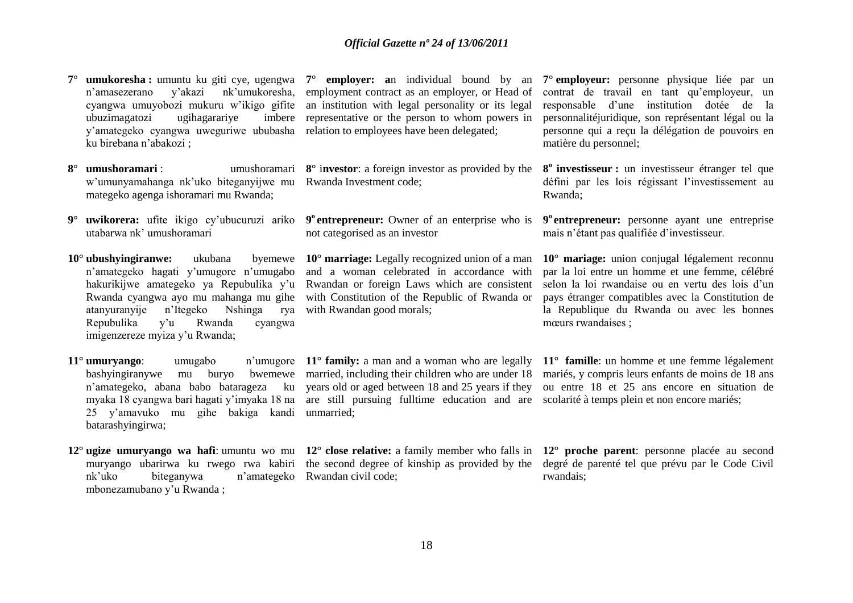|           | <b>umukoresha:</b> umuntu ku giti cye, ugengwa<br>nk'umukoresha,<br>n'amasezerano<br>y'akazi<br>cyangwa umuyobozi mukuru w'ikigo gifite<br>ubuzimagatozi<br>ugihagarariye<br>imbere<br>y'amategeko cyangwa uweguriwe ububasha<br>ku birebana n'abakozi;                                         | 7° employer: an individual bound by an<br>employment contract as an employer, or Head of<br>an institution with legal personality or its legal<br>representative or the person to whom powers in<br>relation to employees have been delegated;                                                         | 7 <sup>°</sup> employeur: personne physique liée par un<br>contrat de travail en tant qu'employeur, un<br>responsable d'une institution dotée de la<br>personnalitéjuridique, son représentant légal ou la<br>personne qui a reçu la délégation de pouvoirs en<br>matière du personnel; |
|-----------|-------------------------------------------------------------------------------------------------------------------------------------------------------------------------------------------------------------------------------------------------------------------------------------------------|--------------------------------------------------------------------------------------------------------------------------------------------------------------------------------------------------------------------------------------------------------------------------------------------------------|-----------------------------------------------------------------------------------------------------------------------------------------------------------------------------------------------------------------------------------------------------------------------------------------|
|           | $8^\circ$ umushoramari :<br>w'umunyamahanga nk'uko biteganyijwe mu Rwanda Investment code;<br>mategeko agenga ishoramari mu Rwanda;                                                                                                                                                             | umushoramari $8^\circ$ investor: a foreign investor as provided by the                                                                                                                                                                                                                                 | 8 <sup>°</sup> investisseur : un investisseur étranger tel que<br>défini par les lois régissant l'investissement au<br>Rwanda;                                                                                                                                                          |
| $9^\circ$ | utabarwa nk' umushoramari                                                                                                                                                                                                                                                                       | not categorised as an investor                                                                                                                                                                                                                                                                         | uwikorera: ufite ikigo cy'ubucuruzi ariko 9 <sup>°</sup> entrepreneur: Owner of an enterprise who is 9 <sup>°</sup> entrepreneur: personne ayant une entreprise<br>mais n'étant pas qualifiée d'investisseur.                                                                           |
|           | $10^{\circ}$ ubushyingiranwe:<br>ukubana<br>n'amategeko hagati y'umugore n'umugabo<br>hakurikijwe amategeko ya Repubulika y'u<br>Rwanda cyangwa ayo mu mahanga mu gihe<br>n'Itegeko Nshinga<br>atanyuranyije<br>rya<br>Repubulika<br>Rwanda<br>v'u<br>cyangwa<br>imigenzereze myiza y'u Rwanda; | byemewe $10^{\circ}$ marriage: Legally recognized union of a man<br>and a woman celebrated in accordance with<br>Rwandan or foreign Laws which are consistent<br>with Constitution of the Republic of Rwanda or<br>with Rwandan good morals;                                                           | $10^{\circ}$ mariage: union conjugal légalement reconnu<br>par la loi entre un homme et une femme, célébré<br>selon la loi rwandaise ou en vertu des lois d'un<br>pays étranger compatibles avec la Constitution de<br>la Republique du Rwanda ou avec les bonnes<br>mœurs rwandaises ; |
|           | $11^\circ$ umuryango:<br>umugabo<br>bashyingiranywe<br>mu<br>25 y'amavuko mu gihe bakiga kandi unmarried;<br>batarashyingirwa;                                                                                                                                                                  | buryo bwemewe married, including their children who are under 18<br>n'amategeko, abana babo batarageza ku years old or aged between 18 and 25 years if they<br>myaka 18 cyangwa bari hagati y'imyaka 18 na are still pursuing fulltime education and are scolarité à temps plein et non encore mariés; | n'umugore 11 <sup>°</sup> family: a man and a woman who are legally 11 <sup>°</sup> famille: un homme et une femme légalement<br>mariés, y compris leurs enfants de moins de 18 ans<br>ou entre 18 et 25 ans encore en situation de                                                     |
|           | muryango ubarirwa ku rwego rwa kabiri<br>nk'uko<br>biteganywa<br>n'amategeko<br>mbonezamubano y'u Rwanda;                                                                                                                                                                                       | the second degree of kinship as provided by the<br>Rwandan civil code;                                                                                                                                                                                                                                 | 12° ugize umuryango wa hafi: umuntu wo mu 12° close relative: a family member who falls in 12° proche parent: personne placée au second<br>degré de parenté tel que prévu par le Code Civil<br>rwandais;                                                                                |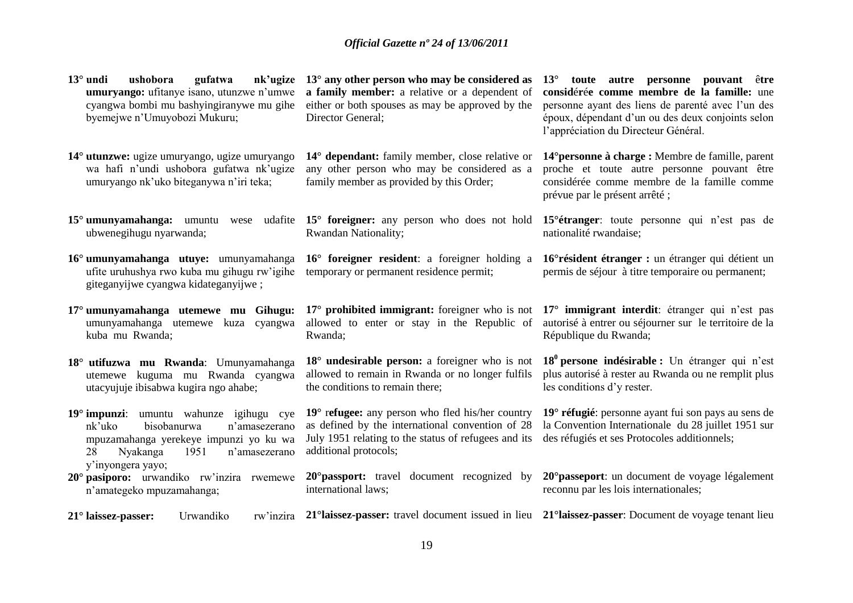| $13^\circ$ undi<br>gufatwa<br>nk'ugize<br>ushobora<br>umuryango: ufitanye isano, utunzwe n'umwe<br>cyangwa bombi mu bashyingiranywe mu gihe<br>byemejwe n'Umuyobozi Mukuru; | $13^{\circ}$ any other person who may be considered as<br>a family member: a relative or a dependent of<br>either or both spouses as may be approved by the<br>Director General;               | toute autre personne pouvant être<br>$13^{\circ}$<br>considérée comme membre de la famille: une<br>personne ayant des liens de parenté avec l'un des<br>époux, dépendant d'un ou des deux conjoints selon<br>l'appréciation du Directeur Général. |
|-----------------------------------------------------------------------------------------------------------------------------------------------------------------------------|------------------------------------------------------------------------------------------------------------------------------------------------------------------------------------------------|---------------------------------------------------------------------------------------------------------------------------------------------------------------------------------------------------------------------------------------------------|
| 14° utunzwe: ugize umuryango, ugize umuryango<br>wa hafi n'undi ushobora gufatwa nk'ugize<br>umuryango nk'uko biteganywa n'iri teka;                                        | 14° dependant: family member, close relative or<br>any other person who may be considered as a<br>family member as provided by this Order;                                                     | 14° personne à charge : Membre de famille, parent<br>proche et toute autre personne pouvant être<br>considérée comme membre de la famille comme<br>prévue par le présent arrêté;                                                                  |
| $15^{\circ}$ umunyamahanga: umuntu wese<br>ubwenegihugu nyarwanda;                                                                                                          | udafite 15° foreigner: any person who does not hold<br><b>Rwandan Nationality;</b>                                                                                                             | 15 <sup>°</sup> étranger: toute personne qui n'est pas de<br>nationalité rwandaise;                                                                                                                                                               |
| 16° umunyamahanga utuye: umunyamahanga<br>ufite uruhushya rwo kuba mu gihugu rw'igihe<br>giteganyijwe cyangwa kidateganyijwe;                                               | 16° foreigner resident: a foreigner holding a<br>temporary or permanent residence permit;                                                                                                      | 16° résident étranger : un étranger qui détient un<br>permis de séjour à titre temporaire ou permanent;                                                                                                                                           |
| 17° umunyamahanga utemewe mu Gihugu:<br>umunyamahanga utemewe kuza cyangwa                                                                                                  | $17^{\circ}$ prohibited immigrant: foreigner who is not<br>allowed to enter or stay in the Republic of                                                                                         | 17° immigrant interdit: étranger qui n'est pas<br>autorisé à entrer ou séjourner sur le territoire de la                                                                                                                                          |
| kuba mu Rwanda;                                                                                                                                                             | Rwanda;                                                                                                                                                                                        | République du Rwanda;                                                                                                                                                                                                                             |
| 18° utifuzwa mu Rwanda: Umunyamahanga<br>utemewe kuguma mu Rwanda cyangwa<br>utacyujuje ibisabwa kugira ngo ahabe;                                                          | 18° undesirable person: a foreigner who is not<br>allowed to remain in Rwanda or no longer fulfils<br>the conditions to remain there;                                                          | $180$ persone indésirable : Un étranger qui n'est<br>plus autorisé à rester au Rwanda ou ne remplit plus<br>les conditions d'y rester.                                                                                                            |
| 19° impunzi: umuntu wahunze igihugu cye<br>nk'uko<br>bisobanurwa<br>n'amasezerano<br>mpuzamahanga yerekeye impunzi yo ku wa<br>n'amasezerano<br>Nyakanga<br>1951<br>28      | $19^{\circ}$ refugee: any person who fled his/her country<br>as defined by the international convention of 28<br>July 1951 relating to the status of refugees and its<br>additional protocols; | 19° réfugié: personne ayant fui son pays au sens de<br>la Convention Internationale du 28 juillet 1951 sur<br>des réfugiés et ses Protocoles additionnels;                                                                                        |
| y'inyongera yayo;<br>20° pasiporo: urwandiko rw'inzira rwemewe<br>n'amategeko mpuzamahanga;                                                                                 | 20° passport: travel document recognized by<br>international laws;                                                                                                                             | 20° passeport: un document de voyage légalement<br>reconnu par les lois internationales;                                                                                                                                                          |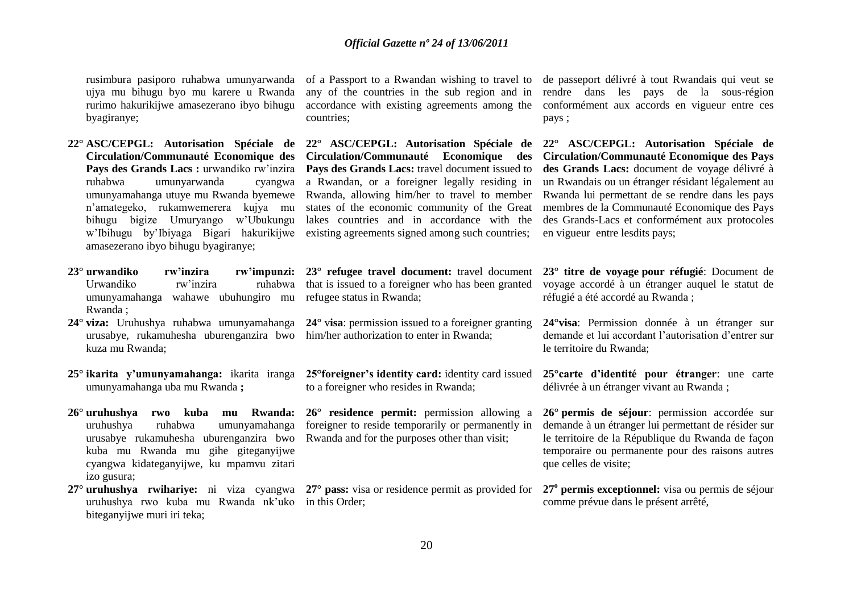rusimbura pasiporo ruhabwa umunyarwanda ujya mu bihugu byo mu karere u Rwanda rurimo hakurikijwe amasezerano ibyo bihugu byagiranye;

- **22° ASC/CEPGL: Autorisation Spéciale de Circulation/Communauté Economique des**  Pays des Grands Lacs : urwandiko rw'inzira ruhabwa umunyarwanda cyangwa umunyamahanga utuye mu Rwanda byemewe n"amategeko, rukamwemerera kujya mu bihugu bigize Umuryango w"Ubukungu w"Ibihugu by"Ibiyaga Bigari hakurikijwe amasezerano ibyo bihugu byagiranye;
- **23° urwandiko rw'inzira rw'impunzi:** Urwandiko rw"inzira ruhabwa umunyamahanga wahawe ubuhungiro mu Rwanda ;
- **24° viza:** Uruhushya ruhabwa umunyamahanga urusabye, rukamuhesha uburenganzira bwo him/her authorization to enter in Rwanda; kuza mu Rwanda;
- **25° ikarita y'umunyamahanga:** ikarita iranga umunyamahanga uba mu Rwanda **;**
- **26° uruhushya rwo kuba mu Rwanda:**  uruhushya ruhabwa umunyamahanga urusabye rukamuhesha uburenganzira bwo kuba mu Rwanda mu gihe giteganyijwe cyangwa kidateganyijwe, ku mpamvu zitari izo gusura;

**27° uruhushya rwihariye:** ni viza cyangwa uruhushya rwo kuba mu Rwanda nk"uko biteganyijwe muri iri teka;

of a Passport to a Rwandan wishing to travel to any of the countries in the sub region and in accordance with existing agreements among the countries;

**22° ASC/CEPGL: Autorisation Spéciale de Circulation/Communauté Economique des**  Pays des Grands Lacs: travel document issued to a Rwandan, or a foreigner legally residing in Rwanda, allowing him/her to travel to member states of the economic community of the Great lakes countries and in accordance with the existing agreements signed among such countries;

**23° refugee travel document:** travel document that is issued to a foreigner who has been granted refugee status in Rwanda;

**24°** v**isa**: permission issued to a foreigner granting

**25°foreigner's identity card:** identity card issued to a foreigner who resides in Rwanda;

**26° residence permit:** permission allowing a foreigner to reside temporarily or permanently in Rwanda and for the purposes other than visit;

**27° pass:** visa or residence permit as provided for in this Order;

de passeport délivré à tout Rwandais qui veut se rendre dans les pays de la sous-région conformément aux accords en vigueur entre ces pays ;

**22° ASC/CEPGL: Autorisation Spéciale de Circulation/Communauté Economique des Pays des Grands Lacs:** document de voyage délivré à un Rwandais ou un étranger résidant légalement au Rwanda lui permettant de se rendre dans les pays membres de la Communauté Economique des Pays des Grands-Lacs et conformément aux protocoles en vigueur entre lesdits pays;

**23° titre de voyage pour réfugié**: Document de voyage accordé à un étranger auquel le statut de réfugié a été accordé au Rwanda ;

**24°visa**: Permission donnée à un étranger sur demande et lui accordant l"autorisation d"entrer sur le territoire du Rwanda;

**25°carte d'identité pour étranger**: une carte délivrée à un étranger vivant au Rwanda ;

**26° permis de séjour**: permission accordée sur demande à un étranger lui permettant de résider sur le territoire de la République du Rwanda de façon temporaire ou permanente pour des raisons autres que celles de visite;

**27<sup>o</sup> permis exceptionnel:** visa ou permis de séjour comme prévue dans le présent arrêté,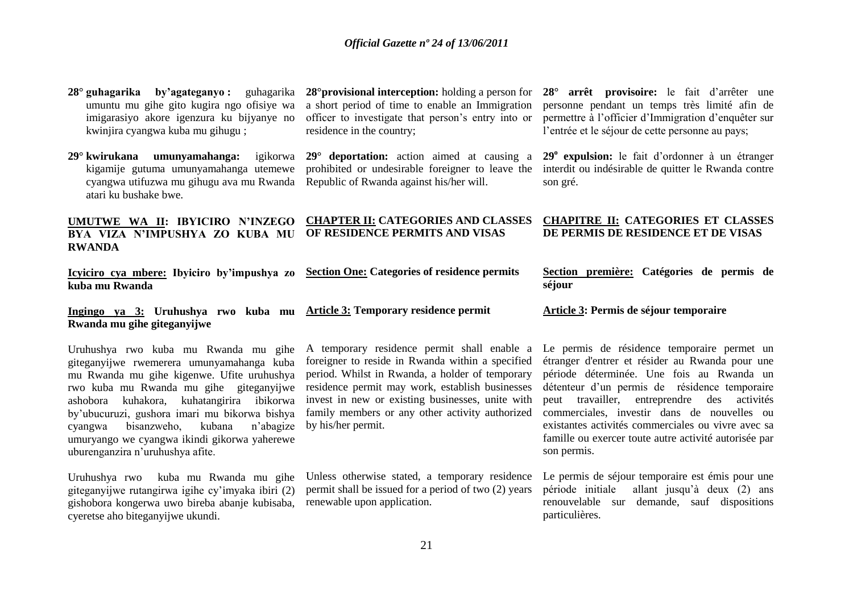| 28° guhagarika by'agateganyo: guhagarika<br>umuntu mu gihe gito kugira ngo ofisiye wa<br>imigarasiyo akore igenzura ku bijyanye no<br>kwinjira cyangwa kuba mu gihugu;                                                                                                                                                                                                                                              | $28^{\circ}$ provisional interception: holding a person for<br>a short period of time to enable an Immigration<br>officer to investigate that person's entry into or<br>residence in the country;                                                                                                                                  | 28° arrêt provisoire: le fait d'arrêter une<br>personne pendant un temps très limité afin de<br>permettre à l'officier d'Immigration d'enquêter sur<br>l'entrée et le séjour de cette personne au pays;                                                                                                                                                                                                                     |
|---------------------------------------------------------------------------------------------------------------------------------------------------------------------------------------------------------------------------------------------------------------------------------------------------------------------------------------------------------------------------------------------------------------------|------------------------------------------------------------------------------------------------------------------------------------------------------------------------------------------------------------------------------------------------------------------------------------------------------------------------------------|-----------------------------------------------------------------------------------------------------------------------------------------------------------------------------------------------------------------------------------------------------------------------------------------------------------------------------------------------------------------------------------------------------------------------------|
| 29° kwirukana umunyamahanga:<br>igikorwa<br>kigamije gutuma umunyamahanga utemewe<br>cyangwa utifuzwa mu gihugu ava mu Rwanda<br>atari ku bushake bwe.                                                                                                                                                                                                                                                              | $29^{\circ}$ deportation: action aimed at causing a<br>prohibited or undesirable foreigner to leave the<br>Republic of Rwanda against his/her will.                                                                                                                                                                                | 29 <sup>°</sup> expulsion: le fait d'ordonner à un étranger<br>interdit ou indésirable de quitter le Rwanda contre<br>son gré.                                                                                                                                                                                                                                                                                              |
| UMUTWE WA II: IBYICIRO N'INZEGO<br>BYA VIZA N'IMPUSHYA ZO KUBA MU<br><b>RWANDA</b>                                                                                                                                                                                                                                                                                                                                  | <b>CHAPTER II: CATEGORIES AND CLASSES</b><br>OF RESIDENCE PERMITS AND VISAS                                                                                                                                                                                                                                                        | <b>CHAPITRE II: CATEGORIES ET CLASSES</b><br>DE PERMIS DE RESIDENCE ET DE VISAS                                                                                                                                                                                                                                                                                                                                             |
| Icyiciro cya mbere: Ibyiciro by'impushya zo<br>kuba mu Rwanda                                                                                                                                                                                                                                                                                                                                                       | <b>Section One: Categories of residence permits</b>                                                                                                                                                                                                                                                                                | Section première: Catégories de permis de<br>séjour                                                                                                                                                                                                                                                                                                                                                                         |
|                                                                                                                                                                                                                                                                                                                                                                                                                     |                                                                                                                                                                                                                                                                                                                                    |                                                                                                                                                                                                                                                                                                                                                                                                                             |
| Ingingo ya 3: Uruhushya rwo kuba mu Article 3: Temporary residence permit<br>Rwanda mu gihe giteganyijwe                                                                                                                                                                                                                                                                                                            |                                                                                                                                                                                                                                                                                                                                    | Article 3: Permis de séjour temporaire                                                                                                                                                                                                                                                                                                                                                                                      |
| Uruhushya rwo kuba mu Rwanda mu gihe<br>giteganyijwe rwemerera umunyamahanga kuba<br>mu Rwanda mu gihe kigenwe. Ufite uruhushya<br>rwo kuba mu Rwanda mu gihe giteganyijwe<br>kuhakora, kuhatangirira<br>ibikorwa<br>ashobora<br>by'ubucuruzi, gushora imari mu bikorwa bishya<br>bisanzweho,<br>kubana<br>n'abagize<br>cyangwa<br>umuryango we cyangwa ikindi gikorwa yaherewe<br>uburenganzira n'uruhushya afite. | A temporary residence permit shall enable a<br>foreigner to reside in Rwanda within a specified<br>period. Whilst in Rwanda, a holder of temporary<br>residence permit may work, establish businesses<br>invest in new or existing businesses, unite with<br>family members or any other activity authorized<br>by his/her permit. | Le permis de résidence temporaire permet un<br>étranger d'entrer et résider au Rwanda pour une<br>période déterminée. Une fois au Rwanda un<br>détenteur d'un permis de résidence temporaire<br>travailler, entreprendre des activités<br>peut<br>commerciales, investir dans de nouvelles ou<br>existantes activités commerciales ou vivre avec sa<br>famille ou exercer toute autre activité autorisée par<br>son permis. |

renouvelable sur demande, sauf dispositions

particulières.

renewable upon application.

gishobora kongerwa uwo bireba abanje kubisaba,

cyeretse aho biteganyijwe ukundi.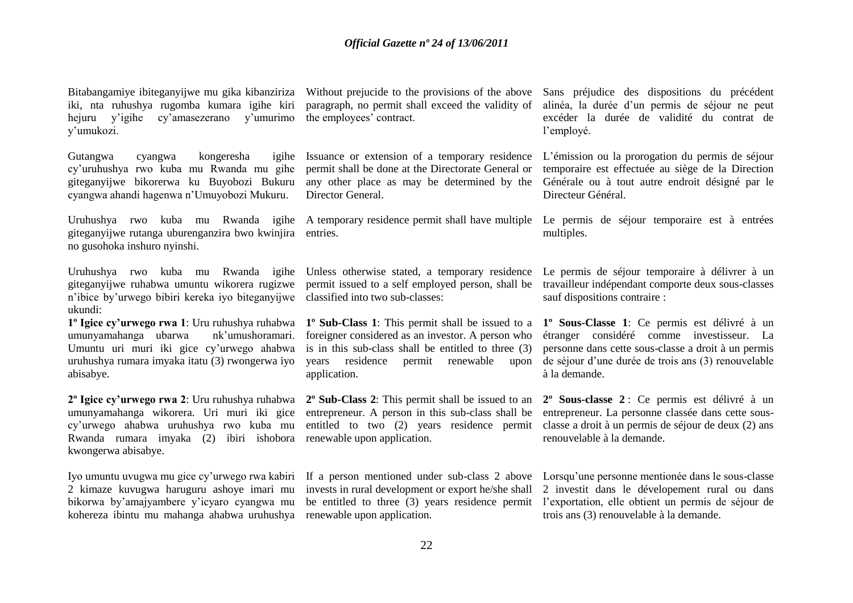Bitabangamiye ibiteganyijwe mu gika kibanziriza iki, nta ruhushya rugomba kumara igihe kiri hejuru y"igihe cy"amasezerano y"umurimo y"umukozi.

Gutangwa cyangwa kongeresha igihe cy"uruhushya rwo kuba mu Rwanda mu gihe giteganyijwe bikorerwa ku Buyobozi Bukuru cyangwa ahandi hagenwa n"Umuyobozi Mukuru.

giteganyijwe rutanga uburenganzira bwo kwinjira entries. no gusohoka inshuro nyinshi.

Uruhushya rwo kuba mu Rwanda igihe giteganyijwe ruhabwa umuntu wikorera rugizwe n"ibice by"urwego bibiri kereka iyo biteganyijwe classified into two sub-classes: ukundi:

umunyamahanga ubarwa nk"umushoramari. Umuntu uri muri iki gice cy"urwego ahabwa uruhushya rumara imyaka itatu (3) rwongerwa iyo abisabye.

**2º Igice cy'urwego rwa 2**: Uru ruhushya ruhabwa **2º Sub-Class 2**: This permit shall be issued to an umunyamahanga wikorera. Uri muri iki gice cy"urwego ahabwa uruhushya rwo kuba mu Rwanda rumara imyaka (2) ibiri ishobora renewable upon application. kwongerwa abisabye.

Iyo umuntu uvugwa mu gice cy"urwego rwa kabiri 2 kimaze kuvugwa haruguru ashoye imari mu bikorwa by"amajyambere y"icyaro cyangwa mu kohereza ibintu mu mahanga ahabwa uruhushya renewable upon application.

paragraph, no permit shall exceed the validity of the employees' contract.

Issuance or extension of a temporary residence permit shall be done at the Directorate General or any other place as may be determined by the Director General.

Unless otherwise stated, a temporary residence permit issued to a self employed person, shall be

**1º Igice cy'urwego rwa 1**: Uru ruhushya ruhabwa **1º Sub-Class 1**: This permit shall be issued to a foreigner considered as an investor. A person who is in this sub-class shall be entitled to three (3) years residence permit renewable upon application.

entrepreneur. A person in this sub-class shall be

Without prejucide to the provisions of the above Sans préjudice des dispositions du précédent alinéa, la durée d"un permis de séjour ne peut excéder la durée de validité du contrat de l"employé.

> L"émission ou la prorogation du permis de séjour temporaire est effectuée au siège de la Direction Générale ou à tout autre endroit désigné par le Directeur Général.

Uruhushya rwo kuba mu Rwanda igihe A temporary residence permit shall have multiple Le permis de séjour temporaire est à entrées multiples.

> Le permis de séjour temporaire à délivrer à un travailleur indépendant comporte deux sous-classes sauf dispositions contraire :

> **1º Sous-Classe 1**: Ce permis est délivré à un étranger considéré comme investisseur. La personne dans cette sous-classe a droit à un permis de séjour d"une durée de trois ans (3) renouvelable à la demande.

entitled to two (2) years residence permit classe a droit à un permis de séjour de deux (2) ans **2º Sous-classe 2** : Ce permis est délivré à un entrepreneur. La personne classée dans cette sousrenouvelable à la demande.

If a person mentioned under sub-class 2 above Lorsqu'une personne mentionée dans le sous-classe invests in rural development or export he/she shall 2 investit dans le dévelopement rural ou dans be entitled to three (3) years residence permit l"exportation, elle obtient un permis de séjour de trois ans (3) renouvelable à la demande.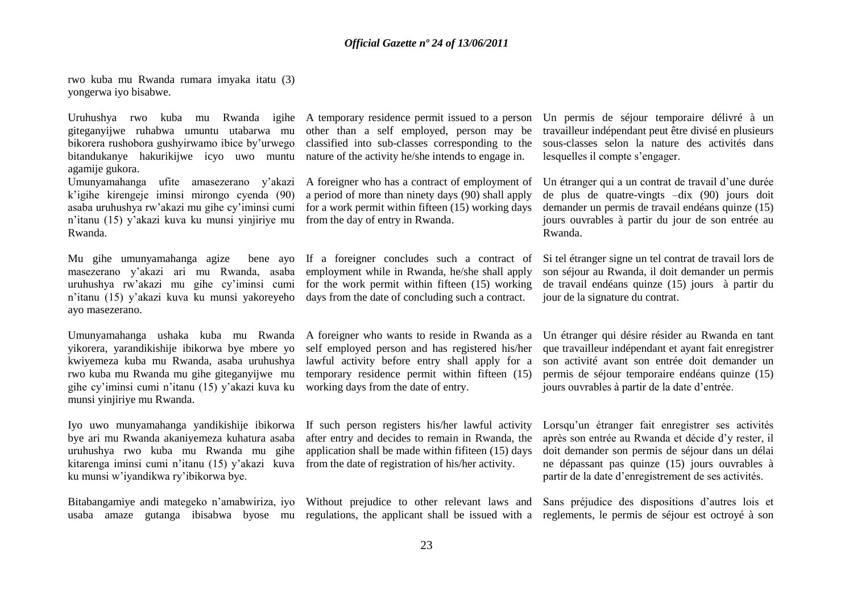rwo kuba mu Rwanda rumara imyaka itatu (3) yongerwa iyo bisabwe.

giteganyijwe ruhabwa umuntu utabarwa mu bikorera rushobora gushyirwamo ibice by"urwego bitandukanye hakurikijwe icyo uwo muntu agamije gukora.

Umunyamahanga ufite amasezerano y"akazi k"igihe kirengeje iminsi mirongo cyenda (90) asaba uruhushya rw"akazi mu gihe cy"iminsi cumi n"itanu (15) y"akazi kuva ku munsi yinjiriye mu Rwanda.

Mu gihe umunyamahanga agize bene ayo masezerano y"akazi ari mu Rwanda, asaba uruhushya rw"akazi mu gihe cy"iminsi cumi n"itanu (15) y"akazi kuva ku munsi yakoreyeho ayo masezerano.

Umunyamahanga ushaka kuba mu Rwanda A foreigner who wants to reside in Rwanda as a yikorera, yarandikishije ibikorwa bye mbere yo kwiyemeza kuba mu Rwanda, asaba uruhushya rwo kuba mu Rwanda mu gihe giteganyijwe mu gihe cy"iminsi cumi n"itanu (15) y"akazi kuva ku munsi yinjiriye mu Rwanda.

bye ari mu Rwanda akaniyemeza kuhatura asaba uruhushya rwo kuba mu Rwanda mu gihe kitarenga iminsi cumi n"itanu (15) y"akazi kuva ku munsi w"iyandikwa ry"ibikorwa bye.

Bitabangamiye andi mategeko n'amabwiriza, iyo Without prejudice to other relevant laws and Sans préjudice des dispositions d'autres lois et

other than a self employed, person may be classified into sub-classes corresponding to the nature of the activity he/she intends to engage in.

A foreigner who has a contract of employment of a period of more than ninety days (90) shall apply for a work permit within fifteen (15) working days from the day of entry in Rwanda.

If a foreigner concludes such a contract of employment while in Rwanda, he/she shall apply for the work permit within fifteen (15) working days from the date of concluding such a contract.

self employed person and has registered his/her lawful activity before entry shall apply for a temporary residence permit within fifteen (15) working days from the date of entry.

Iyo uwo munyamahanga yandikishije ibikorwa If such person registers his/her lawful activity after entry and decides to remain in Rwanda, the application shall be made within fifiteen (15) days from the date of registration of his/her activity.

Uruhushya rwo kuba mu Rwanda igihe A-temporary-residence-permit-issued-to-a-person Un permis de séjour temporaire délivré à un travailleur indépendant peut être divisé en plusieurs sous-classes selon la nature des activités dans lesquelles il compte s'engager.

> Un étranger qui a un contrat de travail d'une durée de plus de quatre-vingts –dix (90) jours doit demander un permis de travail endéans quinze (15) jours ouvrables à partir du jour de son entrée au Rwanda.

> Si tel étranger signe un tel contrat de travail lors de son séjour au Rwanda, il doit demander un permis de travail endéans quinze (15) jours à partir du jour de la signature du contrat.

> Un étranger qui désire résider au Rwanda en tant que travailleur indépendant et ayant fait enregistrer son activité avant son entrée doit demander un permis de séjour temporaire endéans quinze (15) jours ouvrables à partir de la date d"entrée.

> Lorsqu'un étranger fait enregistrer ses activités après son entrée au Rwanda et décide d"y rester, il doit demander son permis de séjour dans un délai ne dépassant pas quinze (15) jours ouvrables à partir de la date d"enregistrement de ses activités.

usaba amaze gutanga ibisabwa byose mu regulations, the applicant shall be issued with a reglements, le permis de séjour est octroyé à son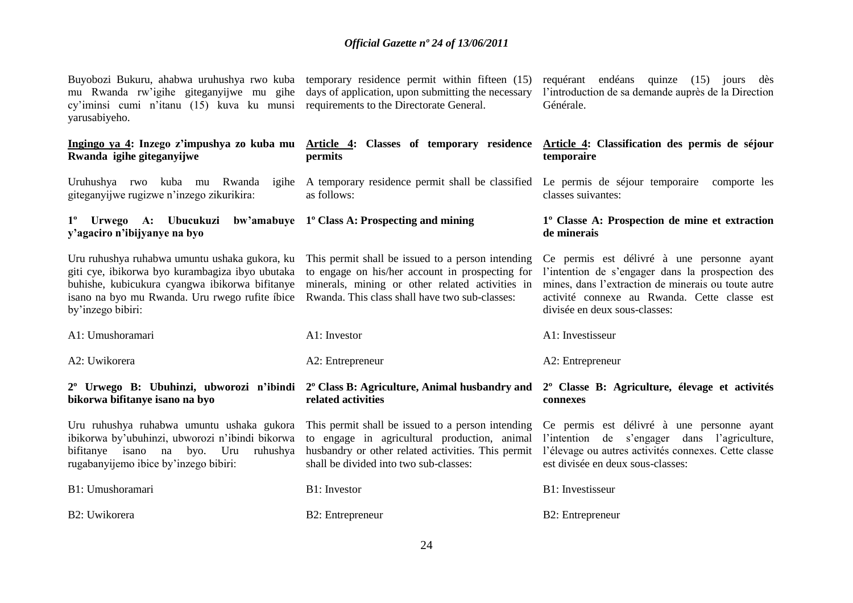| Buyobozi Bukuru, ahabwa uruhushya rwo kuba temporary residence permit within fifteen (15)<br>mu Rwanda rw'igihe giteganyijwe mu gihe days of application, upon submitting the necessary<br>cy'iminsi cumi n'itanu (15) kuva ku munsi requirements to the Directorate General.<br>yarusabiyeho. |                                                                                                                                                                                                           | requérant endéans quinze (15) jours dès<br>l'introduction de sa demande auprès de la Direction<br>Générale.                                                                                                                            |
|------------------------------------------------------------------------------------------------------------------------------------------------------------------------------------------------------------------------------------------------------------------------------------------------|-----------------------------------------------------------------------------------------------------------------------------------------------------------------------------------------------------------|----------------------------------------------------------------------------------------------------------------------------------------------------------------------------------------------------------------------------------------|
| Ingingo ya 4: Inzego z'impushya zo kuba mu<br>Rwanda igihe giteganyijwe                                                                                                                                                                                                                        | Article 4: Classes of temporary residence<br>permits                                                                                                                                                      | Article 4: Classification des permis de séjour<br>temporaire                                                                                                                                                                           |
| Uruhushya rwo kuba mu Rwanda<br>giteganyijwe rugizwe n'inzego zikurikira:                                                                                                                                                                                                                      | igihe A temporary residence permit shall be classified Le permis de séjour temporaire<br>as follows:                                                                                                      | comporte les<br>classes suivantes:                                                                                                                                                                                                     |
| 1° Urwego A: Ubucukuzi bw'amabuye 1° Class A: Prospecting and mining<br>y'agaciro n'ibijyanye na byo                                                                                                                                                                                           |                                                                                                                                                                                                           | 1º Classe A: Prospection de mine et extraction<br>de minerais                                                                                                                                                                          |
| Uru ruhushya ruhabwa umuntu ushaka gukora, ku<br>giti cye, ibikorwa byo kurambagiza ibyo ubutaka<br>buhishe, kubicukura cyangwa ibikorwa bifitanye<br>isano na byo mu Rwanda. Uru rwego rufite íbice<br>by'inzego bibiri:                                                                      | This permit shall be issued to a person intending<br>to engage on his/her account in prospecting for<br>minerals, mining or other related activities in<br>Rwanda. This class shall have two sub-classes: | Ce permis est délivré à une personne ayant<br>l'intention de s'engager dans la prospection des<br>mines, dans l'extraction de minerais ou toute autre<br>activité connexe au Rwanda. Cette classe est<br>divisée en deux sous-classes: |
| A1: Umushoramari                                                                                                                                                                                                                                                                               | A1: Investor                                                                                                                                                                                              | A1: Investisseur                                                                                                                                                                                                                       |
| A2: Uwikorera                                                                                                                                                                                                                                                                                  | A2: Entrepreneur                                                                                                                                                                                          | A2: Entrepreneur                                                                                                                                                                                                                       |
| bikorwa bifitanye isano na byo                                                                                                                                                                                                                                                                 | 2° Urwego B: Ubuhinzi, ubworozi n'ibindi 2° Class B: Agriculture, Animal husbandry and<br>related activities                                                                                              | 2 <sup>°</sup> Classe B: Agriculture, élevage et activités<br>connexes                                                                                                                                                                 |
| Uru ruhushya ruhabwa umuntu ushaka gukora<br>ibikorwa by'ubuhinzi, ubworozi n'ibindi bikorwa<br>bifitanye isano na byo. Uru<br>ruhushya<br>rugabanyijemo ibice by'inzego bibiri:                                                                                                               | This permit shall be issued to a person intending<br>to engage in agricultural production, animal<br>husbandry or other related activities. This permit<br>shall be divided into two sub-classes:         | Ce permis est délivré à une personne ayant<br>l'intention de s'engager dans l'agriculture,<br>l'élevage ou autres activités connexes. Cette classe<br>est divisée en deux sous-classes:                                                |
| B1: Umushoramari                                                                                                                                                                                                                                                                               | <b>B1:</b> Investor                                                                                                                                                                                       | B1: Investisseur                                                                                                                                                                                                                       |
| B2: Uwikorera                                                                                                                                                                                                                                                                                  | <b>B2</b> : Entrepreneur                                                                                                                                                                                  | B2: Entrepreneur                                                                                                                                                                                                                       |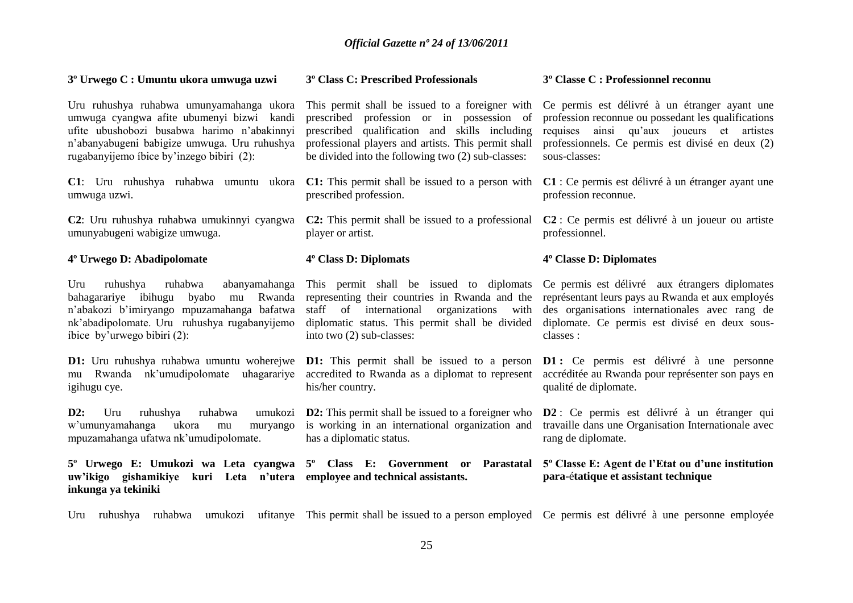| 3 <sup>°</sup> Urwego C : Umuntu ukora umwuga uzwi                                                                                                                                                                                | 3 <sup>°</sup> Class C: Prescribed Professionals                                                                                                                                                                                                           | 3 <sup>°</sup> Classe C : Professionnel reconnu                                                                                                                                                                        |
|-----------------------------------------------------------------------------------------------------------------------------------------------------------------------------------------------------------------------------------|------------------------------------------------------------------------------------------------------------------------------------------------------------------------------------------------------------------------------------------------------------|------------------------------------------------------------------------------------------------------------------------------------------------------------------------------------------------------------------------|
| Uru ruhushya ruhabwa umunyamahanga ukora<br>umwuga cyangwa afite ubumenyi bizwi kandi<br>ufite ubushobozi busabwa harimo n'abakinnyi<br>n'abanyabugeni babigize umwuga. Uru ruhushya<br>rugabanyijemo ibice by'inzego bibiri (2): | This permit shall be issued to a foreigner with<br>prescribed profession or in possession of<br>prescribed qualification and skills including<br>professional players and artists. This permit shall<br>be divided into the following two (2) sub-classes: | Ce permis est délivré à un étranger ayant une<br>profession reconnue ou possedant les qualifications<br>requises ainsi qu'aux joueurs et artistes<br>professionnels. Ce permis est divisé en deux (2)<br>sous-classes: |
| C1: Uru ruhushya ruhabwa umuntu ukora<br>umwuga uzwi.                                                                                                                                                                             | <b>C1:</b> This permit shall be issued to a person with<br>prescribed profession.                                                                                                                                                                          | C1 : Ce permis est délivré à un étranger ayant une<br>profession reconnue.                                                                                                                                             |
| C2: Uru ruhushya ruhabwa umukinnyi cyangwa<br>umunyabugeni wabigize umwuga.                                                                                                                                                       | <b>C2:</b> This permit shall be issued to a professional<br>player or artist.                                                                                                                                                                              | $C2$ : Ce permis est délivré à un joueur ou artiste<br>professionnel.                                                                                                                                                  |
| 4º Urwego D: Abadipolomate                                                                                                                                                                                                        | 4 <sup>°</sup> Class D: Diplomats                                                                                                                                                                                                                          | 4° Classe D: Diplomates                                                                                                                                                                                                |
| ruhabwa<br>ruhushya<br>abanyamahanga<br>Uru<br>mu Rwanda<br>bahagarariye ibihugu<br>byabo<br>n'abakozi b'imiryango mpuzamahanga bafatwa<br>nk'abadipolomate. Uru ruhushya rugabanyijemo<br>íbice by'urwego bibiri (2):            | This permit shall be issued to diplomats<br>representing their countries in Rwanda and the<br>staff of international<br>organizations with<br>diplomatic status. This permit shall be divided<br>into two (2) sub-classes:                                 | Ce permis est délivré aux étrangers diplomates<br>représentant leurs pays au Rwanda et aux employés<br>des organisations internationales avec rang de<br>diplomate. Ce permis est divisé en deux sous-<br>classes :    |
| nk'umudipolomate<br>uhagarariye<br>Rwanda<br>mu<br>igihugu cye.                                                                                                                                                                   | <b>D1:</b> Uru ruhushya ruhabwa umuntu woherejwe <b>D1:</b> This permit shall be issued to a person<br>accredited to Rwanda as a diplomat to represent<br>his/her country.                                                                                 | <b>D1</b> : Ce permis est délivré à une personne<br>accréditée au Rwanda pour représenter son pays en<br>qualité de diplomate.                                                                                         |
| D2:<br>Uru<br>ruhushya<br>ruhabwa<br>w'umunyamahanga<br>ukora<br>muryango<br>mu<br>mpuzamahanga ufatwa nk'umudipolomate.                                                                                                          | umukozi D2: This permit shall be issued to a foreigner who<br>is working in an international organization and<br>has a diplomatic status.                                                                                                                  | D2 : Ce permis est délivré à un étranger qui<br>travaille dans une Organisation Internationale avec<br>rang de diplomate.                                                                                              |
| 5° Urwego E: Umukozi wa Leta cyangwa 5° Class E: Government or<br>uw'ikigo gishamikiye kuri Leta n'utera employee and technical assistants.<br>inkunga ya tekiniki                                                                | Parastatal                                                                                                                                                                                                                                                 | 5° Classe E: Agent de l'Etat ou d'une institution<br>para-étatique et assistant technique                                                                                                                              |

Uru ruhushya ruhabwa umukozi ufitanye This permit shall be issued to a person employed Ce permis est délivré à une personne employée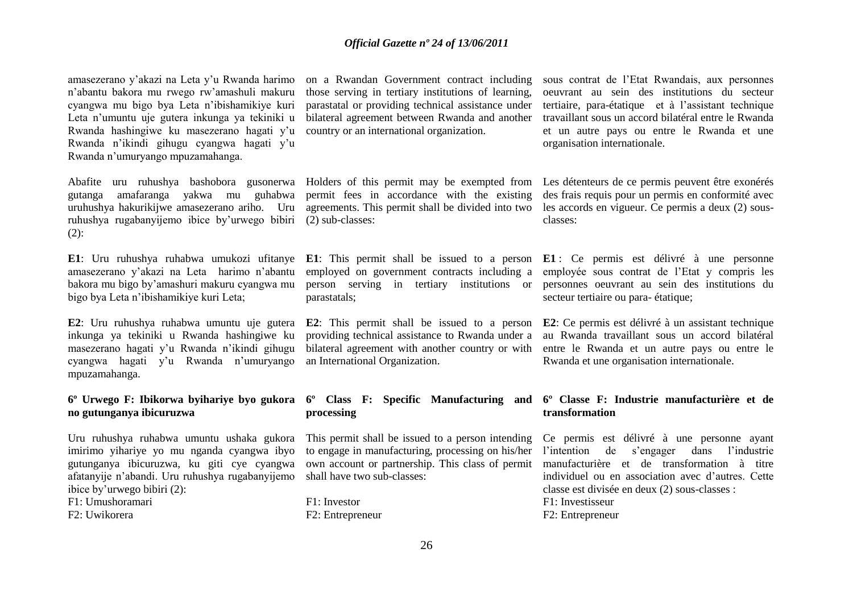amasezerano y"akazi na Leta y"u Rwanda harimo n"abantu bakora mu rwego rw"amashuli makuru cyangwa mu bigo bya Leta n"ibishamikiye kuri Leta n"umuntu uje gutera inkunga ya tekiniki u Rwanda hashingiwe ku masezerano hagati y"u Rwanda n"ikindi gihugu cyangwa hagati y"u Rwanda n"umuryango mpuzamahanga.

gutanga amafaranga yakwa mu guhabwa uruhushya hakurikijwe amasezerano ariho. Uru ruhushya rugabanyijemo ibice by"urwego bibiri (2) sub-classes: (2):

amasezerano y"akazi na Leta harimo n"abantu bakora mu bigo by"amashuri makuru cyangwa mu bigo bya Leta n"ibishamikiye kuri Leta;

**E2**: Uru ruhushya ruhabwa umuntu uje gutera inkunga ya tekiniki u Rwanda hashingiwe ku masezerano hagati y"u Rwanda n"ikindi gihugu cyangwa hagati y"u Rwanda n"umuryango mpuzamahanga.

### **6º Urwego F: Ibikorwa byihariye byo gukora no gutunganya ibicuruzwa**

Uru ruhushya ruhabwa umuntu ushaka gukora imirimo yihariye yo mu nganda cyangwa ibyo gutunganya ibicuruzwa, ku giti cye cyangwa afatanyije n"abandi. Uru ruhushya rugabanyijemo ibice by"urwego bibiri (2):

F1: Umushoramari

F2: Uwikorera

on a Rwandan Government contract including those serving in tertiary institutions of learning, parastatal or providing technical assistance under bilateral agreement between Rwanda and another country or an international organization.

permit fees in accordance with the existing agreements. This permit shall be divided into two

**E1**: Uru ruhushya ruhabwa umukozi ufitanye **E1**: This permit shall be issued to a person **E1** : Ce permis est délivré à une personne employed on government contracts including a parastatals;

> providing technical assistance to Rwanda under a bilateral agreement with another country or with an International Organization.

## **processing**

This permit shall be issued to a person intending to engage in manufacturing, processing on his/her own account or partnership. This class of permit shall have two sub-classes:

F1: Investor F2: Entrepreneur sous contrat de l"Etat Rwandais, aux personnes oeuvrant au sein des institutions du secteur tertiaire, para-étatique et à l"assistant technique travaillant sous un accord bilatéral entre le Rwanda et un autre pays ou entre le Rwanda et une organisation internationale.

Abafite uru ruhushya bashobora gusonerwa Holders of this permit may be exempted from Les détenteurs de ce permis peuvent être exonérés des frais requis pour un permis en conformité avec les accords en vigueur. Ce permis a deux (2) sousclasses:

> person serving in tertiary institutions or personnes oeuvrant au sein des institutions du employée sous contrat de l"Etat y compris les secteur tertiaire ou para- étatique;

> **E2**: This permit shall be issued to a person **E2**: Ce permis est délivré à un assistant technique au Rwanda travaillant sous un accord bilatéral entre le Rwanda et un autre pays ou entre le Rwanda et une organisation internationale.

### **6º Class F: Specific Manufacturing and 6º Classe F: Industrie manufacturière et de transformation**

Ce permis est délivré à une personne ayant l"intention de s"engager dans l"industrie manufacturière et de transformation à titre individuel ou en association avec d"autres. Cette classe est divisée en deux (2) sous-classes : F1: Investisseur

F2: Entrepreneur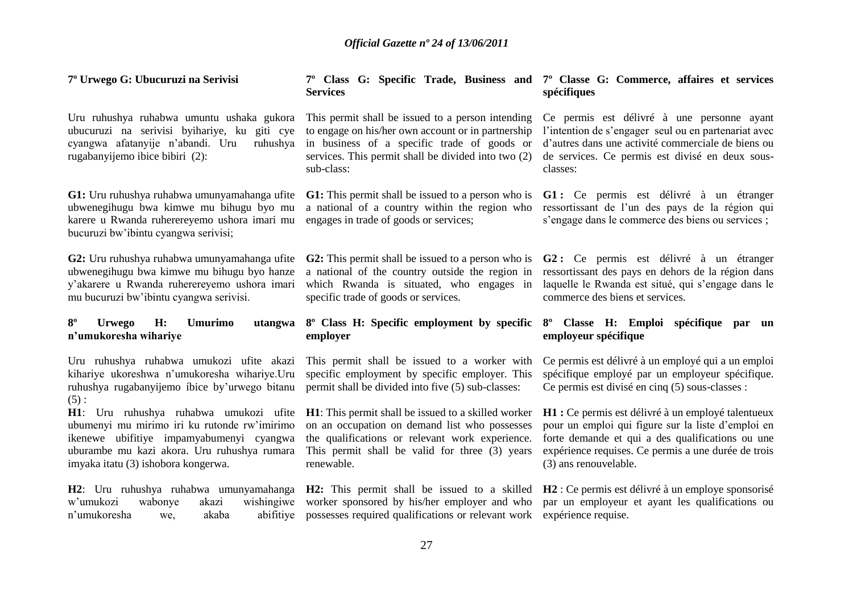#### **7º Urwego G: Ubucuruzi na Serivisi**

Uru ruhushya ruhabwa umuntu ushaka gukora ubucuruzi na serivisi byihariye, ku giti cye cyangwa afatanyije n"abandi. Uru ruhushya rugabanyijemo ibice bibiri (2):

**G1:** Uru ruhushya ruhabwa umunyamahanga ufite ubwenegihugu bwa kimwe mu bihugu byo mu karere u Rwanda ruherereyemo ushora imari mu bucuruzi bw"ibintu cyangwa serivisi;

**G2:** Uru ruhushya ruhabwa umunyamahanga ufite ubwenegihugu bwa kimwe mu bihugu byo hanze y"akarere u Rwanda ruherereyemo ushora imari mu bucuruzi bw"ibintu cyangwa serivisi.

### **8º Urwego H: Umurimo utangwa n'umukoresha wihariye**

Uru ruhushya ruhabwa umukozi ufite akazi kihariye ukoreshwa n"umukoresha wihariye.Uru ruhushya rugabanyijemo íbice by"urwego bitanu  $(5)$ :

**H1**: Uru ruhushya ruhabwa umukozi ufite ubumenyi mu mirimo iri ku rutonde rw"imirimo ikenewe ubifitiye impamyabumenyi cyangwa uburambe mu kazi akora. Uru ruhushya rumara imyaka itatu (3) ishobora kongerwa.

n'umukoresha we, akaba

**7º Class G: Specific Trade, Business and 7º Classe G: Commerce, affaires et services Services spécifiques**

This permit shall be issued to a person intending to engage on his/her own account or in partnership in business of a specific trade of goods or services. This permit shall be divided into two (2) sub-class:

**G1:** This permit shall be issued to a person who is a national of a country within the region who engages in trade of goods or services;

**G2:** This permit shall be issued to a person who is **G2 :** Ce permis est délivré à un étranger a national of the country outside the region in which Rwanda is situated, who engages in specific trade of goods or services.

### **8º Class H: Specific employment by specific 8º Classe H: Emploi spécifique par un employer**

This permit shall be issued to a worker with specific employment by specific employer. This permit shall be divided into five (5) sub-classes:

**H1**: This permit shall be issued to a skilled worker on an occupation on demand list who possesses the qualifications or relevant work experience. This permit shall be valid for three (3) years renewable.

possesses required qualifications or relevant work expérience requise.

Ce permis est délivré à une personne ayant l'intention de s'engager seul ou en partenariat avec d"autres dans une activité commerciale de biens ou de services. Ce permis est divisé en deux sousclasses:

**G1 :** Ce permis est délivré à un étranger ressortissant de l"un des pays de la région qui s'engage dans le commerce des biens ou services ;

ressortissant des pays en dehors de la région dans laquelle le Rwanda est situé, qui s'engage dans le commerce des biens et services.

# **employeur spécifique**

Ce permis est délivré à un employé qui a un emploi spécifique employé par un employeur spécifique. Ce permis est divisé en cinq (5) sous-classes :

**H1 :** Ce permis est délivré à un employé talentueux pour un emploi qui figure sur la liste d"emploi en forte demande et qui a des qualifications ou une expérience requises. Ce permis a une durée de trois (3) ans renouvelable.

**H2**: Uru ruhushya ruhabwa umunyamahanga **H2:** This permit shall be issued to a skilled **H2** : Ce permis est délivré à un employe sponsorisé w"umukozi wabonye akazi wishingiwe worker sponsored by his/her employer and who par un employeur et ayant les qualifications ou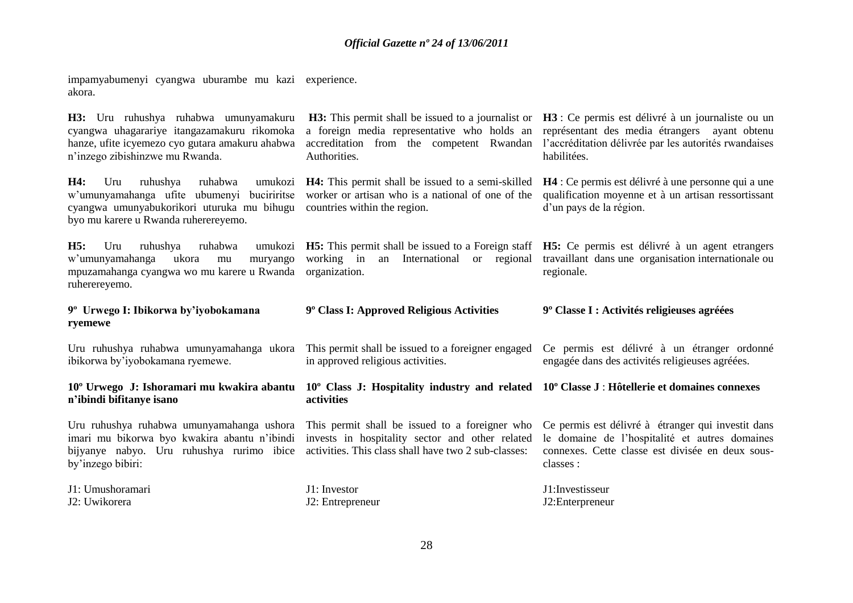impamyabumenyi cyangwa uburambe mu kazi akora. experience.

| H3: Uru ruhushya ruhabwa umunyamakuru<br>cyangwa uhagarariye itangazamakuru rikomoka<br>hanze, ufite icyemezo cyo gutara amakuru ahabwa<br>n'inzego zibishinzwe mu Rwanda.                                | a foreign media representative who holds an<br>accreditation from the competent Rwandan<br>Authorities.                                                                                | <b>H3:</b> This permit shall be issued to a journalist or <b>H3</b> : Ce permis est délivré à un journaliste ou un<br>représentant des media étrangers ayant obtenu<br>l'accréditation délivrée par les autorités rwandaises<br>habilitées. |
|-----------------------------------------------------------------------------------------------------------------------------------------------------------------------------------------------------------|----------------------------------------------------------------------------------------------------------------------------------------------------------------------------------------|---------------------------------------------------------------------------------------------------------------------------------------------------------------------------------------------------------------------------------------------|
| <b>H4:</b><br>Uru<br>ruhushya<br>ruhabwa<br>w'umunyamahanga ufite ubumenyi buciriritse<br>cyangwa umunyabukorikori uturuka mu bihugu countries within the region.<br>byo mu karere u Rwanda ruherereyemo. | umukozi <b>H4:</b> This permit shall be issued to a semi-skilled<br>worker or artisan who is a national of one of the                                                                  | H4 : Ce permis est délivré à une personne qui a une<br>qualification moyenne et à un artisan ressortissant<br>d'un pays de la région.                                                                                                       |
| H5:<br>Uru<br>ruhushya<br>ruhabwa<br>w'umunyamahanga<br>ukora<br>muryango<br>mu<br>mpuzamahanga cyangwa wo mu karere u Rwanda<br>ruherereyemo.                                                            | umukozi <b>H5:</b> This permit shall be issued to a Foreign staff <b>H5:</b> Ce permis est délivré à un agent etrangers<br>working in<br>an International or regional<br>organization. | travaillant dans une organisation internationale ou<br>regionale.                                                                                                                                                                           |
| 9° Urwego I: Ibikorwa by'iyobokamana<br>ryemewe                                                                                                                                                           | 9° Class I: Approved Religious Activities                                                                                                                                              | 9 <sup>°</sup> Classe I : Activités religieuses agréées                                                                                                                                                                                     |
| Uru ruhushya ruhabwa umunyamahanga ukora<br>ibikorwa by'iyobokamana ryemewe.                                                                                                                              | This permit shall be issued to a foreigner engaged<br>in approved religious activities.                                                                                                | Ce permis est délivré à un étranger ordonné<br>engagée dans des activités religieuses agréées.                                                                                                                                              |
| 10° Urwego J: Ishoramari mu kwakira abantu 10° Class J: Hospitality industry and related 10° Classe J: Hôtellerie et domaines connexes<br>n'ibindi bifitanye isano                                        |                                                                                                                                                                                        |                                                                                                                                                                                                                                             |
|                                                                                                                                                                                                           | activities                                                                                                                                                                             |                                                                                                                                                                                                                                             |
| Uru ruhushya ruhabwa umunyamahanga ushora<br>imari mu bikorwa byo kwakira abantu n'ibindi<br>bijyanye nabyo. Uru ruhushya rurimo ibice<br>by'inzego bibiri:                                               | This permit shall be issued to a foreigner who<br>invests in hospitality sector and other related<br>activities. This class shall have two 2 sub-classes:                              | Ce permis est délivré à étranger qui investit dans<br>le domaine de l'hospitalité et autres domaines<br>connexes. Cette classe est divisée en deux sous-<br>classes :                                                                       |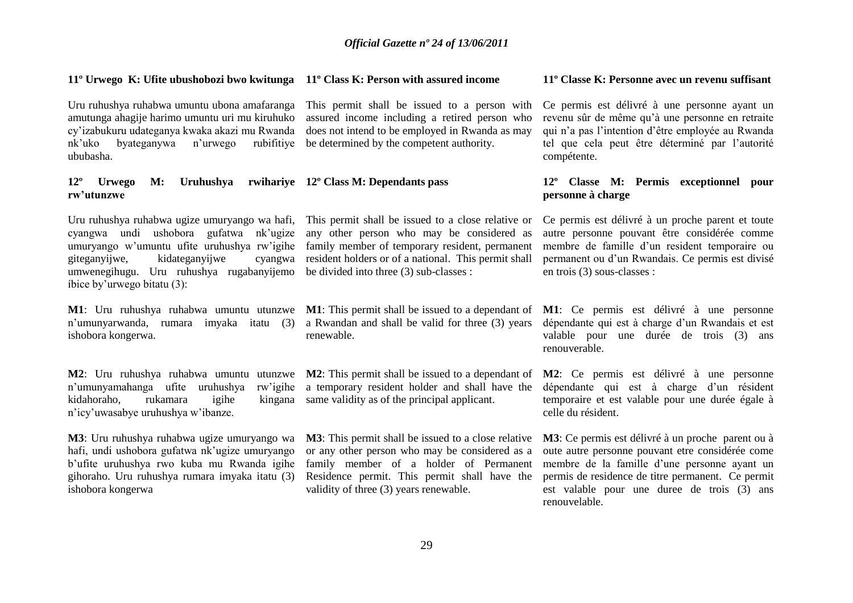### **11º Urwego K: Ufite ubushobozi bwo kwitunga 11º Class K: Person with assured income**

Uru ruhushya ruhabwa umuntu ubona amafaranga This permit shall be issued to a person with amutunga ahagije harimo umuntu uri mu kiruhuko cy"izabukuru udateganya kwaka akazi mu Rwanda nk"uko byateganywa n"urwego rubifitiye be determined by the competent authority. ububasha.

### **12º Urwego M: Uruhushya rwihariye 12º Class M: Dependants pass rw'utunzwe**

Uru ruhushya ruhabwa ugize umuryango wa hafi, This permit shall be issued to a close relative or cyangwa undi ushobora gufatwa nk"ugize umuryango w"umuntu ufite uruhushya rw"igihe giteganyijwe, kidateganyijwe cyangwa umwenegihugu. Uru ruhushya rugabanyijemo be divided into three (3) sub-classes : íbice by"urwego bitatu (3):

**M1**: Uru ruhushya ruhabwa umuntu utunzwe **M1**: This permit shall be issued to a dependant of **M1**: Ce permis est délivré à une personne n"umunyarwanda, rumara imyaka itatu (3) a Rwandan and shall be valid for three (3) years ishobora kongerwa.

kidahoraho, rukamara igihe n"icy"uwasabye uruhushya w"ibanze.

**M3**: Uru ruhushya ruhabwa ugize umuryango wa **M3**: This permit shall be issued to a close relative hafi, undi ushobora gufatwa nk'ugize umuryango b"ufite uruhushya rwo kuba mu Rwanda igihe gihoraho. Uru ruhushya rumara imyaka itatu (3) ishobora kongerwa

assured income including a retired person who does not intend to be employed in Rwanda as may

# any other person who may be considered as family member of temporary resident, permanent resident holders or of a national. This permit shall

renewable.

**M2**: Uru ruhushya ruhabwa umuntu utunzwe **M2**: This permit shall be issued to a dependant of n"umunyamahanga ufite uruhushya rw"igihe a temporary resident holder and shall have the kingana same validity as of the principal applicant.

> or any other person who may be considered as a family member of a holder of Permanent Residence permit. This permit shall have the validity of three (3) years renewable.

#### **11º Classe K: Personne avec un revenu suffisant**

Ce permis est délivré à une personne ayant un revenu sûr de même qu"à une personne en retraite qui n"a pas l"intention d"être employée au Rwanda tel que cela peut être déterminé par l"autorité compétente.

### **12º Classe M: Permis exceptionnel pour personne à charge**

Ce permis est délivré à un proche parent et toute autre personne pouvant être considérée comme membre de famille d"un resident temporaire ou permanent ou d"un Rwandais. Ce permis est divisé en trois (3) sous-classes :

dépendante qui est à charge d"un Rwandais et est valable pour une durée de trois (3) ans renouverable.

**M2**: Ce permis est délivré à une personne dépendante qui est à charge d"un résident temporaire et est valable pour une durée égale à celle du résident.

**M3**: Ce permis est délivré à un proche parent ou à oute autre personne pouvant etre considérée come membre de la famille d"une personne ayant un permis de residence de titre permanent. Ce permit est valable pour une duree de trois (3) ans renouvelable.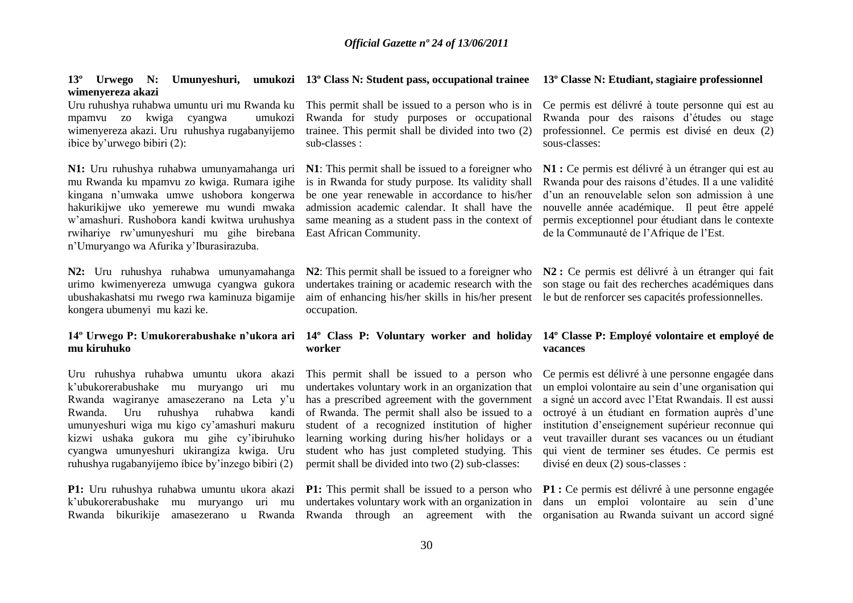#### 13<sup>°</sup> Urwego N: Umunyeshuri, umukozi 13<sup>°</sup>Class N: Student pass, occupational trainee 13<sup>°</sup>Classe N: Etudiant, stagiaire professionnel **wimenyereza akazi**

Uru ruhushya ruhabwa umuntu uri mu Rwanda ku mpamvu zo kwiga cyangwa umukozi wimenyereza akazi. Uru ruhushya rugabanyijemo ibice by"urwego bibiri (2):

**N1:** Uru ruhushya ruhabwa umunyamahanga uri mu Rwanda ku mpamvu zo kwiga. Rumara igihe kingana n"umwaka umwe ushobora kongerwa hakurikijwe uko yemerewe mu wundi mwaka w"amashuri. Rushobora kandi kwitwa uruhushya rwihariye rw"umunyeshuri mu gihe birebana n"Umuryango wa Afurika y"Iburasirazuba.

**N2:** Uru ruhushya ruhabwa umunyamahanga urimo kwimenyereza umwuga cyangwa gukora ubushakashatsi mu rwego rwa kaminuza bigamije kongera ubumenyi mu kazi ke.

### **14º Urwego P: Umukorerabushake n'ukora ari 14º Class P: Voluntary worker and holiday mu kiruhuko**

Uru ruhushya ruhabwa umuntu ukora akazi k"ubukorerabushake mu muryango uri mu Rwanda wagiranye amasezerano na Leta y"u Rwanda. Uru ruhushya ruhabwa kandi umunyeshuri wiga mu kigo cy"amashuri makuru kizwi ushaka gukora mu gihe cy"ibiruhuko cyangwa umunyeshuri ukirangiza kwiga. Uru ruhushya rugabanyijemo íbice by"inzego bibiri (2)

**P1:** Uru ruhushya ruhabwa umuntu ukora akazi k"ubukorerabushake mu muryango uri mu Rwanda bikurikije amasezerano u Rwanda Rwanda through an agreement with the

This permit shall be issued to a person who is in Rwanda for study purposes or occupational trainee. This permit shall be divided into two (2) sub-classes :

**N1**: This permit shall be issued to a foreigner who is in Rwanda for study purpose. Its validity shall be one year renewable in accordance to his/her admission academic calendar. It shall have the same meaning as a student pass in the context of East African Community.

**N2**: This permit shall be issued to a foreigner who undertakes training or academic research with the aim of enhancing his/her skills in his/her present le but de renforcer ses capacités professionnelles. occupation.

# **worker**

This permit shall be issued to a person who undertakes voluntary work in an organization that has a prescribed agreement with the government of Rwanda. The permit shall also be issued to a student of a recognized institution of higher learning working during his/her holidays or a student who has just completed studying. This permit shall be divided into two (2) sub-classes:

**P1:** This permit shall be issued to a person who undertakes voluntary work with an organization in

Ce permis est délivré à toute personne qui est au Rwanda pour des raisons d"études ou stage professionnel. Ce permis est divisé en deux (2) sous-classes:

**N1 :** Ce permis est délivré à un étranger qui est au Rwanda pour des raisons d"études. Il a une validité d"un an renouvelable selon son admission à une nouvelle année académique. Il peut être appelé permis exceptionnel pour étudiant dans le contexte de la Communauté de l"Afrique de l"Est.

**N2 :** Ce permis est délivré à un étranger qui fait son stage ou fait des recherches académiques dans

### **14º Classe P: Employé volontaire et employé de vacances**

Ce permis est délivré à une personne engagée dans un emploi volontaire au sein d"une organisation qui a signé un accord avec l"Etat Rwandais. Il est aussi octroyé à un étudiant en formation auprès d"une institution d"enseignement supérieur reconnue qui veut travailler durant ses vacances ou un étudiant qui vient de terminer ses études. Ce permis est divisé en deux (2) sous-classes :

**P1 :** Ce permis est délivré à une personne engagée dans un emploi volontaire au sein d'une organisation au Rwanda suivant un accord signé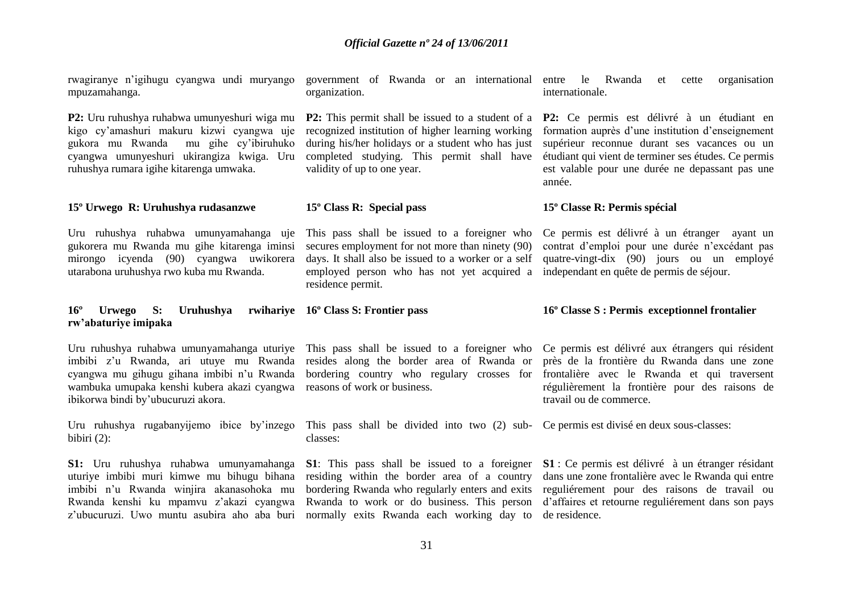| rwagiranye n'igihugu cyangwa undi muryango<br>mpuzamahanga.                                                                                                                                                                   | government of Rwanda or an international entre le Rwanda<br>organization.                                                                                                                                                  | organisation<br>et<br>cette<br>internationale.                                                                                                                                                                                                                                                                                       |
|-------------------------------------------------------------------------------------------------------------------------------------------------------------------------------------------------------------------------------|----------------------------------------------------------------------------------------------------------------------------------------------------------------------------------------------------------------------------|--------------------------------------------------------------------------------------------------------------------------------------------------------------------------------------------------------------------------------------------------------------------------------------------------------------------------------------|
| P2: Uru ruhushya ruhabwa umunyeshuri wiga mu<br>kigo cy'amashuri makuru kizwi cyangwa uje<br>gukora mu Rwanda<br>mu gihe cy'ibiruhuko<br>cyangwa umunyeshuri ukirangiza kwiga. Uru<br>ruhushya rumara igihe kitarenga umwaka. | recognized institution of higher learning working<br>during his/her holidays or a student who has just<br>completed studying. This permit shall have<br>validity of up to one year.                                        | <b>P2:</b> This permit shall be issued to a student of a <b>P2:</b> Ce permis est délivré à un étudiant en<br>formation auprès d'une institution d'enseignement<br>supérieur reconnue durant ses vacances ou un<br>étudiant qui vient de terminer ses études. Ce permis<br>est valable pour une durée ne depassant pas une<br>année. |
| 15° Urwego R: Uruhushya rudasanzwe                                                                                                                                                                                            | 15° Class R: Special pass                                                                                                                                                                                                  | 15° Classe R: Permis spécial                                                                                                                                                                                                                                                                                                         |
| Uru ruhushya ruhabwa umunyamahanga uje<br>gukorera mu Rwanda mu gihe kitarenga iminsi<br>mirongo icyenda (90) cyangwa uwikorera<br>utarabona uruhushya rwo kuba mu Rwanda.                                                    | This pass shall be issued to a foreigner who<br>secures employment for not more than ninety (90)<br>days. It shall also be issued to a worker or a self<br>employed person who has not yet acquired a<br>residence permit. | Ce permis est délivré à un étranger ayant un<br>contrat d'emploi pour une durée n'excédant pas<br>quatre-vingt-dix (90) jours ou un employé<br>independant en quête de permis de séjour.                                                                                                                                             |
|                                                                                                                                                                                                                               |                                                                                                                                                                                                                            |                                                                                                                                                                                                                                                                                                                                      |
| $16^{\circ}$<br>Uruhushya<br>S:<br><b>Urwego</b><br>rw'abaturiye imipaka                                                                                                                                                      | rwihariye 16° Class S: Frontier pass                                                                                                                                                                                       | 16° Classe S : Permis exceptionnel frontalier                                                                                                                                                                                                                                                                                        |
| cyangwa mu gihugu gihana imbibi n'u Rwanda<br>wambuka umupaka kenshi kubera akazi cyangwa reasons of work or business.<br>ibikorwa bindi by'ubucuruzi akora.                                                                  | Uru ruhushya ruhabwa umunyamahanga uturiye This pass shall be issued to a foreigner who<br>imbibi z'u Rwanda, ari utuye mu Rwanda resides along the border area of Rwanda or                                               | Ce permis est délivré aux étrangers qui résident<br>près de la frontière du Rwanda dans une zone<br>bordering country who regulary crosses for frontalière avec le Rwanda et qui traversent<br>régulièrement la frontière pour des raisons de<br>travail ou de commerce.                                                             |
| Uru ruhushya rugabanyijemo ibice by'inzego<br>bibiri $(2)$ :                                                                                                                                                                  | This pass shall be divided into two (2) sub- Ce permis est divisé en deux sous-classes:<br>classes:                                                                                                                        |                                                                                                                                                                                                                                                                                                                                      |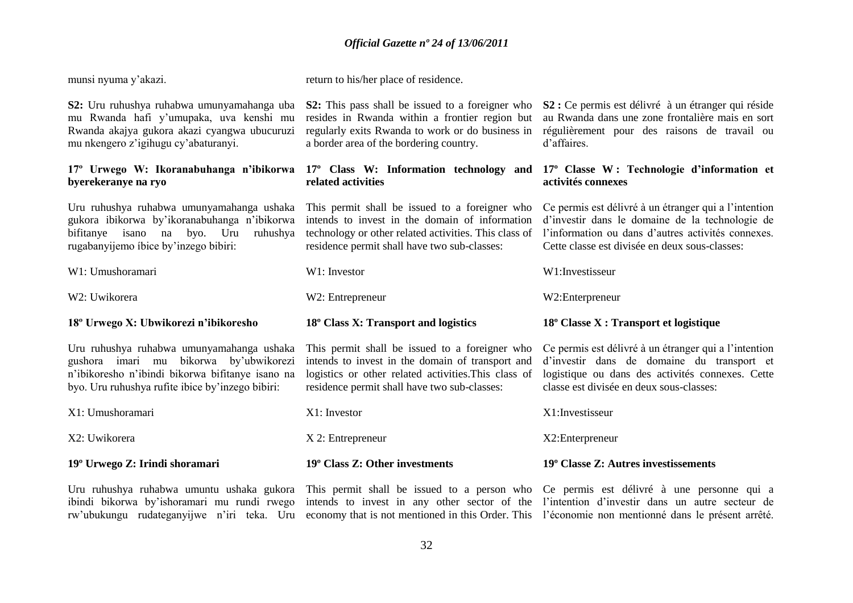| munsi nyuma y'akazi.                                                                                                                                                                        | return to his/her place of residence.                                                                                                                                                                      |                                                                                                                                                                                                                  |
|---------------------------------------------------------------------------------------------------------------------------------------------------------------------------------------------|------------------------------------------------------------------------------------------------------------------------------------------------------------------------------------------------------------|------------------------------------------------------------------------------------------------------------------------------------------------------------------------------------------------------------------|
| S2: Uru ruhushya ruhabwa umunyamahanga uba<br>mu Rwanda hafi y'umupaka, uva kenshi mu<br>Rwanda akajya gukora akazi cyangwa ubucuruzi<br>mu nkengero z'igihugu cy'abaturanyi.               | <b>S2:</b> This pass shall be issued to a foreigner who<br>resides in Rwanda within a frontier region but<br>regularly exits Rwanda to work or do business in<br>a border area of the bordering country.   | S2 : Ce permis est délivré à un étranger qui réside<br>au Rwanda dans une zone frontalière mais en sort<br>régulièrement pour des raisons de travail ou<br>d'affaires.                                           |
| 17° Urwego W: Ikoranabuhanga n'ibikorwa 17° Class W: Information technology and<br>byerekeranye na ryo                                                                                      | related activities                                                                                                                                                                                         | 17° Classe W: Technologie d'information et<br>activités connexes                                                                                                                                                 |
| Uru ruhushya ruhabwa umunyamahanga ushaka<br>gukora ibikorwa by'ikoranabuhanga n'ibikorwa<br>bifitanye isano na byo. Uru<br>ruhushya<br>rugabanyijemo íbice by'inzego bibiri:               | This permit shall be issued to a foreigner who<br>intends to invest in the domain of information<br>technology or other related activities. This class of<br>residence permit shall have two sub-classes:  | Ce permis est délivré à un étranger qui a l'intention<br>d'investir dans le domaine de la technologie de<br>l'information ou dans d'autres activités connexes.<br>Cette classe est divisée en deux sous-classes: |
| W1: Umushoramari                                                                                                                                                                            | W1: Investor                                                                                                                                                                                               | W1:Investisseur                                                                                                                                                                                                  |
| W2: Uwikorera                                                                                                                                                                               | W2: Entrepreneur                                                                                                                                                                                           | W2:Enterpreneur                                                                                                                                                                                                  |
| 18° Urwego X: Ubwikorezi n'ibikoresho                                                                                                                                                       | 18° Class X: Transport and logistics                                                                                                                                                                       | 18° Classe X : Transport et logistique                                                                                                                                                                           |
| Uru ruhushya ruhabwa umunyamahanga ushaka<br>gushora imari mu bikorwa by'ubwikorezi<br>n'ibikoresho n'ibindi bikorwa bifitanye isano na<br>byo. Uru ruhushya rufite ibice by'inzego bibiri: | This permit shall be issued to a foreigner who<br>intends to invest in the domain of transport and<br>logistics or other related activities. This class of<br>residence permit shall have two sub-classes: | Ce permis est délivré à un étranger qui a l'intention<br>d'investir dans de domaine du transport et<br>logistique ou dans des activités connexes. Cette<br>classe est divisée en deux sous-classes:              |
| X1: Umushoramari                                                                                                                                                                            | X1: Investor                                                                                                                                                                                               | X1:Investisseur                                                                                                                                                                                                  |
| X2: Uwikorera                                                                                                                                                                               | X 2: Entrepreneur                                                                                                                                                                                          | X2:Enterpreneur                                                                                                                                                                                                  |
| 19 <sup>°</sup> Urwego Z: Irindi shoramari                                                                                                                                                  | 19° Class Z: Other investments                                                                                                                                                                             | 19° Classe Z: Autres investissements                                                                                                                                                                             |

ibindi bikorwa by'ishoramari mu rundi rwego intends to invest in any other sector of the l'intention d'investir dans un autre secteur de rw'ubukungu rudateganyijwe n'iri teka. Uru economy that is not mentioned in this Order. This l'économie non mentionné dans le présent arrêté.

Uru ruhushya ruhabwa umuntu ushaka gukora This permit shall be issued to a person who Ce permis est délivré à une personne qui a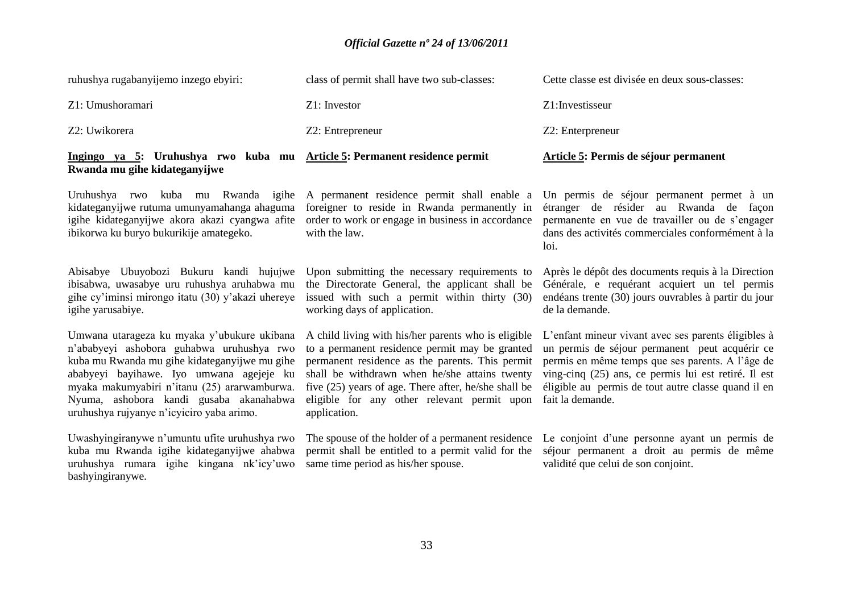| Ingingo ya 5: Uruhushya rwo kuba mu Article 5: Permanent residence permit<br>Rwanda mu gihe kidateganyijwe |                                             | Article 5: Permis de séjour permanent          |
|------------------------------------------------------------------------------------------------------------|---------------------------------------------|------------------------------------------------|
| Z2: Uwikorera                                                                                              | Z2: Entrepreneur                            | Z2: Enterpreneur                               |
| Z1: Umushoramari                                                                                           | $Z1:$ Investor                              | Z1: Investisseur                               |
| ruhushya rugabanyijemo inzego ebyiri:                                                                      | class of permit shall have two sub-classes: | Cette classe est divisée en deux sous-classes: |

kidateganyijwe rutuma umunyamahanga ahaguma igihe kidateganyijwe akora akazi cyangwa afite ibikorwa ku buryo bukurikije amategeko.

Abisabye Ubuyobozi Bukuru kandi hujujwe ibisabwa, uwasabye uru ruhushya aruhabwa mu gihe cy"iminsi mirongo itatu (30) y"akazi uhereye igihe yarusabiye.

Umwana utarageza ku myaka y"ubukure ukibana n"ababyeyi ashobora guhabwa uruhushya rwo kuba mu Rwanda mu gihe kidateganyijwe mu gihe ababyeyi bayihawe. Iyo umwana agejeje ku myaka makumyabiri n"itanu (25) ararwamburwa. Nyuma, ashobora kandi gusaba akanahabwa uruhushya rujyanye n"icyiciro yaba arimo.

Uwashyingiranywe n"umuntu ufite uruhushya rwo kuba mu Rwanda igihe kidateganyijwe ahabwa uruhushya rumara igihe kingana nk"icy"uwo bashyingiranywe.

foreigner to reside in Rwanda permanently in order to work or engage in business in accordance with the law.

Upon submitting the necessary requirements to the Directorate General, the applicant shall be issued with such a permit within thirty (30) working days of application.

A child living with his/her parents who is eligible to a permanent residence permit may be granted permanent residence as the parents. This permit shall be withdrawn when he/she attains twenty five (25) years of age. There after, he/she shall be eligible for any other relevant permit upon application.

permit shall be entitled to a permit valid for the same time period as his/her spouse.

Uruhushya rwo kuba mu Rwanda igihe A permanent residence permit shall enable a Un permis de séjour permanent permet à un étranger de résider au Rwanda de façon permanente en vue de travailler ou de s"engager dans des activités commerciales conformément à la loi.

> Après le dépôt des documents requis à la Direction Générale, e requérant acquiert un tel permis endéans trente (30) jours ouvrables à partir du jour de la demande.

> L"enfant mineur vivant avec ses parents éligibles à un permis de séjour permanent peut acquérir ce permis en même temps que ses parents. A l"âge de ving-cinq (25) ans, ce permis lui est retiré. Il est éligible au permis de tout autre classe quand il en fait la demande.

The spouse of the holder of a permanent residence Le conjoint d"une personne ayant un permis de séjour permanent a droit au permis de même validité que celui de son conjoint.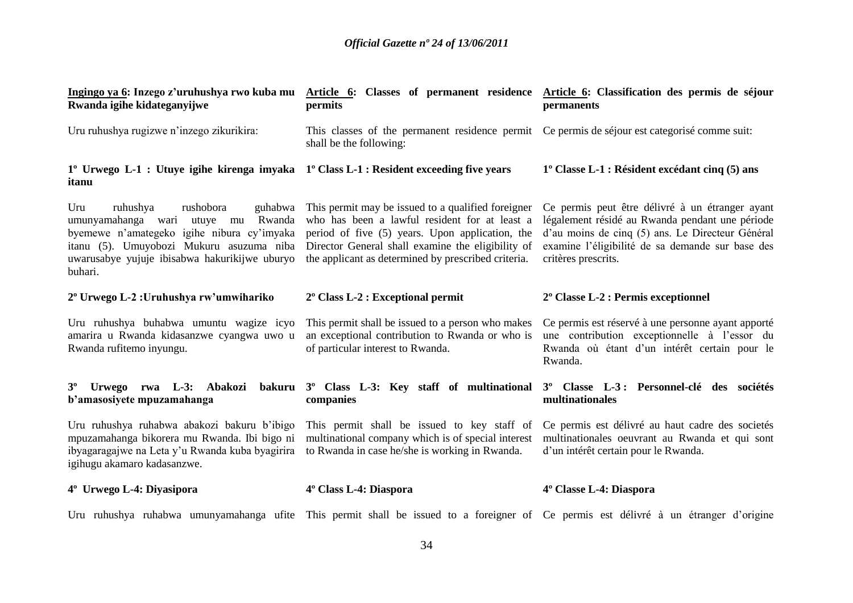| Ingingo ya 6: Inzego z'uruhushya rwo kuba mu<br>Rwanda igihe kidateganyijwe                                                                                                                                                       | Article 6: Classes of permanent residence Article 6: Classification des permis de séjour<br>permits                                                                                                                                                                        | permanents                                                                                                                                                                                                                        |
|-----------------------------------------------------------------------------------------------------------------------------------------------------------------------------------------------------------------------------------|----------------------------------------------------------------------------------------------------------------------------------------------------------------------------------------------------------------------------------------------------------------------------|-----------------------------------------------------------------------------------------------------------------------------------------------------------------------------------------------------------------------------------|
| Uru ruhushya rugizwe n'inzego zikurikira:                                                                                                                                                                                         | This classes of the permanent residence permit Ce permis de séjour est categorisé comme suit:<br>shall be the following:                                                                                                                                                   |                                                                                                                                                                                                                                   |
| 1° Urwego L-1 : Utuye igihe kirenga imyaka 1° Class L-1 : Resident exceeding five years<br>itanu                                                                                                                                  |                                                                                                                                                                                                                                                                            | $1^{\circ}$ Classe L-1 : Résident excédant cinq (5) ans                                                                                                                                                                           |
| Uru<br>rushobora<br>ruhushya<br>Rwanda<br>umunyamahanga wari<br>utuye<br>mu<br>byemewe n'amategeko igihe nibura cy'imyaka<br>itanu (5). Umuyobozi Mukuru asuzuma niba<br>uwarusabye yujuje ibisabwa hakurikijwe uburyo<br>buhari. | guhabwa This permit may be issued to a qualified foreigner<br>who has been a lawful resident for at least a<br>period of five (5) years. Upon application, the<br>Director General shall examine the eligibility of<br>the applicant as determined by prescribed criteria. | Ce permis peut être délivré à un étranger ayant<br>légalement résidé au Rwanda pendant une période<br>d'au moins de cinq (5) ans. Le Directeur Général<br>examine l'éligibilité de sa demande sur base des<br>critères prescrits. |
| 2º Urwego L-2 : Uruhushya rw'umwihariko                                                                                                                                                                                           | $2^{\circ}$ Class L-2 : Exceptional permit                                                                                                                                                                                                                                 | 2° Classe L-2 : Permis exceptionnel                                                                                                                                                                                               |
| Uru ruhushya buhabwa umuntu wagize icyo<br>amarira u Rwanda kidasanzwe cyangwa uwo u<br>Rwanda rufitemo inyungu.                                                                                                                  | This permit shall be issued to a person who makes<br>an exceptional contribution to Rwanda or who is<br>of particular interest to Rwanda.                                                                                                                                  | Ce permis est réservé à une personne ayant apporté<br>une contribution exceptionnelle à l'essor du<br>Rwanda où étant d'un intérêt certain pour le<br>Rwanda.                                                                     |
| Urwego rwa L-3: Abakozi<br>$3^{\circ}$<br>b'amasosiyete mpuzamahanga                                                                                                                                                              | bakuru 3 <sup>°</sup> Class L-3: Key staff of multinational<br>companies                                                                                                                                                                                                   | 3 <sup>°</sup> Classe L-3: Personnel-clé des sociétés<br>multinationales                                                                                                                                                          |
| Uru ruhushya ruhabwa abakozi bakuru b'ibigo<br>mpuzamahanga bikorera mu Rwanda. Ibi bigo ni<br>ibyagaragajwe na Leta y'u Rwanda kuba byagirira<br>igihugu akamaro kadasanzwe.                                                     | This permit shall be issued to key staff of<br>multinational company which is of special interest<br>to Rwanda in case he/she is working in Rwanda.                                                                                                                        | Ce permis est délivré au haut cadre des societés<br>multinationales oeuvrant au Rwanda et qui sont<br>d'un intérêt certain pour le Rwanda.                                                                                        |
| 4° Urwego L-4: Diyasipora                                                                                                                                                                                                         | 4 <sup>°</sup> Class L-4: Diaspora                                                                                                                                                                                                                                         | 4° Classe L-4: Diaspora                                                                                                                                                                                                           |

Uru ruhushya ruhabwa umunyamahanga ufite This permit shall be issued to a foreigner of Ce permis est délivré à un étranger d"origine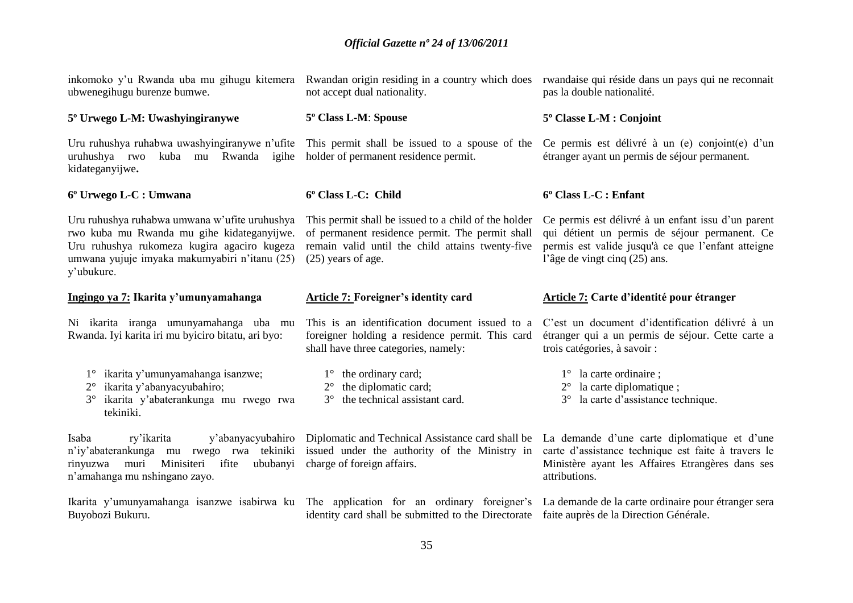| inkomoko y'u Rwanda uba mu gihugu kitemera<br>ubwenegihugu burenze bumwe.                                                                                                                                 | Rwandan origin residing in a country which does<br>not accept dual nationality.                                                                                                     | rwandaise qui réside dans un pays qui ne reconnait<br>pas la double nationalité.                                                                                                           |
|-----------------------------------------------------------------------------------------------------------------------------------------------------------------------------------------------------------|-------------------------------------------------------------------------------------------------------------------------------------------------------------------------------------|--------------------------------------------------------------------------------------------------------------------------------------------------------------------------------------------|
| 5° Urwego L-M: Uwashyingiranywe                                                                                                                                                                           | 5° Class L-M: Spouse                                                                                                                                                                | 5° Classe L-M : Conjoint                                                                                                                                                                   |
| Uru ruhushya ruhabwa uwashyingiranywe n'ufite<br>kuba mu Rwanda igihe<br>uruhushya rwo<br>kidateganyijwe.                                                                                                 | This permit shall be issued to a spouse of the<br>holder of permanent residence permit.                                                                                             | Ce permis est délivré à un (e) conjoint (e) d'un<br>étranger ayant un permis de séjour permanent.                                                                                          |
| 6º Urwego L-C : Umwana                                                                                                                                                                                    | 6° Class L-C: Child                                                                                                                                                                 | 6° Class L-C : Enfant                                                                                                                                                                      |
| Uru ruhushya ruhabwa umwana w'ufite uruhushya<br>rwo kuba mu Rwanda mu gihe kidateganyijwe.<br>Uru ruhushya rukomeza kugira agaciro kugeza<br>umwana yujuje imyaka makumyabiri n'itanu (25)<br>y'ubukure. | This permit shall be issued to a child of the holder<br>of permanent residence permit. The permit shall<br>remain valid until the child attains twenty-five<br>$(25)$ years of age. | Ce permis est délivré à un enfant issu d'un parent<br>qui détient un permis de séjour permanent. Ce<br>permis est valide jusqu'à ce que l'enfant atteigne<br>l'âge de vingt cinq (25) ans. |
| Ingingo ya 7: Ikarita y'umunyamahanga                                                                                                                                                                     | <b>Article 7: Foreigner's identity card</b>                                                                                                                                         | Article 7: Carte d'identité pour étranger                                                                                                                                                  |
| Ni ikarita iranga umunyamahanga uba mu<br>Rwanda. Iyi karita iri mu byiciro bitatu, ari byo:                                                                                                              | This is an identification document issued to a<br>foreigner holding a residence permit. This card<br>shall have three categories, namely:                                           | C'est un document d'identification délivré à un<br>étranger qui a un permis de séjour. Cette carte a<br>trois catégories, à savoir :                                                       |
| ikarita y'umunyamahanga isanzwe;<br>$1^{\circ}$<br>ikarita y'abanyacyubahiro;<br>$2^{\circ}$<br>ikarita y'abaterankunga mu rwego rwa<br>tekiniki.                                                         | $1^{\circ}$ the ordinary card;<br>the diplomatic card;<br>$2^{\circ}$<br>the technical assistant card.<br>$3^\circ$                                                                 | $1^{\circ}$ la carte ordinaire;<br>la carte diplomatique;<br>$2^{\circ}$<br>la carte d'assistance technique.<br>$3^\circ$                                                                  |
| Isaba<br>y'abanyacyubahiro<br>ry'ikarita<br>n'iy'abaterankunga mu rwego rwa tekiniki<br>muri<br>Minisiteri ifite<br>ububanyi<br>rinyuzwa<br>n'amahanga mu nshingano zayo.                                 | Diplomatic and Technical Assistance card shall be<br>issued under the authority of the Ministry in<br>charge of foreign affairs.                                                    | La demande d'une carte diplomatique et d'une<br>carte d'assistance technique est faite à travers le<br>Ministère ayant les Affaires Etrangères dans ses<br>attributions.                   |
| Buyobozi Bukuru.                                                                                                                                                                                          | Ikarita y'umunyamahanga isanzwe isabirwa ku The application for an ordinary foreigner's<br>identity card shall be submitted to the Directorate                                      | La demande de la carte ordinaire pour étranger sera<br>faite auprès de la Direction Générale.                                                                                              |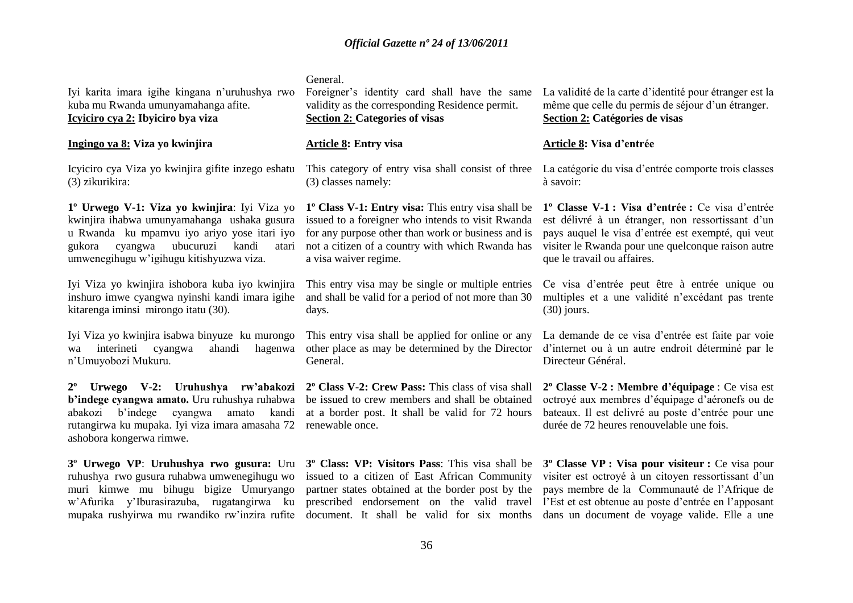General.

Iyi karita imara igihe kingana n"uruhushya rwo kuba mu Rwanda umunyamahanga afite. **Icyiciro cya 2: Ibyiciro bya viza**

### **Ingingo ya 8: Viza yo kwinjira**

Icyiciro cya Viza yo kwinjira gifite inzego eshatu (3) zikurikira:

**1º Urwego V-1: Viza yo kwinjira**: Iyi Viza yo kwinjira ihabwa umunyamahanga ushaka gusura u Rwanda ku mpamvu iyo ariyo yose itari iyo gukora cyangwa ubucuruzi kandi atari umwenegihugu w"igihugu kitishyuzwa viza.

Iyi Viza yo kwinjira ishobora kuba iyo kwinjira inshuro imwe cyangwa nyinshi kandi imara igihe kitarenga iminsi mirongo itatu (30).

Iyi Viza yo kwinjira isabwa binyuze ku murongo wa interineti cyangwa ahandi hagenwa n"Umuyobozi Mukuru.

**2º Urwego V-2: Uruhushya rw'abakozi b'indege cyangwa amato.** Uru ruhushya ruhabwa abakozi b"indege cyangwa amato kandi rutangirwa ku mupaka. Iyi viza imara amasaha 72 ashobora kongerwa rimwe.

**3º Urwego VP**: **Uruhushya rwo gusura:** Uru **3º Class: VP: Visitors Pass**: This visa shall be **3º Classe VP : Visa pour visiteur :** Ce visa pour ruhushya rwo gusura ruhabwa umwenegihugu wo muri kimwe mu bihugu bigize Umuryango

Foreigner's identity card shall have the same validity as the corresponding Residence permit. **Section 2: Categories of visas**

### **Article 8: Entry visa**

(3) classes namely:

**1º Class V-1: Entry visa:** This entry visa shall be issued to a foreigner who intends to visit Rwanda for any purpose other than work or business and is not a citizen of a country with which Rwanda has a visa waiver regime.

This entry visa may be single or multiple entries and shall be valid for a period of not more than 30 days.

This entry visa shall be applied for online or any other place as may be determined by the Director General.

**2º Class V-2: Crew Pass:** This class of visa shall be issued to crew members and shall be obtained at a border post. It shall be valid for 72 hours renewable once.

w'Afurika y'Iburasirazuba, rugatangirwa ku prescribed endorsement on the valid travel l'Est et est-obtenue au-poste-d'entrée en l'apposant issued to a citizen of East African Community partner states obtained at the border post by the pays membre de la Communauté de l"Afrique de

La validité de la carte d"identité pour étranger est la même que celle du permis de séjour d'un étranger. **Section 2: Catégories de visas**

### **Article 8: Visa d'entrée**

This category of entry visa shall consist of three La catégorie du visa d'entrée comporte trois classes à savoir:

> **1º Classe V-1 : Visa d'entrée :** Ce visa d"entrée est délivré à un étranger, non ressortissant d'un pays auquel le visa d"entrée est exempté, qui veut visiter le Rwanda pour une quelconque raison autre que le travail ou affaires.

> Ce visa d"entrée peut être à entrée unique ou multiples et a une validité n"excédant pas trente (30) jours.

> La demande de ce visa d"entrée est faite par voie d"internet ou à un autre endroit déterminé par le Directeur Général.

> **2º Classe V-2 : Membre d'équipage** : Ce visa est octroyé aux membres d"équipage d"aéronefs ou de bateaux. Il est delivré au poste d"entrée pour une durée de 72 heures renouvelable une fois.

mupaka rushyirwa mu rwandiko rw'inzira rufite document. It shall be valid for six months dans un document de voyage valide. Elle a une visiter est octroyé à un citoyen ressortissant d'un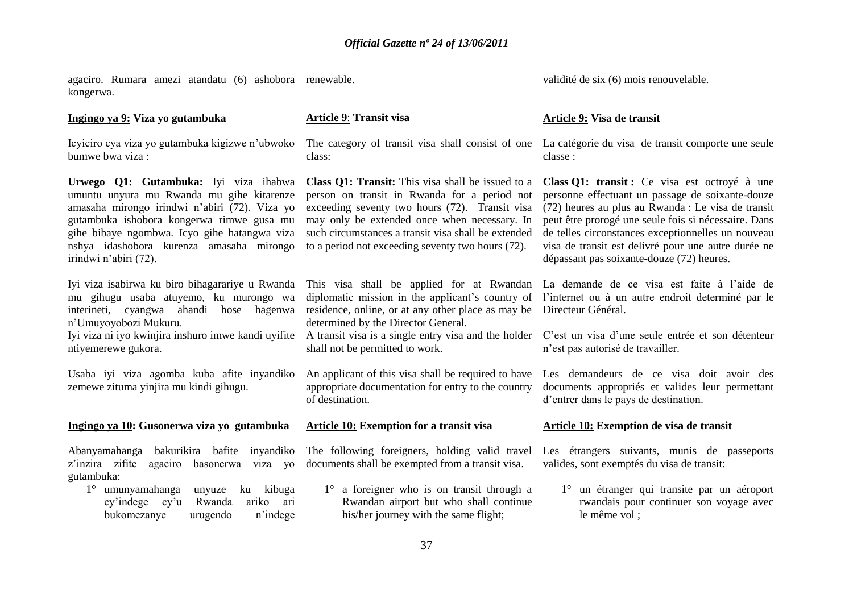agaciro. Rumara amezi atandatu (6) ashobora renewable. kongerwa.

#### **Ingingo ya 9: Viza yo gutambuka**

Icyiciro cya viza yo gutambuka kigizwe n"ubwoko bumwe bwa viza :

**Urwego Q1: Gutambuka:** Iyi viza ihabwa umuntu unyura mu Rwanda mu gihe kitarenze amasaha mirongo irindwi n"abiri (72). Viza yo gutambuka ishobora kongerwa rimwe gusa mu gihe bibaye ngombwa. Icyo gihe hatangwa viza nshya idashobora kurenza amasaha mirongo irindwi n"abiri (72).

Iyi viza isabirwa ku biro bihagarariye u Rwanda mu gihugu usaba atuyemo, ku murongo wa interineti, cyangwa ahandi hose hagenwa n"Umuyoyobozi Mukuru.

Iyi viza ni iyo kwinjira inshuro imwe kandi uyifite ntiyemerewe gukora.

Usaba iyi viza agomba kuba afite inyandiko zemewe zituma yinjira mu kindi gihugu.

#### **Ingingo ya 10: Gusonerwa viza yo gutambuka**

Abanyamahanga bakurikira bafite inyandiko z"inzira zifite agaciro basonerwa viza yo gutambuka:

1° umunyamahanga unyuze ku kibuga cy"indege cy"u Rwanda ariko ari bukomezanye urugendo n"indege

**Article 9**: **Transit visa**

class:

**Class Q1: Transit:** This visa shall be issued to a person on transit in Rwanda for a period not exceeding seventy two hours (72). Transit visa may only be extended once when necessary. In such circumstances a transit visa shall be extended to a period not exceeding seventy two hours (72).

residence, online, or at any other place as may be Directeur Général. determined by the Director General.

shall not be permitted to work.

appropriate documentation for entry to the country of destination.

#### **Article 10: Exemption for a transit visa**

The following foreigners, holding valid travel documents shall be exempted from a transit visa.

1° a foreigner who is on transit through a Rwandan airport but who shall continue his/her journey with the same flight;

validité de six (6) mois renouvelable.

#### **Article 9: Visa de transit**

The category of transit visa shall consist of one La catégorie du visa de transit comporte une seule classe :

> **Class Q1: transit :** Ce visa est octroyé à une personne effectuant un passage de soixante-douze (72) heures au plus au Rwanda : Le visa de transit peut être prorogé une seule fois si nécessaire. Dans de telles circonstances exceptionnelles un nouveau visa de transit est delivré pour une autre durée ne dépassant pas soixante-douze (72) heures.

This visa shall be applied for at Rwandan La demande de ce visa est faite à l"aide de diplomatic mission in the applicant's country of l'internet ou à un autre endroit determiné par le

A transit visa is a single entry visa and the holder C"est un visa d"une seule entrée et son détenteur n"est pas autorisé de travailler.

An applicant of this visa shall be required to have Les demandeurs de ce visa doit avoir des documents appropriés et valides leur permettant d"entrer dans le pays de destination.

#### **Article 10: Exemption de visa de transit**

Les étrangers suivants, munis de passeports valides, sont exemptés du visa de transit:

1° un étranger qui transite par un aéroport rwandais pour continuer son voyage avec le même vol ;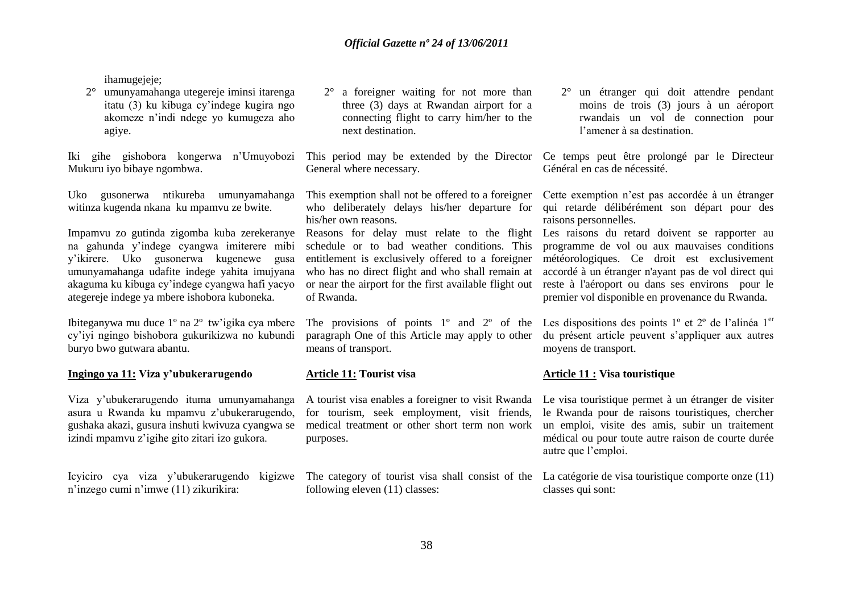ihamugejeje:

2° umunyamahanga utegereje iminsi itarenga itatu (3) ku kibuga cy"indege kugira ngo akomeze n"indi ndege yo kumugeza aho agiye.

Iki gihe gishobora kongerwa n"Umuyobozi Mukuru iyo bibaye ngombwa.

Uko gusonerwa ntikureba umunyamahanga witinza kugenda nkana ku mpamvu ze bwite.

Impamvu zo gutinda zigomba kuba zerekeranye na gahunda y"indege cyangwa imiterere mibi y"ikirere. Uko gusonerwa kugenewe gusa umunyamahanga udafite indege yahita imujyana akaguma ku kibuga cy"indege cyangwa hafi yacyo ategereje indege ya mbere ishobora kuboneka.

Ibiteganywa mu duce 1º na 2º tw"igika cya mbere cy"iyi ngingo bishobora gukurikizwa no kubundi buryo bwo gutwara abantu.

#### **Ingingo ya 11: Viza y'ubukerarugendo**

Viza y"ubukerarugendo ituma umunyamahanga asura u Rwanda ku mpamvu z"ubukerarugendo, gushaka akazi, gusura inshuti kwivuza cyangwa se izindi mpamvu z"igihe gito zitari izo gukora.

Icyiciro cya viza y'ubukerarugendo kigizwe The category of tourist visa shall consist of the La catégorie de visa touristique comporte onze (11) n"inzego cumi n"imwe (11) zikurikira:

2° a foreigner waiting for not more than three (3) days at Rwandan airport for a connecting flight to carry him/her to the next destination.

General where necessary.

This exemption shall not be offered to a foreigner his/her own reasons.

Reasons for delay must relate to the flight Les raisons du retard doivent se rapporter au schedule or to bad weather conditions. This entitlement is exclusively offered to a foreigner who has no direct flight and who shall remain at or near the airport for the first available flight out of Rwanda.

paragraph One of this Article may apply to other means of transport.

#### **Article 11: Tourist visa**

A tourist visa enables a foreigner to visit Rwanda for tourism, seek employment, visit friends, medical treatment or other short term non work purposes.

following eleven (11) classes:

2° un étranger qui doit attendre pendant moins de trois (3) jours à un aéroport rwandais un vol de connection pour l"amener à sa destination.

This period may be extended by the Director Ce temps peut être prolongé par le Directeur Général en cas de nécessité.

who deliberately delays his/her departure for qui retarde délibérément son départ pour des Cette exemption n"est pas accordée à un étranger raisons personnelles.

> programme de vol ou aux mauvaises conditions météorologiques. Ce droit est exclusivement accordé à un étranger n'ayant pas de vol direct qui reste à l'aéroport ou dans ses environs pour le premier vol disponible en provenance du Rwanda.

The provisions of points  $1^{\circ}$  and  $2^{\circ}$  of the Les dispositions des points  $1^{\circ}$  et  $2^{\circ}$  de l'alinéa  $1^{\circ}$ du présent article peuvent s"appliquer aux autres moyens de transport.

#### **Article 11 : Visa touristique**

Le visa touristique permet à un étranger de visiter le Rwanda pour de raisons touristiques, chercher un emploi, visite des amis, subir un traitement médical ou pour toute autre raison de courte durée autre que l"emploi.

classes qui sont: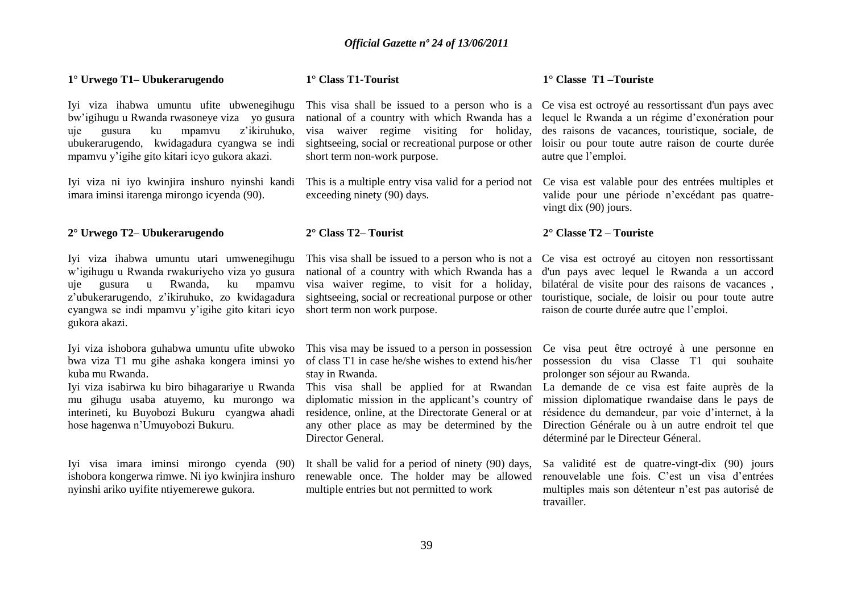| 1° Urwego T1– Ubukerarugendo                                                                                                                                                                                                                                                                      | 1° Class T1-Tourist                                                                                                                                                                                                                                                                                                                                     | $1^\circ$ Classe T1 - Touriste                                                                                                                                                                                                                                                                                                                                                |
|---------------------------------------------------------------------------------------------------------------------------------------------------------------------------------------------------------------------------------------------------------------------------------------------------|---------------------------------------------------------------------------------------------------------------------------------------------------------------------------------------------------------------------------------------------------------------------------------------------------------------------------------------------------------|-------------------------------------------------------------------------------------------------------------------------------------------------------------------------------------------------------------------------------------------------------------------------------------------------------------------------------------------------------------------------------|
| Iyi viza ihabwa umuntu ufite ubwenegihugu<br>bw'igihugu u Rwanda rwasoneye viza yo gusura<br>z'ikiruhuko,<br>ku<br>mpamvu<br>gusura<br>uje<br>ubukerarugendo, kwidagadura cyangwa se indi<br>mpamvu y'igihe gito kitari icyo gukora akazi.                                                        | This visa shall be issued to a person who is a<br>national of a country with which Rwanda has a<br>visa waiver regime visiting for holiday,<br>sightseeing, social or recreational purpose or other<br>short term non-work purpose.                                                                                                                     | Ce visa est octroyé au ressortissant d'un pays avec<br>lequel le Rwanda a un régime d'exonération pour<br>des raisons de vacances, touristique, sociale, de<br>loisir ou pour toute autre raison de courte durée<br>autre que l'emploi.                                                                                                                                       |
| Iyi viza ni iyo kwinjira inshuro nyinshi kandi<br>imara iminsi itarenga mirongo icyenda (90).                                                                                                                                                                                                     | This is a multiple entry visa valid for a period not<br>exceeding ninety (90) days.                                                                                                                                                                                                                                                                     | Ce visa est valable pour des entrées multiples et<br>valide pour une période n'excédant pas quatre-<br>vingt dix $(90)$ jours.                                                                                                                                                                                                                                                |
| 2° Urwego T2– Ubukerarugendo                                                                                                                                                                                                                                                                      | $2^{\circ}$ Class T2– Tourist                                                                                                                                                                                                                                                                                                                           | $2^{\circ}$ Classe T2 – Touriste                                                                                                                                                                                                                                                                                                                                              |
| Iyi viza ihabwa umuntu utari umwenegihugu<br>w'igihugu u Rwanda rwakuriyeho viza yo gusura<br>Rwanda,<br>ku<br>gusura<br>$\mathbf u$<br>mpamvu<br>uje<br>z'ubukerarugendo, z'ikiruhuko, zo kwidagadura<br>cyangwa se indi mpamvu y'igihe gito kitari icyo<br>gukora akazi.                        | This visa shall be issued to a person who is not a<br>national of a country with which Rwanda has a<br>visa waiver regime, to visit for a holiday,<br>sightseeing, social or recreational purpose or other<br>short term non work purpose.                                                                                                              | Ce visa est octroyé au citoyen non ressortissant<br>d'un pays avec lequel le Rwanda a un accord<br>bilatéral de visite pour des raisons de vacances,<br>touristique, sociale, de loisir ou pour toute autre<br>raison de courte durée autre que l'emploi.                                                                                                                     |
| Iyi viza ishobora guhabwa umuntu ufite ubwoko<br>bwa viza T1 mu gihe ashaka kongera iminsi yo<br>kuba mu Rwanda.<br>Iyi viza isabirwa ku biro bihagarariye u Rwanda<br>mu gihugu usaba atuyemo, ku murongo wa<br>interineti, ku Buyobozi Bukuru cyangwa ahadi<br>hose hagenwa n'Umuyobozi Bukuru. | This visa may be issued to a person in possession<br>of class T1 in case he/she wishes to extend his/her<br>stay in Rwanda.<br>This visa shall be applied for at Rwandan<br>diplomatic mission in the applicant's country of<br>residence, online, at the Directorate General or at<br>any other place as may be determined by the<br>Director General. | Ce visa peut être octroyé à une personne en<br>possession du visa Classe T1 qui souhaite<br>prolonger son séjour au Rwanda.<br>La demande de ce visa est faite auprès de la<br>mission diplomatique rwandaise dans le pays de<br>résidence du demandeur, par voie d'internet, à la<br>Direction Générale ou à un autre endroit tel que<br>déterminé par le Directeur Géneral. |
| Iyi visa imara iminsi mirongo cyenda (90)<br>ishobora kongerwa rimwe. Ni iyo kwinjira inshuro<br>nyinshi ariko uyifite ntiyemerewe gukora.                                                                                                                                                        | It shall be valid for a period of ninety (90) days,<br>renewable once. The holder may be allowed<br>multiple entries but not permitted to work                                                                                                                                                                                                          | Sa validité est de quatre-vingt-dix (90) jours<br>renouvelable une fois. C'est un visa d'entrées<br>multiples mais son détenteur n'est pas autorisé de<br>travailler.                                                                                                                                                                                                         |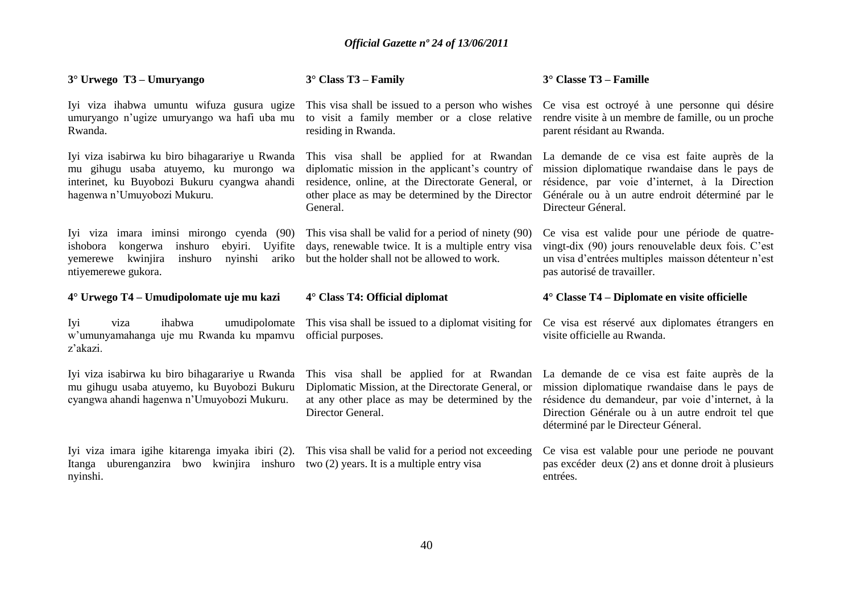| $3^\circ$ Urwego T3 – Umuryango                                                                                                                                               | $3^\circ$ Class T3 – Family                                                                                                                                                                                        | $3^\circ$ Classe T3 – Famille                                                                                                                                                                                                                  |
|-------------------------------------------------------------------------------------------------------------------------------------------------------------------------------|--------------------------------------------------------------------------------------------------------------------------------------------------------------------------------------------------------------------|------------------------------------------------------------------------------------------------------------------------------------------------------------------------------------------------------------------------------------------------|
| Iyi viza ihabwa umuntu wifuza gusura ugize<br>umuryango n'ugize umuryango wa hafi uba mu<br>Rwanda.                                                                           | This visa shall be issued to a person who wishes<br>to visit a family member or a close relative<br>residing in Rwanda.                                                                                            | Ce visa est octroyé à une personne qui désire<br>rendre visite à un membre de famille, ou un proche<br>parent résidant au Rwanda.                                                                                                              |
| Iyi viza isabirwa ku biro bihagarariye u Rwanda<br>mu gihugu usaba atuyemo, ku murongo wa<br>interinet, ku Buyobozi Bukuru cyangwa ahandi<br>hagenwa n'Umuyobozi Mukuru.      | This visa shall be applied for at Rwandan<br>diplomatic mission in the applicant's country of<br>residence, online, at the Directorate General, or<br>other place as may be determined by the Director<br>General. | La demande de ce visa est faite auprès de la<br>mission diplomatique rwandaise dans le pays de<br>résidence, par voie d'internet, à la Direction<br>Générale ou à un autre endroit déterminé par le<br>Directeur Géneral.                      |
| Iyi viza imara iminsi mirongo cyenda (90)<br>ishobora kongerwa<br>inshuro<br>ebyiri.<br>Uyifite<br>kwinjira<br>nyinshi<br>ariko<br>inshuro<br>yemerewe<br>ntiyemerewe gukora. | This visa shall be valid for a period of ninety (90)<br>days, renewable twice. It is a multiple entry visa<br>but the holder shall not be allowed to work.                                                         | Ce visa est valide pour une période de quatre-<br>vingt-dix (90) jours renouvelable deux fois. C'est<br>un visa d'entrées multiples maisson détenteur n'est<br>pas autorisé de travailler.                                                     |
|                                                                                                                                                                               |                                                                                                                                                                                                                    |                                                                                                                                                                                                                                                |
| 4° Urwego T4 – Umudipolomate uje mu kazi                                                                                                                                      | $4^\circ$ Class T4: Official diplomat                                                                                                                                                                              | $4^{\circ}$ Classe T4 – Diplomate en visite officielle                                                                                                                                                                                         |
| Iyi<br>ihabwa<br>viza<br>w'umunyamahanga uje mu Rwanda ku mpamvu<br>z'akazi.                                                                                                  | umudipolomate This visa shall be issued to a diplomat visiting for<br>official purposes.                                                                                                                           | Ce visa est réservé aux diplomates étrangers en<br>visite officielle au Rwanda.                                                                                                                                                                |
| Iyi viza isabirwa ku biro bihagarariye u Rwanda<br>mu gihugu usaba atuyemo, ku Buyobozi Bukuru<br>cyangwa ahandi hagenwa n'Umuyobozi Mukuru.                                  | This visa shall be applied for at Rwandan<br>Diplomatic Mission, at the Directorate General, or<br>at any other place as may be determined by the<br>Director General.                                             | La demande de ce visa est faite auprès de la<br>mission diplomatique rwandaise dans le pays de<br>résidence du demandeur, par voie d'internet, à la<br>Direction Générale ou à un autre endroit tel que<br>déterminé par le Directeur Géneral. |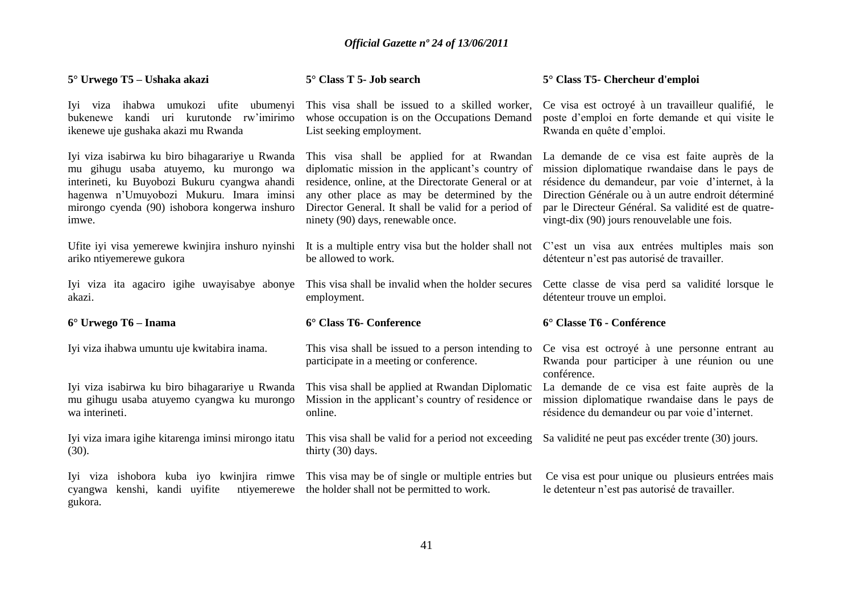| 5° Urwego T5 – Ushaka akazi                                                                                                                                                                                                                      | $5^\circ$ Class T 5- Job search                                                                                                                                                                                                                                                                 | 5° Class T5- Chercheur d'emploi                                                                                                                                                                                                                                                                                  |
|--------------------------------------------------------------------------------------------------------------------------------------------------------------------------------------------------------------------------------------------------|-------------------------------------------------------------------------------------------------------------------------------------------------------------------------------------------------------------------------------------------------------------------------------------------------|------------------------------------------------------------------------------------------------------------------------------------------------------------------------------------------------------------------------------------------------------------------------------------------------------------------|
| Iyi viza ihabwa umukozi ufite ubumenyi<br>kandi uri kurutonde rw'imirimo<br>bukenewe<br>ikenewe uje gushaka akazi mu Rwanda                                                                                                                      | This visa shall be issued to a skilled worker,<br>whose occupation is on the Occupations Demand<br>List seeking employment.                                                                                                                                                                     | Ce visa est octroyé à un travailleur qualifié, le<br>poste d'emploi en forte demande et qui visite le<br>Rwanda en quête d'emploi.                                                                                                                                                                               |
| Iyi viza isabirwa ku biro bihagarariye u Rwanda<br>mu gihugu usaba atuyemo, ku murongo wa<br>interineti, ku Buyobozi Bukuru cyangwa ahandi<br>hagenwa n'Umuyobozi Mukuru. Imara iminsi<br>mirongo cyenda (90) ishobora kongerwa inshuro<br>imwe. | This visa shall be applied for at Rwandan<br>diplomatic mission in the applicant's country of<br>residence, online, at the Directorate General or at<br>any other place as may be determined by the<br>Director General. It shall be valid for a period of<br>ninety (90) days, renewable once. | La demande de ce visa est faite auprès de la<br>mission diplomatique rwandaise dans le pays de<br>résidence du demandeur, par voie d'internet, à la<br>Direction Générale ou à un autre endroit déterminé<br>par le Directeur Général. Sa validité est de quatre-<br>vingt-dix (90) jours renouvelable une fois. |
| Ufite iyi visa yemerewe kwinjira inshuro nyinshi<br>ariko ntiyemerewe gukora                                                                                                                                                                     | It is a multiple entry visa but the holder shall not<br>be allowed to work.                                                                                                                                                                                                                     | C'est un visa aux entrées multiples mais son<br>détenteur n'est pas autorisé de travailler.                                                                                                                                                                                                                      |
| Iyi viza ita agaciro igihe uwayisabye abonye<br>akazi.                                                                                                                                                                                           | This visa shall be invalid when the holder secures<br>employment.                                                                                                                                                                                                                               | Cette classe de visa perd sa validité lorsque le<br>détenteur trouve un emploi.                                                                                                                                                                                                                                  |
| $6^{\circ}$ Urwego T6 – Inama                                                                                                                                                                                                                    | 6° Class T6- Conference                                                                                                                                                                                                                                                                         | 6° Classe T6 - Conférence                                                                                                                                                                                                                                                                                        |
| Iyi viza ihabwa umuntu uje kwitabira inama.                                                                                                                                                                                                      | This visa shall be issued to a person intending to<br>participate in a meeting or conference.                                                                                                                                                                                                   | Ce visa est octroyé à une personne entrant au<br>Rwanda pour participer à une réunion ou une<br>conférence.                                                                                                                                                                                                      |
| Iyi viza isabirwa ku biro bihagarariye u Rwanda<br>mu gihugu usaba atuyemo cyangwa ku murongo<br>wa interineti.                                                                                                                                  | This visa shall be applied at Rwandan Diplomatic<br>Mission in the applicant's country of residence or<br>online.                                                                                                                                                                               | La demande de ce visa est faite auprès de la<br>mission diplomatique rwandaise dans le pays de<br>résidence du demandeur ou par voie d'internet.                                                                                                                                                                 |
| Iyi viza imara igihe kitarenga iminsi mirongo itatu<br>(30).                                                                                                                                                                                     | This visa shall be valid for a period not exceeding<br>thirty (30) days.                                                                                                                                                                                                                        | Sa validité ne peut pas excéder trente (30) jours.                                                                                                                                                                                                                                                               |
| Iyi viza ishobora kuba iyo kwinjira rimwe This visa may be of single or multiple entries but<br>kenshi, kandi uyifite<br>ntiyemerewe<br>cyangwa<br>gukora.                                                                                       | the holder shall not be permitted to work.                                                                                                                                                                                                                                                      | Ce visa est pour unique ou plusieurs entrées mais<br>le detenteur n'est pas autorisé de travailler.                                                                                                                                                                                                              |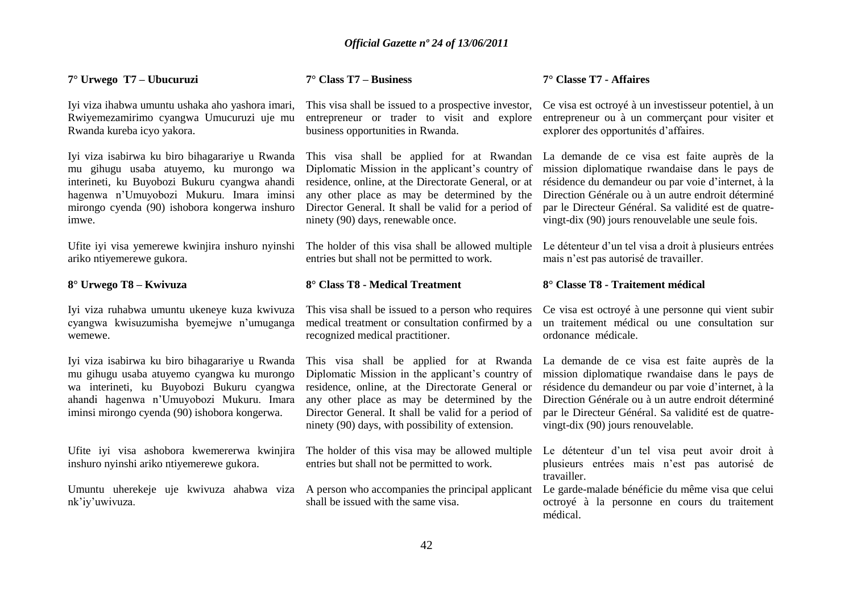#### **7° Urwego T7 – Ubucuruzi**

Iyi viza ihabwa umuntu ushaka aho yashora imari, Rwiyemezamirimo cyangwa Umucuruzi uje mu Rwanda kureba icyo yakora.

Iyi viza isabirwa ku biro bihagarariye u Rwanda mu gihugu usaba atuyemo, ku murongo wa interineti, ku Buyobozi Bukuru cyangwa ahandi hagenwa n"Umuyobozi Mukuru. Imara iminsi mirongo cyenda (90) ishobora kongerwa inshuro imwe.

Ufite iyi visa yemerewe kwinjira inshuro nyinshi ariko ntiyemerewe gukora.

#### **8° Urwego T8 – Kwivuza**

Iyi viza ruhabwa umuntu ukeneye kuza kwivuza cyangwa kwisuzumisha byemejwe n"umuganga wemewe.

Iyi viza isabirwa ku biro bihagarariye u Rwanda mu gihugu usaba atuyemo cyangwa ku murongo wa interineti, ku Buyobozi Bukuru cyangwa ahandi hagenwa n"Umuyobozi Mukuru. Imara iminsi mirongo cyenda (90) ishobora kongerwa.

Ufite iyi visa ashobora kwemererwa kwinjira inshuro nyinshi ariko ntiyemerewe gukora.

Umuntu uherekeje uje kwivuza ahabwa viza A person who accompanies the principal applicant nk"iy"uwivuza.

#### **7° Class T7 – Business**

This visa shall be issued to a prospective investor, entrepreneur or trader to visit and explore business opportunities in Rwanda.

This visa shall be applied for at Rwandan Diplomatic Mission in the applicant's country of residence, online, at the Directorate General, or at any other place as may be determined by the Director General. It shall be valid for a period of ninety (90) days, renewable once.

The holder of this visa shall be allowed multiple entries but shall not be permitted to work.

#### **8° Class T8 - Medical Treatment**

This visa shall be issued to a person who requires medical treatment or consultation confirmed by a recognized medical practitioner.

This visa shall be applied for at Rwanda Diplomatic Mission in the applicant's country of residence, online, at the Directorate General or any other place as may be determined by the Director General. It shall be valid for a period of ninety (90) days, with possibility of extension.

The holder of this visa may be allowed multiple entries but shall not be permitted to work.

shall be issued with the same visa.

#### **7° Classe T7 - Affaires**

Ce visa est octroyé à un investisseur potentiel, à un entrepreneur ou à un commerçant pour visiter et explorer des opportunités d"affaires.

La demande de ce visa est faite auprès de la mission diplomatique rwandaise dans le pays de résidence du demandeur ou par voie d"internet, à la Direction Générale ou à un autre endroit déterminé par le Directeur Général. Sa validité est de quatrevingt-dix (90) jours renouvelable une seule fois.

Le détenteur d'un tel visa a droit à plusieurs entrées mais n"est pas autorisé de travailler.

#### **8° Classe T8 - Traitement médical**

Ce visa est octroyé à une personne qui vient subir un traitement médical ou une consultation sur ordonance médicale.

La demande de ce visa est faite auprès de la mission diplomatique rwandaise dans le pays de résidence du demandeur ou par voie d"internet, à la Direction Générale ou à un autre endroit déterminé par le Directeur Général. Sa validité est de quatrevingt-dix (90) jours renouvelable.

Le détenteur d'un tel visa peut avoir droit à plusieurs entrées mais n"est pas autorisé de travailler.

Le garde-malade bénéficie du même visa que celui octroyé à la personne en cours du traitement médical.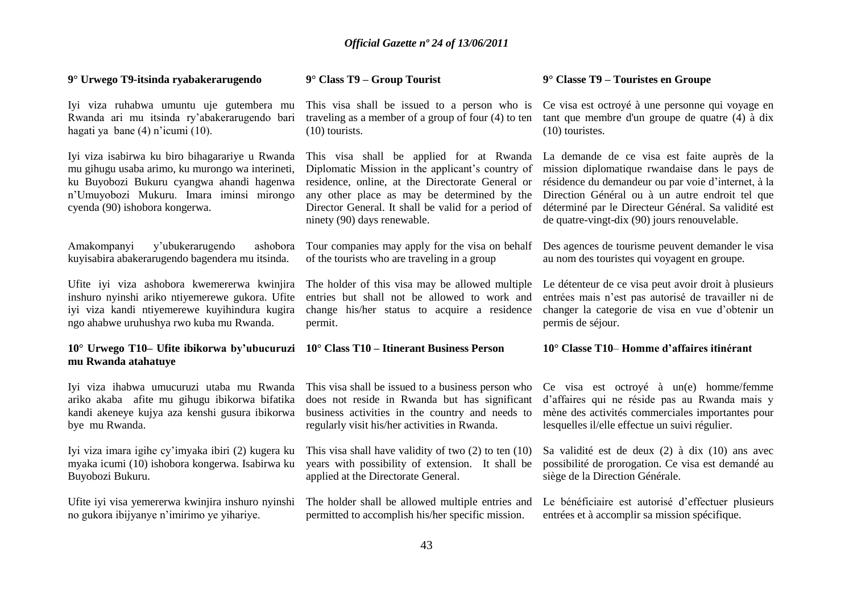#### **9° Urwego T9-itsinda ryabakerarugendo**

Iyi viza ruhabwa umuntu uje gutembera mu Rwanda ari mu itsinda ry"abakerarugendo bari hagati ya bane (4) n"icumi (10).

Iyi viza isabirwa ku biro bihagarariye u Rwanda mu gihugu usaba arimo, ku murongo wa interineti, ku Buyobozi Bukuru cyangwa ahandi hagenwa n"Umuyobozi Mukuru. Imara iminsi mirongo cyenda (90) ishobora kongerwa.

Amakompanyi y"ubukerarugendo ashobora kuyisabira abakerarugendo bagendera mu itsinda.

Ufite iyi viza ashobora kwemererwa kwinjira inshuro nyinshi ariko ntiyemerewe gukora. Ufite iyi viza kandi ntiyemerewe kuyihindura kugira ngo ahabwe uruhushya rwo kuba mu Rwanda.

#### **10° Urwego T10– Ufite ibikorwa by'ubucuruzi 10° Class T10 – Itinerant Business Person mu Rwanda atahatuye**

Iyi viza ihabwa umucuruzi utaba mu Rwanda ariko akaba afite mu gihugu ibikorwa bifatika kandi akeneye kujya aza kenshi gusura ibikorwa bye mu Rwanda.

Iyi viza imara igihe cy"imyaka ibiri (2) kugera ku myaka icumi (10) ishobora kongerwa. Isabirwa ku Buyobozi Bukuru.

Ufite iyi visa yemererwa kwinjira inshuro nyinshi no gukora ibijyanye n"imirimo ye yihariye.

#### **9° Class T9 – Group Tourist**

traveling as a member of a group of four (4) to ten (10) tourists.

This visa shall be applied for at Rwanda Diplomatic Mission in the applicant's country of residence, online, at the Directorate General or any other place as may be determined by the Director General. It shall be valid for a period of ninety (90) days renewable.

Tour companies may apply for the visa on behalf of the tourists who are traveling in a group

The holder of this visa may be allowed multiple entries but shall not be allowed to work and change his/her status to acquire a residence permit.

This visa shall be issued to a business person who does not reside in Rwanda but has significant business activities in the country and needs to regularly visit his/her activities in Rwanda.

This visa shall have validity of two (2) to ten (10) years with possibility of extension. It shall be applied at the Directorate General.

The holder shall be allowed multiple entries and permitted to accomplish his/her specific mission.

#### **9° Classe T9 – Touristes en Groupe**

This visa shall be issued to a person who is Ce visa est octroyé à une personne qui voyage en tant que membre d'un groupe de quatre (4) à dix (10) touristes.

> La demande de ce visa est faite auprès de la mission diplomatique rwandaise dans le pays de résidence du demandeur ou par voie d"internet, à la Direction Général ou à un autre endroit tel que déterminé par le Directeur Général. Sa validité est de quatre-vingt-dix (90) jours renouvelable.

> Des agences de tourisme peuvent demander le visa au nom des touristes qui voyagent en groupe.

> Le détenteur de ce visa peut avoir droit à plusieurs entrées mais n"est pas autorisé de travailler ni de changer la categorie de visa en vue d"obtenir un permis de séjour.

#### **10° Classe T10**– **Homme d'affaires itinérant**

Ce visa est octroyé à un(e) homme/femme d"affaires qui ne réside pas au Rwanda mais y mène des activités commerciales importantes pour lesquelles il/elle effectue un suivi régulier.

Sa validité est de deux (2) à dix (10) ans avec possibilité de prorogation. Ce visa est demandé au siège de la Direction Générale.

Le bénéficiaire est autorisé d"effectuer plusieurs entrées et à accomplir sa mission spécifique.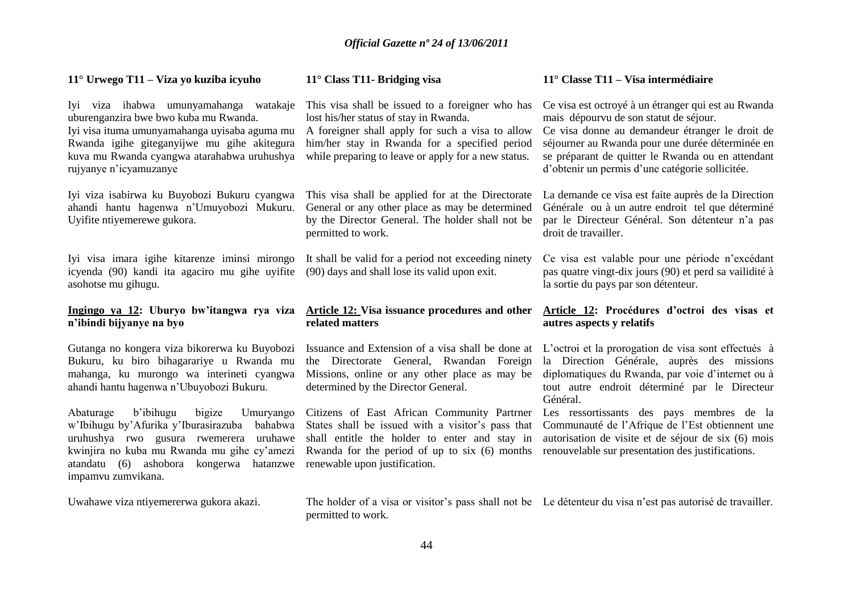| $11^{\circ}$ Urwego T11 – Viza yo kuziba icyuho                                                                                                                                                                                                          | $11^{\circ}$ Class T11- Bridging visa                                                                                                                                                                                                                  | $11^{\circ}$ Classe T11 – Visa intermédiaire                                                                                                                                                                                                                                                                 |
|----------------------------------------------------------------------------------------------------------------------------------------------------------------------------------------------------------------------------------------------------------|--------------------------------------------------------------------------------------------------------------------------------------------------------------------------------------------------------------------------------------------------------|--------------------------------------------------------------------------------------------------------------------------------------------------------------------------------------------------------------------------------------------------------------------------------------------------------------|
| Iyi viza ihabwa umunyamahanga watakaje<br>uburenganzira bwe bwo kuba mu Rwanda.<br>Iyi visa ituma umunyamahanga uyisaba aguma mu<br>Rwanda igihe giteganyijwe mu gihe akitegura<br>kuva mu Rwanda cyangwa atarahabwa uruhushya<br>rujyanye n'icyamuzanye | This visa shall be issued to a foreigner who has<br>lost his/her status of stay in Rwanda.<br>A foreigner shall apply for such a visa to allow<br>him/her stay in Rwanda for a specified period<br>while preparing to leave or apply for a new status. | Ce visa est octroyé à un étranger qui est au Rwanda<br>mais dépourvu de son statut de séjour.<br>Ce visa donne au demandeur étranger le droit de<br>séjourner au Rwanda pour une durée déterminée en<br>se préparant de quitter le Rwanda ou en attendant<br>d'obtenir un permis d'une catégorie sollicitée. |
| Iyi viza isabirwa ku Buyobozi Bukuru cyangwa<br>ahandi hantu hagenwa n'Umuyobozi Mukuru.<br>Uyifite ntiyemerewe gukora.                                                                                                                                  | This visa shall be applied for at the Directorate<br>General or any other place as may be determined<br>by the Director General. The holder shall not be<br>permitted to work.                                                                         | La demande ce visa est faite auprès de la Direction<br>Générale ou à un autre endroit tel que déterminé<br>par le Directeur Général. Son détenteur n'a pas<br>droit de travailler.                                                                                                                           |
| Iyi visa imara igihe kitarenze iminsi mirongo<br>icyenda (90) kandi ita agaciro mu gihe uyifite                                                                                                                                                          | It shall be valid for a period not exceeding ninety<br>(90) days and shall lose its valid upon exit.                                                                                                                                                   | Ce visa est valable pour une période n'excédant<br>pas quatre vingt-dix jours (90) et perd sa vailidité à                                                                                                                                                                                                    |
| asohotse mu gihugu.                                                                                                                                                                                                                                      |                                                                                                                                                                                                                                                        | la sortie du pays par son détenteur.                                                                                                                                                                                                                                                                         |
| Ingingo ya 12: Uburyo bw'itangwa rya viza<br>n'ibindi bijyanye na byo                                                                                                                                                                                    | Article 12: Visa issuance procedures and other<br>related matters                                                                                                                                                                                      | Article 12: Procédures d'octroi des visas et<br>autres aspects y relatifs                                                                                                                                                                                                                                    |
| Gutanga no kongera viza bikorerwa ku Buyobozi<br>Bukuru, ku biro bihagarariye u Rwanda mu<br>mahanga, ku murongo wa interineti cyangwa<br>ahandi hantu hagenwa n'Ubuyobozi Bukuru.                                                                       | Issuance and Extension of a visa shall be done at<br>the Directorate General, Rwandan Foreign<br>Missions, online or any other place as may be<br>determined by the Director General.                                                                  | L'octroi et la prorogation de visa sont effectués à<br>la Direction Générale, auprès des missions<br>diplomatiques du Rwanda, par voie d'internet ou à<br>tout autre endroit déterminé par le Directeur<br>Général.                                                                                          |

Uwahawe viza ntiyemererwa gukora akazi.

The holder of a visa or visitor's pass shall not be Le détenteur du visa n'est pas autorisé de travailler. permitted to work.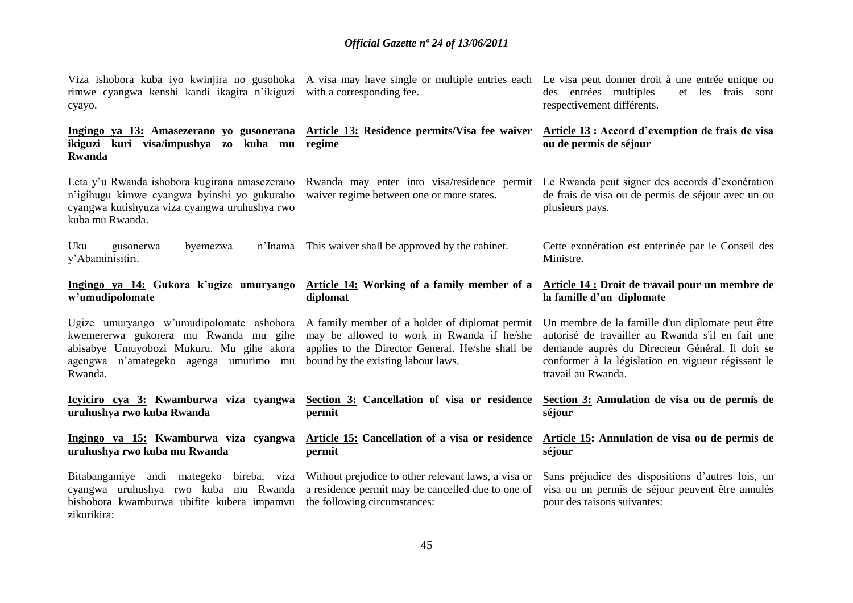| rimwe cyangwa kenshi kandi ikagira n'ikiguzi with a corresponding fee.<br>cyayo.                                                                                                                                                 | Viza ishobora kuba iyo kwinjira no gusohoka A visa may have single or multiple entries each Le visa peut donner droit à une entrée unique ou | des entrées multiples<br>et les<br>frais sont<br>respectivement différents.                                                                                                                                                          |
|----------------------------------------------------------------------------------------------------------------------------------------------------------------------------------------------------------------------------------|----------------------------------------------------------------------------------------------------------------------------------------------|--------------------------------------------------------------------------------------------------------------------------------------------------------------------------------------------------------------------------------------|
| ikiguzi kuri visa/impushya zo kuba mu regime<br><b>Rwanda</b>                                                                                                                                                                    | Ingingo ya 13: Amasezerano yo gusonerana Article 13: Residence permits/Visa fee waiver                                                       | Article 13 : Accord d'exemption de frais de visa<br>ou de permis de séjour                                                                                                                                                           |
| Leta y'u Rwanda ishobora kugirana amasezerano<br>n'igihugu kimwe cyangwa byinshi yo gukuraho<br>cyangwa kutishyuza viza cyangwa uruhushya rwo<br>kuba mu Rwanda.                                                                 | waiver regime between one or more states.                                                                                                    | Rwanda may enter into visa/residence permit Le Rwanda peut signer des accords d'exonération<br>de frais de visa ou de permis de séjour avec un ou<br>plusieurs pays.                                                                 |
| Uku<br>byemezwa<br>gusonerwa<br>y'Abaminisitiri.                                                                                                                                                                                 | n'Inama This waiver shall be approved by the cabinet.                                                                                        | Cette exonération est enterinée par le Conseil des<br>Ministre.                                                                                                                                                                      |
| Ingingo ya 14: Gukora k'ugize umuryango<br>w'umudipolomate                                                                                                                                                                       | Article 14: Working of a family member of a<br>diplomat                                                                                      | Article 14 : Droit de travail pour un membre de<br>la famille d'un diplomate                                                                                                                                                         |
| Ugize umuryango w'umudipolomate ashobora A family member of a holder of diplomat permit<br>kwemererwa gukorera mu Rwanda mu gihe<br>abisabye Umuyobozi Mukuru. Mu gihe akora<br>agengwa n'amategeko agenga umurimo mu<br>Rwanda. | may be allowed to work in Rwanda if he/she<br>applies to the Director General. He/she shall be<br>bound by the existing labour laws.         | Un membre de la famille d'un diplomate peut être<br>autorisé de travailler au Rwanda s'il en fait une<br>demande auprès du Directeur Général. Il doit se<br>conformer à la législation en vigueur régissant le<br>travail au Rwanda. |
| Icyiciro cya 3: Kwamburwa viza cyangwa<br>uruhushya rwo kuba Rwanda                                                                                                                                                              | Section 3: Cancellation of visa or residence                                                                                                 | Section 3: Annulation de visa ou de permis de                                                                                                                                                                                        |
|                                                                                                                                                                                                                                  | permit                                                                                                                                       | séjour                                                                                                                                                                                                                               |
| Ingingo ya 15: Kwamburwa viza cyangwa<br>uruhushya rwo kuba mu Rwanda                                                                                                                                                            | <b>Article 15: Cancellation of a visa or residence</b><br>permit                                                                             | Article 15: Annulation de visa ou de permis de<br>séjour                                                                                                                                                                             |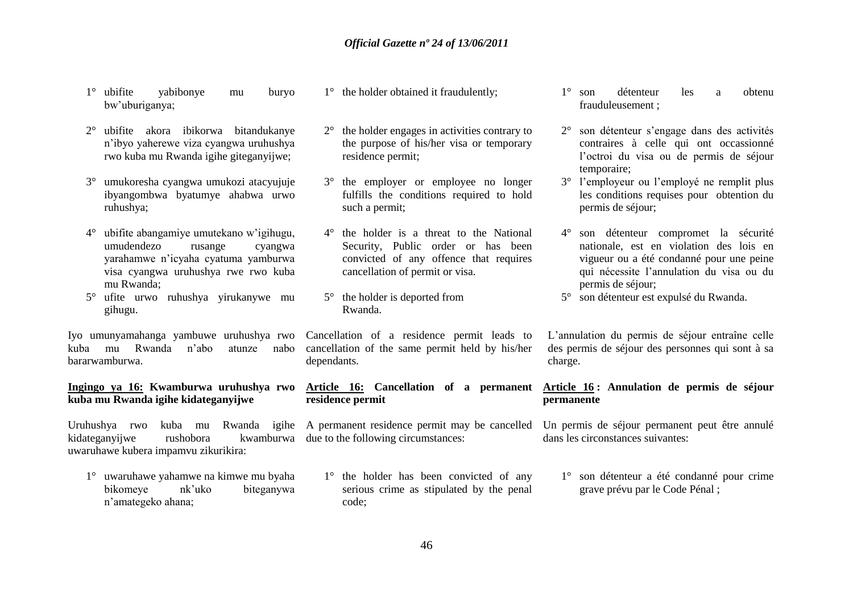- 1° ubifite yabibonye mu buryo bw"uburiganya;
- 2° ubifite akora ibikorwa bitandukanye n"ibyo yaherewe viza cyangwa uruhushya rwo kuba mu Rwanda igihe giteganyijwe;
- 3° umukoresha cyangwa umukozi atacyujuje ibyangombwa byatumye ahabwa urwo ruhushya;
- 4° ubifite abangamiye umutekano w"igihugu, umudendezo rusange cyangwa yarahamwe n"icyaha cyatuma yamburwa visa cyangwa uruhushya rwe rwo kuba mu Rwanda;
- 5° ufite urwo ruhushya yirukanywe mu gihugu.

Iyo umunyamahanga yambuwe uruhushya rwo kuba mu Rwanda n"abo atunze nabo bararwamburwa.

#### **Ingingo ya 16: Kwamburwa uruhushya rwo kuba mu Rwanda igihe kidateganyijwe**

kidateganyijwe rushobora uwaruhawe kubera impamvu zikurikira:

1° uwaruhawe yahamwe na kimwe mu byaha bikomeye nk"uko biteganywa n"amategeko ahana;

- 1° the holder obtained it fraudulently;
- 2° the holder engages in activities contrary to the purpose of his/her visa or temporary residence permit;
- 3° the employer or employee no longer fulfills the conditions required to hold such a permit;
- 4° the holder is a threat to the National Security, Public order or has been convicted of any offence that requires cancellation of permit or visa.
- 5° the holder is deported from Rwanda.

Cancellation of a residence permit leads to cancellation of the same permit held by his/her dependants.

#### **Article 16: Cancellation of a permanent residence permit**

kwamburwa due to the following circumstances:

1° the holder has been convicted of any serious crime as stipulated by the penal code;

- 1° son détenteur les a obtenu frauduleusement ;
- 2° son détenteur s"engage dans des activités contraires à celle qui ont occassionné l"octroi du visa ou de permis de séjour temporaire;
- 3° l"employeur ou l"employé ne remplit plus les conditions requises pour obtention du permis de séjour;
- 4° son détenteur compromet la sécurité nationale, est en violation des lois en vigueur ou a été condanné pour une peine qui nécessite l"annulation du visa ou du permis de séjour;
- 5° son détenteur est expulsé du Rwanda.

L"annulation du permis de séjour entraîne celle des permis de séjour des personnes qui sont à sa charge.

#### **Article 16 : Annulation de permis de séjour permanente**

Uruhushya rwo kuba mu Rwanda igihe A permanent residence permit may be cancelled Un permis de séjour permanent peut être annulé dans les circonstances suivantes:

> 1° son détenteur a été condanné pour crime grave prévu par le Code Pénal ;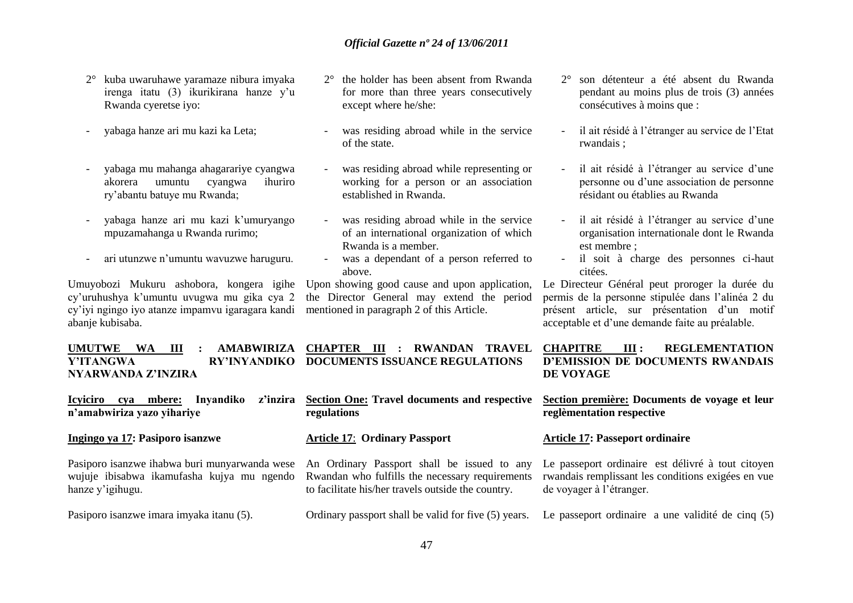- 2° kuba uwaruhawe yaramaze nibura imyaka irenga itatu (3) ikurikirana hanze y"u Rwanda cyeretse iyo:
- yabaga hanze ari mu kazi ka Leta;
- yabaga mu mahanga ahagarariye cyangwa akorera umuntu cyangwa ihuriro ry"abantu batuye mu Rwanda;
- yabaga hanze ari mu kazi k"umuryango mpuzamahanga u Rwanda rurimo;
- ari utunzwe n"umuntu wavuzwe haruguru.

Umuyobozi Mukuru ashobora, kongera igihe cy"uruhushya k"umuntu uvugwa mu gika cya 2 cy"iyi ngingo iyo atanze impamvu igaragara kandi abanje kubisaba.

**UMUTWE WA III : AMABWIRIZA CHAPTER III : RWANDAN TRAVEL Y'ITANGWA RY'INYANDIKO DOCUMENTS ISSUANCE REGULATIONS NYARWANDA Z'INZIRA** 

**Icyiciro cya mbere: Inyandiko z'inzira n'amabwiriza yazo yihariye**

**Ingingo ya 17: Pasiporo isanzwe** 

Pasiporo isanzwe ihabwa buri munyarwanda wese wujuje ibisabwa ikamufasha kujya mu ngendo hanze y"igihugu.

Pasiporo isanzwe imara imyaka itanu (5).

- 2° the holder has been absent from Rwanda for more than three years consecutively except where he/she:
- was residing abroad while in the service of the state.
- was residing abroad while representing or working for a person or an association established in Rwanda.
- was residing abroad while in the service of an international organization of which Rwanda is a member.
- was a dependant of a person referred to above.

Upon showing good cause and upon application, the Director General may extend the period mentioned in paragraph 2 of this Article.

**Section One: Travel documents and respective regulations**

#### **Article 17**: **Ordinary Passport**

An Ordinary Passport shall be issued to any Rwandan who fulfills the necessary requirements to facilitate his/her travels outside the country.

Ordinary passport shall be valid for five (5) years. Le passeport ordinaire a une validité de cinq (5)

- 2° son détenteur a été absent du Rwanda pendant au moins plus de trois (3) années consécutives à moins que :
- il ait résidé à l"étranger au service de l"Etat rwandais ;
- il ait résidé à l'étranger au service d'une personne ou d"une association de personne résidant ou établies au Rwanda
- il ait résidé à l'étranger au service d'une organisation internationale dont le Rwanda est membre ;
- il soit à charge des personnes ci-haut citées.

Le Directeur Général peut proroger la durée du permis de la personne stipulée dans l"alinéa 2 du présent article, sur présentation d"un motif acceptable et d"une demande faite au préalable.

#### **CHAPITRE III : REGLEMENTATION D'EMISSION DE DOCUMENTS RWANDAIS DE VOYAGE**

**Section première: Documents de voyage et leur reglèmentation respective**

#### **Article 17: Passeport ordinaire**

Le passeport ordinaire est délivré à tout citoyen rwandais remplissant les conditions exigées en vue de voyager à l"étranger.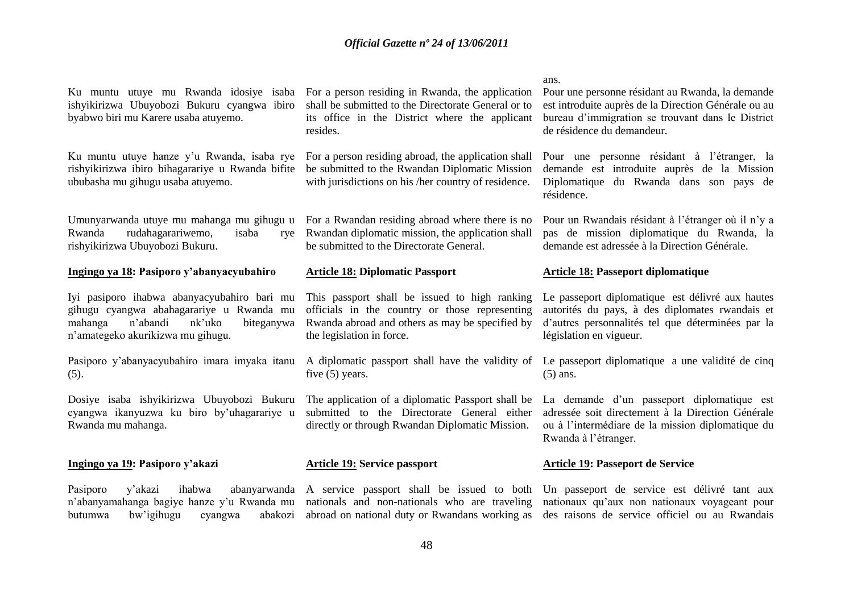ishyikirizwa Ubuyobozi Bukuru cyangwa ibiro shall be submitted to the Directorate General or to byabwo biri mu Karere usaba atuyemo.

Ku muntu utuye hanze y'u Rwanda, isaba rye For a person residing abroad, the application shall rishyikirizwa ibiro bihagarariye u Rwanda bifite be submitted to the Rwandan Diplomatic Mission ububasha mu gihugu usaba atuyemo.

Umunyarwanda utuye mu mahanga mu gihugu u Rwanda rudahagarariwemo, isaba rishyikirizwa Ubuyobozi Bukuru.

#### **Ingingo ya 18: Pasiporo y'abanyacyubahiro**

Iyi pasiporo ihabwa abanyacyubahiro bari mu gihugu cyangwa abahagarariye u Rwanda mu mahanga n"abandi nk"uko biteganywa n"amategeko akurikizwa mu gihugu.

Pasiporo y"abanyacyubahiro imara imyaka itanu (5).

Dosiye isaba ishyikirizwa Ubuyobozi Bukuru cyangwa ikanyuzwa ku biro by"uhagarariye u Rwanda mu mahanga.

#### **Ingingo ya 19: Pasiporo y'akazi**

Pasiporo y'akazi ihabwa abanyarwanda A service passport shall be issued to both Un passeport de service est délivré tant aux n"abanyamahanga bagiye hanze y"u Rwanda mu butumwa bw'igihugu cyangwa

Ku muntu utuye mu Rwanda idosiye isaba For a person residing in Rwanda, the application its office in the District where the applicant resides.

with jurisdictions on his /her country of residence.

For a Rwandan residing abroad where there is no Rwandan diplomatic mission, the application shall be submitted to the Directorate General.

#### **Article 18: Diplomatic Passport**

This passport shall be issued to high ranking officials in the country or those representing Rwanda abroad and others as may be specified by the legislation in force.

five (5) years.

The application of a diplomatic Passport shall be submitted to the Directorate General either directly or through Rwandan Diplomatic Mission.

#### **Article 19: Service passport**

nationals and non-nationals who are traveling nationaux qu"aux non nationaux voyageant pour

#### ans.

Pour une personne résidant au Rwanda, la demande est introduite auprès de la Direction Générale ou au bureau d"immigration se trouvant dans le District de résidence du demandeur.

Pour une personne résidant à l"étranger, la demande est introduite auprès de la Mission Diplomatique du Rwanda dans son pays de résidence.

Pour un Rwandais résidant à l"étranger où il n"y a pas de mission diplomatique du Rwanda, la demande est adressée à la Direction Générale.

#### **Article 18: Passeport diplomatique**

Le passeport diplomatique est délivré aux hautes autorités du pays, à des diplomates rwandais et d"autres personnalités tel que déterminées par la législation en vigueur.

A diplomatic passport shall have the validity of Le passeport diplomatique a une validité de cinq (5) ans.

> La demande d'un passeport diplomatique est adressée soit directement à la Direction Générale ou à l"intermédiare de la mission diplomatique du Rwanda à l"étranger.

#### **Article 19: Passeport de Service**

abroad on national duty or Rwandans working as des raisons de service officiel ou au Rwandais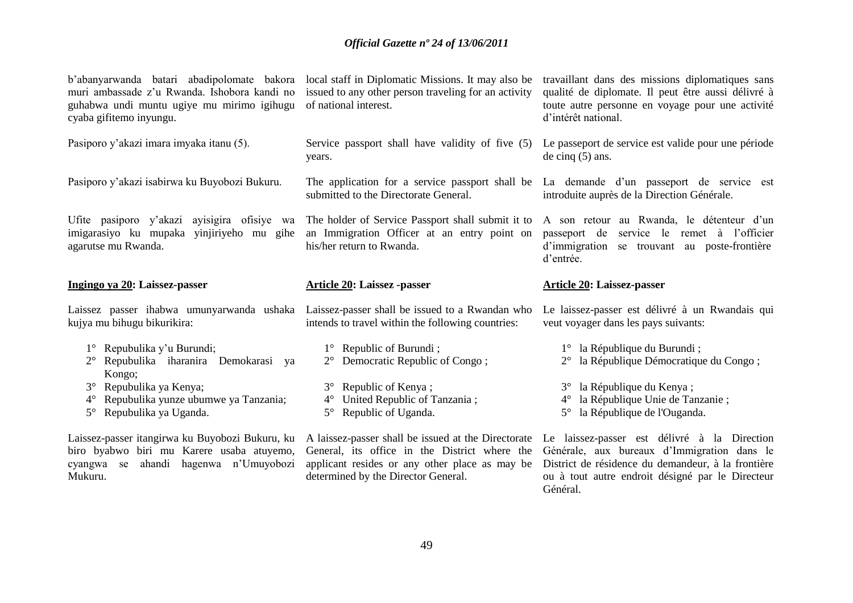| b'abanyarwanda batari abadipolomate bakora<br>muri ambassade z'u Rwanda. Ishobora kandi no<br>guhabwa undi muntu ugiye mu mirimo igihugu<br>cyaba gifitemo inyungu. | local staff in Diplomatic Missions. It may also be<br>issued to any other person traveling for an activity<br>of national interest.                 | travaillant dans des missions diplomatiques sans<br>qualité de diplomate. Il peut être aussi délivré à<br>toute autre personne en voyage pour une activité<br>d'intérêt national. |
|---------------------------------------------------------------------------------------------------------------------------------------------------------------------|-----------------------------------------------------------------------------------------------------------------------------------------------------|-----------------------------------------------------------------------------------------------------------------------------------------------------------------------------------|
| Pasiporo y'akazi imara imyaka itanu (5).                                                                                                                            | Service passport shall have validity of five (5)<br>years.                                                                                          | Le passeport de service est valide pour une période<br>de cinq $(5)$ ans.                                                                                                         |
| Pasiporo y'akazi isabirwa ku Buyobozi Bukuru.                                                                                                                       | submitted to the Directorate General.                                                                                                               | The application for a service passport shall be La demande d'un passeport de service est<br>introduite auprès de la Direction Générale.                                           |
| Ufite pasiporo y'akazi ayisigira ofisiye wa<br>imigarasiyo ku mupaka yinjiriyeho mu gihe<br>agarutse mu Rwanda.                                                     | The holder of Service Passport shall submit it to<br>an Immigration Officer at an entry point on<br>his/her return to Rwanda.                       | A son retour au Rwanda, le détenteur d'un<br>service le remet à l'officier<br>passeport de<br>d'immigration<br>se trouvant au poste-frontière<br>d'entrée.                        |
| Ingingo ya 20: Laissez-passer                                                                                                                                       | <b>Article 20: Laissez -passer</b>                                                                                                                  | <b>Article 20: Laissez-passer</b>                                                                                                                                                 |
| Laissez passer ihabwa umunyarwanda ushaka Laissez-passer shall be issued to a Rwandan who                                                                           |                                                                                                                                                     | Le laissez-passer est délivré à un Rwandais qui                                                                                                                                   |
| kujya mu bihugu bikurikira:                                                                                                                                         | intends to travel within the following countries:                                                                                                   | veut voyager dans les pays suivants:                                                                                                                                              |
|                                                                                                                                                                     |                                                                                                                                                     |                                                                                                                                                                                   |
| Repubulika y'u Burundi;<br>$1^{\circ}$<br>Repubulika iharanira Demokarasi<br>ya                                                                                     | $1^{\circ}$ Republic of Burundi;<br>Democratic Republic of Congo;                                                                                   | 1° la République du Burundi;<br>la République Démocratique du Congo;<br>$2^{\circ}$                                                                                               |
| Kongo;<br>Repubulika ya Kenya;<br>$3^\circ$                                                                                                                         | Republic of Kenya;<br>$3^\circ$                                                                                                                     | la République du Kenya;                                                                                                                                                           |
| Repubulika yunze ubumwe ya Tanzania;<br>$4^{\circ}$                                                                                                                 | United Republic of Tanzania;<br>$4^{\circ}$                                                                                                         | la République Unie de Tanzanie;<br>$4^\circ$                                                                                                                                      |
| Repubulika ya Uganda.<br>$5^{\circ}$                                                                                                                                | Republic of Uganda.<br>$5^\circ$                                                                                                                    | la République de l'Ouganda.<br>$5^{\circ}$                                                                                                                                        |
| biro byabwo biri mu Karere usaba atuyemo,                                                                                                                           | Laissez-passer itangirwa ku Buyobozi Bukuru, ku Alaissez-passer shall be issued at the Directorate<br>General, its office in the District where the | Le laissez-passer est délivré à la Direction<br>Générale, aux bureaux d'Immigration dans le                                                                                       |

District de résidence du demandeur, à la frontière ou à tout autre endroit désigné par le Directeur ou à tout autre endroit désigné par le Directeur<br>Général.

applicant resides or any other place as may be

determined by the Director General.

cyangwa se ahandi hagenwa n"Umuyobozi

Mukuru.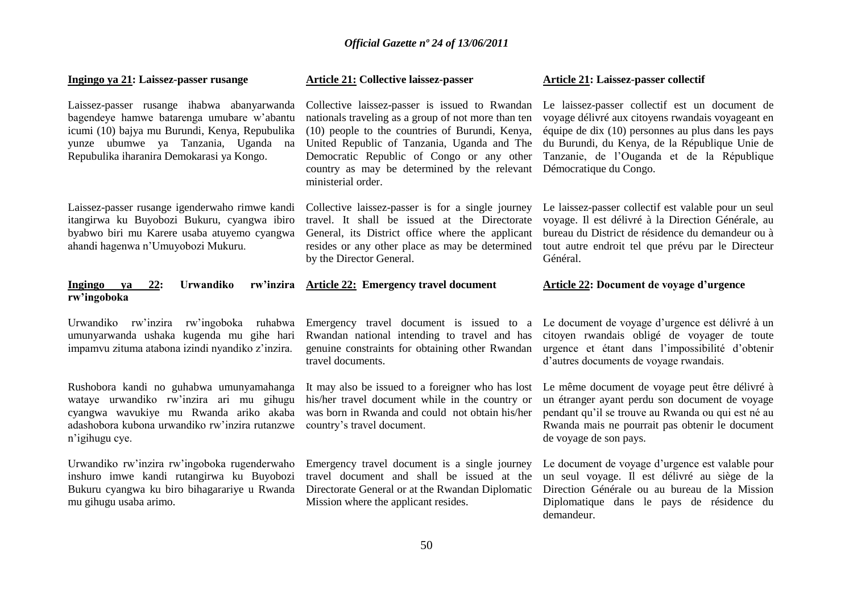| Ingingo ya 21: Laissez-passer rusange                                                                                                                                                                                          | <b>Article 21: Collective laissez-passer</b>                                                                                                                                                                                                                                                                               | <b>Article 21: Laissez-passer collectif</b>                                                                                                                                                                                                                                           |
|--------------------------------------------------------------------------------------------------------------------------------------------------------------------------------------------------------------------------------|----------------------------------------------------------------------------------------------------------------------------------------------------------------------------------------------------------------------------------------------------------------------------------------------------------------------------|---------------------------------------------------------------------------------------------------------------------------------------------------------------------------------------------------------------------------------------------------------------------------------------|
| Laissez-passer rusange ihabwa abanyarwanda<br>bagendeye hamwe batarenga umubare w'abantu<br>icumi (10) bajya mu Burundi, Kenya, Repubulika<br>yunze ubumwe ya Tanzania, Uganda na<br>Repubulika iharanira Demokarasi ya Kongo. | Collective laissez-passer is issued to Rwandan<br>nationals traveling as a group of not more than ten<br>(10) people to the countries of Burundi, Kenya,<br>United Republic of Tanzania, Uganda and The<br>Democratic Republic of Congo or any other<br>country as may be determined by the relevant<br>ministerial order. | Le laissez-passer collectif est un document de<br>voyage délivré aux citoyens rwandais voyageant en<br>équipe de dix $(10)$ personnes au plus dans les pays<br>du Burundi, du Kenya, de la République Unie de<br>Tanzanie, de l'Ouganda et de la République<br>Démocratique du Congo. |
| Laissez-passer rusange igenderwaho rimwe kandi<br>itangirwa ku Buyobozi Bukuru, cyangwa ibiro<br>byabwo biri mu Karere usaba atuyemo cyangwa<br>ahandi hagenwa n'Umuyobozi Mukuru.                                             | Collective laissez-passer is for a single journey<br>travel. It shall be issued at the Directorate<br>General, its District office where the applicant<br>resides or any other place as may be determined<br>by the Director General.                                                                                      | Le laissez-passer collectif est valable pour un seul<br>voyage. Il est délivré à la Direction Générale, au<br>bureau du District de résidence du demandeur ou à<br>tout autre endroit tel que prévu par le Directeur<br>Général.                                                      |
| Urwandiko<br><b>Ingingo</b><br>22:<br>va<br>rw'ingoboka                                                                                                                                                                        | rw'inzira Article 22: Emergency travel document                                                                                                                                                                                                                                                                            | Article 22: Document de voyage d'urgence                                                                                                                                                                                                                                              |
| Urwandiko rw'inzira rw'ingoboka ruhabwa<br>umunyarwanda ushaka kugenda mu gihe hari<br>impamvu zituma atabona izindi nyandiko z'inzira.                                                                                        | Rwandan national intending to travel and has<br>genuine constraints for obtaining other Rwandan<br>travel documents.                                                                                                                                                                                                       | Emergency travel document is issued to a Le document de voyage d'urgence est délivré à un<br>citoyen rwandais obligé de voyager de toute<br>urgence et étant dans l'impossibilité d'obtenir<br>d'autres documents de voyage rwandais.                                                 |
| Rushobora kandi no guhabwa umunyamahanga<br>wataye urwandiko rw'inzira ari mu gihugu<br>cyangwa wavukiye mu Rwanda ariko akaba<br>adashobora kubona urwandiko rw'inzira rutanzwe<br>n'igihugu cye.                             | It may also be issued to a foreigner who has lost<br>his/her travel document while in the country or<br>was born in Rwanda and could not obtain his/her<br>country's travel document.                                                                                                                                      | Le même document de voyage peut être délivré à<br>un étranger ayant perdu son document de voyage<br>pendant qu'il se trouve au Rwanda ou qui est né au<br>Rwanda mais ne pourrait pas obtenir le document<br>de voyage de son pays.                                                   |
| Urwandiko rw'inzira rw'ingoboka rugenderwaho<br>inshuro imwe kandi rutangirwa ku Buyobozi<br>Bukuru cyangwa ku biro bihagarariye u Rwanda<br>mu gihugu usaba arimo.                                                            | Emergency travel document is a single journey<br>travel document and shall be issued at the<br>Directorate General or at the Rwandan Diplomatic<br>Mission where the applicant resides.                                                                                                                                    | Le document de voyage d'urgence est valable pour<br>un seul voyage. Il est délivré au siège de la<br>Direction Générale ou au bureau de la Mission<br>Diplomatique dans le pays de résidence du<br>demandeur.                                                                         |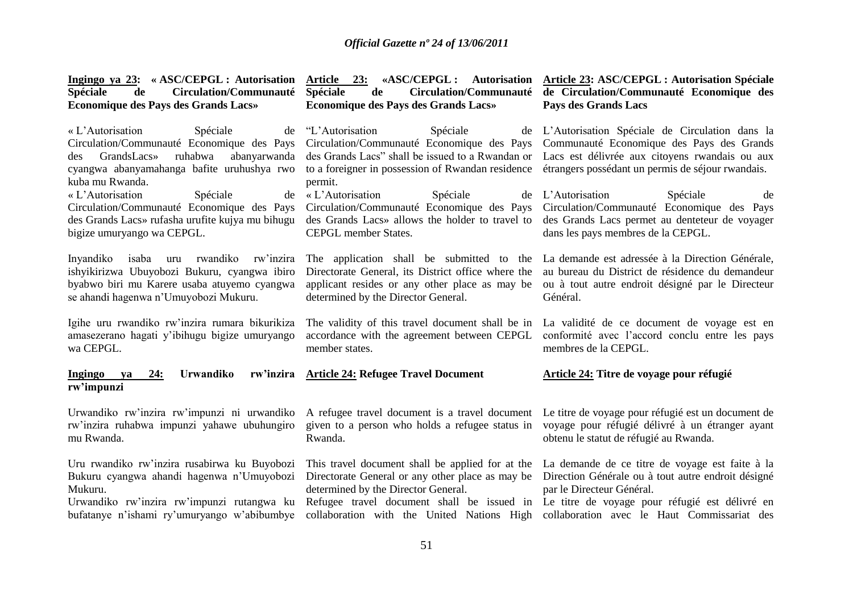| Ingingo ya 23: «ASC/CEPGL: Autorisation<br>Spéciale<br>Circulation/Communauté<br>de<br><b>Economique des Pays des Grands Lacs»</b>                                                                 | Article 23: «ASC/CEPGL: Autorisation<br>Spéciale<br>Circulation/Communauté<br>de<br>Economique des Pays des Grands Lacs»                                                                       | Article 23: ASC/CEPGL : Autorisation Spéciale<br>de Circulation/Communauté Economique des<br>Pays des Grands Lacs                                                                                     |
|----------------------------------------------------------------------------------------------------------------------------------------------------------------------------------------------------|------------------------------------------------------------------------------------------------------------------------------------------------------------------------------------------------|-------------------------------------------------------------------------------------------------------------------------------------------------------------------------------------------------------|
| « L'Autorisation<br>Spéciale<br>de<br>Circulation/Communauté Economique des Pays<br>GrandsLacs»<br>ruhabwa<br>abanyarwanda<br>des<br>cyangwa abanyamahanga bafite uruhushya rwo<br>kuba mu Rwanda. | "L'Autorisation"<br>Spéciale<br>Circulation/Communauté Economique des Pays<br>des Grands Lacs" shall be issued to a Rwandan or<br>to a foreigner in possession of Rwandan residence<br>permit. | de L'Autorisation Spéciale de Circulation dans la<br>Communauté Economique des Pays des Grands<br>Lacs est délivrée aux citoyens rwandais ou aux<br>étrangers possédant un permis de séjour rwandais. |
| « L'Autorisation                                                                                                                                                                                   | « L'Autorisation                                                                                                                                                                               | L'Autorisation                                                                                                                                                                                        |
| Spéciale                                                                                                                                                                                           | Spéciale                                                                                                                                                                                       | Spéciale                                                                                                                                                                                              |
| de                                                                                                                                                                                                 | de                                                                                                                                                                                             | de                                                                                                                                                                                                    |
| Circulation/Communauté Economique des Pays                                                                                                                                                         | Circulation/Communauté Economique des Pays                                                                                                                                                     | Circulation/Communauté Economique des Pays                                                                                                                                                            |
| des Grands Lacs» rufasha urufite kujya mu bihugu                                                                                                                                                   | des Grands Lacs» allows the holder to travel to                                                                                                                                                | des Grands Lacs permet au denteteur de voyager                                                                                                                                                        |
| bigize umuryango wa CEPGL.                                                                                                                                                                         | CEPGL member States.                                                                                                                                                                           | dans les pays membres de la CEPGL.                                                                                                                                                                    |
| isaba<br>uru rwandiko<br>rw'inzira<br>Inyandiko<br>ishyikirizwa Ubuyobozi Bukuru, cyangwa ibiro<br>byabwo biri mu Karere usaba atuyemo cyangwa<br>se ahandi hagenwa n'Umuyobozi Mukuru.            | The application shall be submitted to the<br>Directorate General, its District office where the<br>applicant resides or any other place as may be<br>determined by the Director General.       | La demande est adressée à la Direction Générale,<br>au bureau du District de résidence du demandeur<br>ou à tout autre endroit désigné par le Directeur<br>Général.                                   |
| Igihe uru rwandiko rw'inzira rumara bikurikiza                                                                                                                                                     | The validity of this travel document shall be in                                                                                                                                               | La validité de ce document de voyage est en                                                                                                                                                           |
| amasezerano hagati y'ibihugu bigize umuryango                                                                                                                                                      | accordance with the agreement between CEPGL                                                                                                                                                    | conformité avec l'accord conclu entre les pays                                                                                                                                                        |
| wa CEPGL.                                                                                                                                                                                          | member states.                                                                                                                                                                                 | membres de la CEPGL.                                                                                                                                                                                  |
| rw'inzira<br>24:<br><b>Urwandiko</b><br>Ingingo<br>va<br>rw'impunzi                                                                                                                                | <b>Article 24: Refugee Travel Document</b>                                                                                                                                                     | Article 24: Titre de voyage pour réfugié                                                                                                                                                              |
| Urwandiko rw'inzira rw'impunzi ni urwandiko                                                                                                                                                        | A refugee travel document is a travel document                                                                                                                                                 | Le titre de voyage pour réfugié est un document de                                                                                                                                                    |
| rw'inzira ruhabwa impunzi yahawe ubuhungiro                                                                                                                                                        | given to a person who holds a refugee status in                                                                                                                                                | voyage pour réfugié délivré à un étranger ayant                                                                                                                                                       |
| mu Rwanda.                                                                                                                                                                                         | Rwanda.                                                                                                                                                                                        | obtenu le statut de réfugié au Rwanda.                                                                                                                                                                |
| Uru rwandiko rw'inzira rusabirwa ku Buyobozi                                                                                                                                                       | This travel document shall be applied for at the                                                                                                                                               | La demande de ce titre de voyage est faite à la                                                                                                                                                       |
| Bukuru cyangwa ahandi hagenwa n'Umuyobozi                                                                                                                                                          | Directorate General or any other place as may be                                                                                                                                               | Direction Générale ou à tout autre endroit désigné                                                                                                                                                    |
| Mukuru.                                                                                                                                                                                            | determined by the Director General.                                                                                                                                                            | par le Directeur Général.                                                                                                                                                                             |
| Urwandiko rw'inzira rw'impunzi rutangwa ku                                                                                                                                                         | Refugee travel document shall be issued in                                                                                                                                                     | Le titre de voyage pour réfugié est délivré en                                                                                                                                                        |
| bufatanye n'ishami ry'umuryango w'abibumbye                                                                                                                                                        | collaboration with the United Nations High                                                                                                                                                     | collaboration avec le Haut Commissariat des                                                                                                                                                           |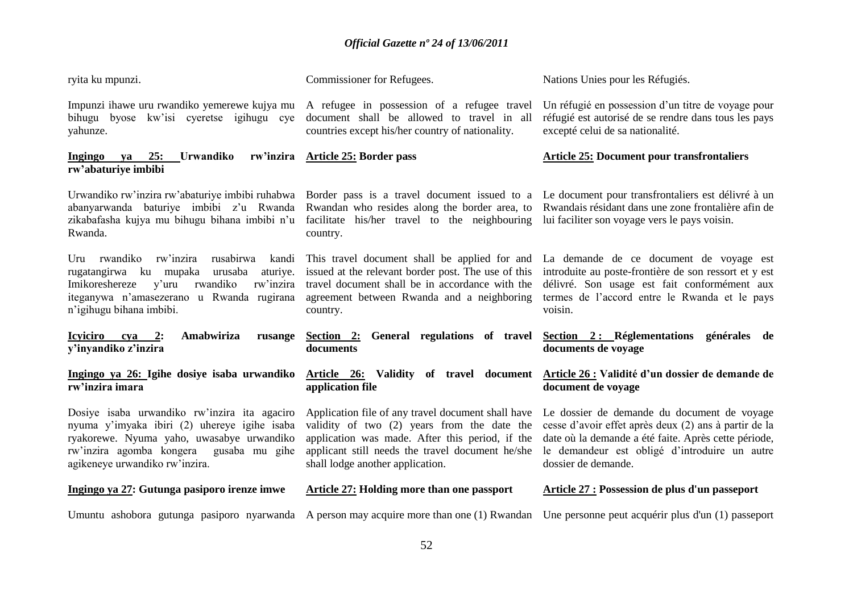| ryita ku mpunzi.                                                                                                                                                                                                           | Commissioner for Refugees.                                                                                                                                                                                                                   | Nations Unies pour les Réfugiés.                                                                                                                                                                                                     |
|----------------------------------------------------------------------------------------------------------------------------------------------------------------------------------------------------------------------------|----------------------------------------------------------------------------------------------------------------------------------------------------------------------------------------------------------------------------------------------|--------------------------------------------------------------------------------------------------------------------------------------------------------------------------------------------------------------------------------------|
| Impunzi ihawe uru rwandiko yemerewe kujya mu<br>bihugu byose kw'isi cyeretse igihugu cye<br>yahunze.                                                                                                                       | A refugee in possession of a refugee travel<br>document shall be allowed to travel in all<br>countries except his/her country of nationality.                                                                                                | Un réfugié en possession d'un titre de voyage pour<br>réfugié est autorisé de se rendre dans tous les pays<br>excepté celui de sa nationalité.                                                                                       |
| 25:<br>Urwandiko<br>Ingingo<br>va<br>rw'abaturiye imbibi                                                                                                                                                                   | rw'inzira Article 25: Border pass                                                                                                                                                                                                            | <b>Article 25: Document pour transfrontaliers</b>                                                                                                                                                                                    |
| Urwandiko rw'inzira rw'abaturiye imbibi ruhabwa Border pass is a travel document issued to a<br>abanyarwanda baturiye imbibi z'u Rwanda<br>zikabafasha kujya mu bihugu bihana imbibi n'u<br>Rwanda.                        | Rwandan who resides along the border area, to<br>facilitate his/her travel to the neighbouring<br>country.                                                                                                                                   | Le document pour transfrontaliers est délivré à un<br>Rwandais résidant dans une zone frontalière afin de<br>lui faciliter son voyage vers le pays voisin.                                                                           |
| Uru rwandiko<br>rw'inzira<br>rusabirwa<br>kandi<br>aturiye.<br>rugatangirwa ku mupaka urusaba<br>rwandiko<br>rw'inzira<br>Imikoreshereze<br>y'uru<br>iteganywa n'amasezerano u Rwanda rugirana<br>n'igihugu bihana imbibi. | This travel document shall be applied for and<br>issued at the relevant border post. The use of this<br>travel document shall be in accordance with the<br>agreement between Rwanda and a neighboring<br>country.                            | La demande de ce document de voyage est<br>introduite au poste-frontière de son ressort et y est<br>délivré. Son usage est fait conformément aux<br>termes de l'accord entre le Rwanda et le pays<br>voisin.                         |
| Amabwiriza<br><u>Icyciiro cya 2:</u><br>rusange<br>y'inyandiko z'inzira                                                                                                                                                    | General regulations of travel<br>Section 2:<br>documents                                                                                                                                                                                     | Section 2: Réglementations générales de<br>documents de voyage                                                                                                                                                                       |
| Ingingo ya 26: Igihe dosiye isaba urwandiko<br>rw'inzira imara                                                                                                                                                             | Validity of travel document<br>Article 26:<br>application file                                                                                                                                                                               | Article 26 : Validité d'un dossier de demande de<br>document de voyage                                                                                                                                                               |
| Dosiye isaba urwandiko rw'inzira ita agaciro<br>nyuma y'imyaka ibiri (2) uhereye igihe isaba<br>ryakorewe. Nyuma yaho, uwasabye urwandiko<br>rw'inzira agomba kongera<br>gusaba mu gihe<br>agikeneye urwandiko rw'inzira.  | Application file of any travel document shall have<br>validity of two (2) years from the date the<br>application was made. After this period, if the<br>applicant still needs the travel document he/she<br>shall lodge another application. | Le dossier de demande du document de voyage<br>cesse d'avoir effet après deux (2) ans à partir de la<br>date où la demande a été faite. Après cette période,<br>le demandeur est obligé d'introduire un autre<br>dossier de demande. |
| Ingingo ya 27: Gutunga pasiporo irenze imwe                                                                                                                                                                                | <b>Article 27: Holding more than one passport</b>                                                                                                                                                                                            | <b>Article 27 : Possession de plus d'un passeport</b>                                                                                                                                                                                |
| Umuntu ashobora gutunga pasiporo nyarwanda A person may acquire more than one (1) Rwandan                                                                                                                                  |                                                                                                                                                                                                                                              | Une personne peut acquérir plus d'un (1) passeport                                                                                                                                                                                   |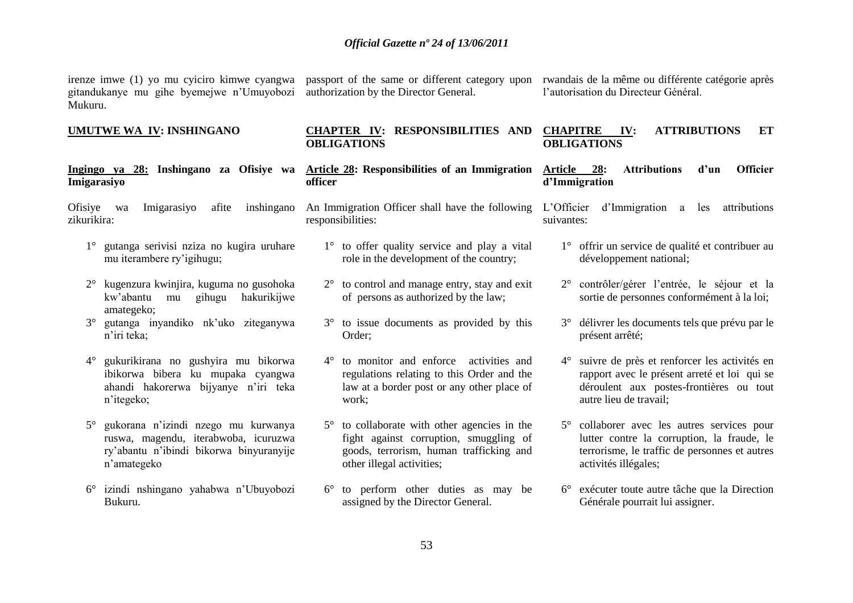gitandukanye mu gihe byemejwe n"Umuyobozi Mukuru.

authorization by the Director General.

irenze imwe (1) yo mu cyiciro kimwe cyangwa passport of the same or different category upon rwandais de la même ou différente catégorie après l"autorisation du Directeur Général.

#### **UMUTWE WA IV: INSHINGANO**

#### **Ingingo ya 28: Inshingano za Ofisiye wa Imigarasiyo**

Ofisiye wa Imigarasiyo afite inshingano zikurikira:

- 1° gutanga serivisi nziza no kugira uruhare mu iterambere ry"igihugu;
- 2° kugenzura kwinjira, kuguma no gusohoka kw"abantu mu gihugu hakurikijwe amategeko;
- 3° gutanga inyandiko nk"uko ziteganywa n"iri teka;
- 4° gukurikirana no gushyira mu bikorwa ibikorwa bibera ku mupaka cyangwa ahandi hakorerwa bijyanye n"iri teka n"itegeko;
- 5° gukorana n"izindi nzego mu kurwanya ruswa, magendu, iterabwoba, icuruzwa ry"abantu n"ibindi bikorwa binyuranyije n"amategeko
- 6° izindi nshingano yahabwa n"Ubuyobozi Bukuru.

#### **CHAPTER IV: RESPONSIBILITIES AND OBLIGATIONS OBLIGATIONS**

**Article 28: Responsibilities of an Immigration officer**

An Immigration Officer shall have the following responsibilities:

- 1° to offer quality service and play a vital role in the development of the country;
- 2° to control and manage entry, stay and exit of persons as authorized by the law;
- 3° to issue documents as provided by this Order;
- 4° to monitor and enforce activities and regulations relating to this Order and the law at a border post or any other place of work;
- 5° to collaborate with other agencies in the fight against corruption, smuggling of goods, terrorism, human trafficking and other illegal activities;
- 6° to perform other duties as may be assigned by the Director General.

# **CHAPITRE IV: ATTRIBUTIONS ET**

#### **Article 28: Attributions d'un Officier d'Immigration**

L"Officier d"Immigration a les attributions suivantes:

- 1° offrir un service de qualité et contribuer au développement national;
- 2° contrôler/gérer l"entrée, le séjour et la sortie de personnes conformément à la loi;
- 3° délivrer les documents tels que prévu par le présent arrêté;
- 4° suivre de près et renforcer les activités en rapport avec le présent arreté et loi qui se déroulent aux postes-frontières ou tout autre lieu de travail;
- 5° collaborer avec les autres services pour lutter contre la corruption, la fraude, le terrorisme, le traffic de personnes et autres activités illégales;
- 6° exécuter toute autre tâche que la Direction Générale pourrait lui assigner.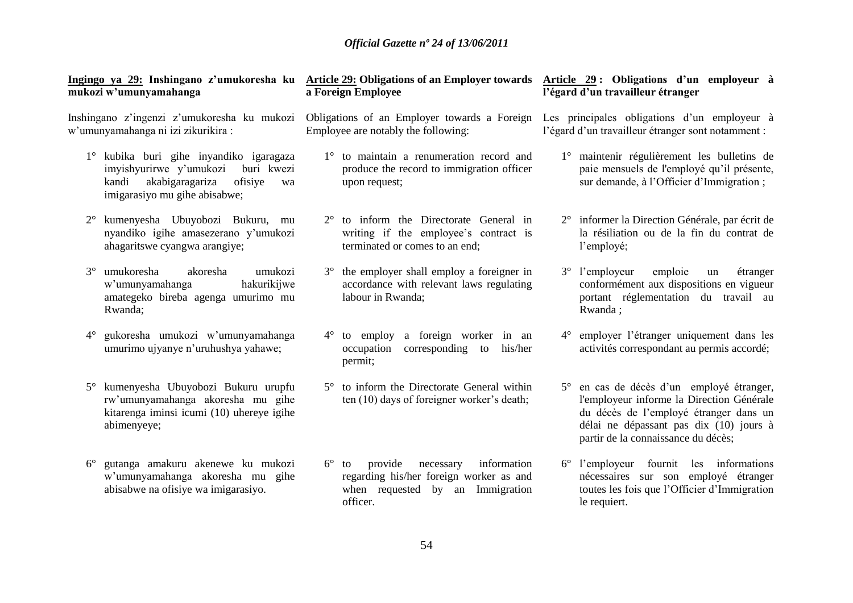| mukozi w'umunyamahanga                                                                                                                                         | Ingingo ya 29: Inshingano z'umukoresha ku Article 29: Obligations of an Employer towards Article 29: Obligations d'un employeur à<br>a Foreign Employee | l'égard d'un travailleur étranger                                                                                                                                                                                  |
|----------------------------------------------------------------------------------------------------------------------------------------------------------------|---------------------------------------------------------------------------------------------------------------------------------------------------------|--------------------------------------------------------------------------------------------------------------------------------------------------------------------------------------------------------------------|
| Inshingano z'ingenzi z'umukoresha ku mukozi<br>w'umunyamahanga ni izi zikurikira:                                                                              | Obligations of an Employer towards a Foreign<br>Employee are notably the following:                                                                     | Les principales obligations d'un employeur à<br>l'égard d'un travailleur étranger sont notamment :                                                                                                                 |
| 1° kubika buri gihe inyandiko igaragaza<br>imyishyurirwe y'umukozi<br>buri kwezi<br>akabigaragariza<br>kandi<br>ofisiye<br>wa<br>imigarasiyo mu gihe abisabwe; | 1° to maintain a renumeration record and<br>produce the record to immigration officer<br>upon request;                                                  | 1° maintenir régulièrement les bulletins de<br>paie mensuels de l'employé qu'il présente,<br>sur demande, à l'Officier d'Immigration;                                                                              |
| kumenyesha Ubuyobozi Bukuru, mu<br>$2^{\circ}$<br>nyandiko igihe amasezerano y'umukozi<br>ahagaritswe cyangwa arangiye;                                        | 2° to inform the Directorate General in<br>writing if the employee's contract is<br>terminated or comes to an end;                                      | 2° informer la Direction Générale, par écrit de<br>la résiliation ou de la fin du contrat de<br>l'employé;                                                                                                         |
| $3^\circ$<br>umukoresha<br>umukozi<br>akoresha<br>w'umunyamahanga<br>hakurikijwe<br>amategeko bireba agenga umurimo mu<br>Rwanda;                              | the employer shall employ a foreigner in<br>$3^{\circ}$<br>accordance with relevant laws regulating<br>labour in Rwanda;                                | $3^{\circ}$ l'employeur<br>emploie<br>étranger<br>un<br>conformément aux dispositions en vigueur<br>portant réglementation du travail au<br>Rwanda;                                                                |
| gukoresha umukozi w'umunyamahanga<br>$4^\circ$<br>umurimo ujyanye n'uruhushya yahawe;                                                                          | to employ a foreign worker in an<br>$4^\circ$<br>occupation corresponding to<br>his/her<br>permit;                                                      | 4° employer l'étranger uniquement dans les<br>activités correspondant au permis accordé;                                                                                                                           |
| kumenyesha Ubuyobozi Bukuru urupfu<br>rw'umunyamahanga akoresha mu gihe<br>kitarenga iminsi icumi (10) uhereye igihe<br>abimenyeye;                            | 5° to inform the Directorate General within<br>ten (10) days of foreigner worker's death;                                                               | 5° en cas de décès d'un employé étranger,<br>l'employeur informe la Direction Générale<br>du décès de l'employé étranger dans un<br>délai ne dépassant pas dix (10) jours à<br>partir de la connaissance du décès; |
| gutanga amakuru akenewe ku mukozi<br>$6^{\circ}$<br>w'umunyamahanga akoresha mu gihe<br>abisabwe na ofisiye wa imigarasiyo.                                    | provide<br>information<br>$6^\circ$ to<br>necessary<br>regarding his/her foreign worker as and<br>when requested by an Immigration<br>officer.          | 6° l'employeur fournit les informations<br>nécessaires sur son employé étranger<br>toutes les fois que l'Officier d'Immigration<br>le requiert.                                                                    |
|                                                                                                                                                                | $\epsilon$ $\mu$                                                                                                                                        |                                                                                                                                                                                                                    |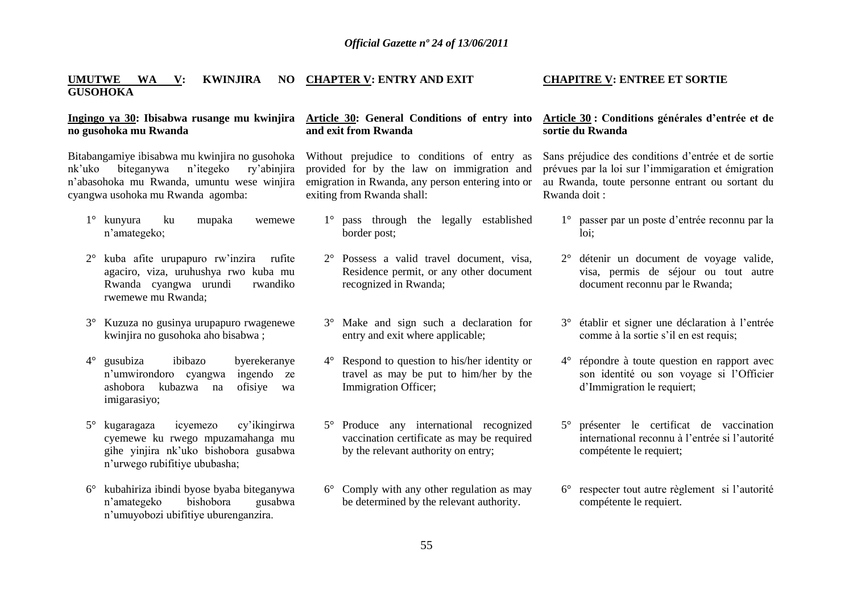#### **UMUTWE WA V: KWINJIRA GUSOHOKA CHAPTER V: ENTRY AND EXIT**

#### **Ingingo ya 30: Ibisabwa rusange mu kwinjira no gusohoka mu Rwanda**

Bitabangamiye ibisabwa mu kwinjira no gusohoka nk"uko biteganywa n"itegeko ry"abinjira n"abasohoka mu Rwanda, umuntu wese winjira cyangwa usohoka mu Rwanda agomba:

- 1° kunyura ku mupaka wemewe n"amategeko;
- 2° kuba afite urupapuro rw"inzira rufite agaciro, viza, uruhushya rwo kuba mu Rwanda cyangwa urundi rwandiko rwemewe mu Rwanda;
- 3° Kuzuza no gusinya urupapuro rwagenewe kwinjira no gusohoka aho bisabwa ;
- 4° gusubiza ibibazo byerekeranye n"umwirondoro cyangwa ingendo ze ashobora kubazwa na ofisiye wa imigarasiyo;
- 5° kugaragaza icyemezo cy"ikingirwa cyemewe ku rwego mpuzamahanga mu gihe yinjira nk"uko bishobora gusabwa n"urwego rubifitiye ububasha;
- 6° kubahiriza ibindi byose byaba biteganywa n"amategeko bishobora gusabwa n"umuyobozi ubifitiye uburenganzira.

#### **Article 30: General Conditions of entry into and exit from Rwanda**

Without prejudice to conditions of entry as provided for by the law on immigration and emigration in Rwanda, any person entering into or exiting from Rwanda shall:

- 1° pass through the legally established border post;
- 2° Possess a valid travel document, visa, Residence permit, or any other document recognized in Rwanda;
- 3° Make and sign such a declaration for entry and exit where applicable;
- 4° Respond to question to his/her identity or travel as may be put to him/her by the Immigration Officer;
- 5° Produce any international recognized vaccination certificate as may be required by the relevant authority on entry;
- 6° Comply with any other regulation as may be determined by the relevant authority.

#### **CHAPITRE V: ENTREE ET SORTIE**

#### **Article 30 : Conditions générales d'entrée et de sortie du Rwanda**

Sans préjudice des conditions d"entrée et de sortie prévues par la loi sur l"immigaration et émigration au Rwanda, toute personne entrant ou sortant du Rwanda doit :

- 1° passer par un poste d"entrée reconnu par la loi;
- 2° détenir un document de voyage valide, visa, permis de séjour ou tout autre document reconnu par le Rwanda;
- 3° établir et signer une déclaration à l"entrée comme à la sortie s"il en est requis;
- 4° répondre à toute question en rapport avec son identité ou son voyage si l"Officier d"Immigration le requiert;
- 5° présenter le certificat de vaccination international reconnu à l"entrée si l"autorité compétente le requiert;
- 6° respecter tout autre règlement si l"autorité compétente le requiert.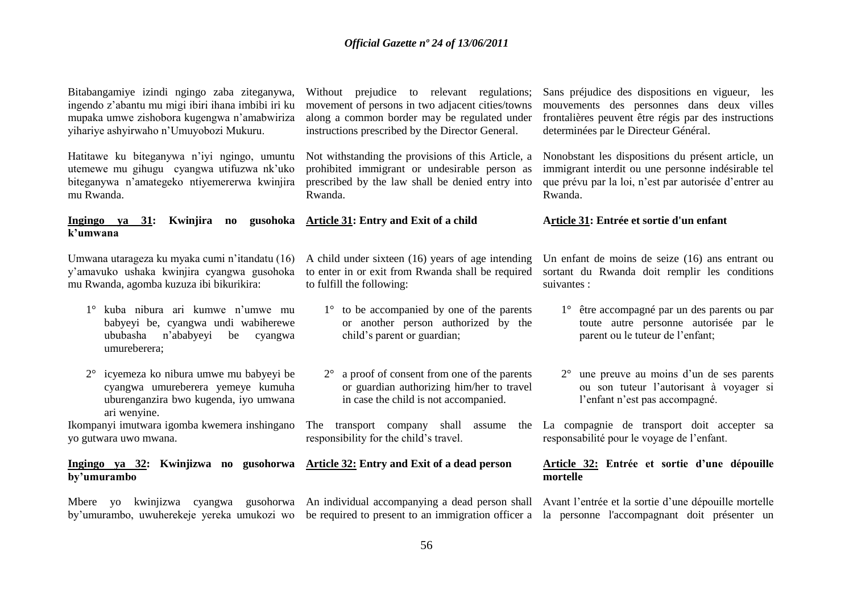Bitabangamiye izindi ngingo zaba ziteganywa, ingendo z"abantu mu migi ibiri ihana imbibi iri ku mupaka umwe zishobora kugengwa n"amabwiriza yihariye ashyirwaho n"Umuyobozi Mukuru.

Hatitawe ku biteganywa n"iyi ngingo, umuntu utemewe mu gihugu cyangwa utifuzwa nk"uko biteganywa n"amategeko ntiyemererwa kwinjira mu Rwanda.

**Ingingo ya 31: Kwinjira no gusohoka k'umwana**

Umwana utarageza ku myaka cumi n"itandatu (16) y"amavuko ushaka kwinjira cyangwa gusohoka mu Rwanda, agomba kuzuza ibi bikurikira:

- 1° kuba nibura ari kumwe n"umwe mu babyeyi be, cyangwa undi wabiherewe ububasha n"ababyeyi be cyangwa umureberera;
- 2° icyemeza ko nibura umwe mu babyeyi be cyangwa umureberera yemeye kumuha uburenganzira bwo kugenda, iyo umwana ari wenyine.

Ikompanyi imutwara igomba kwemera inshingano yo gutwara uwo mwana.

**by'umurambo**

Without prejudice to relevant regulations; movement of persons in two adjacent cities/towns along a common border may be regulated under instructions prescribed by the Director General.

Not withstanding the provisions of this Article, a prohibited immigrant or undesirable person as prescribed by the law shall be denied entry into Rwanda.

**Article 31: Entry and Exit of a child** 

A child under sixteen (16) years of age intending to enter in or exit from Rwanda shall be required to fulfill the following:

- 1<sup>°</sup> to be accompanied by one of the parents or another person authorized by the child"s parent or guardian;
- 2° a proof of consent from one of the parents or guardian authorizing him/her to travel in case the child is not accompanied.

responsibility for the child"s travel.

# **Ingingo ya 32: Kwinjizwa no gusohorwa Article 32: Entry and Exit of a dead person**

Sans préjudice des dispositions en vigueur, les mouvements des personnes dans deux villes frontalières peuvent être régis par des instructions determinées par le Directeur Général.

Nonobstant les dispositions du présent article, un immigrant interdit ou une personne indésirable tel que prévu par la loi, n"est par autorisée d"entrer au Rwanda.

#### **Article 31: Entrée et sortie d'un enfant**

Un enfant de moins de seize (16) ans entrant ou sortant du Rwanda doit remplir les conditions suivantes :

- 1° être accompagné par un des parents ou par toute autre personne autorisée par le parent ou le tuteur de l"enfant;
- 2° une preuve au moins d"un de ses parents ou son tuteur l"autorisant à voyager si l'enfant n'est pas accompagné.

The transport company shall assume the La compagnie de transport doit accepter sa responsabilité pour le voyage de l"enfant.

#### **Article 32: Entrée et sortie d'une dépouille mortelle**

Mbere yo kwinjizwa cyangwa gusohorwa An individual accompanying a dead person shall Avant l'entrée et la sortie d'une dépouille mortelle by'umurambo, uwuherekeje yereka umukozi wo be required to present to an immigration officer a la personne l'accompagnant doit présenter un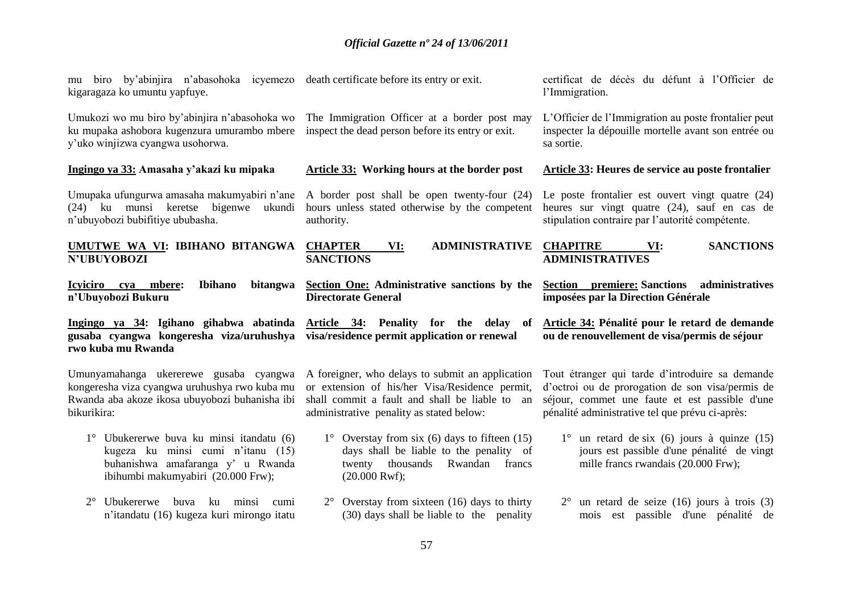| kigaragaza ko umuntu yapfuye.                                                                                                                            | mu biro by'abinjira n'abasohoka i cyemezo death certificate before its entry or exit.                                                                                                               | certificat de décès du défunt à l'Officier de<br>l'Immigration.                                                                                                                                          |
|----------------------------------------------------------------------------------------------------------------------------------------------------------|-----------------------------------------------------------------------------------------------------------------------------------------------------------------------------------------------------|----------------------------------------------------------------------------------------------------------------------------------------------------------------------------------------------------------|
| Umukozi wo mu biro by'abinjira n'abasohoka wo<br>ku mupaka ashobora kugenzura umurambo mbere<br>y'uko winjizwa cyangwa usohorwa.                         | The Immigration Officer at a border post may<br>inspect the dead person before its entry or exit.                                                                                                   | L'Officier de l'Immigration au poste frontalier peut<br>inspecter la dépouille mortelle avant son entrée ou<br>sa sortie.                                                                                |
| Ingingo ya 33: Amasaha y'akazi ku mipaka                                                                                                                 | <b>Article 33: Working hours at the border post</b>                                                                                                                                                 | <b>Article 33: Heures de service au poste frontalier</b>                                                                                                                                                 |
| Umupaka ufungurwa amasaha makumyabiri n'ane<br>(24) ku munsi keretse bigenwe<br>ukundi<br>n'ubuyobozi bubifitiye ububasha.                               | A border post shall be open twenty-four (24)<br>hours unless stated otherwise by the competent<br>authority.                                                                                        | Le poste frontalier est ouvert vingt quatre (24)<br>heures sur vingt quatre (24), sauf en cas de<br>stipulation contraire par l'autorité compétente.                                                     |
| UMUTWE WA VI: IBIHANO BITANGWA<br>N'UBUYOBOZI                                                                                                            | <b>CHAPTER</b><br><b>ADMINISTRATIVE</b><br>VI:<br><b>SANCTIONS</b>                                                                                                                                  | <b>CHAPITRE</b><br><b>SANCTIONS</b><br>VI:<br><b>ADMINISTRATIVES</b>                                                                                                                                     |
| <b>Ibihano</b><br>bitangwa<br><b>Icyiciro</b><br>mbere:<br>cya<br>n'Ubuyobozi Bukuru                                                                     | Section One: Administrative sanctions by the<br><b>Directorate General</b>                                                                                                                          | Section premiere: Sanctions administratives<br>imposées par la Direction Générale                                                                                                                        |
|                                                                                                                                                          |                                                                                                                                                                                                     |                                                                                                                                                                                                          |
| gusaba cyangwa kongeresha viza/uruhushya visa/residence permit application or renewal<br>rwo kuba mu Rwanda                                              | Ingingo ya 34: Igihano gihabwa abatinda Article 34: Penality for the delay of                                                                                                                       | Article 34: Pénalité pour le retard de demande<br>ou de renouvellement de visa/permis de séjour                                                                                                          |
| Umunyamahanga ukererewe gusaba cyangwa<br>kongeresha viza cyangwa uruhushya rwo kuba mu<br>Rwanda aba akoze ikosa ubuyobozi buhanisha ibi<br>bikurikira: | A foreigner, who delays to submit an application<br>or extension of his/her Visa/Residence permit,<br>shall commit a fault and shall be liable to<br>an<br>administrative penality as stated below: | Tout étranger qui tarde d'introduire sa demande<br>d'octroi ou de prorogation de son visa/permis de<br>séjour, commet une faute et est passible d'une<br>pénalité administrative tel que prévu ci-après: |
| 1° Ubukererwe buva ku minsi itandatu (6)<br>kugeza ku minsi cumi n'itanu (15)<br>buhanishwa amafaranga y' u Rwanda<br>ibihumbi makumyabiri (20.000 Frw); | $1^{\circ}$ Overstay from six (6) days to fifteen (15)<br>days shall be liable to the penality of<br>Rwandan<br>francs<br>twenty thousands<br>$(20.000$ Rwf);                                       | $1^{\circ}$ un retard de six (6) jours à quinze (15)<br>jours est passible d'une pénalité de vingt<br>mille francs rwandais (20.000 Frw);                                                                |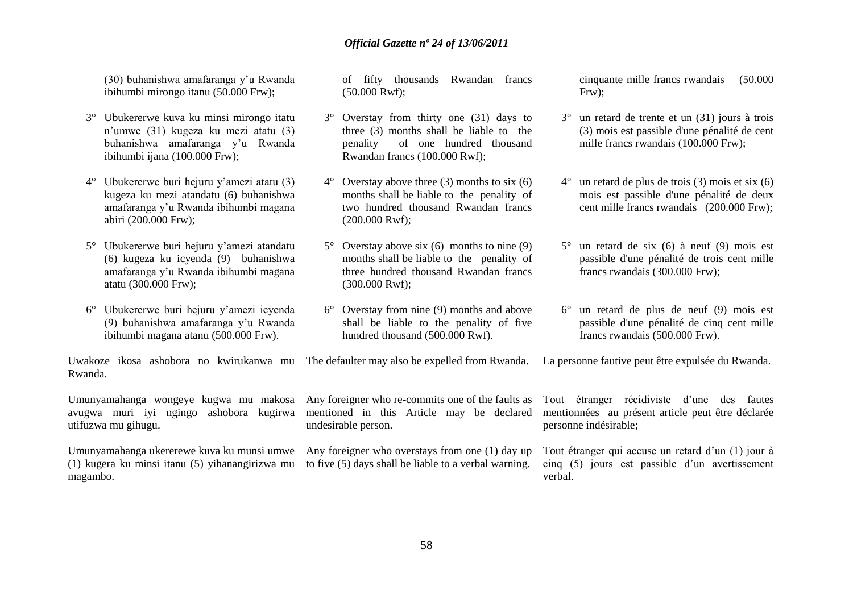(30) buhanishwa amafaranga y"u Rwanda ibihumbi mirongo itanu (50.000 Frw);

- 3° Ubukererwe kuva ku minsi mirongo itatu n"umwe (31) kugeza ku mezi atatu (3) buhanishwa amafaranga y"u Rwanda ibihumbi ijana (100.000 Frw);
- 4° Ubukererwe buri hejuru y"amezi atatu (3) kugeza ku mezi atandatu (6) buhanishwa amafaranga y"u Rwanda ibihumbi magana abiri (200.000 Frw);
- 5° Ubukererwe buri hejuru y"amezi atandatu (6) kugeza ku icyenda (9) buhanishwa amafaranga y"u Rwanda ibihumbi magana atatu (300.000 Frw);
- 6° Ubukererwe buri hejuru y"amezi icyenda (9) buhanishwa amafaranga y"u Rwanda ibihumbi magana atanu (500.000 Frw).

Uwakoze ikosa ashobora no kwirukanwa mu The defaulter may also be expelled from Rwanda. La personne fautive peut être expulsée du Rwanda. Rwanda.

Umunyamahanga wongeye kugwa mu makosa avugwa muri iyi ngingo ashobora kugirwa utifuzwa mu gihugu.

(1) kugera ku minsi itanu (5) yihanangirizwa mu to five (5) days shall be liable to a verbal warning. magambo.

of fifty thousands Rwandan francs (50.000 Rwf);

- 3° Overstay from thirty one (31) days to three (3) months shall be liable to the penality of one hundred thousand Rwandan francs (100.000 Rwf);
- $4^{\circ}$  Overstay above three (3) months to six (6) months shall be liable to the penality of two hundred thousand Rwandan francs (200.000 Rwf);
- $5^{\circ}$  Overstay above six (6) months to nine (9) months shall be liable to the penality of three hundred thousand Rwandan francs (300.000 Rwf);
- 6° Overstay from nine (9) months and above shall be liable to the penality of five hundred thousand (500.000 Rwf).

cinquante mille francs rwandais (50.000 Frw);

- 3° un retard de trente et un (31) jours à trois (3) mois est passible d'une pénalité de cent mille francs rwandais (100.000 Frw);
- un retard de plus de trois  $(3)$  mois et six  $(6)$ mois est passible d'une pénalité de deux cent mille francs rwandais (200.000 Frw);
- $5^\circ$  un retard de six (6) à neuf (9) mois est passible d'une pénalité de trois cent mille francs rwandais (300.000 Frw);
- 6° un retard de plus de neuf (9) mois est passible d'une pénalité de cinq cent mille francs rwandais (500.000 Frw).

Any foreigner who re-commits one of the faults as mentioned in this Article may be declared undesirable person.

Umunyamahanga ukererewe kuva ku munsi umwe Any foreigner who overstays from one (1) day up

Tout étranger récidiviste d"une des fautes mentionnées au présent article peut être déclarée personne indésirable;

Tout étranger qui accuse un retard d"un (1) jour à cinq (5) jours est passible d"un avertissement verbal.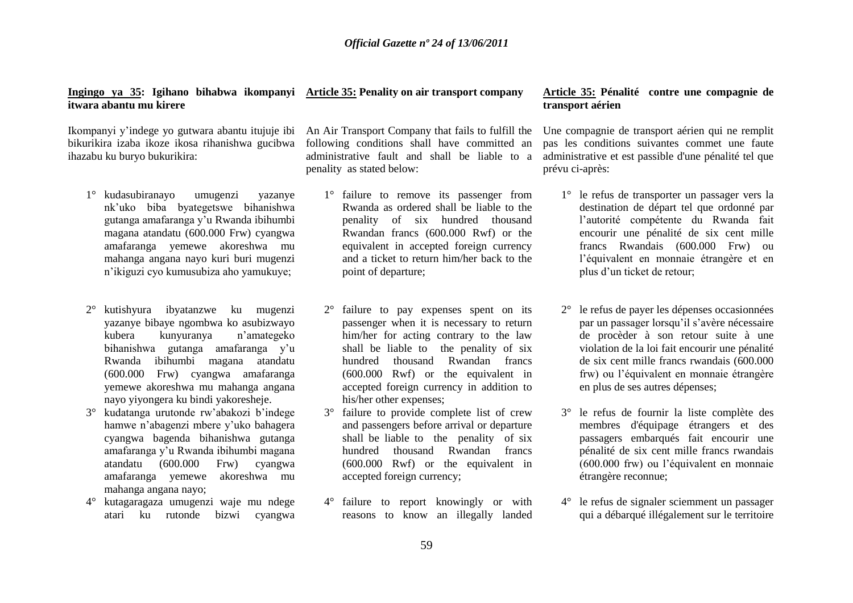#### **Ingingo ya 35: Igihano bihabwa ikompanyi Article 35: Penality on air transport company itwara abantu mu kirere**

Ikompanyi y"indege yo gutwara abantu itujuje ibi bikurikira izaba ikoze ikosa rihanishwa gucibwa ihazabu ku buryo bukurikira:

- 1° kudasubiranayo umugenzi yazanye nk"uko biba byategetswe bihanishwa gutanga amafaranga y"u Rwanda ibihumbi magana atandatu (600.000 Frw) cyangwa amafaranga yemewe akoreshwa mu mahanga angana nayo kuri buri mugenzi n"ikiguzi cyo kumusubiza aho yamukuye;
- 2° kutishyura ibyatanzwe ku mugenzi yazanye bibaye ngombwa ko asubizwayo kubera kunyuranya n"amategeko bihanishwa gutanga amafaranga y"u Rwanda ibihumbi magana atandatu (600.000 Frw) cyangwa amafaranga yemewe akoreshwa mu mahanga angana nayo yiyongera ku bindi yakoresheje.
- 3° kudatanga urutonde rw"abakozi b"indege hamwe n"abagenzi mbere y"uko bahagera cyangwa bagenda bihanishwa gutanga amafaranga y"u Rwanda ibihumbi magana atandatu (600.000 Frw) cyangwa amafaranga yemewe akoreshwa mu mahanga angana nayo;
- 4° kutagaragaza umugenzi waje mu ndege atari ku rutonde bizwi cyangwa

An Air Transport Company that fails to fulfill the following conditions shall have committed an administrative fault and shall be liable to a penality as stated below:

- 1° failure to remove its passenger from Rwanda as ordered shall be liable to the penality of six hundred thousand Rwandan francs (600.000 Rwf) or the equivalent in accepted foreign currency and a ticket to return him/her back to the point of departure;
- 2° failure to pay expenses spent on its passenger when it is necessary to return him/her for acting contrary to the law shall be liable to the penality of six hundred thousand Rwandan francs (600.000 Rwf) or the equivalent in accepted foreign currency in addition to his/her other expenses;
- 3° failure to provide complete list of crew and passengers before arrival or departure shall be liable to the penality of six hundred thousand Rwandan francs (600.000 Rwf) or the equivalent in accepted foreign currency;
- 4° failure to report knowingly or with reasons to know an illegally landed

#### **Article 35: Pénalité contre une compagnie de transport aérien**

Une compagnie de transport aérien qui ne remplit pas les conditions suivantes commet une faute administrative et est passible d'une pénalité tel que prévu ci-après:

- 1° le refus de transporter un passager vers la destination de départ tel que ordonné par l"autorité compétente du Rwanda fait encourir une pénalité de six cent mille francs Rwandais (600.000 Frw) ou l"équivalent en monnaie étrangère et en plus d"un ticket de retour;
- 2° le refus de payer les dépenses occasionnées par un passager lorsqu"il s"avère nécessaire de procèder à son retour suite à une violation de la loi fait encourir une pénalité de six cent mille francs rwandais (600.000 frw) ou l"équivalent en monnaie étrangère en plus de ses autres dépenses;
- 3° le refus de fournir la liste complète des membres d'équipage étrangers et des passagers embarqués fait encourir une pénalité de six cent mille francs rwandais (600.000 frw) ou l"équivalent en monnaie étrangère reconnue;
- 4° le refus de signaler sciemment un passager qui a débarqué illégalement sur le territoire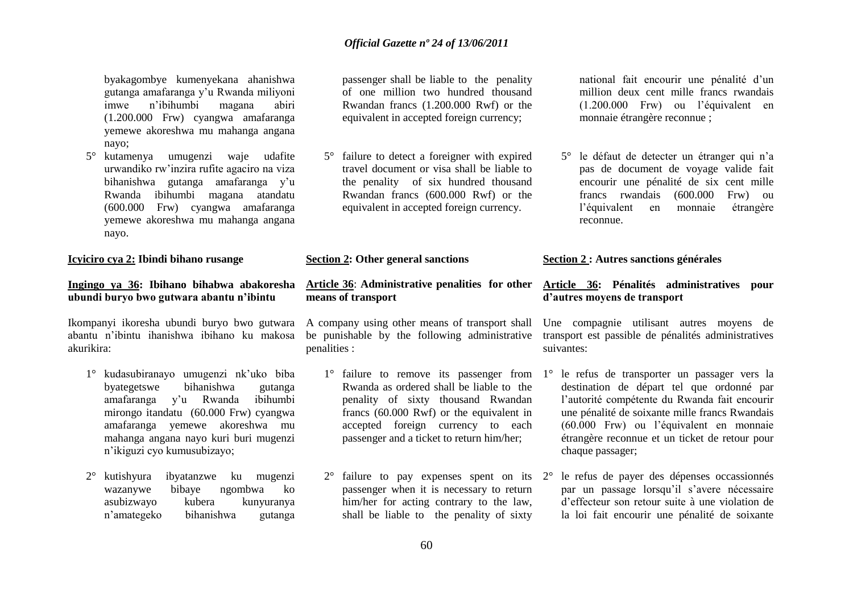byakagombye kumenyekana ahanishwa gutanga amafaranga y"u Rwanda miliyoni imwe n"ibihumbi magana abiri (1.200.000 Frw) cyangwa amafaranga yemewe akoreshwa mu mahanga angana nayo;

5° kutamenya umugenzi waje udafite urwandiko rw"inzira rufite agaciro na viza bihanishwa gutanga amafaranga y"u Rwanda ibihumbi magana atandatu (600.000 Frw) cyangwa amafaranga yemewe akoreshwa mu mahanga angana nayo.

#### **Icyiciro cya 2: Ibindi bihano rusange**

#### **Ingingo ya 36: Ibihano bihabwa abakoresha ubundi buryo bwo gutwara abantu n'ibintu**

abantu n"ibintu ihanishwa ibihano ku makosa akurikira:

- 1° kudasubiranayo umugenzi nk"uko biba byategetswe bihanishwa gutanga amafaranga y"u Rwanda ibihumbi mirongo itandatu (60.000 Frw) cyangwa amafaranga yemewe akoreshwa mu mahanga angana nayo kuri buri mugenzi n"ikiguzi cyo kumusubizayo;
- 2° kutishyura ibyatanzwe ku mugenzi wazanywe bibaye ngombwa ko asubizwayo kubera kunyuranya n"amategeko bihanishwa gutanga

passenger shall be liable to the penality of one million two hundred thousand Rwandan francs (1.200.000 Rwf) or the equivalent in accepted foreign currency;

5° failure to detect a foreigner with expired travel document or visa shall be liable to the penality of six hundred thousand Rwandan francs (600.000 Rwf) or the equivalent in accepted foreign currency.

#### **Section 2: Other general sanctions**

#### **Article 36**: **Administrative penalities for other Article 36: Pénalités administratives pour means of transport**

Ikompanyi ikoresha ubundi buryo bwo gutwara A company using other means of transport shall be punishable by the following administrative penalities :

- Rwanda as ordered shall be liable to the penality of sixty thousand Rwandan francs (60.000 Rwf) or the equivalent in accepted foreign currency to each passenger and a ticket to return him/her;
- passenger when it is necessary to return him/her for acting contrary to the law, shall be liable to the penality of sixty

national fait encourir une pénalité d"un million deux cent mille francs rwandais (1.200.000 Frw) ou l"équivalent en monnaie étrangère reconnue ;

5° le défaut de detecter un étranger qui n"a pas de document de voyage valide fait encourir une pénalité de six cent mille francs rwandais (600.000 Frw) ou l"équivalent en monnaie étrangère reconnue.

#### **Section 2 : Autres sanctions générales**

# **d'autres moyens de transport**

Une compagnie utilisant autres moyens de transport est passible de pénalités administratives suivantes:

- 1° failure to remove its passenger from 1° le refus de transporter un passager vers la destination de départ tel que ordonné par l"autorité compétente du Rwanda fait encourir une pénalité de soixante mille francs Rwandais (60.000 Frw) ou l"équivalent en monnaie étrangère reconnue et un ticket de retour pour chaque passager;
- 2° failure to pay expenses spent on its 2° le refus de payer des dépenses occassionnés par un passage lorsqu"il s"avere nécessaire d"effecteur son retour suite à une violation de la loi fait encourir une pénalité de soixante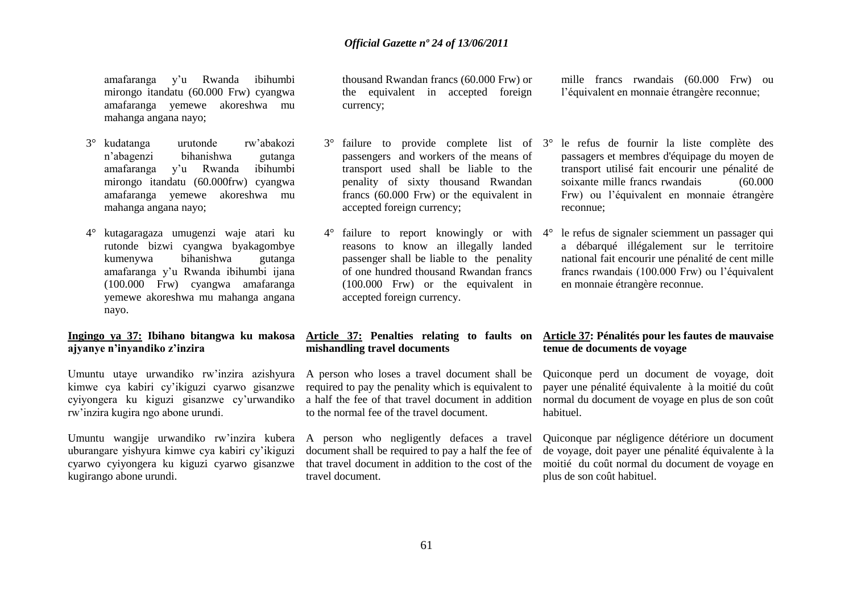amafaranga y"u Rwanda ibihumbi mirongo itandatu (60.000 Frw) cyangwa amafaranga yemewe akoreshwa mu mahanga angana nayo;

- 3° kudatanga urutonde rw"abakozi n"abagenzi bihanishwa gutanga amafaranga y"u Rwanda ibihumbi mirongo itandatu (60.000frw) cyangwa amafaranga yemewe akoreshwa mu mahanga angana nayo;
- 4° kutagaragaza umugenzi waje atari ku rutonde bizwi cyangwa byakagombye kumenywa bihanishwa gutanga amafaranga y"u Rwanda ibihumbi ijana (100.000 Frw) cyangwa amafaranga yemewe akoreshwa mu mahanga angana nayo.

#### **Ingingo ya 37: Ibihano bitangwa ku makosa ajyanye n'inyandiko z'inzira**

Umuntu utaye urwandiko rw"inzira azishyura kimwe cya kabiri cy"ikiguzi cyarwo gisanzwe cyiyongera ku kiguzi gisanzwe cy"urwandiko rw"inzira kugira ngo abone urundi.

Umuntu wangije urwandiko rw"inzira kubera A person who negligently defaces a travel uburangare yishyura kimwe cya kabiri cy"ikiguzi cyarwo cyiyongera ku kiguzi cyarwo gisanzwe kugirango abone urundi.

thousand Rwandan francs (60.000 Frw) or the equivalent in accepted foreign currency;

- 3° failure to provide complete list of passengers and workers of the means of transport used shall be liable to the penality of sixty thousand Rwandan francs (60.000 Frw) or the equivalent in accepted foreign currency;
- 4° failure to report knowingly or with reasons to know an illegally landed passenger shall be liable to the penality of one hundred thousand Rwandan francs (100.000 Frw) or the equivalent in accepted foreign currency.

# **mishandling travel documents**

A person who loses a travel document shall be required to pay the penality which is equivalent to a half the fee of that travel document in addition to the normal fee of the travel document.

document shall be required to pay a half the fee of that travel document in addition to the cost of the travel document.

mille francs rwandais (60.000 Frw) ou l"équivalent en monnaie étrangère reconnue;

- 3° le refus de fournir la liste complète des passagers et membres d'équipage du moyen de transport utilisé fait encourir une pénalité de soixante mille francs rwandais (60.000 Frw) ou l"équivalent en monnaie étrangère reconnue;
- le refus de signaler sciemment un passager qui a débarqué illégalement sur le territoire national fait encourir une pénalité de cent mille francs rwandais (100.000 Frw) ou l"équivalent en monnaie étrangère reconnue.

#### **Article 37: Penalties relating to faults on Article 37: Pénalités pour les fautes de mauvaise tenue de documents de voyage**

Quiconque perd un document de voyage, doit payer une pénalité équivalente à la moitié du coût normal du document de voyage en plus de son coût habituel.

Quiconque par négligence détériore un document de voyage, doit payer une pénalité équivalente à la moitié du coût normal du document de voyage en plus de son coût habituel.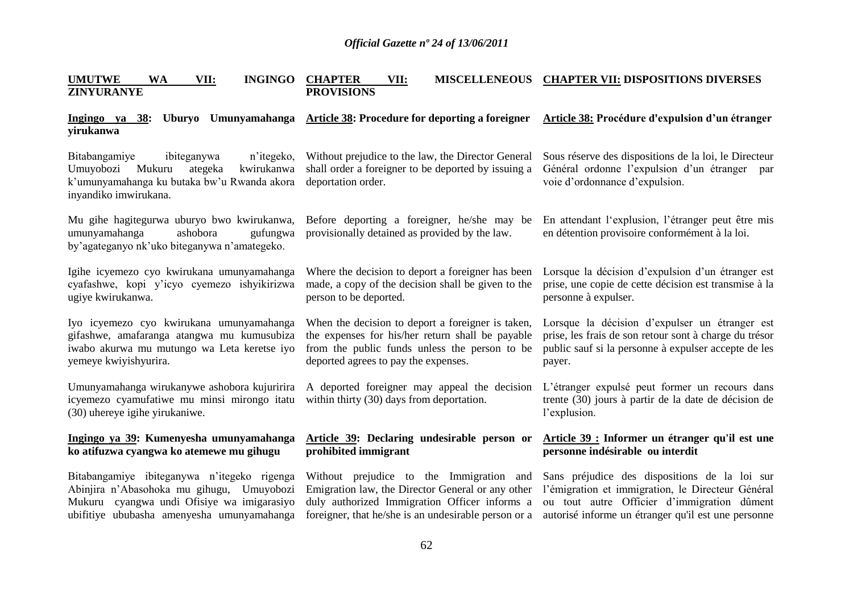| <b>UMUTWE</b><br><b>WA</b><br>VII:<br><b>INGINGO</b><br><b>ZINYURANYE</b>                                                                                                            | <b>CHAPTER</b><br>VII:<br><b>PROVISIONS</b>                                                                                                                                                            | MISCELLENEOUS CHAPTER VII: DISPOSITIONS DIVERSES                                                                                                                                                         |
|--------------------------------------------------------------------------------------------------------------------------------------------------------------------------------------|--------------------------------------------------------------------------------------------------------------------------------------------------------------------------------------------------------|----------------------------------------------------------------------------------------------------------------------------------------------------------------------------------------------------------|
| Ingingo ya 38:<br>yirukanwa                                                                                                                                                          | Uburyo Umunyamahanga Article 38: Procedure for deporting a foreigner                                                                                                                                   | Article 38: Procédure d'expulsion d'un étranger                                                                                                                                                          |
| Bitabangamiye<br>ibiteganywa<br>n'itegeko,<br>Umuyobozi Mukuru<br>kwirukanwa<br>ategeka<br>k'umunyamahanga ku butaka bw'u Rwanda akora<br>inyandiko imwirukana.                      | Without prejudice to the law, the Director General<br>shall order a foreigner to be deported by issuing a<br>deportation order.                                                                        | Sous réserve des dispositions de la loi, le Directeur<br>Général ordonne l'expulsion d'un étranger par<br>voie d'ordonnance d'expulsion.                                                                 |
| Mu gihe hagitegurwa uburyo bwo kwirukanwa,<br>ashobora<br>gufungwa<br>umunyamahanga<br>by'agateganyo nk'uko biteganywa n'amategeko.                                                  | Before deporting a foreigner, he/she may be<br>provisionally detained as provided by the law.                                                                                                          | En attendant l'explusion, l'étranger peut être mis<br>en détention provisoire conformément à la loi.                                                                                                     |
| Igihe icyemezo cyo kwirukana umunyamahanga<br>cyafashwe, kopi y'icyo cyemezo ishyikirizwa<br>ugiye kwirukanwa.                                                                       | Where the decision to deport a foreigner has been<br>made, a copy of the decision shall be given to the<br>person to be deported.                                                                      | Lorsque la décision d'expulsion d'un étranger est<br>prise, une copie de cette décision est transmise à la<br>personne à expulser.                                                                       |
| Iyo icyemezo cyo kwirukana umunyamahanga<br>gifashwe, amafaranga atangwa mu kumusubiza<br>iwabo akurwa mu mutungo wa Leta keretse iyo<br>yemeye kwiyishyurira.                       | When the decision to deport a foreigner is taken,<br>the expenses for his/her return shall be payable<br>from the public funds unless the person to be<br>deported agrees to pay the expenses.         | Lorsque la décision d'expulser un étranger est<br>prise, les frais de son retour sont à charge du trésor<br>public sauf si la personne à expulser accepte de les<br>payer.                               |
| Umunyamahanga wirukanywe ashobora kujuririra<br>icyemezo cyamufatiwe mu minsi mirongo itatu<br>(30) uhereye igihe yirukaniwe.                                                        | A deported foreigner may appeal the decision<br>within thirty (30) days from deportation.                                                                                                              | L'étranger expulsé peut former un recours dans<br>trente (30) jours à partir de la date de décision de<br>l'explusion.                                                                                   |
| Ingingo ya 39: Kumenyesha umunyamahanga<br>ko atifuzwa cyangwa ko atemewe mu gihugu                                                                                                  | Article 39: Declaring undesirable person or<br>prohibited immigrant                                                                                                                                    | Article 39 : Informer un étranger qu'il est une<br>personne indésirable ou interdit                                                                                                                      |
| Bitabangamiye ibiteganywa n'itegeko rigenga<br>Abinjira n'Abasohoka mu gihugu, Umuyobozi<br>Mukuru cyangwa undi Ofisiye wa imigarasiyo<br>ubifitiye ububasha amenyesha umunyamahanga | Without prejudice to the Immigration and<br>Emigration law, the Director General or any other<br>duly authorized Immigration Officer informs a<br>foreigner, that he/she is an undesirable person or a | Sans préjudice des dispositions de la loi sur<br>l'émigration et immigration, le Directeur Général<br>ou tout autre Officier d'immigration dûment<br>autorisé informe un étranger qu'il est une personne |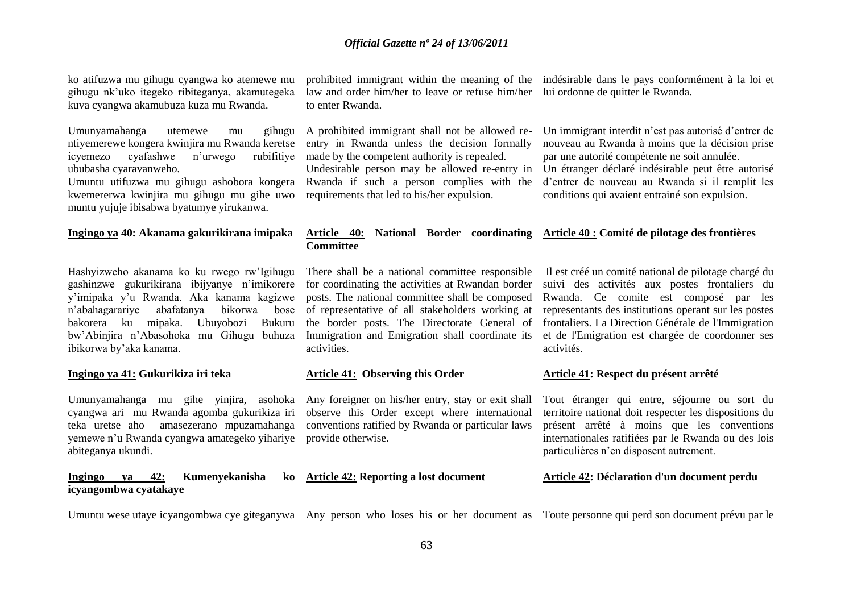ko atifuzwa mu gihugu cyangwa ko atemewe mu gihugu nk"uko itegeko ribiteganya, akamutegeka kuva cyangwa akamubuza kuza mu Rwanda.

Umunyamahanga utemewe mu gihugu ntiyemerewe kongera kwinjira mu Rwanda keretse icyemezo cyafashwe n"urwego rubifitiye ububasha cyaravanweho.

Umuntu utifuzwa mu gihugu ashobora kongera kwemererwa kwinjira mu gihugu mu gihe uwo muntu yujuje ibisabwa byatumye yirukanwa.

#### **Ingingo ya 40: Akanama gakurikirana imipaka**

Hashyizweho akanama ko ku rwego rw"Igihugu gashinzwe gukurikirana ibijyanye n"imikorere y"imipaka y"u Rwanda. Aka kanama kagizwe n'abahagarariye abafatanya bakorera ku mipaka. Ubuyobozi Bukuru bw"Abinjira n"Abasohoka mu Gihugu buhuza ibikorwa by"aka kanama.

#### **Ingingo ya 41: Gukurikiza iri teka**

Umunyamahanga mu gihe yinjira, asohoka cyangwa ari mu Rwanda agomba gukurikiza iri teka uretse aho amasezerano mpuzamahanga yemewe n"u Rwanda cyangwa amategeko yihariye provide otherwise. abiteganya ukundi.

#### **Ingingo ya 42: Kumenyekanisha ko icyangombwa cyatakaye**

prohibited immigrant within the meaning of the indésirable dans le pays conformément à la loi et law and order him/her to leave or refuse him/her lui ordonne de quitter le Rwanda. to enter Rwanda.

A prohibited immigrant shall not be allowed reentry in Rwanda unless the decision formally made by the competent authority is repealed. Undesirable person may be allowed re-entry in

Rwanda if such a person complies with the requirements that led to his/her expulsion.

#### **Article 40: National Border coordinating Article 40 : Comité de pilotage des frontières Committee**

There shall be a national committee responsible for coordinating the activities at Rwandan border posts. The national committee shall be composed of representative of all stakeholders working at the border posts. The Directorate General of Immigration and Emigration shall coordinate its activities.

#### **Article 41: Observing this Order**

Any foreigner on his/her entry, stay or exit shall observe this Order except where international conventions ratified by Rwanda or particular laws

## **Article 42: Reporting a lost document**

Un immigrant interdit n"est pas autorisé d"entrer de nouveau au Rwanda à moins que la décision prise par une autorité compétente ne soit annulée. Un étranger déclaré indésirable peut être autorisé d"entrer de nouveau au Rwanda si il remplit les conditions qui avaient entrainé son expulsion.

Il est créé un comité national de pilotage chargé du suivi des activités aux postes frontaliers du Rwanda. Ce comite est composé par les representants des institutions operant sur les postes frontaliers. La Direction Générale de l'Immigration et de l'Emigration est chargée de coordonner ses activités.

#### **Article 41: Respect du présent arrêté**

Tout étranger qui entre, séjourne ou sort du territoire national doit respecter les dispositions du présent arrêté à moins que les conventions internationales ratifiées par le Rwanda ou des lois particulières n"en disposent autrement.

#### **Article 42: Déclaration d'un document perdu**

Umuntu wese utaye icyangombwa cye giteganywa Any person who loses his or her document as Toute personne qui perd son document prévu par le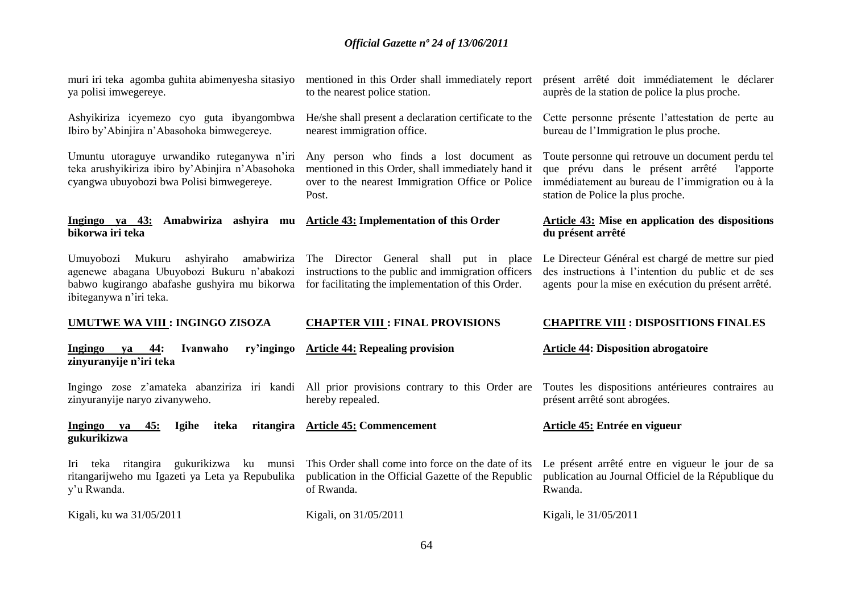| muri iri teka agomba guhita abimenyesha sitasiyo<br>ya polisi imwegereye.                                                                                         | mentioned in this Order shall immediately report<br>to the nearest police station.                                                                         | présent arrêté doit immédiatement le déclarer<br>auprès de la station de police la plus proche.                                                                                             |
|-------------------------------------------------------------------------------------------------------------------------------------------------------------------|------------------------------------------------------------------------------------------------------------------------------------------------------------|---------------------------------------------------------------------------------------------------------------------------------------------------------------------------------------------|
| Ashyikiriza icyemezo cyo guta ibyangombwa<br>Ibiro by'Abinjira n'Abasohoka bimwegereye.                                                                           | He/she shall present a declaration certificate to the<br>nearest immigration office.                                                                       | Cette personne présente l'attestation de perte au<br>bureau de l'Immigration le plus proche.                                                                                                |
| Umuntu utoraguye urwandiko ruteganywa n'iri<br>teka arushyikiriza ibiro by'Abinjira n'Abasohoka<br>cyangwa ubuyobozi bwa Polisi bimwegereye.                      | Any person who finds a lost document as<br>mentioned in this Order, shall immediately hand it<br>over to the nearest Immigration Office or Police<br>Post. | Toute personne qui retrouve un document perdu tel<br>que prévu dans le présent arrêté<br>l'apporte<br>immédiatement au bureau de l'immigration ou à la<br>station de Police la plus proche. |
| Ingingo ya 43: Amabwiriza ashyira mu Article 43: Implementation of this Order<br>bikorwa iri teka                                                                 |                                                                                                                                                            | Article 43: Mise en application des dispositions<br>du présent arrêté                                                                                                                       |
| Umuyobozi Mukuru<br>ashyiraho amabwiriza<br>agenewe abagana Ubuyobozi Bukuru n'abakozi<br>babwo kugirango abafashe gushyira mu bikorwa<br>ibiteganywa n'iri teka. | The Director General shall put in place<br>instructions to the public and immigration officers<br>for facilitating the implementation of this Order.       | Le Directeur Général est chargé de mettre sur pied<br>des instructions à l'intention du public et de ses<br>agents pour la mise en exécution du présent arrêté.                             |
| <b>UMUTWE WA VIII : INGINGO ZISOZA</b>                                                                                                                            | <b>CHAPTER VIII : FINAL PROVISIONS</b>                                                                                                                     | <b>CHAPITRE VIII : DISPOSITIONS FINALES</b>                                                                                                                                                 |
| ya 44:<br>ry'ingingo<br>Ingingo<br>Ivanwaho<br>zinyuranyije n'iri teka                                                                                            | <b>Article 44: Repealing provision</b>                                                                                                                     | <b>Article 44: Disposition abrogatoire</b>                                                                                                                                                  |
| Ingingo zose z'amateka abanziriza iri kandi All prior provisions contrary to this Order are<br>zinyuranyije naryo zivanyweho.                                     | hereby repealed.                                                                                                                                           | Toutes les dispositions antérieures contraires au<br>présent arrêté sont abrogées.                                                                                                          |
| Ingingo ya<br>Igihe<br>45:<br>iteka<br>gukurikizwa                                                                                                                | ritangira Article 45: Commencement                                                                                                                         | Article 45: Entrée en vigueur                                                                                                                                                               |
| gukurikizwa<br>Iri teka ritangira<br>ku munsi<br>ritangarijweho mu Igazeti ya Leta ya Repubulika<br>y'u Rwanda.                                                   | This Order shall come into force on the date of its<br>publication in the Official Gazette of the Republic<br>of Rwanda.                                   | Le présent arrêté entre en vigueur le jour de sa<br>publication au Journal Officiel de la République du<br>Rwanda.                                                                          |
| Kigali, ku wa 31/05/2011                                                                                                                                          | Kigali, on 31/05/2011                                                                                                                                      | Kigali, le 31/05/2011                                                                                                                                                                       |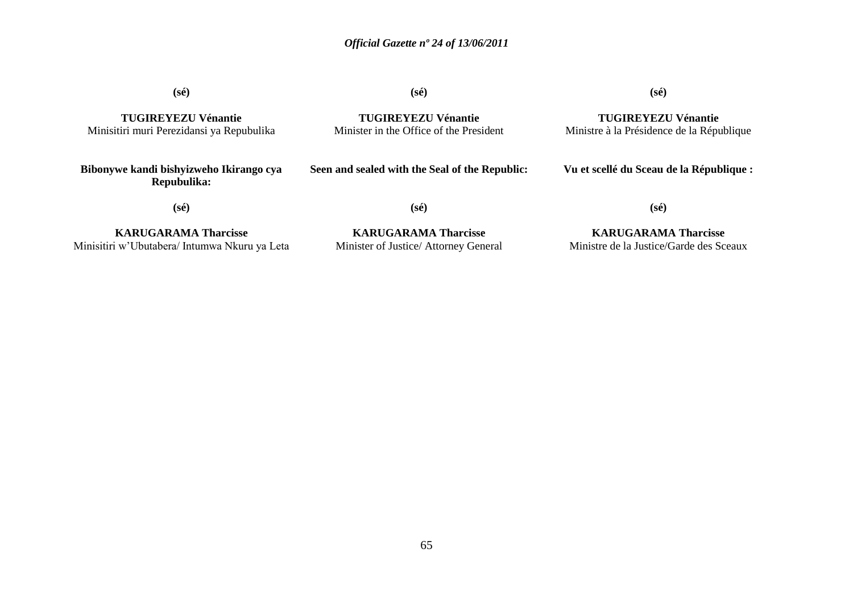**(sé)**

**TUGIREYEZU Vénantie** Minisitiri muri Perezidansi ya Repubulika **(sé)**

**TUGIREYEZU Vénantie** Minister in the Office of the President **(sé)**

**TUGIREYEZU Vénantie** Ministre à la Présidence de la République

**Vu et scellé du Sceau de la République :**

**(sé)**

**Bibonywe kandi bishyizweho Ikirango cya Repubulika:**

**(sé)**

**Seen and sealed with the Seal of the Republic:**

**KARUGARAMA Tharcisse** Minisitiri w"Ubutabera/ Intumwa Nkuru ya Leta

**KARUGARAMA Tharcisse** Minister of Justice/ Attorney General

**KARUGARAMA Tharcisse** Ministre de la Justice/Garde des Sceaux

**(sé)**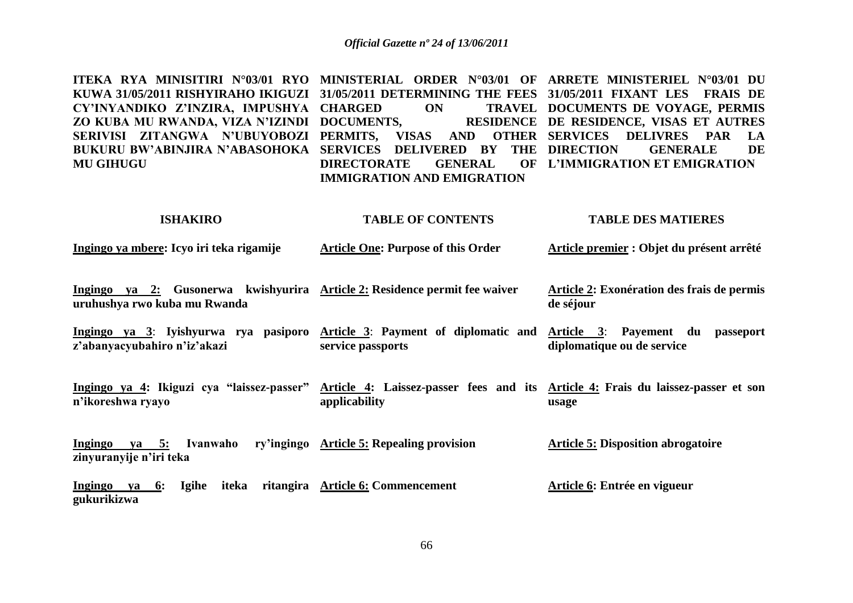| ITEKA RYA MINISITIRI N°03/01 RYO MINISTERIAL ORDER N°03/01 OF ARRETE MINISTERIEL N°03/01 DU       |                                                    |  |
|---------------------------------------------------------------------------------------------------|----------------------------------------------------|--|
| KUWA 31/05/2011 RISHYIRAHO IKIGUZI 31/05/2011 DETERMINING THE FEES 31/05/2011 FIXANT LES FRAIS DE |                                                    |  |
| CY'INYANDIKO Z'INZIRA, IMPUSHYA CHARGED ON TRAVEL DOCUMENTS DE VOYAGE, PERMIS                     |                                                    |  |
| ZO KUBA MU RWANDA, VIZA N'IZINDI DOCUMENTS, RESIDENCE DE RESIDENCE, VISAS ET AUTRES               |                                                    |  |
| SERIVISI ZITANGWA N'UBUYOBOZI PERMITS, VISAS AND OTHER SERVICES DELIVRES PAR LA                   |                                                    |  |
| BUKURU BW'ABINJIRA N'ABASOHOKA SERVICES DELIVERED BY THE DIRECTION GENERALE DE                    |                                                    |  |
| <b>MU GIHUGU</b>                                                                                  | DIRECTORATE GENERAL OF L'IMMIGRATION ET EMIGRATION |  |
|                                                                                                   | <b>IMMIGRATION AND EMIGRATION</b>                  |  |

#### **ISHAKIRO TABLE OF CONTENTS TABLE DES MATIERES**

| <u>Ingingo ya mbere: Icyo iri teka rigamije</u> | Article One: Purpose of this Order | Article premier : Objet du présent arrêté |
|-------------------------------------------------|------------------------------------|-------------------------------------------|
|                                                 |                                    |                                           |

- **Ingingo ya 2: Gusonerwa kwishyurira Article 2: Residence permit fee waiver uruhushya rwo kuba mu Rwanda Article 2: Exonération des frais de permis de séjour**
- **Ingingo ya 3**: **Iyishyurwa rya pasiporo Article 3**: **Payment of diplomatic and Article 3**: **Payement du passeport z'abanyacyubahiro n'iz'akazi service passports diplomatique ou de service**
- **Ingingo ya 4: Ikiguzi cya "laissez-passer" Article 4: Laissez-passer fees and its Article 4: Frais du laissez-passer et son n'ikoreshwa ryayo applicability usage**

**Ingingo va 5: Ivanwaho zinyuranyije n'iri teka Article 5: Repealing provision Article 5: Disposition abrogatoire**

**Ingingo ya 6: Igihe iteka ritangira Article 6: Commencement gukurikizwa Article 6: Entrée en vigueur**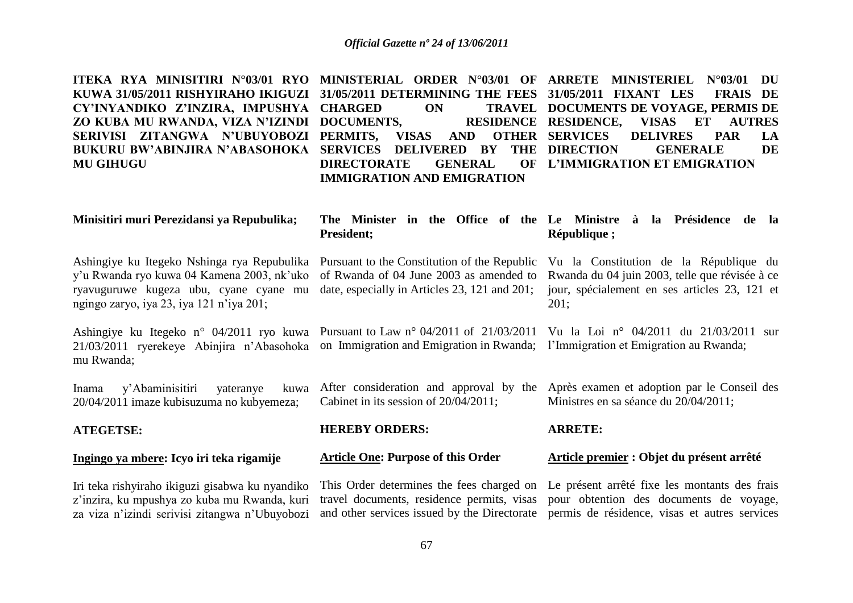| ITEKA RYA MINISITIRI N°03/01 RYO<br>KUWA 31/05/2011 RISHYIRAHO IKIGUZI<br>CY'INYANDIKO Z'INZIRA, IMPUSHYA<br>ZO KUBA MU RWANDA, VIZA N'IZINDI<br>SERIVISI ZITANGWA N'UBUYOBOZI<br><b>BUKURU BW'ABINJIRA N'ABASOHOKA</b><br><b>MU GIHUGU</b> | MINISTERIAL ORDER N°03/01 OF<br>31/05/2011 DETERMINING THE FEES<br><b>CHARGED</b><br><b>TRAVEL</b><br>ON<br>DOCUMENTS,<br><b>RESIDENCE</b><br>PERMITS,<br><b>VISAS</b><br><b>AND</b><br><b>OTHER</b><br><b>SERVICES</b><br>DELIVERED BY<br><b>THE</b><br><b>DIRECTORATE</b><br><b>GENERAL</b><br><b>OF</b><br><b>IMMIGRATION AND EMIGRATION</b> | ARRETE MINISTERIEL N°03/01<br>DU<br>31/05/2011 FIXANT LES<br><b>FRAIS DE</b><br>DOCUMENTS DE VOYAGE, PERMIS DE<br><b>RESIDENCE,</b><br>VISAS ET<br><b>AUTRES</b><br><b>SERVICES</b><br><b>DELIVRES</b><br><b>PAR</b><br>LA<br><b>DIRECTION</b><br><b>GENERALE</b><br><b>DE</b><br><b>L'IMMIGRATION ET EMIGRATION</b> |
|---------------------------------------------------------------------------------------------------------------------------------------------------------------------------------------------------------------------------------------------|-------------------------------------------------------------------------------------------------------------------------------------------------------------------------------------------------------------------------------------------------------------------------------------------------------------------------------------------------|----------------------------------------------------------------------------------------------------------------------------------------------------------------------------------------------------------------------------------------------------------------------------------------------------------------------|
| Minisitiri muri Perezidansi ya Repubulika;                                                                                                                                                                                                  | <b>President;</b>                                                                                                                                                                                                                                                                                                                               | The Minister in the Office of the Le Ministre à la Présidence de la<br>République;                                                                                                                                                                                                                                   |
| Ashingiye ku Itegeko Nshinga rya Repubulika<br>y'u Rwanda ryo kuwa 04 Kamena 2003, nk'uko<br>ryavuguruwe kugeza ubu, cyane cyane mu<br>ngingo zaryo, iya 23, iya 121 n'iya 201;                                                             | Pursuant to the Constitution of the Republic<br>of Rwanda of 04 June 2003 as amended to<br>date, especially in Articles 23, 121 and 201;                                                                                                                                                                                                        | Vu la Constitution de la République du<br>Rwanda du 04 juin 2003, telle que révisée à ce<br>jour, spécialement en ses articles 23, 121 et<br>201;                                                                                                                                                                    |
| Ashingiye ku Itegeko n° 04/2011 ryo kuwa<br>21/03/2011 ryerekeye Abinjira n'Abasohoka<br>mu Rwanda;                                                                                                                                         | Pursuant to Law $n^{\circ}$ 04/2011 of 21/03/2011<br>on Immigration and Emigration in Rwanda;                                                                                                                                                                                                                                                   | Vu la Loi nº 04/2011 du 21/03/2011 sur<br>l'Immigration et Emigration au Rwanda;                                                                                                                                                                                                                                     |
| y'Abaminisitiri<br>Inama<br>yateranye<br>kuwa<br>20/04/2011 imaze kubisuzuma no kubyemeza;                                                                                                                                                  | After consideration and approval by the<br>Cabinet in its session of 20/04/2011;                                                                                                                                                                                                                                                                | Après examen et adoption par le Conseil des<br>Ministres en sa séance du 20/04/2011;                                                                                                                                                                                                                                 |
| <b>ATEGETSE:</b>                                                                                                                                                                                                                            | <b>HEREBY ORDERS:</b>                                                                                                                                                                                                                                                                                                                           | <b>ARRETE:</b>                                                                                                                                                                                                                                                                                                       |
| Ingingo ya mbere: Icyo iri teka rigamije                                                                                                                                                                                                    | <b>Article One: Purpose of this Order</b>                                                                                                                                                                                                                                                                                                       | Article premier : Objet du présent arrêté                                                                                                                                                                                                                                                                            |
| Iri teka rishyiraho ikiguzi gisabwa ku nyandiko<br>z'inzira, ku mpushya zo kuba mu Rwanda, kuri<br>za viza n'izindi serivisi zitangwa n'Ubuyobozi                                                                                           | This Order determines the fees charged on<br>travel documents, residence permits, visas<br>and other services issued by the Directorate                                                                                                                                                                                                         | Le présent arrêté fixe les montants des frais<br>pour obtention des documents de voyage,<br>permis de résidence, visas et autres services                                                                                                                                                                            |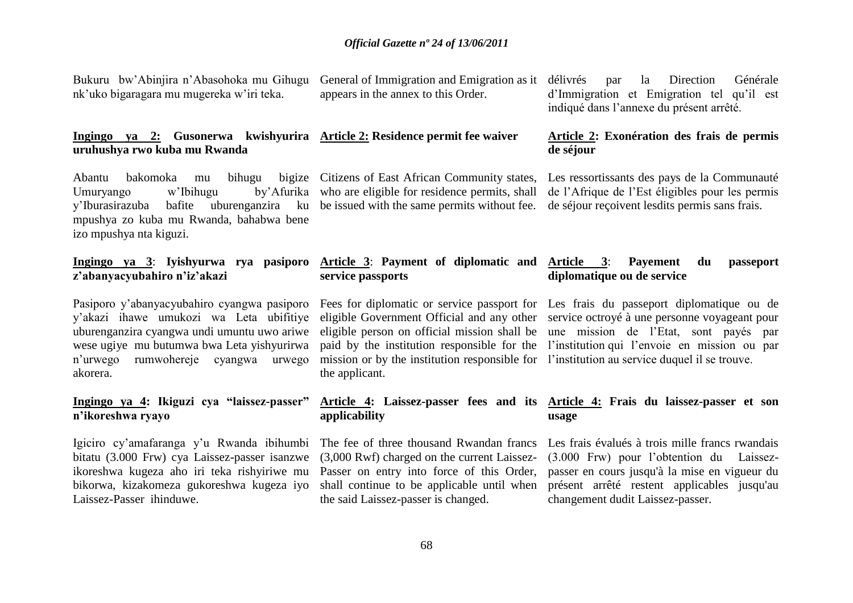Bukuru bw"Abinjira n"Abasohoka mu Gihugu nk"uko bigaragara mu mugereka w"iri teka.

# **uruhushya rwo kuba mu Rwanda**

Abantu bakomoka mu bihugu Umuryango w'Ibihugu y"Iburasirazuba bafite uburenganzira ku be issued with the same permits without fee. de séjour reçoivent lesdits permis sans frais. mpushya zo kuba mu Rwanda, bahabwa bene izo mpushya nta kiguzi.

#### **Ingingo ya 3**: **Iyishyurwa rya pasiporo z'abanyacyubahiro n'iz'akazi**

Pasiporo y"abanyacyubahiro cyangwa pasiporo y"akazi ihawe umukozi wa Leta ubifitiye uburenganzira cyangwa undi umuntu uwo ariwe wese ugiye mu butumwa bwa Leta yishyurirwa n"urwego rumwohereje cyangwa urwego akorera.

### **Ingingo ya 4: Ikiguzi cya "laissez-passer" n'ikoreshwa ryayo**

Igiciro cy"amafaranga y"u Rwanda ibihumbi bitatu (3.000 Frw) cya Laissez-passer isanzwe ikoreshwa kugeza aho iri teka rishyiriwe mu bikorwa, kizakomeza gukoreshwa kugeza iyo Laissez-Passer ihinduwe.

General of Immigration and Emigration as it appears in the annex to this Order.

# **Ingingo ya 2: Gusonerwa kwishyurira Article 2: Residence permit fee waiver**

bigize Citizens of East African Community states, by Afurika who are eligible for residence permits, shall

> **Article 3**: **Payment of diplomatic and service passports**

mission or by the institution responsible for l'institution au service duquel il se trouve. the applicant.

# **applicability**

The fee of three thousand Rwandan francs (3,000 Rwf) charged on the current Laissez-Passer on entry into force of this Order, shall continue to be applicable until when the said Laissez-passer is changed.

par la Direction Générale d"Immigration et Emigration tel qu"il est indiqué dans l"annexe du présent arrêté.

### **Article 2: Exonération des frais de permis de séjour**

Les ressortissants des pays de la Communauté de l"Afrique de l"Est éligibles pour les permis

### **Article 3**: **Payement du passeport diplomatique ou de service**

Fees for diplomatic or service passport for Les frais du passeport diplomatique ou de eligible Government Official and any other service octroyé à une personne voyageant pour eligible person on official mission shall be une mission de l"Etat, sont payés par paid by the institution responsible for the l"institution qui l"envoie en mission ou par

#### **Article 4: Laissez-passer fees and its Article 4: Frais du laissez-passer et son usage**

Les frais évalués à trois mille francs rwandais (3.000 Frw) pour l"obtention du Laissezpasser en cours jusqu'à la mise en vigueur du présent arrêté restent applicables jusqu'au changement dudit Laissez-passer.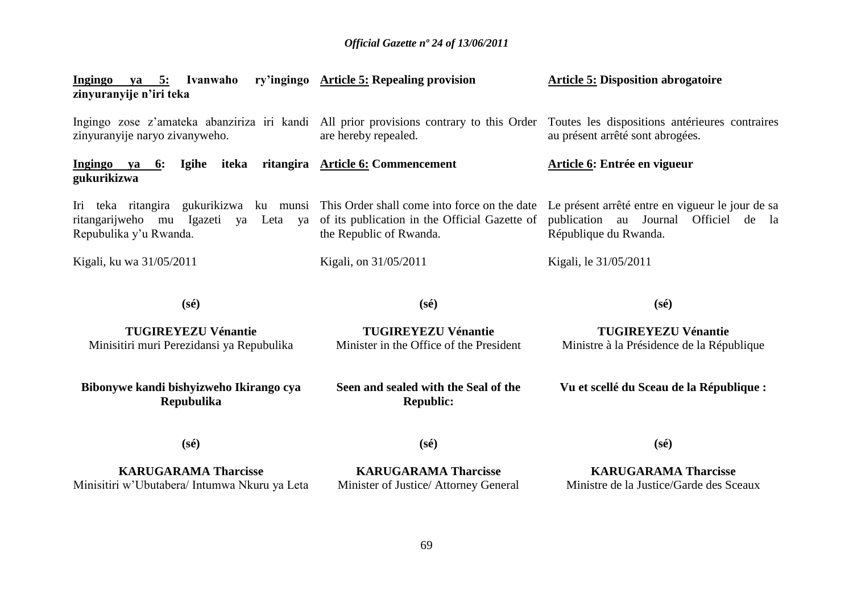| Ingingo<br>ya 5: Ivanwaho<br>zinyuranyije n'iri teka                                                                                                   | ry'ingingo Article 5: Repealing provision                                | <b>Article 5: Disposition abrogatoire</b>                                                                                |
|--------------------------------------------------------------------------------------------------------------------------------------------------------|--------------------------------------------------------------------------|--------------------------------------------------------------------------------------------------------------------------|
| Ingingo zose z'amateka abanziriza iri kandi All prior provisions contrary to this Order<br>zinyuranyije naryo zivanyweho.                              | are hereby repealed.                                                     | Toutes les dispositions antérieures contraires<br>au présent arrêté sont abrogées.                                       |
| iteka<br>Igihe<br>Ingingo<br>6:<br>ya<br>gukurikizwa                                                                                                   | ritangira Article 6: Commencement                                        | Article 6: Entrée en vigueur                                                                                             |
| Iri teka ritangira gukurikizwa ku munsi This Order shall come into force on the date<br>ritangarijweho mu Igazeti ya Leta ya<br>Repubulika y'u Rwanda. | of its publication in the Official Gazette of<br>the Republic of Rwanda. | Le présent arrêté entre en vigueur le jour de sa<br>publication au Journal<br>Officiel<br>de la<br>République du Rwanda. |
| Kigali, ku wa 31/05/2011                                                                                                                               | Kigali, on 31/05/2011                                                    | Kigali, le 31/05/2011                                                                                                    |
| $(s\acute{e})$                                                                                                                                         | $(s\acute{e})$                                                           | $(s\acute{e})$                                                                                                           |
| <b>TUGIREYEZU Vénantie</b><br>Minisitiri muri Perezidansi ya Repubulika                                                                                | <b>TUGIREYEZU Vénantie</b><br>Minister in the Office of the President    | <b>TUGIREYEZU Vénantie</b><br>Ministre à la Présidence de la République                                                  |

**Bibonywe kandi bishyizweho Ikirango cya Repubulika**

**Seen and sealed with the Seal of the Republic:**

**Vu et scellé du Sceau de la République :**

**(sé)**

**(sé)**

**KARUGARAMA Tharcisse** Minisitiri w"Ubutabera/ Intumwa Nkuru ya Leta

**KARUGARAMA Tharcisse** Minister of Justice/ Attorney General **(sé)**

**KARUGARAMA Tharcisse** Ministre de la Justice/Garde des Sceaux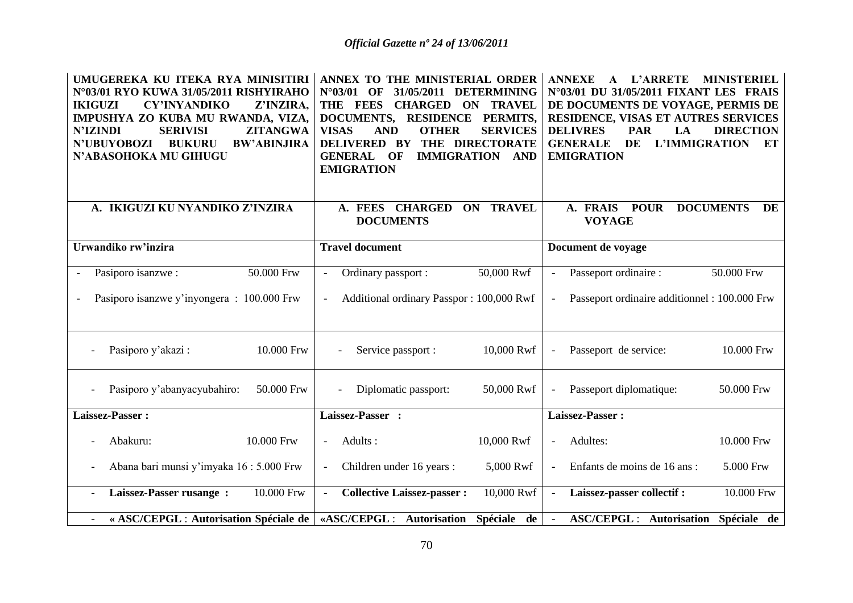| UMUGEREKA KU ITEKA RYA MINISITIRI<br>N°03/01 RYO KUWA 31/05/2011 RISHYIRAHO<br><b>IKIGUZI</b><br><b>CY'INYANDIKO</b><br>Z'INZIRA,<br>IMPUSHYA ZO KUBA MU RWANDA, VIZA,<br><b>N'IZINDI</b><br>ZITANGWA<br><b>SERIVISI</b><br>N'UBUYOBOZI<br><b>BUKURU</b><br><b>BW'ABINJIRA</b><br>N'ABASOHOKA MU GIHUGU | ANNEX TO THE MINISTERIAL ORDER<br>31/05/2011<br><b>DETERMINING</b><br>$N^{\circ}03/01$<br>$\Omega$<br>THE FEES<br><b>CHARGED</b><br><b>ON TRAVEL</b><br><b>DOCUMENTS,</b><br><b>RESIDENCE</b><br>PERMITS,<br><b>VISAS</b><br><b>AND</b><br><b>OTHER</b><br><b>SERVICES</b><br>THE DIRECTORATE<br><b>DELIVERED BY</b><br><b>GENERAL</b><br>OF<br><b>IMMIGRATION</b><br><b>AND</b><br><b>EMIGRATION</b> | <b>ANNEXE</b><br><b>L'ARRETE</b><br><b>MINISTERIEL</b><br>$\mathbf{A}$<br>N°03/01 DU 31/05/2011 FIXANT LES FRAIS<br>DE DOCUMENTS DE VOYAGE, PERMIS DE<br>RESIDENCE, VISAS ET AUTRES SERVICES<br><b>DELIVRES</b><br><b>PAR</b><br><b>DIRECTION</b><br>LA<br><b>GENERALE</b><br>DE<br>L'IMMIGRATION<br>EТ<br><b>EMIGRATION</b> |
|---------------------------------------------------------------------------------------------------------------------------------------------------------------------------------------------------------------------------------------------------------------------------------------------------------|-------------------------------------------------------------------------------------------------------------------------------------------------------------------------------------------------------------------------------------------------------------------------------------------------------------------------------------------------------------------------------------------------------|------------------------------------------------------------------------------------------------------------------------------------------------------------------------------------------------------------------------------------------------------------------------------------------------------------------------------|
| A. IKIGUZI KU NYANDIKO Z'INZIRA                                                                                                                                                                                                                                                                         | <b>CHARGED</b><br><b>TRAVEL</b><br>A. FEES<br><b>ON</b><br><b>DOCUMENTS</b>                                                                                                                                                                                                                                                                                                                           | A. FRAIS<br><b>POUR</b><br><b>DOCUMENTS</b><br>DE<br><b>VOYAGE</b>                                                                                                                                                                                                                                                           |
| Urwandiko rw'inzira                                                                                                                                                                                                                                                                                     | <b>Travel document</b>                                                                                                                                                                                                                                                                                                                                                                                | Document de voyage                                                                                                                                                                                                                                                                                                           |
| 50.000 Frw<br>Pasiporo isanzwe:                                                                                                                                                                                                                                                                         | 50,000 Rwf<br>Ordinary passport :                                                                                                                                                                                                                                                                                                                                                                     | Passeport ordinaire :<br>50.000 Frw<br>$\overline{\phantom{a}}$                                                                                                                                                                                                                                                              |
| Pasiporo isanzwe y'inyongera : 100.000 Frw                                                                                                                                                                                                                                                              | Additional ordinary Passpor: 100,000 Rwf                                                                                                                                                                                                                                                                                                                                                              | Passeport ordinaire additionnel : 100.000 Frw<br>$\overline{\phantom{a}}$                                                                                                                                                                                                                                                    |
| Pasiporo y'akazi:<br>10.000 Frw                                                                                                                                                                                                                                                                         | 10,000 Rwf<br>Service passport :                                                                                                                                                                                                                                                                                                                                                                      | 10.000 Frw<br>Passeport de service:<br>$\overline{\phantom{a}}$                                                                                                                                                                                                                                                              |
| 50.000 Frw<br>Pasiporo y'abanyacyubahiro:                                                                                                                                                                                                                                                               | Diplomatic passport:<br>50,000 Rwf                                                                                                                                                                                                                                                                                                                                                                    | 50.000 Frw<br>Passeport diplomatique:<br>$\overline{a}$                                                                                                                                                                                                                                                                      |
| Laissez-Passer:                                                                                                                                                                                                                                                                                         | Laissez-Passer :                                                                                                                                                                                                                                                                                                                                                                                      | Laissez-Passer:                                                                                                                                                                                                                                                                                                              |
| 10.000 Frw<br>Abakuru:                                                                                                                                                                                                                                                                                  | Adults:<br>10,000 Rwf                                                                                                                                                                                                                                                                                                                                                                                 | 10.000 Frw<br>Adultes:<br>$\overline{\phantom{a}}$                                                                                                                                                                                                                                                                           |
| Abana bari munsi y'imyaka 16 : 5.000 Frw                                                                                                                                                                                                                                                                | Children under 16 years :<br>5,000 Rwf                                                                                                                                                                                                                                                                                                                                                                | Enfants de moins de 16 ans :<br>5.000 Frw<br>$\overline{\phantom{a}}$                                                                                                                                                                                                                                                        |
| Laissez-Passer rusange :<br>10.000 Frw                                                                                                                                                                                                                                                                  | <b>Collective Laissez-passer:</b><br>10,000 Rwf                                                                                                                                                                                                                                                                                                                                                       | 10.000 Frw<br>Laissez-passer collectif :<br>$\blacksquare$                                                                                                                                                                                                                                                                   |
| « ASC/CEPGL : Autorisation Spéciale de                                                                                                                                                                                                                                                                  | «ASC/CEPGL: Autorisation<br>Spéciale de                                                                                                                                                                                                                                                                                                                                                               | <b>ASC/CEPGL: Autorisation</b><br>Spéciale de                                                                                                                                                                                                                                                                                |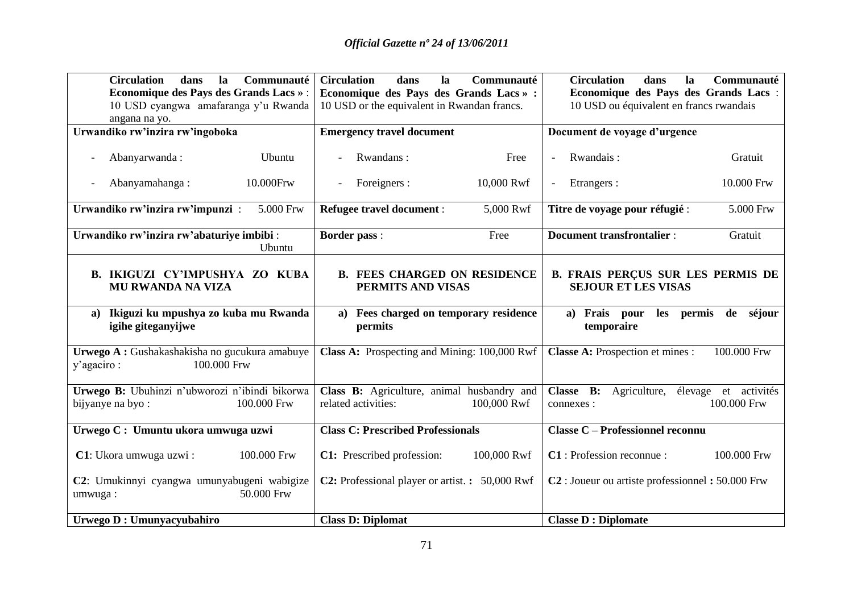| <b>Circulation</b><br>dans<br>Communauté<br>la<br><b>Economique des Pays des Grands Lacs »:</b><br>10 USD cyangwa amafaranga y'u Rwanda<br>angana na yo. | <b>Circulation</b><br>dans<br>la<br>Communauté<br>Economique des Pays des Grands Lacs » :<br>10 USD or the equivalent in Rwandan francs. | <b>Circulation</b><br>Communauté<br>dans<br>la<br>Economique des Pays des Grands Lacs :<br>10 USD ou équivalent en francs rwandais |
|----------------------------------------------------------------------------------------------------------------------------------------------------------|------------------------------------------------------------------------------------------------------------------------------------------|------------------------------------------------------------------------------------------------------------------------------------|
| Urwandiko rw'inzira rw'ingoboka                                                                                                                          | <b>Emergency travel document</b>                                                                                                         | Document de voyage d'urgence                                                                                                       |
| Abanyarwanda:<br>Ubuntu                                                                                                                                  | Rwandans:<br>Free                                                                                                                        | Rwandais:<br>Gratuit                                                                                                               |
| 10.000Frw<br>Abanyamahanga:                                                                                                                              | 10,000 Rwf<br>Foreigners :<br>$\overline{\phantom{0}}$                                                                                   | Etrangers :<br>10.000 Frw<br>$\overline{\phantom{a}}$                                                                              |
| Urwandiko rw'inzira rw'impunzi:<br>5.000 Frw                                                                                                             | Refugee travel document :<br>5,000 Rwf                                                                                                   | 5.000 Frw<br>Titre de voyage pour réfugié :                                                                                        |
| Urwandiko rw'inzira rw'abaturiye imbibi:<br>Ubuntu                                                                                                       | <b>Border pass:</b><br>Free                                                                                                              | <b>Document transfrontalier:</b><br>Gratuit                                                                                        |
| B. IKIGUZI CY'IMPUSHYA ZO KUBA<br><b>MU RWANDA NA VIZA</b>                                                                                               | <b>B. FEES CHARGED ON RESIDENCE</b><br>PERMITS AND VISAS                                                                                 | <b>B. FRAIS PERÇUS SUR LES PERMIS DE</b><br><b>SEJOUR ET LES VISAS</b>                                                             |
| a) Ikiguzi ku mpushya zo kuba mu Rwanda<br>igihe giteganyijwe                                                                                            | a) Fees charged on temporary residence<br>permits                                                                                        | a) Frais pour<br>les permis<br>de séjour<br>temporaire                                                                             |
| Urwego A : Gushakashakisha no gucukura amabuye<br>100.000 Frw<br>y'agaciro:                                                                              | Class A: Prospecting and Mining: 100,000 Rwf                                                                                             | <b>Classe A:</b> Prospection et mines :<br>100.000 Frw                                                                             |
| Urwego B: Ubuhinzi n'ubworozi n'ibindi bikorwa<br>bijyanye na byo:<br>100.000 Frw                                                                        | Class B: Agriculture, animal husbandry and<br>related activities:<br>100,000 Rwf                                                         | Classe B: Agriculture, élevage et activités<br>100.000 Frw<br>connexes :                                                           |
| Urwego C: Umuntu ukora umwuga uzwi                                                                                                                       | <b>Class C: Prescribed Professionals</b>                                                                                                 | <b>Classe C - Professionnel reconnu</b>                                                                                            |
| C1: Ukora umwuga uzwi:<br>100.000 Frw                                                                                                                    | 100,000 Rwf<br>C1: Prescribed profession:                                                                                                | C1: Profession reconnue :<br>100.000 Frw                                                                                           |
| C2: Umukinnyi cyangwa umunyabugeni wabigize<br>50.000 Frw<br>umwuga:                                                                                     | <b>C2:</b> Professional player or artist. : 50,000 Rwf                                                                                   | C <sub>2</sub> : Joueur ou artiste professionnel: 50.000 Frw                                                                       |
| Urwego D : Umunyacyubahiro                                                                                                                               | <b>Class D: Diplomat</b>                                                                                                                 | <b>Classe D : Diplomate</b>                                                                                                        |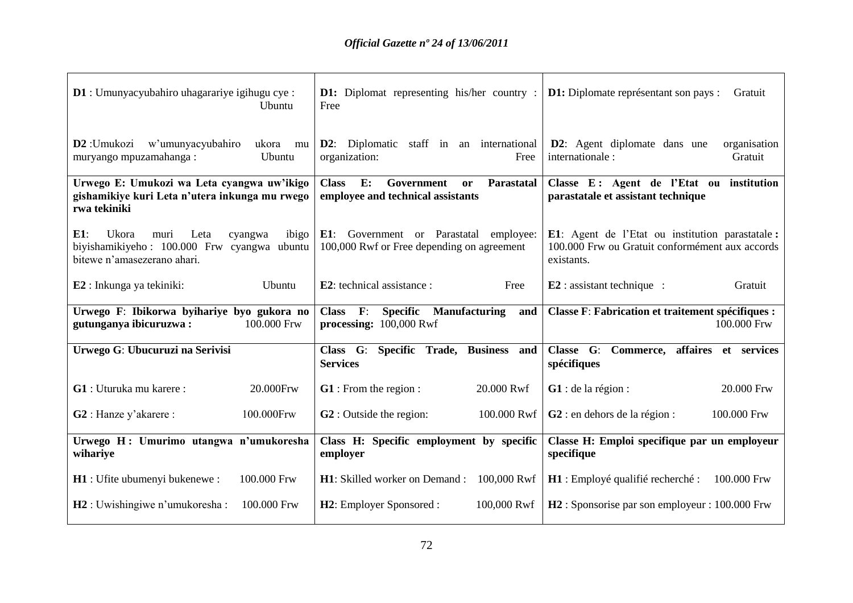| D1 : Umunyacyubahiro uhagarariye igihugu cye :<br><b>Ubuntu</b>                                                                   | <b>D1:</b> Diplomat representing his/her country :<br>Free                                | <b>D1:</b> Diplomate représentant son pays :<br>Gratuit                                                          |
|-----------------------------------------------------------------------------------------------------------------------------------|-------------------------------------------------------------------------------------------|------------------------------------------------------------------------------------------------------------------|
| w'umunyacyubahiro<br><b>D2</b> : Umukozi<br>ukora mu<br>muryango mpuzamahanga:<br>Ubuntu                                          | <b>D2</b> : Diplomatic staff in an international<br>organization:<br>Free                 | <b>D2</b> : Agent diplomate dans une<br>organisation<br>internationale:<br>Gratuit                               |
| Urwego E: Umukozi wa Leta cyangwa uw'ikigo<br>gishamikiye kuri Leta n'utera inkunga mu rwego<br>rwa tekiniki                      | <b>Class</b><br>E:<br>Government<br>Parastatal<br>or<br>employee and technical assistants | Classe E: Agent de l'Etat ou institution<br>parastatale et assistant technique                                   |
| $E1$ :<br>Ukora<br>Leta<br>muri<br>ibigo<br>cyangwa<br>biyishamikiyeho: 100.000 Frw cyangwa ubuntu<br>bitewe n'amasezerano ahari. | E1: Government or Parastatal employee:<br>100,000 Rwf or Free depending on agreement      | E1: Agent de l'Etat ou institution parastatale:<br>100.000 Frw ou Gratuit conformément aux accords<br>existants. |
| E2 : Inkunga ya tekiniki:<br>Ubuntu                                                                                               | <b>E2</b> : technical assistance :<br>Free                                                | $E2$ : assistant technique :<br>Gratuit                                                                          |
| Urwego F: Ibikorwa byihariye byo gukora no<br>100.000 Frw<br>gutunganya ibicuruzwa:                                               | $Class \tF:$<br><b>Specific</b> Manufacturing<br>and<br>processing: 100,000 Rwf           | <b>Classe F: Fabrication et traitement spécifiques :</b><br>100.000 Frw                                          |
| Urwego G: Ubucuruzi na Serivisi                                                                                                   | Specific Trade, Business and<br>Class G:<br><b>Services</b>                               | Classe G: Commerce, affaires et services<br>spécifiques                                                          |
| G1 : Uturuka mu karere :<br>20.000Frw                                                                                             | <b>G1</b> : From the region :<br>20.000 Rwf                                               | $G1$ : de la région:<br>20.000 Frw                                                                               |
| 100.000Frw<br>G2 : Hanze y'akarere :                                                                                              | <b>G2</b> : Outside the region:<br>100.000 Rwf                                            | $G2$ : en dehors de la région :<br>100.000 Frw                                                                   |
| Urwego H: Umurimo utangwa n'umukoresha<br>wihariye                                                                                | Class H: Specific employment by specific<br>employer                                      | Classe H: Emploi specifique par un employeur<br>specifique                                                       |
| 100.000 Frw<br><b>H1</b> : Ufite ubumenyi bukenewe :                                                                              | H1: Skilled worker on Demand : 100,000 Rwf                                                | 100.000 Frw<br>H1 : Employé qualifié recherché :                                                                 |
| 100.000 Frw<br>$H2:$ Uwishingiwe n'umukoresha :                                                                                   |                                                                                           |                                                                                                                  |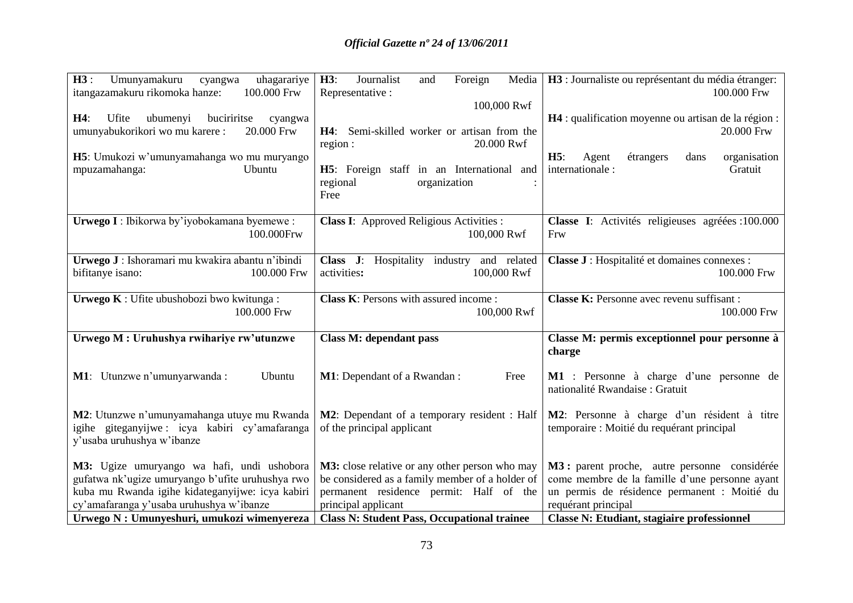| H3:<br>Umunyamakuru<br>uhagarariye<br>cyangwa<br>itangazamakuru rikomoka hanze:<br>100.000 Frw<br>buciriritse<br>H4:<br>Ufite<br>ubumenyi<br>cyangwa<br>umunyabukorikori wo mu karere:<br>20.000 Frw<br>H5: Umukozi w'umunyamahanga wo mu muryango<br>mpuzamahanga:<br>Ubuntu | H3:<br>Journalist<br>Foreign<br>Media<br>and<br>Representative :<br>100,000 Rwf<br>H4: Semi-skilled worker or artisan from the<br>20.000 Rwf<br>region :<br><b>H5</b> : Foreign staff in an International and<br>regional<br>organization<br>Free | H3 : Journaliste ou représentant du média étranger:<br>100.000 Frw<br>H4 : qualification moyenne ou artisan de la région :<br>20.000 Frw<br>H5:<br>étrangers<br>organisation<br>Agent<br>dans<br>Gratuit<br>internationale : |
|-------------------------------------------------------------------------------------------------------------------------------------------------------------------------------------------------------------------------------------------------------------------------------|---------------------------------------------------------------------------------------------------------------------------------------------------------------------------------------------------------------------------------------------------|------------------------------------------------------------------------------------------------------------------------------------------------------------------------------------------------------------------------------|
| Urwego I: Ibikorwa by'iyobokamana byemewe:                                                                                                                                                                                                                                    | <b>Class I:</b> Approved Religious Activities :                                                                                                                                                                                                   | Classe I: Activités religieuses agréées : 100.000                                                                                                                                                                            |
| 100.000Frw                                                                                                                                                                                                                                                                    | 100,000 Rwf                                                                                                                                                                                                                                       | Frw                                                                                                                                                                                                                          |
| Urwego J: Ishoramari mu kwakira abantu n'ibindi<br>bifitanye isano:<br>100.000 Frw                                                                                                                                                                                            | Class J: Hospitality industry and related<br>activities:<br>100,000 Rwf                                                                                                                                                                           | Classe J : Hospitalité et domaines connexes :<br>100.000 Frw                                                                                                                                                                 |
| Urwego K: Ufite ubushobozi bwo kwitunga:                                                                                                                                                                                                                                      | Class K: Persons with assured income:                                                                                                                                                                                                             | Classe K: Personne avec revenu suffisant :                                                                                                                                                                                   |
| 100.000 Frw                                                                                                                                                                                                                                                                   | 100,000 Rwf                                                                                                                                                                                                                                       | 100.000 Frw                                                                                                                                                                                                                  |
| Urwego M : Uruhushya rwihariye rw'utunzwe                                                                                                                                                                                                                                     | <b>Class M: dependant pass</b>                                                                                                                                                                                                                    | Classe M: permis exceptionnel pour personne à<br>charge                                                                                                                                                                      |
| M1: Utunzwe n'umunyarwanda :                                                                                                                                                                                                                                                  | <b>M1</b> : Dependant of a Rwandan:                                                                                                                                                                                                               | M1 : Personne à charge d'une personne de                                                                                                                                                                                     |
| Ubuntu                                                                                                                                                                                                                                                                        | Free                                                                                                                                                                                                                                              | nationalité Rwandaise : Gratuit                                                                                                                                                                                              |
| M2: Utunzwe n'umunyamahanga utuye mu Rwanda<br>igihe giteganyijwe: icya kabiri cy'amafaranga<br>y'usaba uruhushya w'ibanze                                                                                                                                                    | M2: Dependant of a temporary resident : Half<br>of the principal applicant                                                                                                                                                                        | M2: Personne à charge d'un résident à titre<br>temporaire : Moitié du requérant principal                                                                                                                                    |
| M3: Ugize umuryango wa hafi, undi ushobora                                                                                                                                                                                                                                    | M3: close relative or any other person who may                                                                                                                                                                                                    | M3: parent proche, autre personne considérée                                                                                                                                                                                 |
| gufatwa nk'ugize umuryango b'ufite uruhushya rwo                                                                                                                                                                                                                              | be considered as a family member of a holder of                                                                                                                                                                                                   | come membre de la famille d'une personne ayant                                                                                                                                                                               |
| kuba mu Rwanda igihe kidateganyijwe: icya kabiri                                                                                                                                                                                                                              | permanent residence permit: Half of the                                                                                                                                                                                                           | un permis de résidence permanent : Moitié du                                                                                                                                                                                 |
| cy'amafaranga y'usaba uruhushya w'ibanze                                                                                                                                                                                                                                      | principal applicant                                                                                                                                                                                                                               | requérant principal                                                                                                                                                                                                          |
| Urwego N : Umunyeshuri, umukozi wimenyereza                                                                                                                                                                                                                                   | <b>Class N: Student Pass, Occupational trainee</b>                                                                                                                                                                                                | <b>Classe N: Etudiant, stagiaire professionnel</b>                                                                                                                                                                           |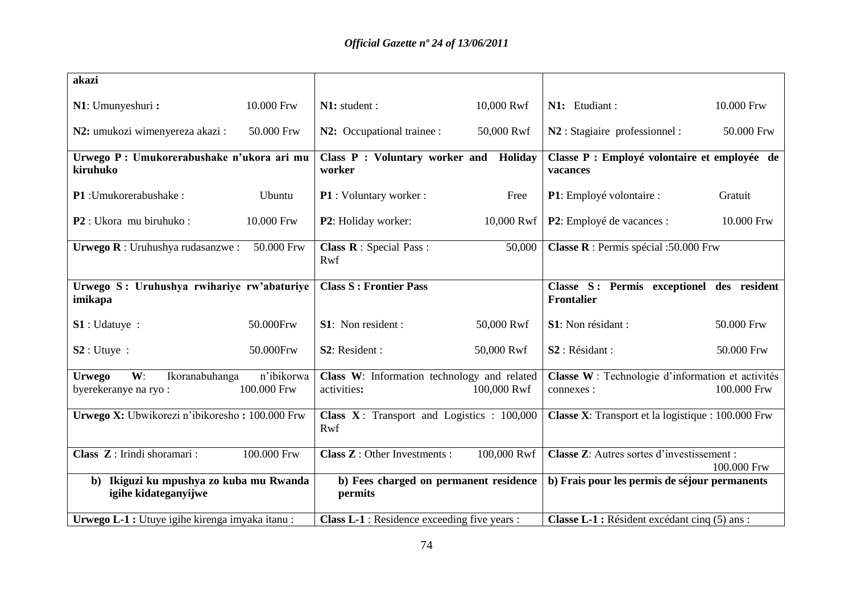| akazi                                                                        |                           |                                                             |             |                                                                 |             |
|------------------------------------------------------------------------------|---------------------------|-------------------------------------------------------------|-------------|-----------------------------------------------------------------|-------------|
| N1: Umunyeshuri:                                                             | 10.000 Frw                | N1: student :                                               | 10,000 Rwf  | N1: Etudiant:                                                   | 10.000 Frw  |
| N2: umukozi wimenyereza akazi:                                               | 50.000 Frw                | N2: Occupational trainee :                                  | 50,000 Rwf  | N2 : Stagiaire professionnel :                                  | 50.000 Frw  |
| Urwego P: Umukorerabushake n'ukora ari mu<br>kiruhuko                        |                           | Class P : Voluntary worker and<br>worker                    | Holiday     | Classe P : Employé volontaire et employée de<br>vacances        |             |
| P1: Umukorerabushake:                                                        | Ubuntu                    | P1 : Voluntary worker :                                     | Free        | P1: Employé volontaire :                                        | Gratuit     |
| P2 : Ukora mu biruhuko :                                                     | 10.000 Frw                | P2: Holiday worker:                                         | 10,000 Rwf  | P2: Employé de vacances :                                       | 10.000 Frw  |
| Urwego R: Uruhushya rudasanzwe:                                              | 50.000 Frw                | <b>Class R</b> : Special Pass :<br>Rwf                      | 50,000      | Classe R : Permis spécial :50.000 Frw                           |             |
| Urwego S: Uruhushya rwihariye rw'abaturiye<br>imikapa                        |                           | <b>Class S: Frontier Pass</b>                               |             | Classe S: Permis exceptionel des resident<br><b>Frontalier</b>  |             |
| S1:Udature:                                                                  | 50.000Frw                 | <b>S1</b> : Non resident :                                  | 50,000 Rwf  | S1: Non résidant :                                              | 50.000 Frw  |
| S2:Utuye:                                                                    | 50.000Frw                 | S <sub>2</sub> : Resident :                                 | 50,000 Rwf  | S <sub>2</sub> : Résidant :                                     | 50.000 Frw  |
| W:<br>Ikoranabuhanga<br><b>Urwego</b><br>byerekeranye na ryo:                | n'ibikorwa<br>100.000 Frw | Class W: Information technology and related<br>activities:  | 100,000 Rwf | Classe W : Technologie d'information et activités<br>connexes : | 100.000 Frw |
| Urwego X: Ubwikorezi n'ibikoresho: 100.000 Frw                               |                           | <b>Class X</b> : Transport and Logistics : $100,000$<br>Rwf |             | <b>Classe X:</b> Transport et la logistique : 100.000 Frw       |             |
| Class Z: Irindi shoramari :                                                  | 100.000 Frw               | <b>Class Z</b> : Other Investments :                        | 100,000 Rwf | Classe Z: Autres sortes d'investissement :                      | 100.000 Frw |
| Ikiguzi ku mpushya zo kuba mu Rwanda<br>$\mathbf{b}$<br>igihe kidateganyijwe |                           | b) Fees charged on permanent residence<br>permits           |             | b) Frais pour les permis de séjour permanents                   |             |
| Urwego L-1 : Utuye igihe kirenga imyaka itanu:                               |                           | Class L-1 : Residence exceeding five years :                |             | Classe L-1 : Résident excédant cinq (5) ans :                   |             |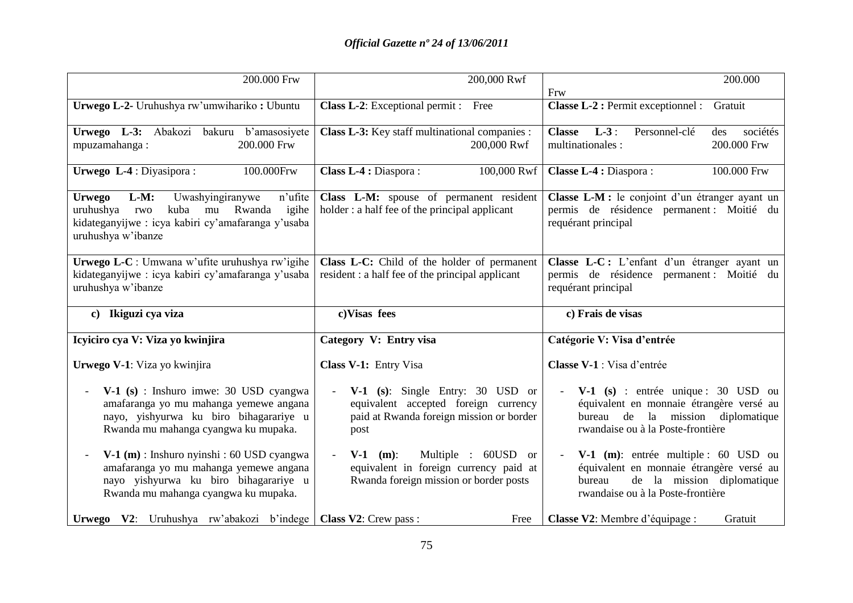| 200.000 Frw                                                                                                                                                                                                                                 | 200,000 Rwf                                                                                                                         | 200.000<br>Frw                                                                                                                                                                            |
|---------------------------------------------------------------------------------------------------------------------------------------------------------------------------------------------------------------------------------------------|-------------------------------------------------------------------------------------------------------------------------------------|-------------------------------------------------------------------------------------------------------------------------------------------------------------------------------------------|
| Urwego L-2- Uruhushya rw'umwihariko: Ubuntu                                                                                                                                                                                                 | Class L-2: Exceptional permit : Free                                                                                                | <b>Classe L-2 : Permit exceptionnel :</b><br>Gratuit                                                                                                                                      |
| Urwego L-3: Abakozi bakuru b'amasosiyete<br>200.000 Frw<br>mpuzamahanga:                                                                                                                                                                    | Class L-3: Key staff multinational companies :<br>200,000 Rwf                                                                       | $L-3$ :<br><b>Classe</b><br>Personnel-clé<br>sociétés<br>des<br>multinationales :<br>200.000 Frw                                                                                          |
| Urwego L-4 : Diyasipora :<br>100.000Frw                                                                                                                                                                                                     | Class L-4 : Diaspora :<br>100,000 Rwf                                                                                               | Classe L-4 : Diaspora :<br>100.000 Frw                                                                                                                                                    |
| $L-M:$<br>Uwashyingiranywe<br>n'ufite<br><b>Urwego</b><br>kuba mu Rwanda<br>igihe<br>uruhushya<br>rwo<br>kidateganyijwe : icya kabiri cy'amafaranga y'usaba<br>uruhushya w'ibanze                                                           | Class L-M: spouse of permanent resident<br>holder: a half fee of the principal applicant                                            | Classe L-M : le conjoint d'un étranger ayant un<br>permis de résidence permanent : Moitié du<br>requérant principal                                                                       |
| <b>Urwego L-C</b> : Umwana w'ufite uruhushya rw'igihe<br>kidateganyijwe : icya kabiri cy'amafaranga y'usaba<br>uruhushya w'ibanze                                                                                                           | Class L-C: Child of the holder of permanent<br>resident: a half fee of the principal applicant                                      | Classe L-C: L'enfant d'un étranger ayant un<br>permis de résidence permanent : Moitié du<br>requérant principal                                                                           |
| c) Ikiguzi cya viza                                                                                                                                                                                                                         | c)Visas fees                                                                                                                        | c) Frais de visas                                                                                                                                                                         |
| Icyiciro cya V: Viza yo kwinjira                                                                                                                                                                                                            | Category V: Entry visa                                                                                                              | Catégorie V: Visa d'entrée                                                                                                                                                                |
| Urwego V-1: Viza yo kwinjira                                                                                                                                                                                                                | Class V-1: Entry Visa                                                                                                               | Classe V-1 : Visa d'entrée                                                                                                                                                                |
| $V-1$ (s) : Inshuro imwe: 30 USD cyangwa<br>amafaranga yo mu mahanga yemewe angana<br>nayo, yishyurwa ku biro bihagarariye u<br>Rwanda mu mahanga cyangwa ku mupaka.                                                                        | <b>V-1</b> (s): Single Entry: 30 USD or<br>equivalent accepted foreign currency<br>paid at Rwanda foreign mission or border<br>post | $V-1$ (s) : entrée unique : 30 USD ou<br>$\overline{\phantom{a}}$<br>équivalent en monnaie étrangère versé au<br>bureau de la mission diplomatique<br>rwandaise ou à la Poste-frontière   |
| $V-1$ (m) : Inshuro nyinshi : 60 USD cyangwa<br>amafaranga yo mu mahanga yemewe angana<br>nayo yishyurwa ku biro bihagarariye u<br>Rwanda mu mahanga cyangwa ku mupaka.<br>Urwego V2: Uruhushya rw'abakozi b'indege   Class V2: Crew pass : | Multiple : 60USD or<br>$V-1$ (m):<br>equivalent in foreign currency paid at<br>Rwanda foreign mission or border posts               | V-1 (m): entrée multiple : 60 USD ou<br>$\overline{\phantom{a}}$<br>équivalent en monnaie étrangère versé au<br>de la mission diplomatique<br>bureau<br>rwandaise ou à la Poste-frontière |
|                                                                                                                                                                                                                                             | Free                                                                                                                                | Classe V2: Membre d'équipage :<br>Gratuit                                                                                                                                                 |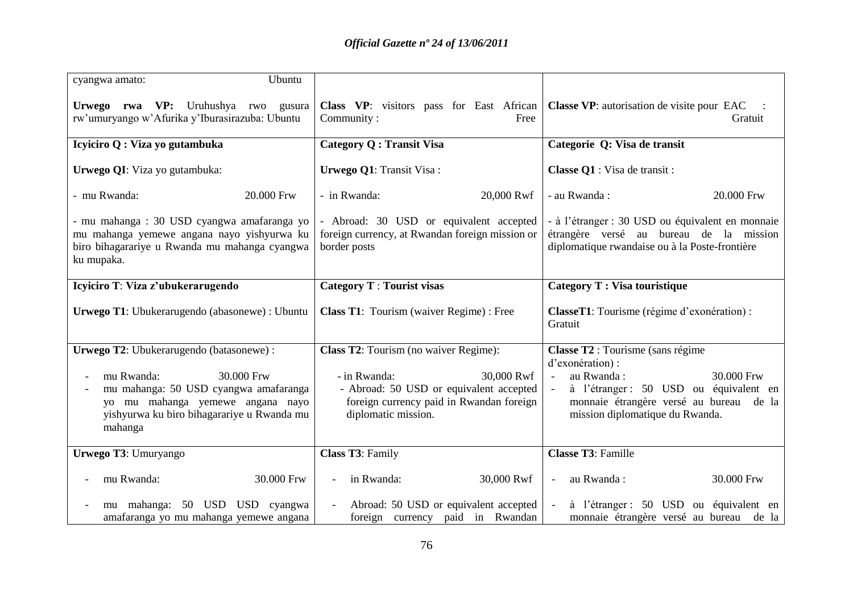| Ubuntu<br>cyangwa amato:                                                                                                                                       |                                                                                                                                          |                                                                                                                                                                      |  |
|----------------------------------------------------------------------------------------------------------------------------------------------------------------|------------------------------------------------------------------------------------------------------------------------------------------|----------------------------------------------------------------------------------------------------------------------------------------------------------------------|--|
| Urwego rwa VP: Uruhushya rwo gusura<br>rw'umuryango w'Afurika y'Iburasirazuba: Ubuntu                                                                          | Class VP: visitors pass for East African<br>Community:<br>Free                                                                           | <b>Classe VP</b> : autorisation de visite pour EAC<br>Gratuit                                                                                                        |  |
| Icyiciro Q : Viza yo gutambuka                                                                                                                                 | <b>Category Q: Transit Visa</b>                                                                                                          | Categorie Q: Visa de transit                                                                                                                                         |  |
| Urwego QI: Viza yo gutambuka:                                                                                                                                  | <b>Urwego Q1: Transit Visa:</b>                                                                                                          | Classe Q1 : Visa de transit :                                                                                                                                        |  |
| - mu Rwanda:<br>20.000 Frw                                                                                                                                     | - in Rwanda:<br>20,000 Rwf                                                                                                               | - au Rwanda:<br>20.000 Frw                                                                                                                                           |  |
| - mu mahanga: 30 USD cyangwa amafaranga yo<br>mu mahanga yemewe angana nayo yishyurwa ku<br>biro bihagarariye u Rwanda mu mahanga cyangwa<br>ku mupaka.        | - Abroad: 30 USD or equivalent accepted<br>foreign currency, at Rwandan foreign mission or<br>border posts                               | - à l'étranger : 30 USD ou équivalent en monnaie<br>étrangère versé au bureau de la mission<br>diplomatique rwandaise ou à la Poste-frontière                        |  |
| Icyiciro T: Viza z'ubukerarugendo                                                                                                                              | <b>Category T</b> : Tourist visas                                                                                                        | Category T : Visa touristique                                                                                                                                        |  |
| Urwego T1: Ubukerarugendo (abasonewe) : Ubuntu                                                                                                                 | <b>Class T1:</b> Tourism (waiver Regime) : Free                                                                                          | <b>ClasseT1</b> : Tourisme (régime d'exonération) :<br>Gratuit                                                                                                       |  |
| Urwego T2: Ubukerarugendo (batasonewe) :                                                                                                                       | Class T2: Tourism (no waiver Regime):                                                                                                    | Classe T2 : Tourisme (sans régime                                                                                                                                    |  |
| 30.000 Frw<br>mu Rwanda:<br>mu mahanga: 50 USD cyangwa amafaranga<br>yo mu mahanga yemewe angana nayo<br>yishyurwa ku biro bihagarariye u Rwanda mu<br>mahanga | 30,000 Rwf<br>- in Rwanda:<br>- Abroad: 50 USD or equivalent accepted<br>foreign currency paid in Rwandan foreign<br>diplomatic mission. | d'exonération) :<br>au Rwanda:<br>30.000 Frw<br>à l'étranger : 50 USD ou équivalent en<br>monnaie étrangère versé au bureau de la<br>mission diplomatique du Rwanda. |  |
| Urwego T3: Umuryango                                                                                                                                           | Class T3: Family                                                                                                                         | <b>Classe T3: Famille</b>                                                                                                                                            |  |
| mu Rwanda:<br>30.000 Frw                                                                                                                                       | in Rwanda:<br>30,000 Rwf                                                                                                                 | 30.000 Frw<br>au Rwanda:<br>$\overline{\phantom{a}}$                                                                                                                 |  |
| mu mahanga: 50 USD USD cyangwa<br>amafaranga yo mu mahanga yemewe angana                                                                                       | Abroad: 50 USD or equivalent accepted<br>foreign currency paid in Rwandan                                                                | à l'étranger : 50 USD ou équivalent en<br>monnaie étrangère versé au bureau de la                                                                                    |  |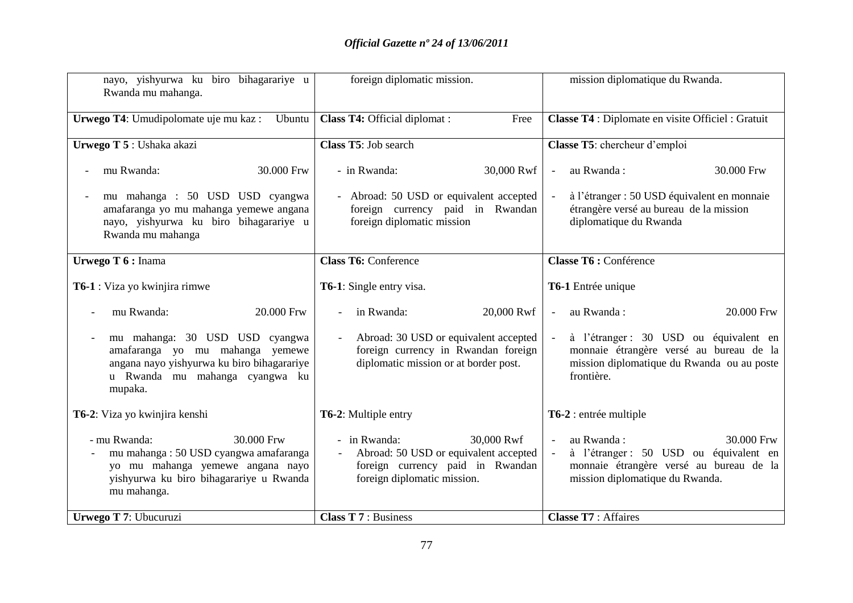| nayo, yishyurwa ku biro bihagarariye u<br>Rwanda mu mahanga.                                                                                                      | foreign diplomatic mission.                                                                                                            | mission diplomatique du Rwanda.                                                                                                                  |  |
|-------------------------------------------------------------------------------------------------------------------------------------------------------------------|----------------------------------------------------------------------------------------------------------------------------------------|--------------------------------------------------------------------------------------------------------------------------------------------------|--|
| Urwego T4: Umudipolomate uje mu kaz:<br>Ubuntu                                                                                                                    | Class T4: Official diplomat :<br>Free                                                                                                  | Classe T4 : Diplomate en visite Officiel : Gratuit                                                                                               |  |
| Urwego T 5 : Ushaka akazi                                                                                                                                         | Class T5: Job search                                                                                                                   | Classe T5: chercheur d'emploi                                                                                                                    |  |
| 30.000 Frw<br>mu Rwanda:                                                                                                                                          | - in Rwanda:<br>30,000 Rwf                                                                                                             | au Rwanda:<br>30.000 Frw<br>$\equiv$                                                                                                             |  |
| mu mahanga : 50 USD USD cyangwa<br>amafaranga yo mu mahanga yemewe angana<br>nayo, yishyurwa ku biro bihagarariye u<br>Rwanda mu mahanga                          | - Abroad: 50 USD or equivalent accepted<br>foreign currency paid in Rwandan<br>foreign diplomatic mission                              | à l'étranger : 50 USD équivalent en monnaie<br>étrangère versé au bureau de la mission<br>diplomatique du Rwanda                                 |  |
| Urwego T 6 : Inama                                                                                                                                                | <b>Class T6: Conference</b>                                                                                                            | Classe T6 : Conférence                                                                                                                           |  |
| <b>T6-1</b> : Viza yo kwinjira rimwe                                                                                                                              | <b>T6-1:</b> Single entry visa.                                                                                                        | T6-1 Entrée unique                                                                                                                               |  |
| mu Rwanda:<br>20.000 Frw                                                                                                                                          | in Rwanda:<br>20,000 Rwf                                                                                                               | au Rwanda:<br>20.000 Frw<br>$\omega$                                                                                                             |  |
| mu mahanga: 30 USD USD cyangwa<br>amafaranga yo mu mahanga yemewe<br>angana nayo yishyurwa ku biro bihagarariye<br>u Rwanda mu mahanga cyangwa ku<br>mupaka.      | Abroad: 30 USD or equivalent accepted<br>foreign currency in Rwandan foreign<br>diplomatic mission or at border post.                  | à l'étranger : 30 USD ou équivalent en<br>monnaie étrangère versé au bureau de la<br>mission diplomatique du Rwanda ou au poste<br>frontière.    |  |
| T6-2: Viza yo kwinjira kenshi                                                                                                                                     | <b>T6-2:</b> Multiple entry                                                                                                            | T6-2 : entrée multiple                                                                                                                           |  |
| - mu Rwanda:<br>30.000 Frw<br>mu mahanga: 50 USD cyangwa amafaranga<br>yo mu mahanga yemewe angana nayo<br>yishyurwa ku biro bihagarariye u Rwanda<br>mu mahanga. | 30,000 Rwf<br>- in Rwanda:<br>Abroad: 50 USD or equivalent accepted<br>foreign currency paid in Rwandan<br>foreign diplomatic mission. | au Rwanda:<br>30.000 Frw<br>à l'étranger : 50 USD ou équivalent en<br>monnaie étrangère versé au bureau de la<br>mission diplomatique du Rwanda. |  |
| Urwego T 7: Ubucuruzi                                                                                                                                             | <b>Class T 7: Business</b>                                                                                                             | <b>Classe T7: Affaires</b>                                                                                                                       |  |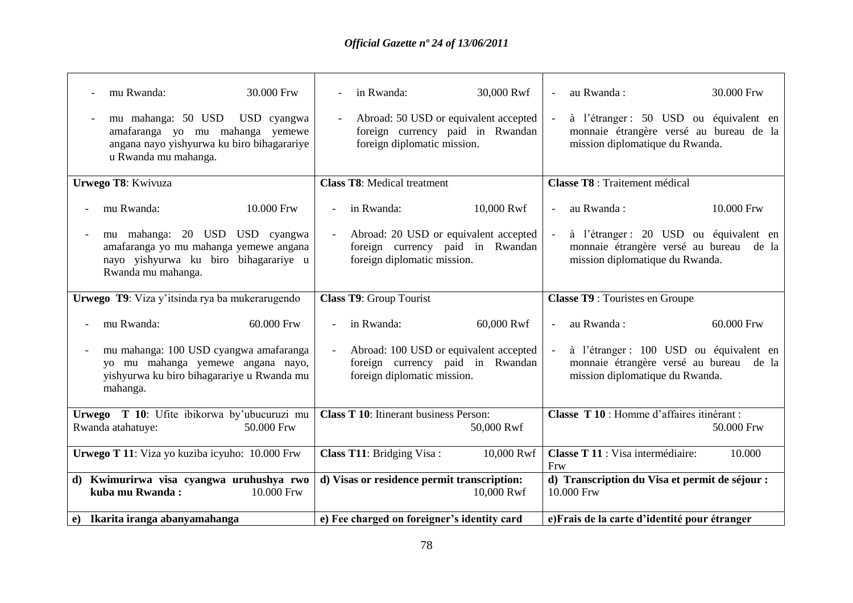| $\sim$ | mu Rwanda:<br>30.000 Frw<br>mu mahanga: 50 USD USD cyangwa                                                                              | in Rwanda:<br>$\overline{\phantom{a}}$<br>Abroad: 50 USD or equivalent accepted<br>$\equiv$               | 30,000 Rwf | au Rwanda:                  | à l'étranger : 50 USD ou équivalent en                                                                                | 30.000 Frw |
|--------|-----------------------------------------------------------------------------------------------------------------------------------------|-----------------------------------------------------------------------------------------------------------|------------|-----------------------------|-----------------------------------------------------------------------------------------------------------------------|------------|
|        | amafaranga yo mu mahanga yemewe<br>angana nayo yishyurwa ku biro bihagarariye<br>u Rwanda mu mahanga.                                   | foreign currency paid in Rwandan<br>foreign diplomatic mission.                                           |            |                             | monnaie étrangère versé au bureau de la<br>mission diplomatique du Rwanda.                                            |            |
|        | Urwego T8: Kwivuza                                                                                                                      | <b>Class T8: Medical treatment</b>                                                                        |            |                             | <b>Classe T8</b> : Traitement médical                                                                                 |            |
|        | 10.000 Frw<br>mu Rwanda:                                                                                                                | in Rwanda:                                                                                                | 10,000 Rwf | au Rwanda:<br>$\equiv$      |                                                                                                                       | 10.000 Frw |
|        | mu mahanga: 20 USD USD cyangwa<br>amafaranga yo mu mahanga yemewe angana<br>nayo yishyurwa ku biro bihagarariye u<br>Rwanda mu mahanga. | Abroad: 20 USD or equivalent accepted<br>foreign currency paid in Rwandan<br>foreign diplomatic mission.  |            |                             | à l'étranger : 20 USD ou équivalent en<br>monnaie étrangère versé au bureau de la<br>mission diplomatique du Rwanda.  |            |
|        | <b>Urwego T9</b> : Viza y'itsinda rya ba mukerarugendo                                                                                  | Class T9: Group Tourist                                                                                   |            |                             | <b>Classe T9</b> : Touristes en Groupe                                                                                |            |
|        | 60.000 Frw<br>mu Rwanda:                                                                                                                | in Rwanda:                                                                                                | 60,000 Rwf | au Rwanda:<br>$\mathcal{L}$ |                                                                                                                       | 60.000 Frw |
|        | mu mahanga: 100 USD cyangwa amafaranga<br>yo mu mahanga yemewe angana nayo,<br>yishyurwa ku biro bihagarariye u Rwanda mu<br>mahanga.   | Abroad: 100 USD or equivalent accepted<br>foreign currency paid in Rwandan<br>foreign diplomatic mission. |            |                             | à l'étranger : 100 USD ou équivalent en<br>monnaie étrangère versé au bureau de la<br>mission diplomatique du Rwanda. |            |
|        | Urwego T 10: Ufite ibikorwa by'ubucuruzi mu<br>Rwanda atahatuye:<br>50.000 Frw                                                          | <b>Class T 10:</b> Itinerant business Person:                                                             | 50,000 Rwf |                             | Classe T 10 : Homme d'affaires itinérant :                                                                            | 50.000 Frw |
|        | Urwego T 11: Viza yo kuziba icyuho: 10.000 Frw                                                                                          | Class T11: Bridging Visa:                                                                                 | 10,000 Rwf | Frw                         | Classe T 11 : Visa intermédiaire:                                                                                     | 10.000     |
|        | d) Kwimurirwa visa cyangwa uruhushya rwo<br>kuba mu Rwanda:<br>10.000 Frw                                                               | d) Visas or residence permit transcription:                                                               | 10,000 Rwf | 10.000 Frw                  | d) Transcription du Visa et permit de séjour :                                                                        |            |
|        | e) Ikarita iranga abanyamahanga                                                                                                         | e) Fee charged on foreigner's identity card                                                               |            |                             | e) Frais de la carte d'identité pour étranger                                                                         |            |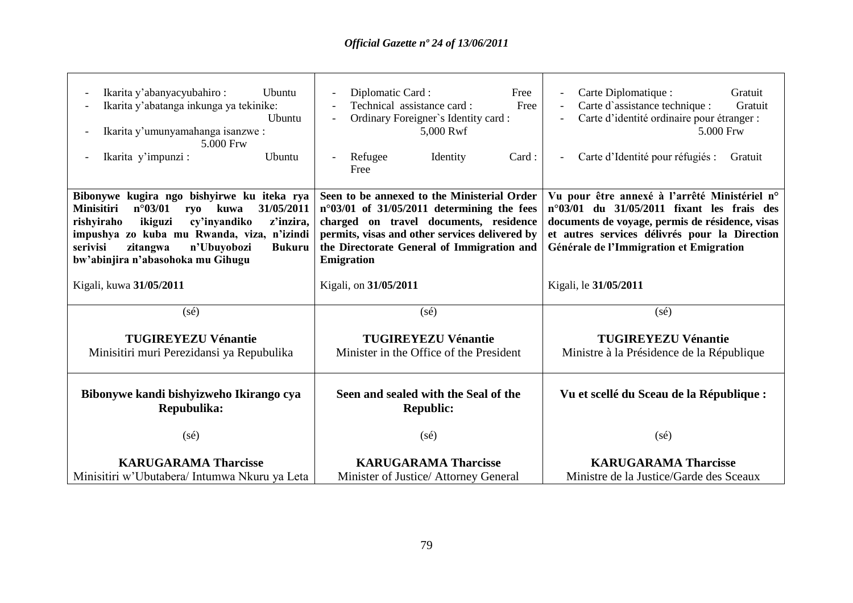| Ikarita y'abanyacyubahiro:<br>Ubuntu<br>Ikarita y'abatanga inkunga ya tekinike:<br>Ubuntu<br>Ikarita y'umunyamahanga isanzwe :<br>5.000 Frw<br>Ikarita y'impunzi:<br>Ubuntu                                                                                                                                       | Diplomatic Card:<br>Free<br>Technical assistance card:<br>Free<br>Ordinary Foreigner's Identity card:<br>5,000 Rwf<br>Identity<br>Card:<br>Refugee<br>Free                                                                                                        | Carte Diplomatique :<br>Gratuit<br>Carte d'assistance technique :<br>Gratuit<br>Carte d'identité ordinaire pour étranger :<br>5.000 Frw<br>Carte d'Identité pour réfugiés :<br>Gratuit                                                                |
|-------------------------------------------------------------------------------------------------------------------------------------------------------------------------------------------------------------------------------------------------------------------------------------------------------------------|-------------------------------------------------------------------------------------------------------------------------------------------------------------------------------------------------------------------------------------------------------------------|-------------------------------------------------------------------------------------------------------------------------------------------------------------------------------------------------------------------------------------------------------|
| Bibonywe kugira ngo bishyirwe ku iteka rya<br>$n^{\circ}03/01$<br>31/05/2011<br><b>Minisitiri</b><br>kuwa<br>rvo<br>rishyiraho<br>ikiguzi<br>cy'inyandiko<br>z'inzira,<br>impushya zo kuba mu Rwanda, viza, n'izindi<br>serivisi<br>n'Ubuyobozi<br>zitangwa<br><b>Bukuru</b><br>bw'abinjira n'abasohoka mu Gihugu | Seen to be annexed to the Ministerial Order<br>$n^{\circ}03/01$ of 31/05/2011 determining the fees<br>charged on travel documents, residence<br>permits, visas and other services delivered by<br>the Directorate General of Immigration and<br><b>Emigration</b> | Vu pour être annexé à l'arrêté Ministériel n°<br>$n^{\circ}03/01$ du $31/05/2011$ fixant les frais des<br>documents de voyage, permis de résidence, visas<br>et autres services délivrés pour la Direction<br>Générale de l'Immigration et Emigration |
| Kigali, kuwa 31/05/2011                                                                                                                                                                                                                                                                                           | Kigali, on 31/05/2011                                                                                                                                                                                                                                             | Kigali, le 31/05/2011                                                                                                                                                                                                                                 |
| (sé)                                                                                                                                                                                                                                                                                                              | $(s\acute{e})$                                                                                                                                                                                                                                                    | $(s\acute{e})$                                                                                                                                                                                                                                        |
| <b>TUGIREYEZU Vénantie</b><br>Minisitiri muri Perezidansi ya Repubulika                                                                                                                                                                                                                                           | <b>TUGIREYEZU Vénantie</b><br>Minister in the Office of the President                                                                                                                                                                                             | <b>TUGIREYEZU Vénantie</b><br>Ministre à la Présidence de la République                                                                                                                                                                               |
| Bibonywe kandi bishyizweho Ikirango cya<br>Repubulika:                                                                                                                                                                                                                                                            | Seen and sealed with the Seal of the<br><b>Republic:</b>                                                                                                                                                                                                          | Vu et scellé du Sceau de la République :                                                                                                                                                                                                              |
| (sé)                                                                                                                                                                                                                                                                                                              | $(s\acute{e})$                                                                                                                                                                                                                                                    | $(s\acute{e})$                                                                                                                                                                                                                                        |
| <b>KARUGARAMA Tharcisse</b><br>Minisitiri w'Ubutabera/ Intumwa Nkuru ya Leta                                                                                                                                                                                                                                      | <b>KARUGARAMA Tharcisse</b><br>Minister of Justice/ Attorney General                                                                                                                                                                                              | <b>KARUGARAMA Tharcisse</b><br>Ministre de la Justice/Garde des Sceaux                                                                                                                                                                                |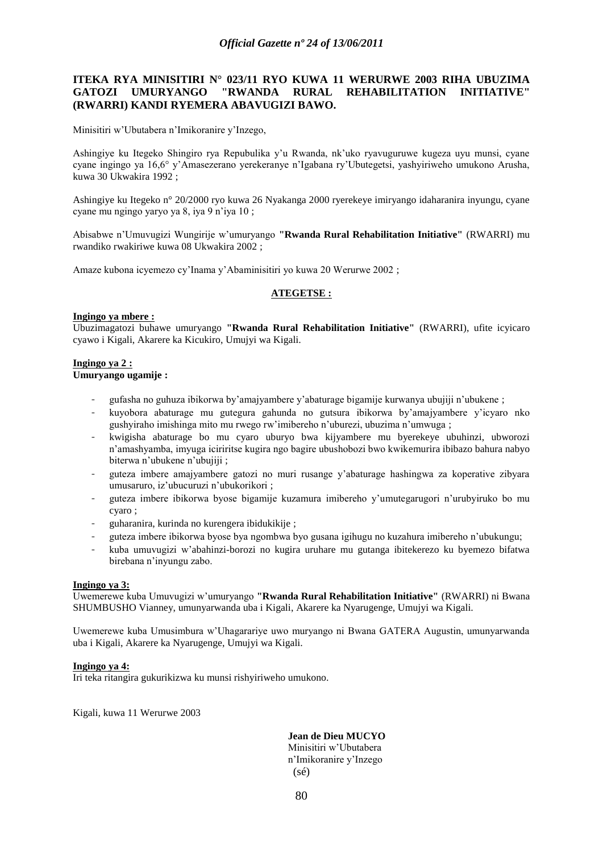# **ITEKA RYA MINISITIRI N° 023/11 RYO KUWA 11 WERURWE 2003 RIHA UBUZIMA GATOZI UMURYANGO "RWANDA RURAL REHABILITATION INITIATIVE" (RWARRI) KANDI RYEMERA ABAVUGIZI BAWO.**

Minisitiri w"Ubutabera n"Imikoranire y"Inzego,

Ashingiye ku Itegeko Shingiro rya Repubulika y"u Rwanda, nk"uko ryavuguruwe kugeza uyu munsi, cyane cyane ingingo ya 16,6° y"Amasezerano yerekeranye n"Igabana ry"Ubutegetsi, yashyiriweho umukono Arusha, kuwa 30 Ukwakira 1992 ;

Ashingiye ku Itegeko n° 20/2000 ryo kuwa 26 Nyakanga 2000 ryerekeye imiryango idaharanira inyungu, cyane cyane mu ngingo yaryo ya 8, iya 9 n"iya 10 ;

Abisabwe n"Umuvugizi Wungirije w"umuryango **"Rwanda Rural Rehabilitation Initiative"** (RWARRI) mu rwandiko rwakiriwe kuwa 08 Ukwakira 2002 ;

Amaze kubona icyemezo cy"Inama y"Abaminisitiri yo kuwa 20 Werurwe 2002 ;

## **ATEGETSE :**

#### **Ingingo ya mbere :**

Ubuzimagatozi buhawe umuryango **"Rwanda Rural Rehabilitation Initiative"** (RWARRI), ufite icyicaro cyawo i Kigali, Akarere ka Kicukiro, Umujyi wa Kigali.

#### **Ingingo ya 2 : Umuryango ugamije :**

- gufasha no guhuza ibikorwa by"amajyambere y"abaturage bigamije kurwanya ubujiji n"ubukene ;
- kuyobora abaturage mu gutegura gahunda no gutsura ibikorwa by"amajyambere y"icyaro nko gushyiraho imishinga mito mu rwego rw"imibereho n"uburezi, ubuzima n"umwuga ;
- kwigisha abaturage bo mu cyaro uburyo bwa kijyambere mu byerekeye ubuhinzi, ubworozi n"amashyamba, imyuga iciriritse kugira ngo bagire ubushobozi bwo kwikemurira ibibazo bahura nabyo biterwa n'ubukene n'ubujiji ;
- guteza imbere amajyambere gatozi no muri rusange y"abaturage hashingwa za koperative zibyara umusaruro, iz"ubucuruzi n"ubukorikori ;
- guteza imbere ibikorwa byose bigamije kuzamura imibereho y"umutegarugori n"urubyiruko bo mu cyaro ;
- guharanira, kurinda no kurengera ibidukikije ;
- guteza imbere ibikorwa byose bya ngombwa byo gusana igihugu no kuzahura imibereho n'ubukungu;
- kuba umuvugizi w"abahinzi-borozi no kugira uruhare mu gutanga ibitekerezo ku byemezo bifatwa birebana n"inyungu zabo.

#### **Ingingo ya 3:**

Uwemerewe kuba Umuvugizi w"umuryango **"Rwanda Rural Rehabilitation Initiative"** (RWARRI) ni Bwana SHUMBUSHO Vianney, umunyarwanda uba i Kigali, Akarere ka Nyarugenge, Umujyi wa Kigali.

Uwemerewe kuba Umusimbura w"Uhagarariye uwo muryango ni Bwana GATERA Augustin, umunyarwanda uba i Kigali, Akarere ka Nyarugenge, Umujyi wa Kigali.

#### **Ingingo ya 4:**

Iri teka ritangira gukurikizwa ku munsi rishyiriweho umukono.

Kigali, kuwa 11 Werurwe 2003

**Jean de Dieu MUCYO**

Minisitiri w"Ubutabera n"Imikoranire y"Inzego (sé)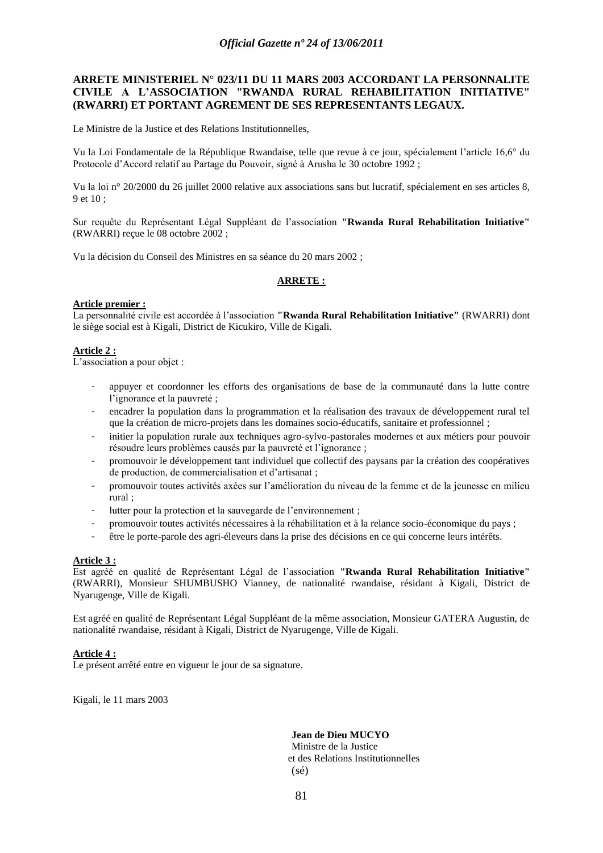# **ARRETE MINISTERIEL N° 023/11 DU 11 MARS 2003 ACCORDANT LA PERSONNALITE CIVILE A L'ASSOCIATION "RWANDA RURAL REHABILITATION INITIATIVE" (RWARRI) ET PORTANT AGREMENT DE SES REPRESENTANTS LEGAUX.**

Le Ministre de la Justice et des Relations Institutionnelles,

Vu la Loi Fondamentale de la République Rwandaise, telle que revue à ce jour, spécialement l"article 16,6° du Protocole d"Accord relatif au Partage du Pouvoir, signé à Arusha le 30 octobre 1992 ;

Vu la loi n° 20/2000 du 26 juillet 2000 relative aux associations sans but lucratif, spécialement en ses articles 8, 9 et 10 ;

Sur requête du Représentant Légal Suppléant de l"association **"Rwanda Rural Rehabilitation Initiative"** (RWARRI) reçue le 08 octobre 2002 ;

Vu la décision du Conseil des Ministres en sa séance du 20 mars 2002 ;

## **ARRETE :**

## **Article premier :**

La personnalité civile est accordée à l"association **"Rwanda Rural Rehabilitation Initiative"** (RWARRI) dont le siège social est à Kigali, District de Kicukiro, Ville de Kigali.

# **Article 2 :**

L'association a pour objet :

- appuyer et coordonner les efforts des organisations de base de la communauté dans la lutte contre l'ignorance et la pauvreté ;
- encadrer la population dans la programmation et la réalisation des travaux de développement rural tel que la création de micro-projets dans les domaines socio-éducatifs, sanitaire et professionnel ;
- initier la population rurale aux techniques agro-sylvo-pastorales modernes et aux métiers pour pouvoir résoudre leurs problèmes causés par la pauvreté et l"ignorance ;
- promouvoir le développement tant individuel que collectif des paysans par la création des coopératives de production, de commercialisation et d"artisanat ;
- promouvoir toutes activités axées sur l"amélioration du niveau de la femme et de la jeunesse en milieu rural ;
- lutter pour la protection et la sauvegarde de l'environnement ;
- promouvoir toutes activités nécessaires à la réhabilitation et à la relance socio-économique du pays ;
- être le porte-parole des agri-éleveurs dans la prise des décisions en ce qui concerne leurs intérêts.

#### **Article 3 :**

Est agréé en qualité de Représentant Légal de l"association **"Rwanda Rural Rehabilitation Initiative"** (RWARRI), Monsieur SHUMBUSHO Vianney, de nationalité rwandaise, résidant à Kigali, District de Nyarugenge, Ville de Kigali.

Est agréé en qualité de Représentant Légal Suppléant de la même association, Monsieur GATERA Augustin, de nationalité rwandaise, résidant à Kigali, District de Nyarugenge, Ville de Kigali.

## **Article 4 :**

Le présent arrêté entre en vigueur le jour de sa signature.

Kigali, le 11 mars 2003

**Jean de Dieu MUCYO** Ministre de la Justice et des Relations Institutionnelles (sé)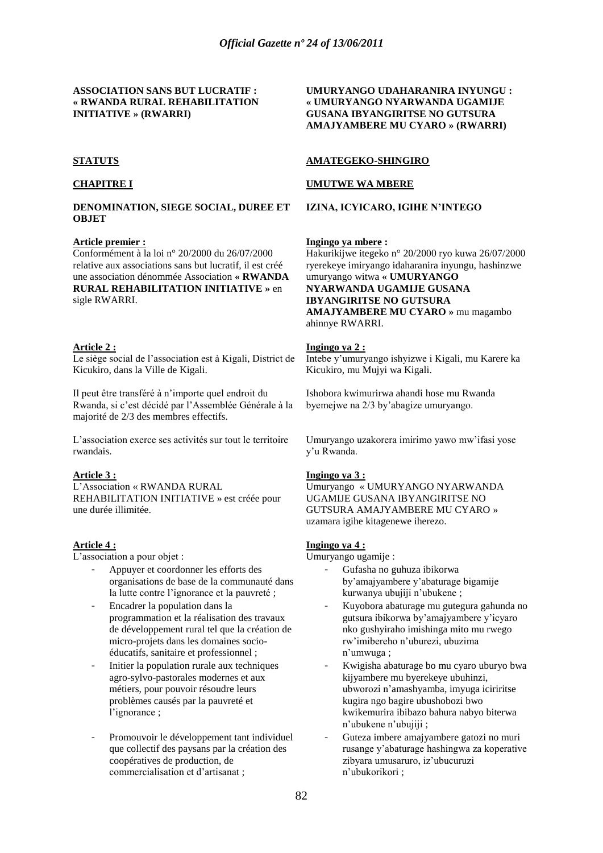#### **ASSOCIATION SANS BUT LUCRATIF : « RWANDA RURAL REHABILITATION INITIATIVE » (RWARRI)**

## **STATUTS**

## **CHAPITRE I**

#### **DENOMINATION, SIEGE SOCIAL, DUREE ET OBJET**

#### **Article premier :**

Conformément à la loi n° 20/2000 du 26/07/2000 relative aux associations sans but lucratif, il est créé une association dénommée Association **« RWANDA RURAL REHABILITATION INITIATIVE »** en sigle RWARRI.

#### **Article 2 :**

Le siège social de l"association est à Kigali, District de Kicukiro, dans la Ville de Kigali.

Il peut être transféré à n"importe quel endroit du Rwanda, si c"est décidé par l"Assemblée Générale à la majorité de 2/3 des membres effectifs.

L"association exerce ses activités sur tout le territoire rwandais.

#### **Article 3 :**

L"Association « RWANDA RURAL REHABILITATION INITIATIVE » est créée pour une durée illimitée.

## **Article 4 :**

L'association a pour objet :

- Appuyer et coordonner les efforts des organisations de base de la communauté dans la lutte contre l"ignorance et la pauvreté ;
- Encadrer la population dans la programmation et la réalisation des travaux de développement rural tel que la création de micro-projets dans les domaines socioéducatifs, sanitaire et professionnel ;
- Initier la population rurale aux techniques agro-sylvo-pastorales modernes et aux métiers, pour pouvoir résoudre leurs problèmes causés par la pauvreté et l"ignorance ;
- Promouvoir le développement tant individuel que collectif des paysans par la création des coopératives de production, de commercialisation et d"artisanat ;

## **UMURYANGO UDAHARANIRA INYUNGU : « UMURYANGO NYARWANDA UGAMIJE GUSANA IBYANGIRITSE NO GUTSURA AMAJYAMBERE MU CYARO » (RWARRI)**

## **AMATEGEKO-SHINGIRO**

#### **UMUTWE WA MBERE**

#### **IZINA, ICYICARO, IGIHE N'INTEGO**

#### **Ingingo ya mbere :**

Hakurikijwe itegeko n° 20/2000 ryo kuwa 26/07/2000 ryerekeye imiryango idaharanira inyungu, hashinzwe umuryango witwa **« UMURYANGO NYARWANDA UGAMIJE GUSANA IBYANGIRITSE NO GUTSURA AMAJYAMBERE MU CYARO »** mu magambo ahinnye RWARRI.

#### **Ingingo ya 2 :**

Intebe y"umuryango ishyizwe i Kigali, mu Karere ka Kicukiro, mu Mujyi wa Kigali.

Ishobora kwimurirwa ahandi hose mu Rwanda byemejwe na 2/3 by"abagize umuryango.

Umuryango uzakorera imirimo yawo mw"ifasi yose y"u Rwanda.

## **Ingingo ya 3 :**

Umuryango « UMURYANGO NYARWANDA UGAMIJE GUSANA IBYANGIRITSE NO GUTSURA AMAJYAMBERE MU CYARO » uzamara igihe kitagenewe iherezo.

## **Ingingo ya 4 :**

Umuryango ugamije :

- Gufasha no guhuza ibikorwa by"amajyambere y"abaturage bigamije kurwanya ubujiji n"ubukene ;
- Kuyobora abaturage mu gutegura gahunda no gutsura ibikorwa by"amajyambere y"icyaro nko gushyiraho imishinga mito mu rwego rw"imibereho n"uburezi, ubuzima n"umwuga ;
- Kwigisha abaturage bo mu cyaro uburyo bwa kijyambere mu byerekeye ubuhinzi, ubworozi n"amashyamba, imyuga iciriritse kugira ngo bagire ubushobozi bwo kwikemurira ibibazo bahura nabyo biterwa n"ubukene n"ubujiji ;
- Guteza imbere amajyambere gatozi no muri rusange y"abaturage hashingwa za koperative zibyara umusaruro, iz"ubucuruzi n"ubukorikori ;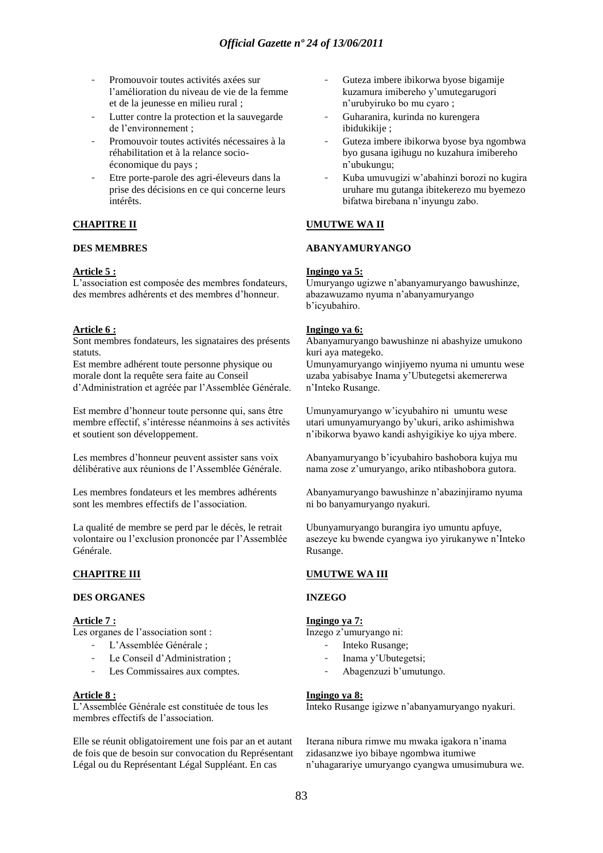- Promouvoir toutes activités axées sur l"amélioration du niveau de vie de la femme et de la jeunesse en milieu rural ;
- Lutter contre la protection et la sauvegarde de l"environnement ;
- Promouvoir toutes activités nécessaires à la réhabilitation et à la relance socioéconomique du pays ;
- Etre porte-parole des agri-éleveurs dans la prise des décisions en ce qui concerne leurs intérêts.

## **CHAPITRE II**

#### **DES MEMBRES**

#### **Article 5 :**

L'association est composée des membres fondateurs, des membres adhérents et des membres d"honneur.

#### **Article 6 :**

Sont membres fondateurs, les signataires des présents statuts.

Est membre adhérent toute personne physique ou morale dont la requête sera faite au Conseil d"Administration et agréée par l"Assemblée Générale.

Est membre d"honneur toute personne qui, sans être membre effectif, s"intéresse néanmoins à ses activités et soutient son développement.

Les membres d"honneur peuvent assister sans voix délibérative aux réunions de l"Assemblée Générale.

Les membres fondateurs et les membres adhérents sont les membres effectifs de l"association.

La qualité de membre se perd par le décès, le retrait volontaire ou l"exclusion prononcée par l"Assemblée Générale.

## **CHAPITRE III**

#### **DES ORGANES**

## **Article 7 :**

Les organes de l'association sont :

- L'Assemblée Générale ;
- Le Conseil d'Administration ;
- Les Commissaires aux comptes.

#### **Article 8 :**

L"Assemblée Générale est constituée de tous les membres effectifs de l"association.

Elle se réunit obligatoirement une fois par an et autant de fois que de besoin sur convocation du Représentant Légal ou du Représentant Légal Suppléant. En cas

- Guteza imbere ibikorwa byose bigamije kuzamura imibereho y"umutegarugori n"urubyiruko bo mu cyaro ;
- Guharanira, kurinda no kurengera ibidukikije ;
- Guteza imbere ibikorwa byose bya ngombwa byo gusana igihugu no kuzahura imibereho n"ubukungu;
- Kuba umuvugizi w"abahinzi borozi no kugira uruhare mu gutanga ibitekerezo mu byemezo bifatwa birebana n"inyungu zabo.

## **UMUTWE WA II**

## **ABANYAMURYANGO**

#### **Ingingo ya 5:**

Umuryango ugizwe n"abanyamuryango bawushinze, abazawuzamo nyuma n"abanyamuryango b"icyubahiro.

#### **Ingingo ya 6:**

Abanyamuryango bawushinze ni abashyize umukono kuri aya mategeko.

Umunyamuryango winjiyemo nyuma ni umuntu wese uzaba yabisabye Inama y"Ubutegetsi akemererwa n"Inteko Rusange.

Umunyamuryango w"icyubahiro ni umuntu wese utari umunyamuryango by"ukuri, ariko ashimishwa n"ibikorwa byawo kandi ashyigikiye ko ujya mbere.

Abanyamuryango b"icyubahiro bashobora kujya mu nama zose z"umuryango, ariko ntibashobora gutora.

Abanyamuryango bawushinze n"abazinjiramo nyuma ni bo banyamuryango nyakuri.

Ubunyamuryango burangira iyo umuntu apfuye, asezeye ku bwende cyangwa iyo yirukanywe n"Inteko Rusange.

## **UMUTWE WA III**

## **INZEGO**

## **Ingingo ya 7:**

Inzego z"umuryango ni:

- Inteko Rusange;
- Inama y'Ubutegetsi;
- Abagenzuzi b'umutungo.

#### **Ingingo ya 8:**

Inteko Rusange igizwe n"abanyamuryango nyakuri.

Iterana nibura rimwe mu mwaka igakora n"inama zidasanzwe iyo bibaye ngombwa itumiwe n"uhagarariye umuryango cyangwa umusimubura we.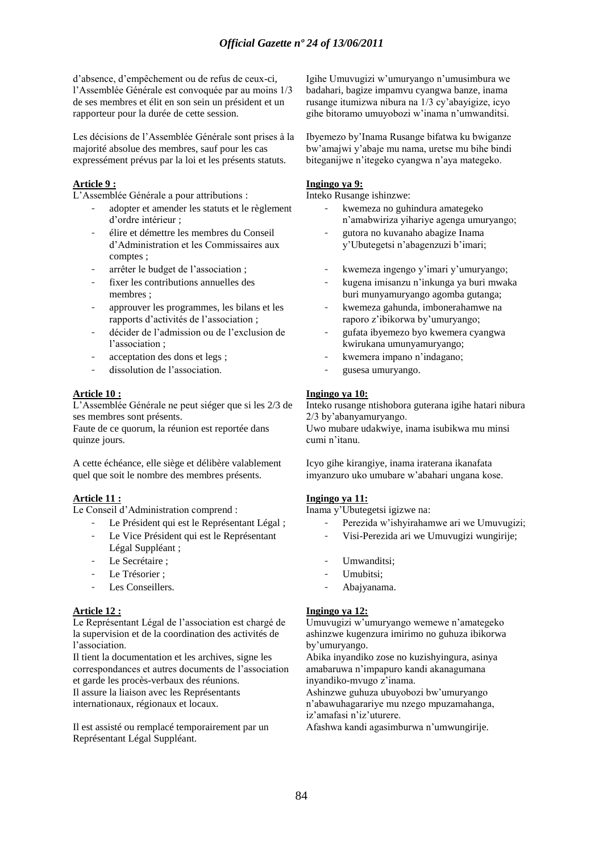d"absence, d"empêchement ou de refus de ceux-ci, l"Assemblée Générale est convoquée par au moins 1/3 de ses membres et élit en son sein un président et un rapporteur pour la durée de cette session.

Les décisions de l"Assemblée Générale sont prises à la majorité absolue des membres, sauf pour les cas expressément prévus par la loi et les présents statuts.

## **Article 9 :**

L"Assemblée Générale a pour attributions :

- adopter et amender les statuts et le règlement d"ordre intérieur ;
- élire et démettre les membres du Conseil d"Administration et les Commissaires aux comptes ;
- arrêter le budget de l"association ;
- fixer les contributions annuelles des membres ;
- approuver les programmes, les bilans et les rapports d"activités de l"association ;
- décider de l"admission ou de l"exclusion de l'association :
- acceptation des dons et legs;
- dissolution de l'association.

#### **Article 10 :**

L"Assemblée Générale ne peut siéger que si les 2/3 de ses membres sont présents.

Faute de ce quorum, la réunion est reportée dans quinze jours.

A cette échéance, elle siège et délibère valablement quel que soit le nombre des membres présents.

# **Article 11 :**

Le Conseil d"Administration comprend :

- Le Président qui est le Représentant Légal ;
- Le Vice Président qui est le Représentant Légal Suppléant ;
- Le Secrétaire :
- Le Trésorier :
- Les Conseillers.

## **Article 12 :**

Le Représentant Légal de l"association est chargé de la supervision et de la coordination des activités de l"association.

Il tient la documentation et les archives, signe les correspondances et autres documents de l"association et garde les procès-verbaux des réunions. Il assure la liaison avec les Représentants

internationaux, régionaux et locaux.

Il est assisté ou remplacé temporairement par un Représentant Légal Suppléant.

Igihe Umuvugizi w"umuryango n"umusimbura we badahari, bagize impamvu cyangwa banze, inama rusange itumizwa nibura na 1/3 cy"abayigize, icyo gihe bitoramo umuyobozi w"inama n"umwanditsi.

Ibyemezo by"Inama Rusange bifatwa ku bwiganze bw"amajwi y"abaje mu nama, uretse mu bihe bindi biteganijwe n"itegeko cyangwa n"aya mategeko.

## **Ingingo ya 9:**

Inteko Rusange ishinzwe:

- kwemeza no guhindura amategeko n"amabwiriza yihariye agenga umuryango;
- gutora no kuvanaho abagize Inama y"Ubutegetsi n"abagenzuzi b"imari;
- kwemeza ingengo y'imari y'umuryango;
- kugena imisanzu n"inkunga ya buri mwaka buri munyamuryango agomba gutanga;
- kwemeza gahunda, imbonerahamwe na raporo z"ibikorwa by"umuryango;
- gufata ibyemezo byo kwemera cyangwa kwirukana umunyamuryango;
- kwemera impano n'indagano;
- gusesa umuryango.

## **Ingingo ya 10:**

Inteko rusange ntishobora guterana igihe hatari nibura 2/3 by"abanyamuryango.

Uwo mubare udakwiye, inama isubikwa mu minsi cumi n"itanu.

Icyo gihe kirangiye, inama iraterana ikanafata imyanzuro uko umubare w"abahari ungana kose.

## **Ingingo ya 11:**

Inama y"Ubutegetsi igizwe na:

- Perezida w"ishyirahamwe ari we Umuvugizi;
- Visi-Perezida ari we Umuvugizi wungirije;
- Umwanditsi:
- Umubitsi:
- Abajyanama.

## **Ingingo ya 12:**

Umuvugizi w"umuryango wemewe n"amategeko ashinzwe kugenzura imirimo no guhuza ibikorwa by"umuryango.

Abika inyandiko zose no kuzishyingura, asinya amabaruwa n"impapuro kandi akanagumana inyandiko-mvugo z"inama.

Ashinzwe guhuza ubuyobozi bw"umuryango n"abawuhagarariye mu nzego mpuzamahanga, iz'amafasi n'iz'uturere.

Afashwa kandi agasimburwa n"umwungirije.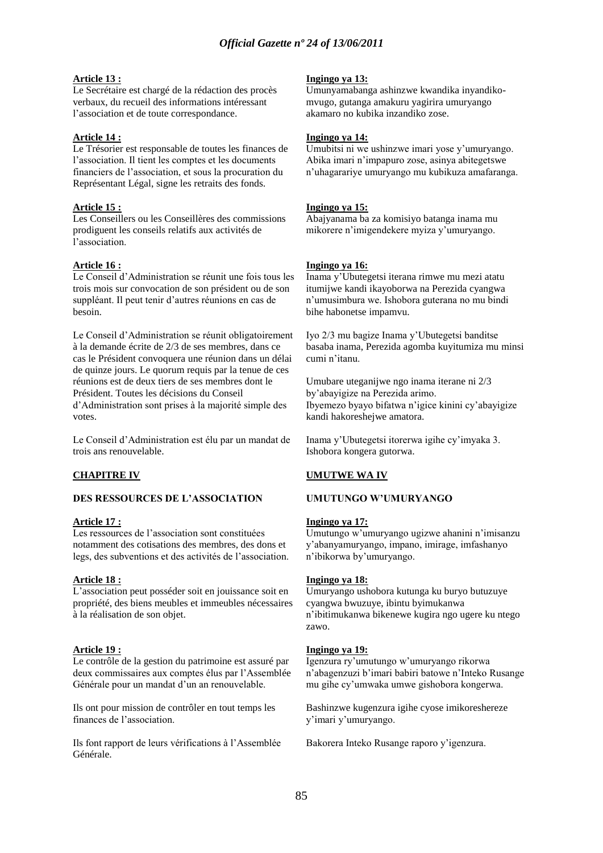#### **Article 13 :**

Le Secrétaire est chargé de la rédaction des procès verbaux, du recueil des informations intéressant l"association et de toute correspondance.

#### **Article 14 :**

Le Trésorier est responsable de toutes les finances de l"association. Il tient les comptes et les documents financiers de l"association, et sous la procuration du Représentant Légal, signe les retraits des fonds.

#### **Article 15 :**

Les Conseillers ou les Conseillères des commissions prodiguent les conseils relatifs aux activités de l"association.

## **Article 16 :**

Le Conseil d"Administration se réunit une fois tous les trois mois sur convocation de son président ou de son suppléant. Il peut tenir d"autres réunions en cas de besoin.

Le Conseil d"Administration se réunit obligatoirement à la demande écrite de 2/3 de ses membres, dans ce cas le Président convoquera une réunion dans un délai de quinze jours. Le quorum requis par la tenue de ces réunions est de deux tiers de ses membres dont le Président. Toutes les décisions du Conseil d"Administration sont prises à la majorité simple des votes.

Le Conseil d"Administration est élu par un mandat de trois ans renouvelable.

## **CHAPITRE IV**

#### **DES RESSOURCES DE L'ASSOCIATION**

#### **Article 17 :**

Les ressources de l"association sont constituées notamment des cotisations des membres, des dons et legs, des subventions et des activités de l"association.

#### **Article 18 :**

L"association peut posséder soit en jouissance soit en propriété, des biens meubles et immeubles nécessaires à la réalisation de son objet.

#### **Article 19 :**

Le contrôle de la gestion du patrimoine est assuré par deux commissaires aux comptes élus par l"Assemblée Générale pour un mandat d'un an renouvelable.

Ils ont pour mission de contrôler en tout temps les finances de l"association.

Ils font rapport de leurs vérifications à l"Assemblée Générale.

#### **Ingingo ya 13:**

Umunyamabanga ashinzwe kwandika inyandikomvugo, gutanga amakuru yagirira umuryango akamaro no kubika inzandiko zose.

#### **Ingingo ya 14:**

Umubitsi ni we ushinzwe imari yose y"umuryango. Abika imari n"impapuro zose, asinya abitegetswe n"uhagarariye umuryango mu kubikuza amafaranga.

#### **Ingingo ya 15:**

Abajyanama ba za komisiyo batanga inama mu mikorere n"imigendekere myiza y"umuryango.

## **Ingingo ya 16:**

Inama y"Ubutegetsi iterana rimwe mu mezi atatu itumijwe kandi ikayoborwa na Perezida cyangwa n"umusimbura we. Ishobora guterana no mu bindi bihe habonetse impamvu.

Iyo 2/3 mu bagize Inama y"Ubutegetsi banditse basaba inama, Perezida agomba kuyitumiza mu minsi cumi n"itanu.

Umubare uteganijwe ngo inama iterane ni 2/3 by"abayigize na Perezida arimo. Ibyemezo byayo bifatwa n"igice kinini cy"abayigize kandi hakoreshejwe amatora.

Inama y"Ubutegetsi itorerwa igihe cy"imyaka 3. Ishobora kongera gutorwa.

## **UMUTWE WA IV**

#### **UMUTUNGO W'UMURYANGO**

#### **Ingingo ya 17:**

Umutungo w"umuryango ugizwe ahanini n"imisanzu y"abanyamuryango, impano, imirage, imfashanyo n"ibikorwa by"umuryango.

#### **Ingingo ya 18:**

Umuryango ushobora kutunga ku buryo butuzuye cyangwa bwuzuye, ibintu byimukanwa n"ibitimukanwa bikenewe kugira ngo ugere ku ntego zawo.

#### **Ingingo ya 19:**

Igenzura ry"umutungo w"umuryango rikorwa n"abagenzuzi b"imari babiri batowe n"Inteko Rusange mu gihe cy"umwaka umwe gishobora kongerwa.

Bashinzwe kugenzura igihe cyose imikoreshereze y"imari y"umuryango.

Bakorera Inteko Rusange raporo y"igenzura.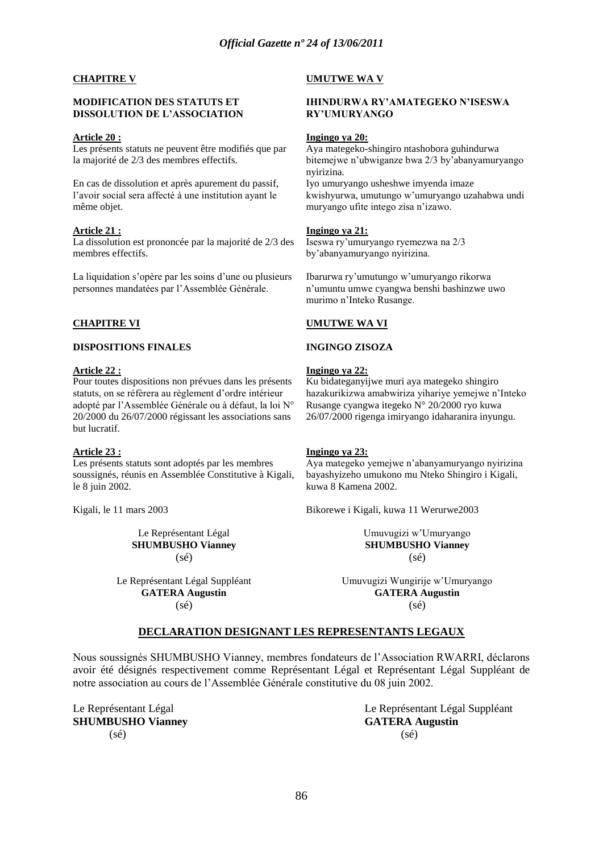## **CHAPITRE V**

#### **MODIFICATION DES STATUTS ET DISSOLUTION DE L'ASSOCIATION**

#### **Article 20 :**

Les présents statuts ne peuvent être modifiés que par la majorité de 2/3 des membres effectifs.

En cas de dissolution et après apurement du passif, l"avoir social sera affecté à une institution ayant le même objet.

## **Article 21 :**

La dissolution est prononcée par la majorité de 2/3 des membres effectifs.

La liquidation s'opère par les soins d'une ou plusieurs personnes mandatées par l"Assemblée Générale.

## **CHAPITRE VI**

#### **DISPOSITIONS FINALES**

## **Article 22 :**

Pour toutes dispositions non prévues dans les présents statuts, on se réfèrera au règlement d'ordre intérieur adopté par l"Assemblée Générale ou à défaut, la loi N° 20/2000 du 26/07/2000 régissant les associations sans but lucratif.

#### **Article 23 :**

Les présents statuts sont adoptés par les membres soussignés, réunis en Assemblée Constitutive à Kigali, le 8 juin 2002.

Kigali, le 11 mars 2003

Le Représentant Légal **SHUMBUSHO Vianney** (sé)

Le Représentant Légal Suppléant **GATERA Augustin** (sé)

#### **UMUTWE WA V**

## **IHINDURWA RY'AMATEGEKO N'ISESWA RY'UMURYANGO**

#### **Ingingo ya 20:**

Aya mategeko-shingiro ntashobora guhindurwa bitemejwe n"ubwiganze bwa 2/3 by"abanyamuryango nyirizina. Iyo umuryango usheshwe imyenda imaze kwishyurwa, umutungo w"umuryango uzahabwa undi muryango ufite intego zisa n"izawo.

## **Ingingo ya 21:**

Iseswa ry"umuryango ryemezwa na 2/3 by"abanyamuryango nyirizina.

Ibarurwa ry"umutungo w"umuryango rikorwa n"umuntu umwe cyangwa benshi bashinzwe uwo murimo n"Inteko Rusange.

## **UMUTWE WA VI**

## **INGINGO ZISOZA**

# **Ingingo ya 22:**

Ku bidateganyijwe muri aya mategeko shingiro hazakurikizwa amabwiriza yihariye yemejwe n"Inteko Rusange cyangwa itegeko N° 20/2000 ryo kuwa 26/07/2000 rigenga imiryango idaharanira inyungu.

## **Ingingo ya 23:**

Aya mategeko yemejwe n"abanyamuryango nyirizina bayashyizeho umukono mu Nteko Shingiro i Kigali, kuwa 8 Kamena 2002.

Bikorewe i Kigali, kuwa 11 Werurwe2003

Umuvugizi w"Umuryango **SHUMBUSHO Vianney** (sé)

Umuvugizi Wungirije w"Umuryango **GATERA Augustin** (sé)

# **DECLARATION DESIGNANT LES REPRESENTANTS LEGAUX**

Nous soussignés SHUMBUSHO Vianney, membres fondateurs de l"Association RWARRI, déclarons avoir été désignés respectivement comme Représentant Légal et Représentant Légal Suppléant de notre association au cours de l"Assemblée Générale constitutive du 08 juin 2002.

**SHUMBUSHO Vianney GATERA Augustin**  $(s\acute{e})$  (sé)

Le Représentant Légal  $\Box$  Le Représentant Légal Suppléant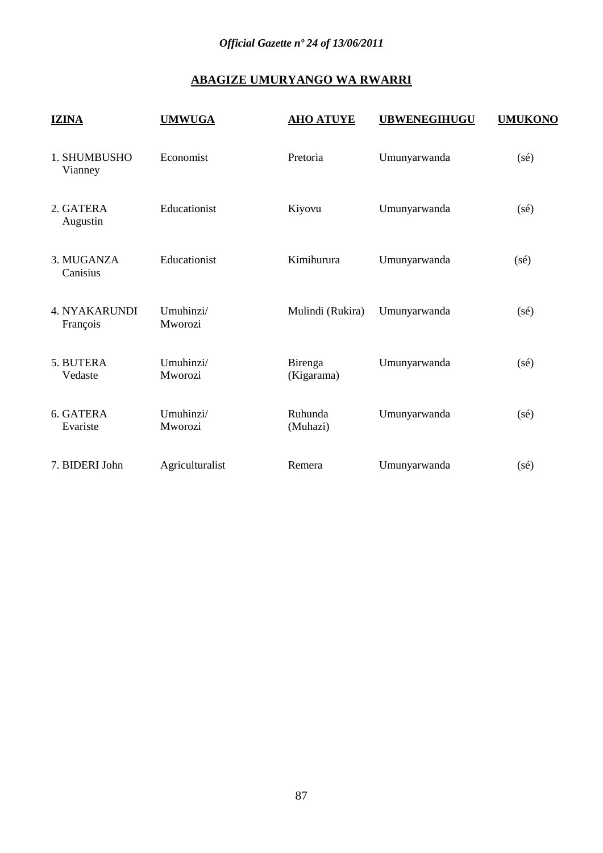# **ABAGIZE UMURYANGO WA RWARRI**

| <b>IZINA</b>                     | <b>UMWUGA</b>        | <b>AHO ATUYE</b>      | <b>UBWENEGIHUGU</b> | <b>UMUKONO</b> |
|----------------------------------|----------------------|-----------------------|---------------------|----------------|
| 1. SHUMBUSHO<br>Vianney          | Economist            | Pretoria              | Umunyarwanda        | $(s\acute{e})$ |
| 2. GATERA<br>Augustin            | Educationist         | Kiyovu                | Umunyarwanda        | $(s\acute{e})$ |
| 3. MUGANZA<br>Canisius           | Educationist         | Kimihurura            | Umunyarwanda        | $(s\acute{e})$ |
| <b>4. NYAKARUNDI</b><br>François | Umuhinzi/<br>Mworozi | Mulindi (Rukira)      | Umunyarwanda        | $(s\acute{e})$ |
| 5. BUTERA<br>Vedaste             | Umuhinzi/<br>Mworozi | Birenga<br>(Kigarama) | Umunyarwanda        | $(s\acute{e})$ |
| 6. GATERA<br>Evariste            | Umuhinzi/<br>Mworozi | Ruhunda<br>(Muhazi)   | Umunyarwanda        | $(s\acute{e})$ |
| 7. BIDERI John                   | Agriculturalist      | Remera                | Umunyarwanda        | $(s\acute{e})$ |